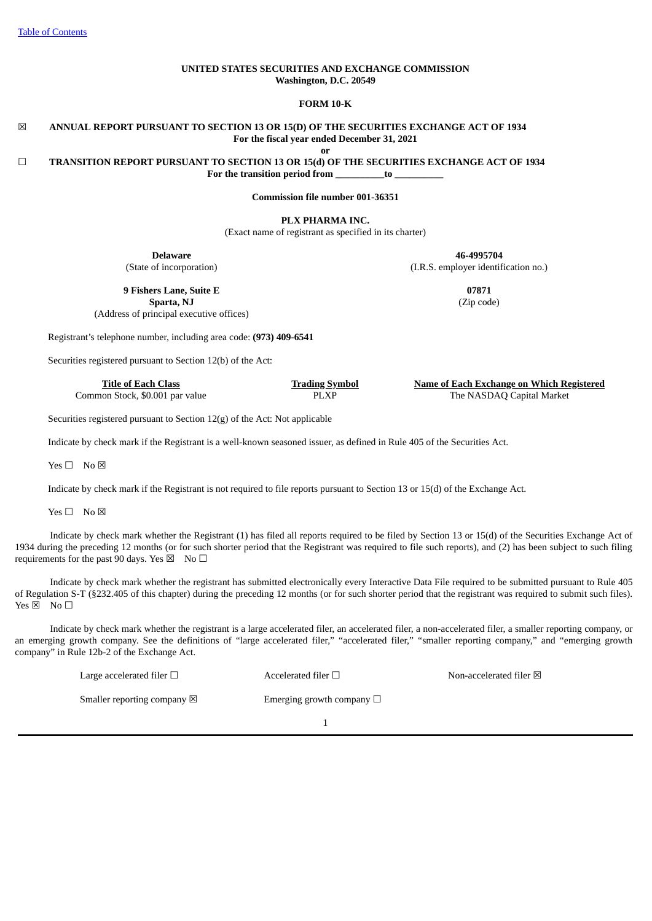# **UNITED STATES SECURITIES AND EXCHANGE COMMISSION Washington, D.C. 20549**

**FORM 10-K**

# ☒ **ANNUAL REPORT PURSUANT TO SECTION 13 OR 15(D) OF THE SECURITIES EXCHANGE ACT OF 1934 For the fiscal year ended December 31, 2021**

**or**

☐ **TRANSITION REPORT PURSUANT TO SECTION 13 OR 15(d) OF THE SECURITIES EXCHANGE ACT OF 1934 For the transition period from \_\_\_\_\_\_\_\_\_\_to \_\_\_\_\_\_\_\_\_\_**

**Commission file number 001-36351**

**PLX PHARMA INC.**

(Exact name of registrant as specified in its charter)

**Delaware**

(State of incorporation)

**9 Fishers Lane, Suite E Sparta, NJ**

(Address of principal executive offices)

Registrant's telephone number, including area code: **(973) 409-6541**

Securities registered pursuant to Section 12(b) of the Act:

Securities registered pursuant to Section 12(g) of the Act: Not applicable

Indicate by check mark if the Registrant is a well-known seasoned issuer, as defined in Rule 405 of the Securities Act.

Yes □ No ⊠

Indicate by check mark if the Registrant is not required to file reports pursuant to Section 13 or 15(d) of the Exchange Act.

Yes □ No ⊠

Indicate by check mark whether the Registrant (1) has filed all reports required to be filed by Section 13 or 15(d) of the Securities Exchange Act of 1934 during the preceding 12 months (or for such shorter period that the Registrant was required to file such reports), and (2) has been subject to such filing requirements for the past 90 days. Yes  $\boxtimes$  No  $\Box$ 

Indicate by check mark whether the registrant has submitted electronically every Interactive Data File required to be submitted pursuant to Rule 405 of Regulation S-T (§232.405 of this chapter) during the preceding 12 months (or for such shorter period that the registrant was required to submit such files).  $Yes \boxtimes$  No  $\square$ 

Indicate by check mark whether the registrant is a large accelerated filer, an accelerated filer, a non-accelerated filer, a smaller reporting company, or an emerging growth company. See the definitions of "large accelerated filer," "accelerated filer," "smaller reporting company," and "emerging growth company" in Rule 12b-2 of the Exchange Act.

| Large accelerated filer $\Box$        | Accelerated filer $\square$    | Non-accelerated filer $\boxtimes$ |
|---------------------------------------|--------------------------------|-----------------------------------|
| Smaller reporting company $\boxtimes$ | Emerging growth company $\Box$ |                                   |
|                                       |                                |                                   |

**46-4995704** (I.R.S. employer identification no.)

> **07871** (Zip code)

**Title of Each Class Trading Symbol Name of Each Exchange on Which Registered** Common Stock, \$0.001 par value  $\angle$  PLXP The NASDAQ Capital Market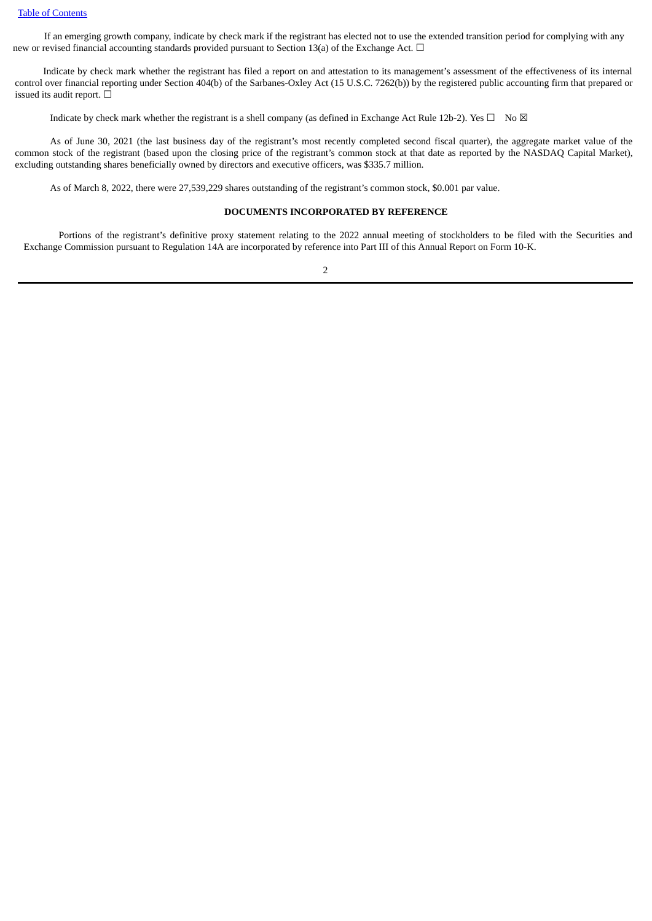If an emerging growth company, indicate by check mark if the registrant has elected not to use the extended transition period for complying with any new or revised financial accounting standards provided pursuant to Section 13(a) of the Exchange Act. □

Indicate by check mark whether the registrant has filed a report on and attestation to its management's assessment of the effectiveness of its internal control over financial reporting under Section 404(b) of the Sarbanes-Oxley Act (15 U.S.C. 7262(b)) by the registered public accounting firm that prepared or issued its audit report.  $\Box$ 

Indicate by check mark whether the registrant is a shell company (as defined in Exchange Act Rule 12b-2). Yes  $\Box$  No  $\boxtimes$ 

As of June 30, 2021 (the last business day of the registrant's most recently completed second fiscal quarter), the aggregate market value of the common stock of the registrant (based upon the closing price of the registrant's common stock at that date as reported by the NASDAQ Capital Market), excluding outstanding shares beneficially owned by directors and executive officers, was \$335.7 million.

As of March 8, 2022, there were 27,539,229 shares outstanding of the registrant's common stock, \$0.001 par value.

# **DOCUMENTS INCORPORATED BY REFERENCE**

Portions of the registrant's definitive proxy statement relating to the 2022 annual meeting of stockholders to be filed with the Securities and Exchange Commission pursuant to Regulation 14A are incorporated by reference into Part III of this Annual Report on Form 10-K.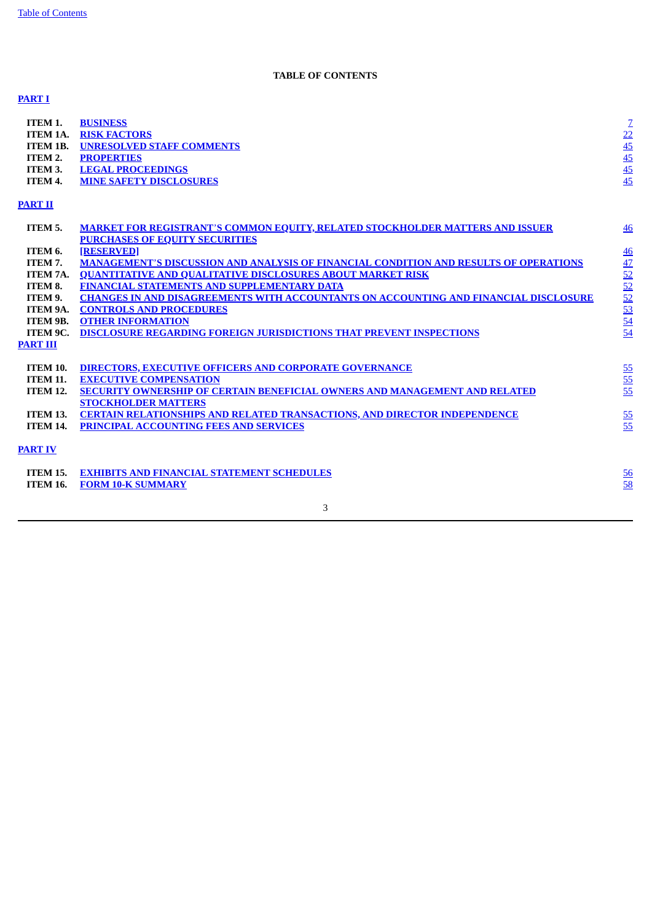# **TABLE OF CONTENTS**

# <span id="page-2-0"></span>**[PART](#page-6-0) I**

| ITEM 1.<br><b>ITEM 1A.</b><br><b>ITEM 1B.</b><br>ITEM 2.<br>ITEM 3.<br>ITEM 4. | <b>BUSINESS</b><br><b>RISK FACTORS</b><br><b>UNRESOLVED STAFF COMMENTS</b><br><b>PROPERTIES</b><br><b>LEGAL PROCEEDINGS</b><br><b>MINE SAFETY DISCLOSURES</b> | $\frac{7}{45}$<br>$\frac{45}{45}$<br>$\frac{45}{45}$                                  |
|--------------------------------------------------------------------------------|---------------------------------------------------------------------------------------------------------------------------------------------------------------|---------------------------------------------------------------------------------------|
| PART II                                                                        |                                                                                                                                                               |                                                                                       |
| ITEM 5.                                                                        | <b>MARKET FOR REGISTRANT'S COMMON EQUITY, RELATED STOCKHOLDER MATTERS AND ISSUER</b><br><b>PURCHASES OF EQUITY SECURITIES</b>                                 | 46                                                                                    |
| ITEM 6.                                                                        | <b>[RESERVED]</b>                                                                                                                                             |                                                                                       |
| ITEM 7.                                                                        | <b>MANAGEMENT'S DISCUSSION AND ANALYSIS OF FINANCIAL CONDITION AND RESULTS OF OPERATIONS</b>                                                                  | $\frac{46}{47} \frac{42}{52} \frac{52}{52} \frac{52}{52} \frac{53}{52} \frac{54}{54}$ |
| ITEM 7A.                                                                       | <b>OUANTITATIVE AND QUALITATIVE DISCLOSURES ABOUT MARKET RISK</b>                                                                                             |                                                                                       |
| ITEM 8.                                                                        | FINANCIAL STATEMENTS AND SUPPLEMENTARY DATA                                                                                                                   |                                                                                       |
| ITEM 9.                                                                        | <b>CHANGES IN AND DISAGREEMENTS WITH ACCOUNTANTS ON ACCOUNTING AND FINANCIAL DISCLOSURE</b>                                                                   |                                                                                       |
| ITEM 9A.                                                                       | <b>CONTROLS AND PROCEDURES</b>                                                                                                                                |                                                                                       |
| ITEM 9B.                                                                       | <b>OTHER INFORMATION</b>                                                                                                                                      |                                                                                       |
| ITEM 9C.                                                                       | <b>DISCLOSURE REGARDING FOREIGN JURISDICTIONS THAT PREVENT INSPECTIONS</b>                                                                                    |                                                                                       |
| <b>PART III</b>                                                                |                                                                                                                                                               |                                                                                       |
| <b>ITEM 10.</b>                                                                | <b>DIRECTORS, EXECUTIVE OFFICERS AND CORPORATE GOVERNANCE</b>                                                                                                 |                                                                                       |
| <b>ITEM 11.</b>                                                                | <b>EXECUTIVE COMPENSATION</b>                                                                                                                                 |                                                                                       |
| <b>ITEM 12.</b>                                                                | SECURITY OWNERSHIP OF CERTAIN BENEFICIAL OWNERS AND MANAGEMENT AND RELATED                                                                                    | $\frac{55}{55}$                                                                       |
|                                                                                | <b>STOCKHOLDER MATTERS</b>                                                                                                                                    |                                                                                       |
| <b>ITEM 13.</b>                                                                | <b>CERTAIN RELATIONSHIPS AND RELATED TRANSACTIONS, AND DIRECTOR INDEPENDENCE</b>                                                                              | $\frac{55}{55}$                                                                       |
| <b>ITEM 14.</b>                                                                | PRINCIPAL ACCOUNTING FEES AND SERVICES                                                                                                                        |                                                                                       |
| <b>PART IV</b>                                                                 |                                                                                                                                                               |                                                                                       |
| <b>ITEM 15.</b>                                                                | <b>EXHIBITS AND FINANCIAL STATEMENT SCHEDULES</b>                                                                                                             | 56                                                                                    |
| <b>ITEM 16.</b>                                                                | <b>FORM 10-K SUMMARY</b>                                                                                                                                      | 58                                                                                    |
|                                                                                |                                                                                                                                                               |                                                                                       |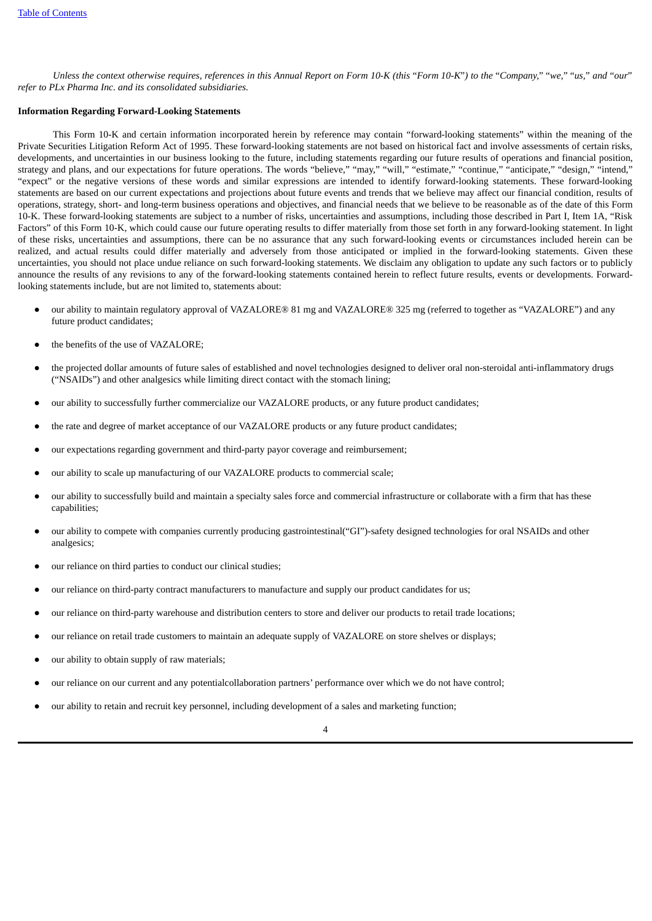Unless the context otherwise requires, references in this Annual Report on Form 10-K (this "Form 10-K") to the "Company," "we," "us," and "our" *refer to PLx Pharma Inc. and its consolidated subsidiaries.*

# **Information Regarding Forward-Looking Statements**

This Form 10-K and certain information incorporated herein by reference may contain "forward-looking statements" within the meaning of the Private Securities Litigation Reform Act of 1995. These forward-looking statements are not based on historical fact and involve assessments of certain risks, developments, and uncertainties in our business looking to the future, including statements regarding our future results of operations and financial position, strategy and plans, and our expectations for future operations. The words "believe," "may," "will," "estimate," "continue," "anticipate," "design," "intend," "expect" or the negative versions of these words and similar expressions are intended to identify forward-looking statements. These forward-looking statements are based on our current expectations and projections about future events and trends that we believe may affect our financial condition, results of operations, strategy, short- and long-term business operations and objectives, and financial needs that we believe to be reasonable as of the date of this Form 10-K. These forward-looking statements are subject to a number of risks, uncertainties and assumptions, including those described in Part I, Item 1A, "Risk Factors" of this Form 10-K, which could cause our future operating results to differ materially from those set forth in any forward-looking statement. In light of these risks, uncertainties and assumptions, there can be no assurance that any such forward-looking events or circumstances included herein can be realized, and actual results could differ materially and adversely from those anticipated or implied in the forward-looking statements. Given these uncertainties, you should not place undue reliance on such forward-looking statements. We disclaim any obligation to update any such factors or to publicly announce the results of any revisions to any of the forward-looking statements contained herein to reflect future results, events or developments. Forwardlooking statements include, but are not limited to, statements about:

- our ability to maintain regulatory approval of VAZALORE® 81 mg and VAZALORE® 325 mg (referred to together as "VAZALORE") and any future product candidates;
- the benefits of the use of VAZALORE:
- the projected dollar amounts of future sales of established and novel technologies designed to deliver oral non-steroidal anti-inflammatory drugs ("NSAIDs") and other analgesics while limiting direct contact with the stomach lining;
- our ability to successfully further commercialize our VAZALORE products, or any future product candidates;
- the rate and degree of market acceptance of our VAZALORE products or any future product candidates;
- our expectations regarding government and third-party payor coverage and reimbursement;
- our ability to scale up manufacturing of our VAZALORE products to commercial scale;
- our ability to successfully build and maintain a specialty sales force and commercial infrastructure or collaborate with a firm that has these capabilities;
- our ability to compete with companies currently producing gastrointestinal("GI")-safety designed technologies for oral NSAIDs and other analgesics;
- our reliance on third parties to conduct our clinical studies;
- our reliance on third-party contract manufacturers to manufacture and supply our product candidates for us;
- our reliance on third-party warehouse and distribution centers to store and deliver our products to retail trade locations;
- our reliance on retail trade customers to maintain an adequate supply of VAZALORE on store shelves or displays;
- our ability to obtain supply of raw materials;
- our reliance on our current and any potentialcollaboration partners' performance over which we do not have control;
- our ability to retain and recruit key personnel, including development of a sales and marketing function;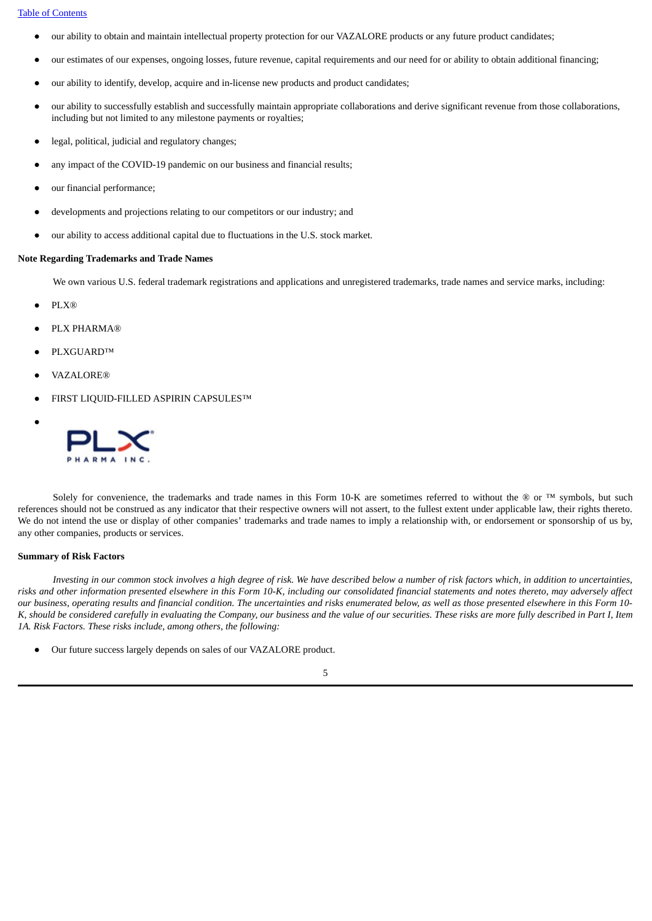#### Table of [Contents](#page-2-0)

- our ability to obtain and maintain intellectual property protection for our VAZALORE products or any future product candidates;
- our estimates of our expenses, ongoing losses, future revenue, capital requirements and our need for or ability to obtain additional financing;
- our ability to identify, develop, acquire and in-license new products and product candidates;
- our ability to successfully establish and successfully maintain appropriate collaborations and derive significant revenue from those collaborations, including but not limited to any milestone payments or royalties;
- legal, political, judicial and regulatory changes;
- any impact of the COVID-19 pandemic on our business and financial results;
- our financial performance;
- developments and projections relating to our competitors or our industry; and
- our ability to access additional capital due to fluctuations in the U.S. stock market.

# **Note Regarding Trademarks and Trade Names**

We own various U.S. federal trademark registrations and applications and unregistered trademarks, trade names and service marks, including:

● PLX®

●

- PLX PHARMA®
- PLXGUARD™
- **VAZALORE®**
- FIRST LIQUID-FILLED ASPIRIN CAPSULES™



Solely for convenience, the trademarks and trade names in this Form 10-K are sometimes referred to without the  $\otimes$  or  $TM$  symbols, but such references should not be construed as any indicator that their respective owners will not assert, to the fullest extent under applicable law, their rights thereto. We do not intend the use or display of other companies' trademarks and trade names to imply a relationship with, or endorsement or sponsorship of us by, any other companies, products or services.

## **Summary of Risk Factors**

Investing in our common stock involves a high degree of risk. We have described below a number of risk factors which, in addition to uncertainties, risks and other information presented elsewhere in this Form 10-K, including our consolidated financial statements and notes thereto, may adversely affect our business, operating results and financial condition. The uncertainties and risks enumerated below, as well as those presented elsewhere in this Form 10-K, should be considered carefully in evaluating the Company, our business and the value of our securities. These risks are more fully described in Part I, Item *1A. Risk Factors. These risks include, among others, the following:*

● Our future success largely depends on sales of our VAZALORE product.

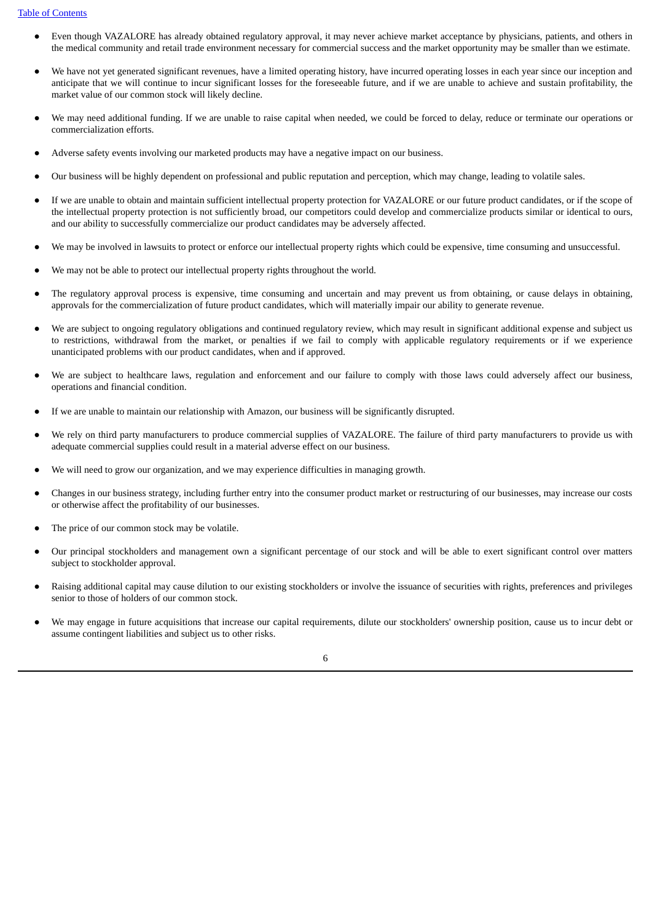- Even though VAZALORE has already obtained regulatory approval, it may never achieve market acceptance by physicians, patients, and others in the medical community and retail trade environment necessary for commercial success and the market opportunity may be smaller than we estimate.
- We have not yet generated significant revenues, have a limited operating history, have incurred operating losses in each year since our inception and anticipate that we will continue to incur significant losses for the foreseeable future, and if we are unable to achieve and sustain profitability, the market value of our common stock will likely decline.
- We may need additional funding. If we are unable to raise capital when needed, we could be forced to delay, reduce or terminate our operations or commercialization efforts.
- Adverse safety events involving our marketed products may have a negative impact on our business.
- Our business will be highly dependent on professional and public reputation and perception, which may change, leading to volatile sales.
- If we are unable to obtain and maintain sufficient intellectual property protection for VAZALORE or our future product candidates, or if the scope of the intellectual property protection is not sufficiently broad, our competitors could develop and commercialize products similar or identical to ours, and our ability to successfully commercialize our product candidates may be adversely affected.
- We may be involved in lawsuits to protect or enforce our intellectual property rights which could be expensive, time consuming and unsuccessful.
- We may not be able to protect our intellectual property rights throughout the world.
- The regulatory approval process is expensive, time consuming and uncertain and may prevent us from obtaining, or cause delays in obtaining, approvals for the commercialization of future product candidates, which will materially impair our ability to generate revenue.
- We are subject to ongoing regulatory obligations and continued regulatory review, which may result in significant additional expense and subject us to restrictions, withdrawal from the market, or penalties if we fail to comply with applicable regulatory requirements or if we experience unanticipated problems with our product candidates, when and if approved.
- We are subject to healthcare laws, regulation and enforcement and our failure to comply with those laws could adversely affect our business, operations and financial condition.
- If we are unable to maintain our relationship with Amazon, our business will be significantly disrupted.
- We rely on third party manufacturers to produce commercial supplies of VAZALORE. The failure of third party manufacturers to provide us with adequate commercial supplies could result in a material adverse effect on our business.
- We will need to grow our organization, and we may experience difficulties in managing growth.
- Changes in our business strategy, including further entry into the consumer product market or restructuring of our businesses, may increase our costs or otherwise affect the profitability of our businesses.
- The price of our common stock may be volatile.
- Our principal stockholders and management own a significant percentage of our stock and will be able to exert significant control over matters subject to stockholder approval.
- Raising additional capital may cause dilution to our existing stockholders or involve the issuance of securities with rights, preferences and privileges senior to those of holders of our common stock.
- We may engage in future acquisitions that increase our capital requirements, dilute our stockholders' ownership position, cause us to incur debt or assume contingent liabilities and subject us to other risks.

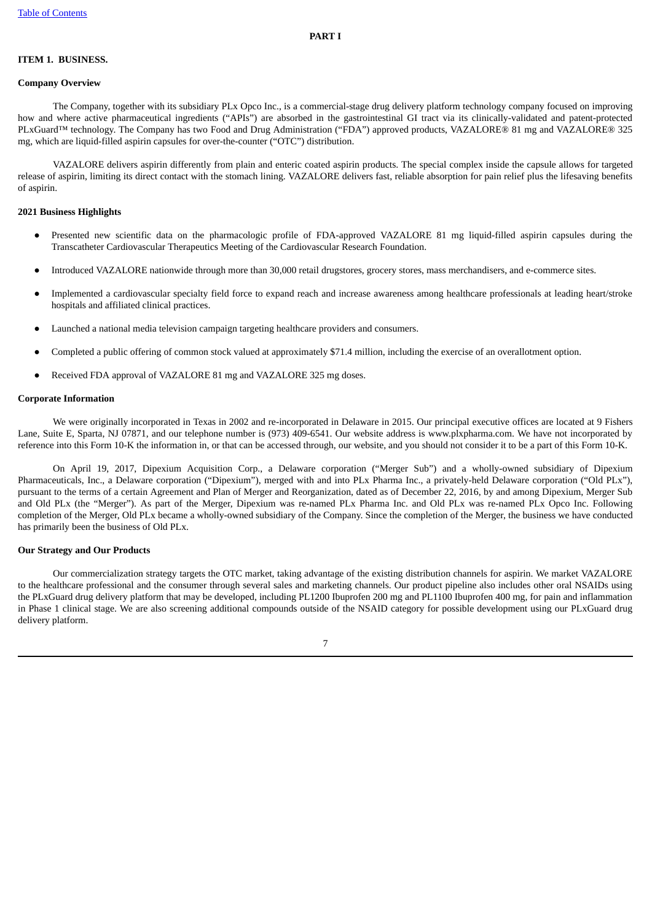# <span id="page-6-1"></span><span id="page-6-0"></span>**ITEM 1. BUSINESS.**

# **Company Overview**

The Company, together with its subsidiary PLx Opco Inc., is a commercial-stage drug delivery platform technology company focused on improving how and where active pharmaceutical ingredients ("APIs") are absorbed in the gastrointestinal GI tract via its clinically-validated and patent-protected PLxGuard™ technology. The Company has two Food and Drug Administration ("FDA") approved products, VAZALORE® 81 mg and VAZALORE® 325 mg, which are liquid-filled aspirin capsules for over-the-counter ("OTC") distribution.

VAZALORE delivers aspirin differently from plain and enteric coated aspirin products. The special complex inside the capsule allows for targeted release of aspirin, limiting its direct contact with the stomach lining. VAZALORE delivers fast, reliable absorption for pain relief plus the lifesaving benefits of aspirin.

#### **2021 Business Highlights**

- Presented new scientific data on the pharmacologic profile of FDA-approved VAZALORE 81 mg liquid-filled aspirin capsules during the Transcatheter Cardiovascular Therapeutics Meeting of the Cardiovascular Research Foundation.
- Introduced VAZALORE nationwide through more than 30,000 retail drugstores, grocery stores, mass merchandisers, and e-commerce sites.
- Implemented a cardiovascular specialty field force to expand reach and increase awareness among healthcare professionals at leading heart/stroke hospitals and affiliated clinical practices.
- Launched a national media television campaign targeting healthcare providers and consumers.
- Completed a public offering of common stock valued at approximately \$71.4 million, including the exercise of an overallotment option.
- Received FDA approval of VAZALORE 81 mg and VAZALORE 325 mg doses.

#### **Corporate Information**

We were originally incorporated in Texas in 2002 and re-incorporated in Delaware in 2015. Our principal executive offices are located at 9 Fishers Lane, Suite E, Sparta, NJ 07871, and our telephone number is (973) 409-6541. Our website address is www.plxpharma.com. We have not incorporated by reference into this Form 10-K the information in, or that can be accessed through, our website, and you should not consider it to be a part of this Form 10-K.

On April 19, 2017, Dipexium Acquisition Corp., a Delaware corporation ("Merger Sub") and a wholly-owned subsidiary of Dipexium Pharmaceuticals, Inc., a Delaware corporation ("Dipexium"), merged with and into PLx Pharma Inc., a privately-held Delaware corporation ("Old PLx"), pursuant to the terms of a certain Agreement and Plan of Merger and Reorganization, dated as of December 22, 2016, by and among Dipexium, Merger Sub and Old PLx (the "Merger"). As part of the Merger, Dipexium was re-named PLx Pharma Inc. and Old PLx was re-named PLx Opco Inc. Following completion of the Merger, Old PLx became a wholly-owned subsidiary of the Company. Since the completion of the Merger, the business we have conducted has primarily been the business of Old PLx.

# **Our Strategy and Our Products**

Our commercialization strategy targets the OTC market, taking advantage of the existing distribution channels for aspirin. We market VAZALORE to the healthcare professional and the consumer through several sales and marketing channels. Our product pipeline also includes other oral NSAIDs using the PLxGuard drug delivery platform that may be developed, including PL1200 Ibuprofen 200 mg and PL1100 Ibuprofen 400 mg, for pain and inflammation in Phase 1 clinical stage. We are also screening additional compounds outside of the NSAID category for possible development using our PLxGuard drug delivery platform.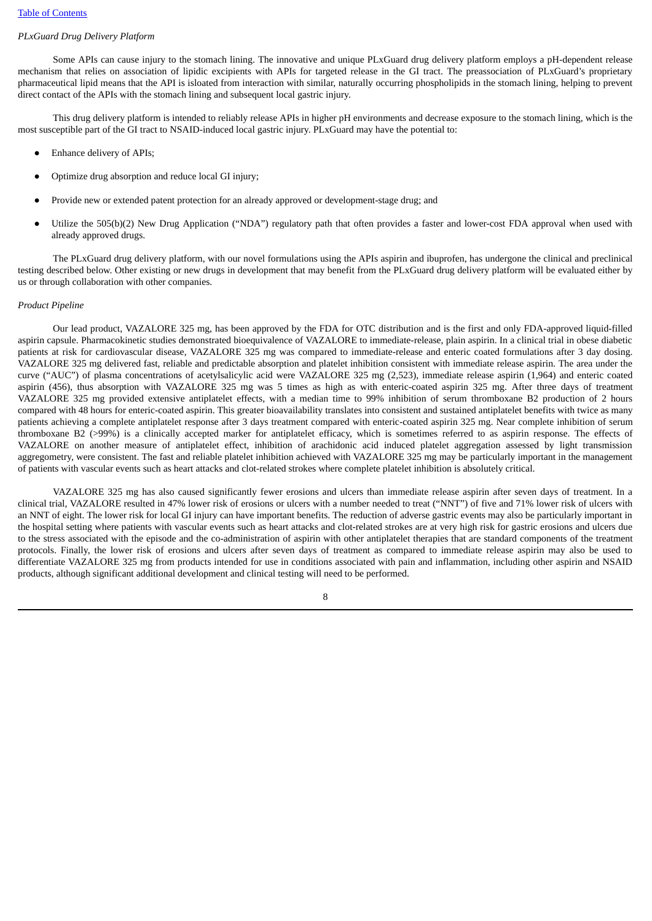# *PLxGuard Drug Delivery Platform*

Some APIs can cause injury to the stomach lining. The innovative and unique PLxGuard drug delivery platform employs a pH-dependent release mechanism that relies on association of lipidic excipients with APIs for targeted release in the GI tract. The preassociation of PLxGuard's proprietary pharmaceutical lipid means that the API is isloated from interaction with similar, naturally occurring phospholipids in the stomach lining, helping to prevent direct contact of the APIs with the stomach lining and subsequent local gastric injury.

This drug delivery platform is intended to reliably release APIs in higher pH environments and decrease exposure to the stomach lining, which is the most susceptible part of the GI tract to NSAID-induced local gastric injury. PLxGuard may have the potential to:

- Enhance delivery of APIs;
- Optimize drug absorption and reduce local GI injury;
- Provide new or extended patent protection for an already approved or development-stage drug; and
- Utilize the 505(b)(2) New Drug Application ("NDA") regulatory path that often provides a faster and lower-cost FDA approval when used with already approved drugs.

The PLxGuard drug delivery platform, with our novel formulations using the APIs aspirin and ibuprofen, has undergone the clinical and preclinical testing described below. Other existing or new drugs in development that may benefit from the PLxGuard drug delivery platform will be evaluated either by us or through collaboration with other companies.

# *Product Pipeline*

Our lead product, VAZALORE 325 mg, has been approved by the FDA for OTC distribution and is the first and only FDA-approved liquid-filled aspirin capsule. Pharmacokinetic studies demonstrated bioequivalence of VAZALORE to immediate-release, plain aspirin. In a clinical trial in obese diabetic patients at risk for cardiovascular disease, VAZALORE 325 mg was compared to immediate-release and enteric coated formulations after 3 day dosing. VAZALORE 325 mg delivered fast, reliable and predictable absorption and platelet inhibition consistent with immediate release aspirin. The area under the curve ("AUC") of plasma concentrations of acetylsalicylic acid were VAZALORE 325 mg (2,523), immediate release aspirin (1,964) and enteric coated aspirin (456), thus absorption with VAZALORE 325 mg was 5 times as high as with enteric-coated aspirin 325 mg. After three days of treatment VAZALORE 325 mg provided extensive antiplatelet effects, with a median time to 99% inhibition of serum thromboxane B2 production of 2 hours compared with 48 hours for enteric-coated aspirin. This greater bioavailability translates into consistent and sustained antiplatelet benefits with twice as many patients achieving a complete antiplatelet response after 3 days treatment compared with enteric-coated aspirin 325 mg. Near complete inhibition of serum thromboxane B2 (>99%) is a clinically accepted marker for antiplatelet efficacy, which is sometimes referred to as aspirin response. The effects of VAZALORE on another measure of antiplatelet effect, inhibition of arachidonic acid induced platelet aggregation assessed by light transmission aggregometry, were consistent. The fast and reliable platelet inhibition achieved with VAZALORE 325 mg may be particularly important in the management of patients with vascular events such as heart attacks and clot-related strokes where complete platelet inhibition is absolutely critical.

VAZALORE 325 mg has also caused significantly fewer erosions and ulcers than immediate release aspirin after seven days of treatment. In a clinical trial, VAZALORE resulted in 47% lower risk of erosions or ulcers with a number needed to treat ("NNT") of five and 71% lower risk of ulcers with an NNT of eight. The lower risk for local GI injury can have important benefits. The reduction of adverse gastric events may also be particularly important in the hospital setting where patients with vascular events such as heart attacks and clot-related strokes are at very high risk for gastric erosions and ulcers due to the stress associated with the episode and the co-administration of aspirin with other antiplatelet therapies that are standard components of the treatment protocols. Finally, the lower risk of erosions and ulcers after seven days of treatment as compared to immediate release aspirin may also be used to differentiate VAZALORE 325 mg from products intended for use in conditions associated with pain and inflammation, including other aspirin and NSAID products, although significant additional development and clinical testing will need to be performed.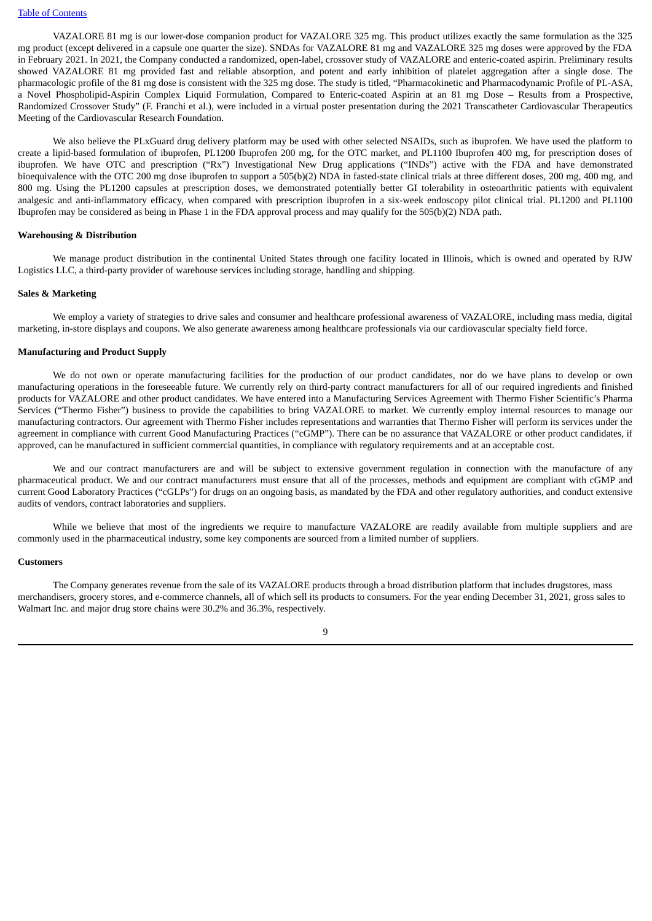VAZALORE 81 mg is our lower-dose companion product for VAZALORE 325 mg. This product utilizes exactly the same formulation as the 325 mg product (except delivered in a capsule one quarter the size). SNDAs for VAZALORE 81 mg and VAZALORE 325 mg doses were approved by the FDA in February 2021. In 2021, the Company conducted a randomized, open-label, crossover study of VAZALORE and enteric-coated aspirin. Preliminary results showed VAZALORE 81 mg provided fast and reliable absorption, and potent and early inhibition of platelet aggregation after a single dose. The pharmacologic profile of the 81 mg dose is consistent with the 325 mg dose. The study is titled, "Pharmacokinetic and Pharmacodynamic Profile of PL-ASA, a Novel Phospholipid-Aspirin Complex Liquid Formulation, Compared to Enteric-coated Aspirin at an 81 mg Dose – Results from a Prospective, Randomized Crossover Study" (F. Franchi et al.), were included in a virtual poster presentation during the 2021 Transcatheter Cardiovascular Therapeutics Meeting of the Cardiovascular Research Foundation.

We also believe the PLxGuard drug delivery platform may be used with other selected NSAIDs, such as ibuprofen. We have used the platform to create a lipid-based formulation of ibuprofen, PL1200 Ibuprofen 200 mg, for the OTC market, and PL1100 Ibuprofen 400 mg, for prescription doses of ibuprofen. We have OTC and prescription ("Rx") Investigational New Drug applications ("INDs") active with the FDA and have demonstrated bioequivalence with the OTC 200 mg dose ibuprofen to support a 505(b)(2) NDA in fasted-state clinical trials at three different doses, 200 mg, 400 mg, and 800 mg. Using the PL1200 capsules at prescription doses, we demonstrated potentially better GI tolerability in osteoarthritic patients with equivalent analgesic and anti-inflammatory efficacy, when compared with prescription ibuprofen in a six-week endoscopy pilot clinical trial. PL1200 and PL1100 Ibuprofen may be considered as being in Phase 1 in the FDA approval process and may qualify for the 505(b)(2) NDA path.

#### **Warehousing & Distribution**

We manage product distribution in the continental United States through one facility located in Illinois, which is owned and operated by RJW Logistics LLC, a third-party provider of warehouse services including storage, handling and shipping.

#### **Sales & Marketing**

We employ a variety of strategies to drive sales and consumer and healthcare professional awareness of VAZALORE, including mass media, digital marketing, in-store displays and coupons. We also generate awareness among healthcare professionals via our cardiovascular specialty field force.

#### **Manufacturing and Product Supply**

We do not own or operate manufacturing facilities for the production of our product candidates, nor do we have plans to develop or own manufacturing operations in the foreseeable future. We currently rely on third-party contract manufacturers for all of our required ingredients and finished products for VAZALORE and other product candidates. We have entered into a Manufacturing Services Agreement with Thermo Fisher Scientific's Pharma Services ("Thermo Fisher") business to provide the capabilities to bring VAZALORE to market. We currently employ internal resources to manage our manufacturing contractors. Our agreement with Thermo Fisher includes representations and warranties that Thermo Fisher will perform its services under the agreement in compliance with current Good Manufacturing Practices ("cGMP"). There can be no assurance that VAZALORE or other product candidates, if approved, can be manufactured in sufficient commercial quantities, in compliance with regulatory requirements and at an acceptable cost.

We and our contract manufacturers are and will be subject to extensive government regulation in connection with the manufacture of any pharmaceutical product. We and our contract manufacturers must ensure that all of the processes, methods and equipment are compliant with cGMP and current Good Laboratory Practices ("cGLPs") for drugs on an ongoing basis, as mandated by the FDA and other regulatory authorities, and conduct extensive audits of vendors, contract laboratories and suppliers.

While we believe that most of the ingredients we require to manufacture VAZALORE are readily available from multiple suppliers and are commonly used in the pharmaceutical industry, some key components are sourced from a limited number of suppliers.

#### **Customers**

The Company generates revenue from the sale of its VAZALORE products through a broad distribution platform that includes drugstores, mass merchandisers, grocery stores, and e-commerce channels, all of which sell its products to consumers. For the year ending December 31, 2021, gross sales to Walmart Inc. and major drug store chains were 30.2% and 36.3%, respectively.

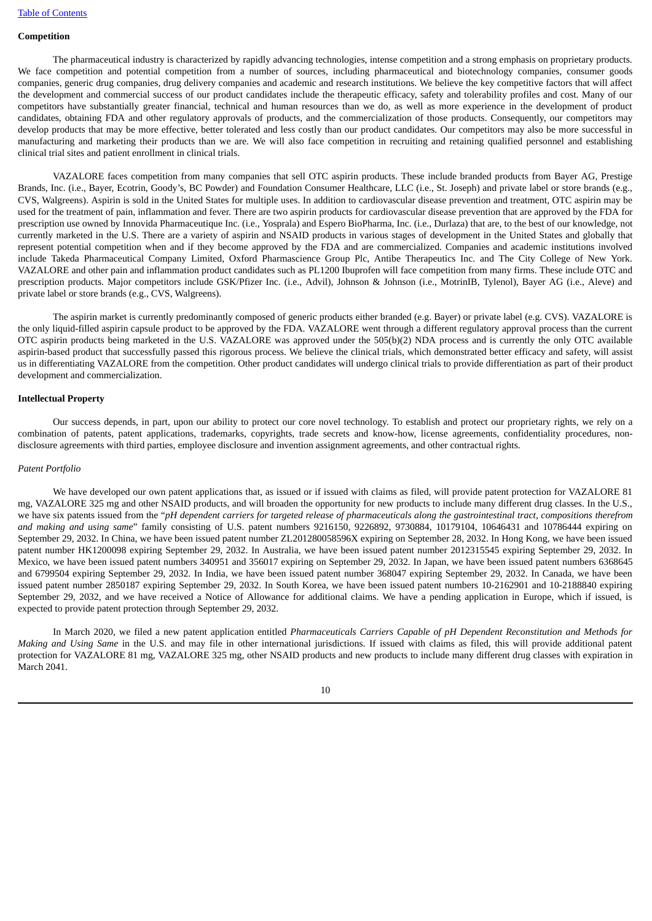# **Competition**

The pharmaceutical industry is characterized by rapidly advancing technologies, intense competition and a strong emphasis on proprietary products. We face competition and potential competition from a number of sources, including pharmaceutical and biotechnology companies, consumer goods companies, generic drug companies, drug delivery companies and academic and research institutions. We believe the key competitive factors that will affect the development and commercial success of our product candidates include the therapeutic efficacy, safety and tolerability profiles and cost. Many of our competitors have substantially greater financial, technical and human resources than we do, as well as more experience in the development of product candidates, obtaining FDA and other regulatory approvals of products, and the commercialization of those products. Consequently, our competitors may develop products that may be more effective, better tolerated and less costly than our product candidates. Our competitors may also be more successful in manufacturing and marketing their products than we are. We will also face competition in recruiting and retaining qualified personnel and establishing clinical trial sites and patient enrollment in clinical trials.

VAZALORE faces competition from many companies that sell OTC aspirin products. These include branded products from Bayer AG, Prestige Brands, Inc. (i.e., Bayer, Ecotrin, Goody's, BC Powder) and Foundation Consumer Healthcare, LLC (i.e., St. Joseph) and private label or store brands (e.g., CVS, Walgreens). Aspirin is sold in the United States for multiple uses. In addition to cardiovascular disease prevention and treatment, OTC aspirin may be used for the treatment of pain, inflammation and fever. There are two aspirin products for cardiovascular disease prevention that are approved by the FDA for prescription use owned by Innovida Pharmaceutique Inc. (i.e., Yosprala) and Espero BioPharma, Inc. (i.e., Durlaza) that are, to the best of our knowledge, not currently marketed in the U.S. There are a variety of aspirin and NSAID products in various stages of development in the United States and globally that represent potential competition when and if they become approved by the FDA and are commercialized. Companies and academic institutions involved include Takeda Pharmaceutical Company Limited, Oxford Pharmascience Group Plc, Antibe Therapeutics Inc. and The City College of New York. VAZALORE and other pain and inflammation product candidates such as PL1200 Ibuprofen will face competition from many firms. These include OTC and prescription products. Major competitors include GSK/Pfizer Inc. (i.e., Advil), Johnson & Johnson (i.e., MotrinIB, Tylenol), Bayer AG (i.e., Aleve) and private label or store brands (e.g., CVS, Walgreens).

The aspirin market is currently predominantly composed of generic products either branded (e.g. Bayer) or private label (e.g. CVS). VAZALORE is the only liquid-filled aspirin capsule product to be approved by the FDA. VAZALORE went through a different regulatory approval process than the current OTC aspirin products being marketed in the U.S. VAZALORE was approved under the 505(b)(2) NDA process and is currently the only OTC available aspirin-based product that successfully passed this rigorous process. We believe the clinical trials, which demonstrated better efficacy and safety, will assist us in differentiating VAZALORE from the competition. Other product candidates will undergo clinical trials to provide differentiation as part of their product development and commercialization.

#### **Intellectual Property**

Our success depends, in part, upon our ability to protect our core novel technology. To establish and protect our proprietary rights, we rely on a combination of patents, patent applications, trademarks, copyrights, trade secrets and know-how, license agreements, confidentiality procedures, nondisclosure agreements with third parties, employee disclosure and invention assignment agreements, and other contractual rights.

#### *Patent Portfolio*

We have developed our own patent applications that, as issued or if issued with claims as filed, will provide patent protection for VAZALORE 81 mg, VAZALORE 325 mg and other NSAID products, and will broaden the opportunity for new products to include many different drug classes. In the U.S., we have six patents issued from the "pH dependent carriers for targeted release of pharmaceuticals along the gastrointestinal tract, compositions therefrom *and making and using same*" family consisting of U.S. patent numbers 9216150, 9226892, 9730884, 10179104, 10646431 and 10786444 expiring on September 29, 2032. In China, we have been issued patent number ZL201280058596X expiring on September 28, 2032. In Hong Kong, we have been issued patent number HK1200098 expiring September 29, 2032. In Australia, we have been issued patent number 2012315545 expiring September 29, 2032. In Mexico, we have been issued patent numbers 340951 and 356017 expiring on September 29, 2032. In Japan, we have been issued patent numbers 6368645 and 6799504 expiring September 29, 2032. In India, we have been issued patent number 368047 expiring September 29, 2032. In Canada, we have been issued patent number 2850187 expiring September 29, 2032. In South Korea, we have been issued patent numbers 10-2162901 and 10-2188840 expiring September 29, 2032, and we have received a Notice of Allowance for additional claims. We have a pending application in Europe, which if issued, is expected to provide patent protection through September 29, 2032.

In March 2020, we filed a new patent application entitled *Pharmaceuticals Carriers Capable of pH Dependent Reconstitution and Methods for Making and Using Same* in the U.S. and may file in other international jurisdictions. If issued with claims as filed, this will provide additional patent protection for VAZALORE 81 mg, VAZALORE 325 mg, other NSAID products and new products to include many different drug classes with expiration in March 2041.

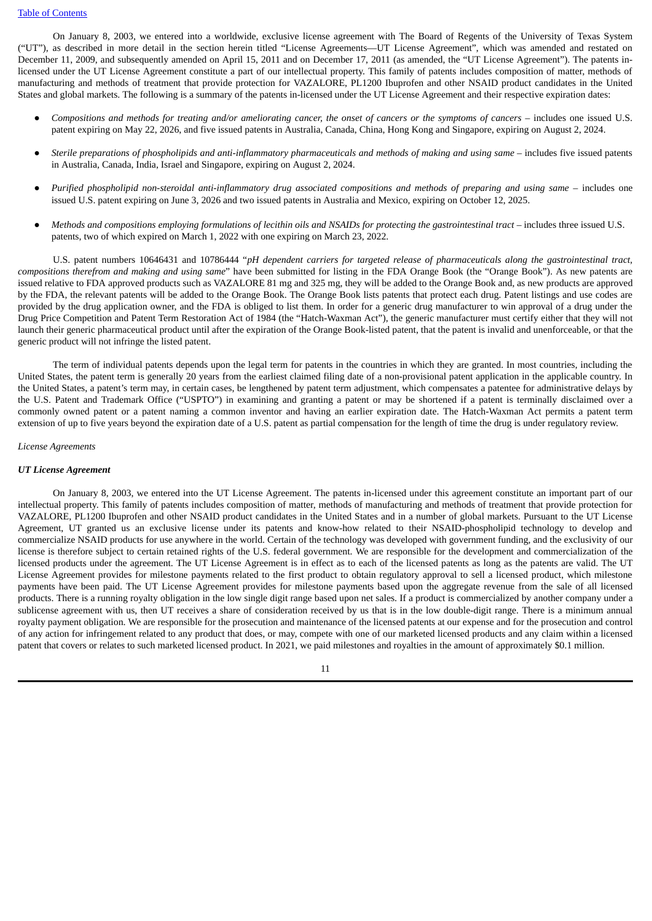On January 8, 2003, we entered into a worldwide, exclusive license agreement with The Board of Regents of the University of Texas System ("UT"), as described in more detail in the section herein titled "License Agreements—UT License Agreement", which was amended and restated on December 11, 2009, and subsequently amended on April 15, 2011 and on December 17, 2011 (as amended, the "UT License Agreement"). The patents inlicensed under the UT License Agreement constitute a part of our intellectual property. This family of patents includes composition of matter, methods of manufacturing and methods of treatment that provide protection for VAZALORE, PL1200 Ibuprofen and other NSAID product candidates in the United States and global markets. The following is a summary of the patents in-licensed under the UT License Agreement and their respective expiration dates:

- Compositions and methods for treating and/or ameliorating cancer, the onset of cancers or the symptoms of cancers includes one issued U.S. patent expiring on May 22, 2026, and five issued patents in Australia, Canada, China, Hong Kong and Singapore, expiring on August 2, 2024.
- Sterile preparations of phospholipids and anti-inflammatory pharmaceuticals and methods of making and using same includes five issued patents in Australia, Canada, India, Israel and Singapore, expiring on August 2, 2024.
- Purified phospholipid non-steroidal anti-inflammatory drug associated compositions and methods of preparing and using same includes one issued U.S. patent expiring on June 3, 2026 and two issued patents in Australia and Mexico, expiring on October 12, 2025.
- Methods and compositions employing formulations of lecithin oils and NSAIDs for protecting the gastrointestinal tract includes three issued U.S. patents, two of which expired on March 1, 2022 with one expiring on March 23, 2022.

U.S. patent numbers 10646431 and 10786444 "*pH dependent carriers for targeted release of pharmaceuticals along the gastrointestinal tract, compositions therefrom and making and using same*" have been submitted for listing in the FDA Orange Book (the "Orange Book"). As new patents are issued relative to FDA approved products such as VAZALORE 81 mg and 325 mg, they will be added to the Orange Book and, as new products are approved by the FDA, the relevant patents will be added to the Orange Book. The Orange Book lists patents that protect each drug. Patent listings and use codes are provided by the drug application owner, and the FDA is obliged to list them. In order for a generic drug manufacturer to win approval of a drug under the Drug Price Competition and Patent Term Restoration Act of 1984 (the "Hatch-Waxman Act"), the generic manufacturer must certify either that they will not launch their generic pharmaceutical product until after the expiration of the Orange Book-listed patent, that the patent is invalid and unenforceable, or that the generic product will not infringe the listed patent.

The term of individual patents depends upon the legal term for patents in the countries in which they are granted. In most countries, including the United States, the patent term is generally 20 years from the earliest claimed filing date of a non-provisional patent application in the applicable country. In the United States, a patent's term may, in certain cases, be lengthened by patent term adjustment, which compensates a patentee for administrative delays by the U.S. Patent and Trademark Office ("USPTO") in examining and granting a patent or may be shortened if a patent is terminally disclaimed over a commonly owned patent or a patent naming a common inventor and having an earlier expiration date. The Hatch-Waxman Act permits a patent term extension of up to five years beyond the expiration date of a U.S. patent as partial compensation for the length of time the drug is under regulatory review.

#### *License Agreements*

#### *UT License Agreement*

On January 8, 2003, we entered into the UT License Agreement. The patents in-licensed under this agreement constitute an important part of our intellectual property. This family of patents includes composition of matter, methods of manufacturing and methods of treatment that provide protection for VAZALORE, PL1200 Ibuprofen and other NSAID product candidates in the United States and in a number of global markets. Pursuant to the UT License Agreement, UT granted us an exclusive license under its patents and know-how related to their NSAID-phospholipid technology to develop and commercialize NSAID products for use anywhere in the world. Certain of the technology was developed with government funding, and the exclusivity of our license is therefore subject to certain retained rights of the U.S. federal government. We are responsible for the development and commercialization of the licensed products under the agreement. The UT License Agreement is in effect as to each of the licensed patents as long as the patents are valid. The UT License Agreement provides for milestone payments related to the first product to obtain regulatory approval to sell a licensed product, which milestone payments have been paid. The UT License Agreement provides for milestone payments based upon the aggregate revenue from the sale of all licensed products. There is a running royalty obligation in the low single digit range based upon net sales. If a product is commercialized by another company under a sublicense agreement with us, then UT receives a share of consideration received by us that is in the low double-digit range. There is a minimum annual royalty payment obligation. We are responsible for the prosecution and maintenance of the licensed patents at our expense and for the prosecution and control of any action for infringement related to any product that does, or may, compete with one of our marketed licensed products and any claim within a licensed patent that covers or relates to such marketed licensed product. In 2021, we paid milestones and royalties in the amount of approximately \$0.1 million.

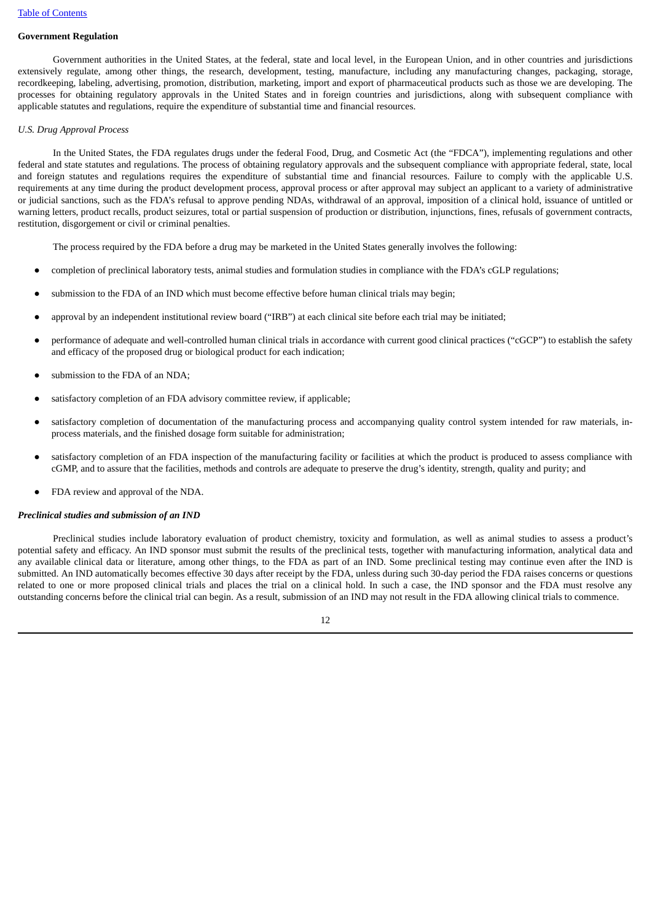# **Government Regulation**

Government authorities in the United States, at the federal, state and local level, in the European Union, and in other countries and jurisdictions extensively regulate, among other things, the research, development, testing, manufacture, including any manufacturing changes, packaging, storage, recordkeeping, labeling, advertising, promotion, distribution, marketing, import and export of pharmaceutical products such as those we are developing. The processes for obtaining regulatory approvals in the United States and in foreign countries and jurisdictions, along with subsequent compliance with applicable statutes and regulations, require the expenditure of substantial time and financial resources.

# *U.S. Drug Approval Process*

In the United States, the FDA regulates drugs under the federal Food, Drug, and Cosmetic Act (the "FDCA"), implementing regulations and other federal and state statutes and regulations. The process of obtaining regulatory approvals and the subsequent compliance with appropriate federal, state, local and foreign statutes and regulations requires the expenditure of substantial time and financial resources. Failure to comply with the applicable U.S. requirements at any time during the product development process, approval process or after approval may subject an applicant to a variety of administrative or judicial sanctions, such as the FDA's refusal to approve pending NDAs, withdrawal of an approval, imposition of a clinical hold, issuance of untitled or warning letters, product recalls, product seizures, total or partial suspension of production or distribution, injunctions, fines, refusals of government contracts, restitution, disgorgement or civil or criminal penalties.

The process required by the FDA before a drug may be marketed in the United States generally involves the following:

- completion of preclinical laboratory tests, animal studies and formulation studies in compliance with the FDA's cGLP regulations;
- submission to the FDA of an IND which must become effective before human clinical trials may begin;
- approval by an independent institutional review board ("IRB") at each clinical site before each trial may be initiated;
- performance of adequate and well-controlled human clinical trials in accordance with current good clinical practices ("cGCP") to establish the safety and efficacy of the proposed drug or biological product for each indication;
- submission to the FDA of an NDA:
- satisfactory completion of an FDA advisory committee review, if applicable;
- satisfactory completion of documentation of the manufacturing process and accompanying quality control system intended for raw materials, inprocess materials, and the finished dosage form suitable for administration;
- satisfactory completion of an FDA inspection of the manufacturing facility or facilities at which the product is produced to assess compliance with cGMP, and to assure that the facilities, methods and controls are adequate to preserve the drug's identity, strength, quality and purity; and
- FDA review and approval of the NDA.

### *Preclinical studies and submission of an IND*

Preclinical studies include laboratory evaluation of product chemistry, toxicity and formulation, as well as animal studies to assess a product's potential safety and efficacy. An IND sponsor must submit the results of the preclinical tests, together with manufacturing information, analytical data and any available clinical data or literature, among other things, to the FDA as part of an IND. Some preclinical testing may continue even after the IND is submitted. An IND automatically becomes effective 30 days after receipt by the FDA, unless during such 30-day period the FDA raises concerns or questions related to one or more proposed clinical trials and places the trial on a clinical hold. In such a case, the IND sponsor and the FDA must resolve any outstanding concerns before the clinical trial can begin. As a result, submission of an IND may not result in the FDA allowing clinical trials to commence.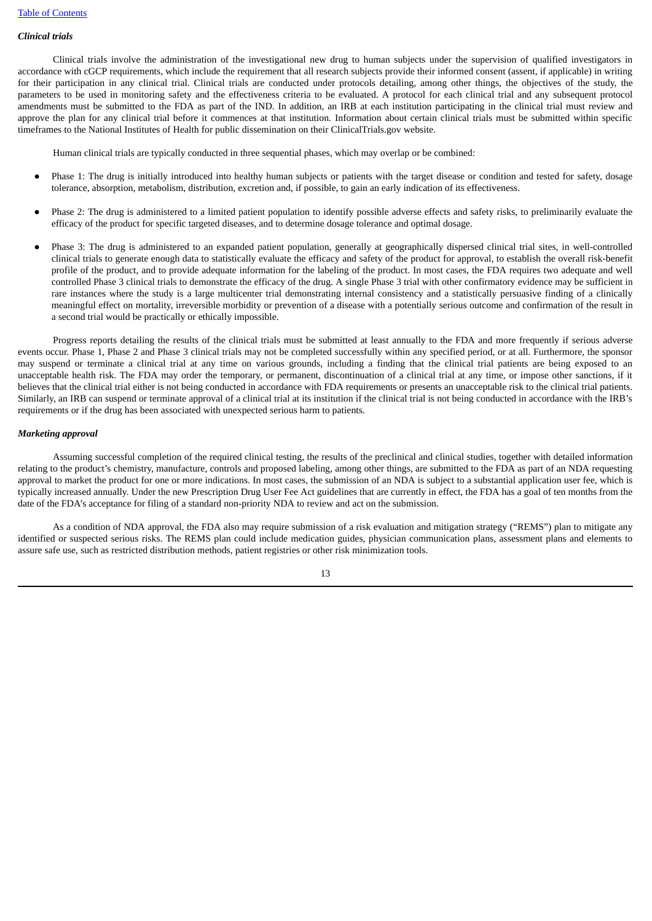# *Clinical trials*

Clinical trials involve the administration of the investigational new drug to human subjects under the supervision of qualified investigators in accordance with cGCP requirements, which include the requirement that all research subjects provide their informed consent (assent, if applicable) in writing for their participation in any clinical trial. Clinical trials are conducted under protocols detailing, among other things, the objectives of the study, the parameters to be used in monitoring safety and the effectiveness criteria to be evaluated. A protocol for each clinical trial and any subsequent protocol amendments must be submitted to the FDA as part of the IND. In addition, an IRB at each institution participating in the clinical trial must review and approve the plan for any clinical trial before it commences at that institution. Information about certain clinical trials must be submitted within specific timeframes to the National Institutes of Health for public dissemination on their ClinicalTrials.gov website.

Human clinical trials are typically conducted in three sequential phases, which may overlap or be combined:

- Phase 1: The drug is initially introduced into healthy human subjects or patients with the target disease or condition and tested for safety, dosage tolerance, absorption, metabolism, distribution, excretion and, if possible, to gain an early indication of its effectiveness.
- Phase 2: The drug is administered to a limited patient population to identify possible adverse effects and safety risks, to preliminarily evaluate the efficacy of the product for specific targeted diseases, and to determine dosage tolerance and optimal dosage.
- Phase 3: The drug is administered to an expanded patient population, generally at geographically dispersed clinical trial sites, in well-controlled clinical trials to generate enough data to statistically evaluate the efficacy and safety of the product for approval, to establish the overall risk-benefit profile of the product, and to provide adequate information for the labeling of the product. In most cases, the FDA requires two adequate and well controlled Phase 3 clinical trials to demonstrate the efficacy of the drug. A single Phase 3 trial with other confirmatory evidence may be sufficient in rare instances where the study is a large multicenter trial demonstrating internal consistency and a statistically persuasive finding of a clinically meaningful effect on mortality, irreversible morbidity or prevention of a disease with a potentially serious outcome and confirmation of the result in a second trial would be practically or ethically impossible.

Progress reports detailing the results of the clinical trials must be submitted at least annually to the FDA and more frequently if serious adverse events occur. Phase 1, Phase 2 and Phase 3 clinical trials may not be completed successfully within any specified period, or at all. Furthermore, the sponsor may suspend or terminate a clinical trial at any time on various grounds, including a finding that the clinical trial patients are being exposed to an unacceptable health risk. The FDA may order the temporary, or permanent, discontinuation of a clinical trial at any time, or impose other sanctions, if it believes that the clinical trial either is not being conducted in accordance with FDA requirements or presents an unacceptable risk to the clinical trial patients. Similarly, an IRB can suspend or terminate approval of a clinical trial at its institution if the clinical trial is not being conducted in accordance with the IRB's requirements or if the drug has been associated with unexpected serious harm to patients.

#### *Marketing approval*

Assuming successful completion of the required clinical testing, the results of the preclinical and clinical studies, together with detailed information relating to the product's chemistry, manufacture, controls and proposed labeling, among other things, are submitted to the FDA as part of an NDA requesting approval to market the product for one or more indications. In most cases, the submission of an NDA is subject to a substantial application user fee, which is typically increased annually. Under the new Prescription Drug User Fee Act guidelines that are currently in effect, the FDA has a goal of ten months from the date of the FDA's acceptance for filing of a standard non-priority NDA to review and act on the submission.

As a condition of NDA approval, the FDA also may require submission of a risk evaluation and mitigation strategy ("REMS") plan to mitigate any identified or suspected serious risks. The REMS plan could include medication guides, physician communication plans, assessment plans and elements to assure safe use, such as restricted distribution methods, patient registries or other risk minimization tools.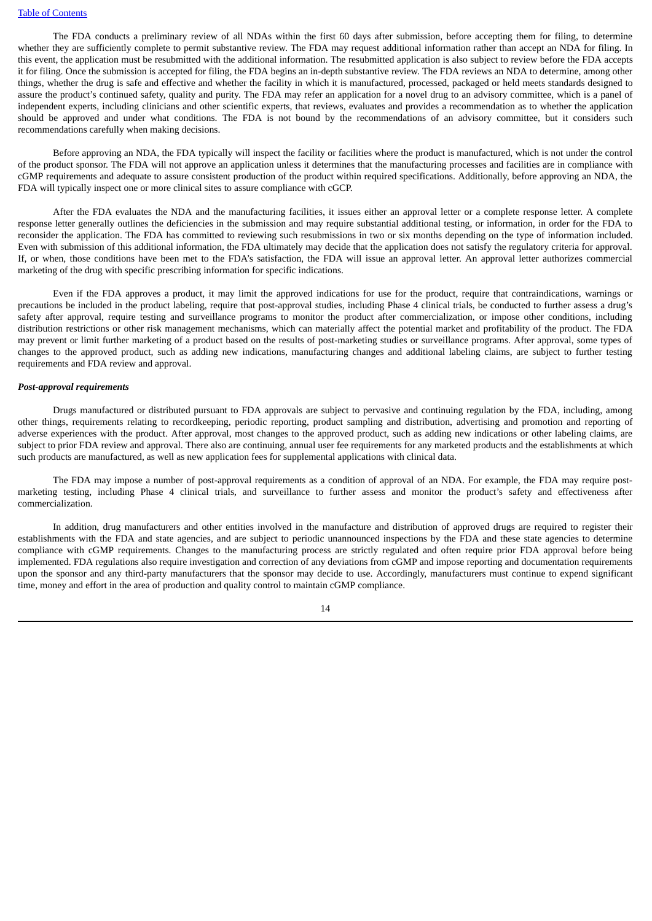The FDA conducts a preliminary review of all NDAs within the first 60 days after submission, before accepting them for filing, to determine whether they are sufficiently complete to permit substantive review. The FDA may request additional information rather than accept an NDA for filing. In this event, the application must be resubmitted with the additional information. The resubmitted application is also subject to review before the FDA accepts it for filing. Once the submission is accepted for filing, the FDA begins an in-depth substantive review. The FDA reviews an NDA to determine, among other things, whether the drug is safe and effective and whether the facility in which it is manufactured, processed, packaged or held meets standards designed to assure the product's continued safety, quality and purity. The FDA may refer an application for a novel drug to an advisory committee, which is a panel of independent experts, including clinicians and other scientific experts, that reviews, evaluates and provides a recommendation as to whether the application should be approved and under what conditions. The FDA is not bound by the recommendations of an advisory committee, but it considers such recommendations carefully when making decisions.

Before approving an NDA, the FDA typically will inspect the facility or facilities where the product is manufactured, which is not under the control of the product sponsor. The FDA will not approve an application unless it determines that the manufacturing processes and facilities are in compliance with cGMP requirements and adequate to assure consistent production of the product within required specifications. Additionally, before approving an NDA, the FDA will typically inspect one or more clinical sites to assure compliance with cGCP.

After the FDA evaluates the NDA and the manufacturing facilities, it issues either an approval letter or a complete response letter. A complete response letter generally outlines the deficiencies in the submission and may require substantial additional testing, or information, in order for the FDA to reconsider the application. The FDA has committed to reviewing such resubmissions in two or six months depending on the type of information included. Even with submission of this additional information, the FDA ultimately may decide that the application does not satisfy the regulatory criteria for approval. If, or when, those conditions have been met to the FDA's satisfaction, the FDA will issue an approval letter. An approval letter authorizes commercial marketing of the drug with specific prescribing information for specific indications.

Even if the FDA approves a product, it may limit the approved indications for use for the product, require that contraindications, warnings or precautions be included in the product labeling, require that post-approval studies, including Phase 4 clinical trials, be conducted to further assess a drug's safety after approval, require testing and surveillance programs to monitor the product after commercialization, or impose other conditions, including distribution restrictions or other risk management mechanisms, which can materially affect the potential market and profitability of the product. The FDA may prevent or limit further marketing of a product based on the results of post-marketing studies or surveillance programs. After approval, some types of changes to the approved product, such as adding new indications, manufacturing changes and additional labeling claims, are subject to further testing requirements and FDA review and approval.

# *Post-approval requirements*

Drugs manufactured or distributed pursuant to FDA approvals are subject to pervasive and continuing regulation by the FDA, including, among other things, requirements relating to recordkeeping, periodic reporting, product sampling and distribution, advertising and promotion and reporting of adverse experiences with the product. After approval, most changes to the approved product, such as adding new indications or other labeling claims, are subject to prior FDA review and approval. There also are continuing, annual user fee requirements for any marketed products and the establishments at which such products are manufactured, as well as new application fees for supplemental applications with clinical data.

The FDA may impose a number of post-approval requirements as a condition of approval of an NDA. For example, the FDA may require postmarketing testing, including Phase 4 clinical trials, and surveillance to further assess and monitor the product's safety and effectiveness after commercialization.

In addition, drug manufacturers and other entities involved in the manufacture and distribution of approved drugs are required to register their establishments with the FDA and state agencies, and are subject to periodic unannounced inspections by the FDA and these state agencies to determine compliance with cGMP requirements. Changes to the manufacturing process are strictly regulated and often require prior FDA approval before being implemented. FDA regulations also require investigation and correction of any deviations from cGMP and impose reporting and documentation requirements upon the sponsor and any third-party manufacturers that the sponsor may decide to use. Accordingly, manufacturers must continue to expend significant time, money and effort in the area of production and quality control to maintain cGMP compliance.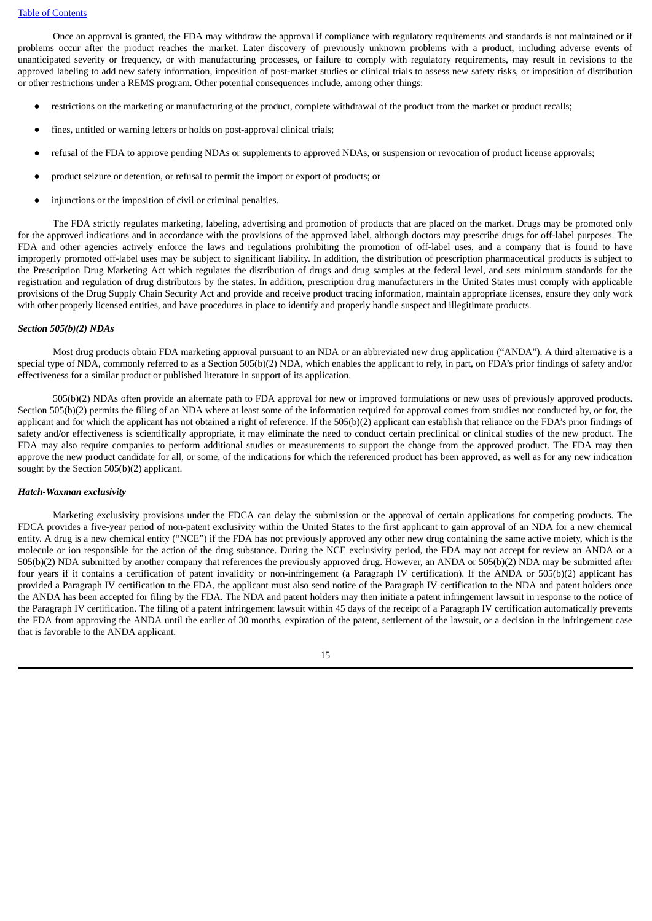Once an approval is granted, the FDA may withdraw the approval if compliance with regulatory requirements and standards is not maintained or if problems occur after the product reaches the market. Later discovery of previously unknown problems with a product, including adverse events of unanticipated severity or frequency, or with manufacturing processes, or failure to comply with regulatory requirements, may result in revisions to the approved labeling to add new safety information, imposition of post-market studies or clinical trials to assess new safety risks, or imposition of distribution or other restrictions under a REMS program. Other potential consequences include, among other things:

- restrictions on the marketing or manufacturing of the product, complete withdrawal of the product from the market or product recalls;
- fines, untitled or warning letters or holds on post-approval clinical trials;
- refusal of the FDA to approve pending NDAs or supplements to approved NDAs, or suspension or revocation of product license approvals;
- product seizure or detention, or refusal to permit the import or export of products; or
- injunctions or the imposition of civil or criminal penalties.

The FDA strictly regulates marketing, labeling, advertising and promotion of products that are placed on the market. Drugs may be promoted only for the approved indications and in accordance with the provisions of the approved label, although doctors may prescribe drugs for off-label purposes. The FDA and other agencies actively enforce the laws and regulations prohibiting the promotion of off-label uses, and a company that is found to have improperly promoted off-label uses may be subject to significant liability. In addition, the distribution of prescription pharmaceutical products is subject to the Prescription Drug Marketing Act which regulates the distribution of drugs and drug samples at the federal level, and sets minimum standards for the registration and regulation of drug distributors by the states. In addition, prescription drug manufacturers in the United States must comply with applicable provisions of the Drug Supply Chain Security Act and provide and receive product tracing information, maintain appropriate licenses, ensure they only work with other properly licensed entities, and have procedures in place to identify and properly handle suspect and illegitimate products.

## *Section 505(b)(2) NDAs*

Most drug products obtain FDA marketing approval pursuant to an NDA or an abbreviated new drug application ("ANDA"). A third alternative is a special type of NDA, commonly referred to as a Section 505(b)(2) NDA, which enables the applicant to rely, in part, on FDA's prior findings of safety and/or effectiveness for a similar product or published literature in support of its application.

505(b)(2) NDAs often provide an alternate path to FDA approval for new or improved formulations or new uses of previously approved products. Section 505(b)(2) permits the filing of an NDA where at least some of the information required for approval comes from studies not conducted by, or for, the applicant and for which the applicant has not obtained a right of reference. If the 505(b)(2) applicant can establish that reliance on the FDA's prior findings of safety and/or effectiveness is scientifically appropriate, it may eliminate the need to conduct certain preclinical or clinical studies of the new product. The FDA may also require companies to perform additional studies or measurements to support the change from the approved product. The FDA may then approve the new product candidate for all, or some, of the indications for which the referenced product has been approved, as well as for any new indication sought by the Section 505(b)(2) applicant.

# *Hatch-Waxman exclusivity*

Marketing exclusivity provisions under the FDCA can delay the submission or the approval of certain applications for competing products. The FDCA provides a five-year period of non-patent exclusivity within the United States to the first applicant to gain approval of an NDA for a new chemical entity. A drug is a new chemical entity ("NCE") if the FDA has not previously approved any other new drug containing the same active moiety, which is the molecule or ion responsible for the action of the drug substance. During the NCE exclusivity period, the FDA may not accept for review an ANDA or a 505(b)(2) NDA submitted by another company that references the previously approved drug. However, an ANDA or 505(b)(2) NDA may be submitted after four years if it contains a certification of patent invalidity or non-infringement (a Paragraph IV certification). If the ANDA or 505(b)(2) applicant has provided a Paragraph IV certification to the FDA, the applicant must also send notice of the Paragraph IV certification to the NDA and patent holders once the ANDA has been accepted for filing by the FDA. The NDA and patent holders may then initiate a patent infringement lawsuit in response to the notice of the Paragraph IV certification. The filing of a patent infringement lawsuit within 45 days of the receipt of a Paragraph IV certification automatically prevents the FDA from approving the ANDA until the earlier of 30 months, expiration of the patent, settlement of the lawsuit, or a decision in the infringement case that is favorable to the ANDA applicant.

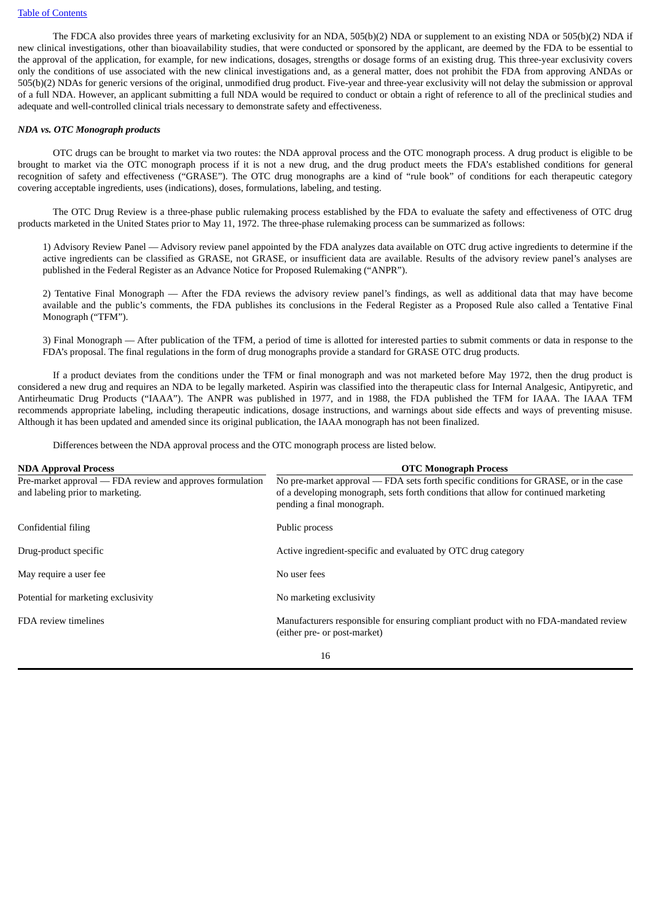The FDCA also provides three years of marketing exclusivity for an NDA, 505(b)(2) NDA or supplement to an existing NDA or 505(b)(2) NDA if new clinical investigations, other than bioavailability studies, that were conducted or sponsored by the applicant, are deemed by the FDA to be essential to the approval of the application, for example, for new indications, dosages, strengths or dosage forms of an existing drug. This three-year exclusivity covers only the conditions of use associated with the new clinical investigations and, as a general matter, does not prohibit the FDA from approving ANDAs or 505(b)(2) NDAs for generic versions of the original, unmodified drug product. Five-year and three-year exclusivity will not delay the submission or approval of a full NDA. However, an applicant submitting a full NDA would be required to conduct or obtain a right of reference to all of the preclinical studies and adequate and well-controlled clinical trials necessary to demonstrate safety and effectiveness.

# *NDA vs. OTC Monograph products*

OTC drugs can be brought to market via two routes: the NDA approval process and the OTC monograph process. A drug product is eligible to be brought to market via the OTC monograph process if it is not a new drug, and the drug product meets the FDA's established conditions for general recognition of safety and effectiveness ("GRASE"). The OTC drug monographs are a kind of "rule book" of conditions for each therapeutic category covering acceptable ingredients, uses (indications), doses, formulations, labeling, and testing.

The OTC Drug Review is a three-phase public rulemaking process established by the FDA to evaluate the safety and effectiveness of OTC drug products marketed in the United States prior to May 11, 1972. The three-phase rulemaking process can be summarized as follows:

1) Advisory Review Panel — Advisory review panel appointed by the FDA analyzes data available on OTC drug active ingredients to determine if the active ingredients can be classified as GRASE, not GRASE, or insufficient data are available. Results of the advisory review panel's analyses are published in the Federal Register as an Advance Notice for Proposed Rulemaking ("ANPR").

2) Tentative Final Monograph — After the FDA reviews the advisory review panel's findings, as well as additional data that may have become available and the public's comments, the FDA publishes its conclusions in the Federal Register as a Proposed Rule also called a Tentative Final Monograph ("TFM").

3) Final Monograph — After publication of the TFM, a period of time is allotted for interested parties to submit comments or data in response to the FDA's proposal. The final regulations in the form of drug monographs provide a standard for GRASE OTC drug products.

If a product deviates from the conditions under the TFM or final monograph and was not marketed before May 1972, then the drug product is considered a new drug and requires an NDA to be legally marketed. Aspirin was classified into the therapeutic class for Internal Analgesic, Antipyretic, and Antirheumatic Drug Products ("IAAA"). The ANPR was published in 1977, and in 1988, the FDA published the TFM for IAAA. The IAAA TFM recommends appropriate labeling, including therapeutic indications, dosage instructions, and warnings about side effects and ways of preventing misuse. Although it has been updated and amended since its original publication, the IAAA monograph has not been finalized.

Differences between the NDA approval process and the OTC monograph process are listed below.

| <b>NDA Approval Process</b>                                                                   | <b>OTC Monograph Process</b>                                                                                                                                                                               |
|-----------------------------------------------------------------------------------------------|------------------------------------------------------------------------------------------------------------------------------------------------------------------------------------------------------------|
| Pre-market approval — FDA review and approves formulation<br>and labeling prior to marketing. | No pre-market approval — FDA sets forth specific conditions for GRASE, or in the case<br>of a developing monograph, sets forth conditions that allow for continued marketing<br>pending a final monograph. |
| Confidential filing                                                                           | Public process                                                                                                                                                                                             |
| Drug-product specific                                                                         | Active ingredient-specific and evaluated by OTC drug category                                                                                                                                              |
| May require a user fee                                                                        | No user fees                                                                                                                                                                                               |
| Potential for marketing exclusivity                                                           | No marketing exclusivity                                                                                                                                                                                   |
| FDA review timelines                                                                          | Manufacturers responsible for ensuring compliant product with no FDA-mandated review<br>(either pre- or post-market)                                                                                       |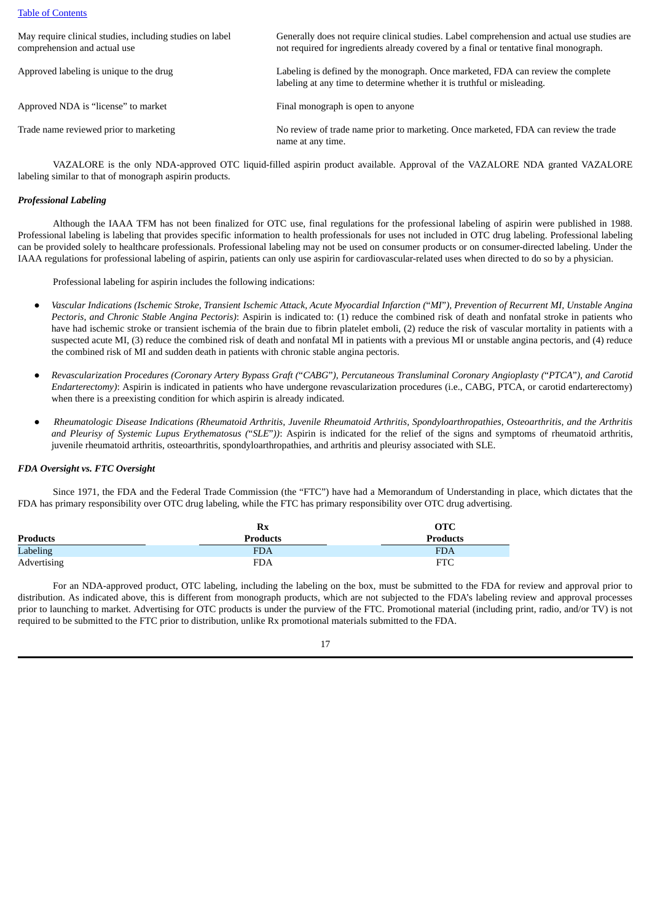## Table of [Contents](#page-2-0)

| May require clinical studies, including studies on label<br>comprehension and actual use | Generally does not require clinical studies. Label comprehension and actual use studies are<br>not required for ingredients already covered by a final or tentative final monograph. |
|------------------------------------------------------------------------------------------|--------------------------------------------------------------------------------------------------------------------------------------------------------------------------------------|
| Approved labeling is unique to the drug                                                  | Labeling is defined by the monograph. Once marketed, FDA can review the complete<br>labeling at any time to determine whether it is truthful or misleading.                          |
| Approved NDA is "license" to market                                                      | Final monograph is open to anyone                                                                                                                                                    |
| Trade name reviewed prior to marketing                                                   | No review of trade name prior to marketing. Once marketed, FDA can review the trade<br>name at any time.                                                                             |

VAZALORE is the only NDA-approved OTC liquid-filled aspirin product available. Approval of the VAZALORE NDA granted VAZALORE labeling similar to that of monograph aspirin products.

# *Professional Labeling*

Although the IAAA TFM has not been finalized for OTC use, final regulations for the professional labeling of aspirin were published in 1988. Professional labeling is labeling that provides specific information to health professionals for uses not included in OTC drug labeling. Professional labeling can be provided solely to healthcare professionals. Professional labeling may not be used on consumer products or on consumer-directed labeling. Under the IAAA regulations for professional labeling of aspirin, patients can only use aspirin for cardiovascular-related uses when directed to do so by a physician.

Professional labeling for aspirin includes the following indications:

- Vascular Indications (Ischemic Stroke, Transient Ischemic Attack, Acute Myocardial Infarction ("MI"), Prevention of Recurrent MI, Unstable Angina *Pectoris, and Chronic Stable Angina Pectoris)*: Aspirin is indicated to: (1) reduce the combined risk of death and nonfatal stroke in patients who have had ischemic stroke or transient ischemia of the brain due to fibrin platelet emboli, (2) reduce the risk of vascular mortality in patients with a suspected acute MI, (3) reduce the combined risk of death and nonfatal MI in patients with a previous MI or unstable angina pectoris, and (4) reduce the combined risk of MI and sudden death in patients with chronic stable angina pectoris.
- Revascularization Procedures (Coronary Artery Bypass Graft ("CABG"), Percutaneous Transluminal Coronary Angioplasty ("PTCA"), and Carotid *Endarterectomy)*: Aspirin is indicated in patients who have undergone revascularization procedures (i.e., CABG, PTCA, or carotid endarterectomy) when there is a preexisting condition for which aspirin is already indicated.
- Rheumatologic Disease Indications (Rheumatoid Arthritis, Juvenile Rheumatoid Arthritis, Spondyloarthropathies, Osteoarthritis, and the Arthritis *and Pleurisy of Systemic Lupus Erythematosus (*"*SLE*"*))*: Aspirin is indicated for the relief of the signs and symptoms of rheumatoid arthritis, juvenile rheumatoid arthritis, osteoarthritis, spondyloarthropathies, and arthritis and pleurisy associated with SLE.

#### *FDA Oversight vs. FTC Oversight*

Since 1971, the FDA and the Federal Trade Commission (the "FTC") have had a Memorandum of Understanding in place, which dictates that the FDA has primary responsibility over OTC drug labeling, while the FTC has primary responsibility over OTC drug advertising.

|             | Rx              | <b>OTC</b>      |
|-------------|-----------------|-----------------|
| Products    | <b>Products</b> | <b>Products</b> |
| Labeling    | <b>FDA</b>      | <b>FDA</b>      |
| Advertising | <b>FDA</b>      | <b>FTC</b>      |

For an NDA-approved product, OTC labeling, including the labeling on the box, must be submitted to the FDA for review and approval prior to distribution. As indicated above, this is different from monograph products, which are not subjected to the FDA's labeling review and approval processes prior to launching to market. Advertising for OTC products is under the purview of the FTC. Promotional material (including print, radio, and/or TV) is not required to be submitted to the FTC prior to distribution, unlike Rx promotional materials submitted to the FDA.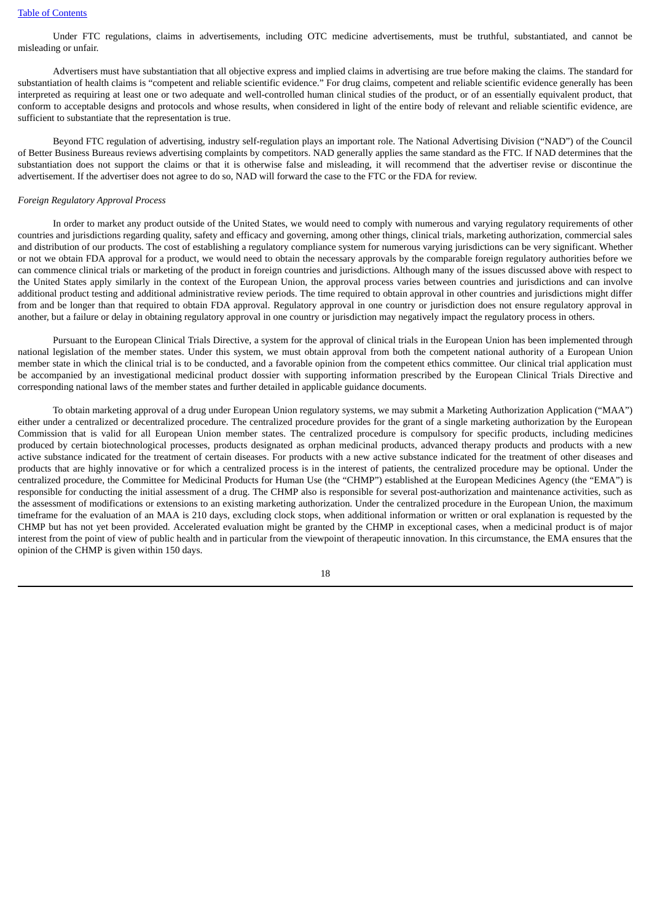Under FTC regulations, claims in advertisements, including OTC medicine advertisements, must be truthful, substantiated, and cannot be misleading or unfair.

Advertisers must have substantiation that all objective express and implied claims in advertising are true before making the claims. The standard for substantiation of health claims is "competent and reliable scientific evidence." For drug claims, competent and reliable scientific evidence generally has been interpreted as requiring at least one or two adequate and well-controlled human clinical studies of the product, or of an essentially equivalent product, that conform to acceptable designs and protocols and whose results, when considered in light of the entire body of relevant and reliable scientific evidence, are sufficient to substantiate that the representation is true.

Beyond FTC regulation of advertising, industry self-regulation plays an important role. The National Advertising Division ("NAD") of the Council of Better Business Bureaus reviews advertising complaints by competitors. NAD generally applies the same standard as the FTC. If NAD determines that the substantiation does not support the claims or that it is otherwise false and misleading, it will recommend that the advertiser revise or discontinue the advertisement. If the advertiser does not agree to do so, NAD will forward the case to the FTC or the FDA for review.

#### *Foreign Regulatory Approval Process*

In order to market any product outside of the United States, we would need to comply with numerous and varying regulatory requirements of other countries and jurisdictions regarding quality, safety and efficacy and governing, among other things, clinical trials, marketing authorization, commercial sales and distribution of our products. The cost of establishing a regulatory compliance system for numerous varying jurisdictions can be very significant. Whether or not we obtain FDA approval for a product, we would need to obtain the necessary approvals by the comparable foreign regulatory authorities before we can commence clinical trials or marketing of the product in foreign countries and jurisdictions. Although many of the issues discussed above with respect to the United States apply similarly in the context of the European Union, the approval process varies between countries and jurisdictions and can involve additional product testing and additional administrative review periods. The time required to obtain approval in other countries and jurisdictions might differ from and be longer than that required to obtain FDA approval. Regulatory approval in one country or jurisdiction does not ensure regulatory approval in another, but a failure or delay in obtaining regulatory approval in one country or jurisdiction may negatively impact the regulatory process in others.

Pursuant to the European Clinical Trials Directive, a system for the approval of clinical trials in the European Union has been implemented through national legislation of the member states. Under this system, we must obtain approval from both the competent national authority of a European Union member state in which the clinical trial is to be conducted, and a favorable opinion from the competent ethics committee. Our clinical trial application must be accompanied by an investigational medicinal product dossier with supporting information prescribed by the European Clinical Trials Directive and corresponding national laws of the member states and further detailed in applicable guidance documents.

To obtain marketing approval of a drug under European Union regulatory systems, we may submit a Marketing Authorization Application ("MAA") either under a centralized or decentralized procedure. The centralized procedure provides for the grant of a single marketing authorization by the European Commission that is valid for all European Union member states. The centralized procedure is compulsory for specific products, including medicines produced by certain biotechnological processes, products designated as orphan medicinal products, advanced therapy products and products with a new active substance indicated for the treatment of certain diseases. For products with a new active substance indicated for the treatment of other diseases and products that are highly innovative or for which a centralized process is in the interest of patients, the centralized procedure may be optional. Under the centralized procedure, the Committee for Medicinal Products for Human Use (the "CHMP") established at the European Medicines Agency (the "EMA") is responsible for conducting the initial assessment of a drug. The CHMP also is responsible for several post-authorization and maintenance activities, such as the assessment of modifications or extensions to an existing marketing authorization. Under the centralized procedure in the European Union, the maximum timeframe for the evaluation of an MAA is 210 days, excluding clock stops, when additional information or written or oral explanation is requested by the CHMP but has not yet been provided. Accelerated evaluation might be granted by the CHMP in exceptional cases, when a medicinal product is of major interest from the point of view of public health and in particular from the viewpoint of therapeutic innovation. In this circumstance, the EMA ensures that the opinion of the CHMP is given within 150 days.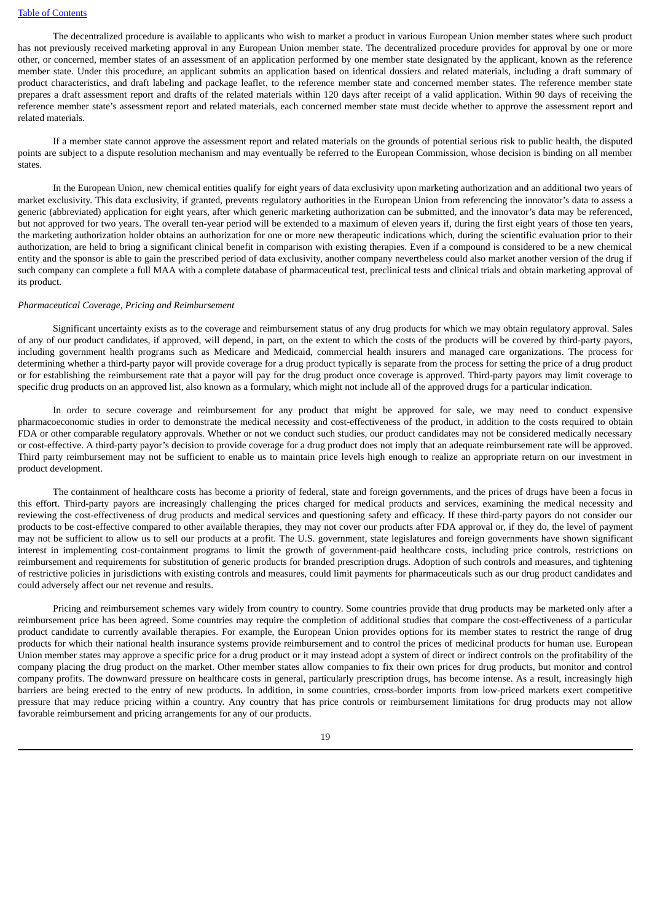The decentralized procedure is available to applicants who wish to market a product in various European Union member states where such product has not previously received marketing approval in any European Union member state. The decentralized procedure provides for approval by one or more other, or concerned, member states of an assessment of an application performed by one member state designated by the applicant, known as the reference member state. Under this procedure, an applicant submits an application based on identical dossiers and related materials, including a draft summary of product characteristics, and draft labeling and package leaflet, to the reference member state and concerned member states. The reference member state prepares a draft assessment report and drafts of the related materials within 120 days after receipt of a valid application. Within 90 days of receiving the reference member state's assessment report and related materials, each concerned member state must decide whether to approve the assessment report and related materials.

If a member state cannot approve the assessment report and related materials on the grounds of potential serious risk to public health, the disputed points are subject to a dispute resolution mechanism and may eventually be referred to the European Commission, whose decision is binding on all member states.

In the European Union, new chemical entities qualify for eight years of data exclusivity upon marketing authorization and an additional two years of market exclusivity. This data exclusivity, if granted, prevents regulatory authorities in the European Union from referencing the innovator's data to assess a generic (abbreviated) application for eight years, after which generic marketing authorization can be submitted, and the innovator's data may be referenced, but not approved for two years. The overall ten-year period will be extended to a maximum of eleven years if, during the first eight years of those ten years, the marketing authorization holder obtains an authorization for one or more new therapeutic indications which, during the scientific evaluation prior to their authorization, are held to bring a significant clinical benefit in comparison with existing therapies. Even if a compound is considered to be a new chemical entity and the sponsor is able to gain the prescribed period of data exclusivity, another company nevertheless could also market another version of the drug if such company can complete a full MAA with a complete database of pharmaceutical test, preclinical tests and clinical trials and obtain marketing approval of its product.

#### *Pharmaceutical Coverage, Pricing and Reimbursement*

Significant uncertainty exists as to the coverage and reimbursement status of any drug products for which we may obtain regulatory approval. Sales of any of our product candidates, if approved, will depend, in part, on the extent to which the costs of the products will be covered by third-party payors, including government health programs such as Medicare and Medicaid, commercial health insurers and managed care organizations. The process for determining whether a third-party payor will provide coverage for a drug product typically is separate from the process for setting the price of a drug product or for establishing the reimbursement rate that a payor will pay for the drug product once coverage is approved. Third-party payors may limit coverage to specific drug products on an approved list, also known as a formulary, which might not include all of the approved drugs for a particular indication.

In order to secure coverage and reimbursement for any product that might be approved for sale, we may need to conduct expensive pharmacoeconomic studies in order to demonstrate the medical necessity and cost-effectiveness of the product, in addition to the costs required to obtain FDA or other comparable regulatory approvals. Whether or not we conduct such studies, our product candidates may not be considered medically necessary or cost-effective. A third-party payor's decision to provide coverage for a drug product does not imply that an adequate reimbursement rate will be approved. Third party reimbursement may not be sufficient to enable us to maintain price levels high enough to realize an appropriate return on our investment in product development.

The containment of healthcare costs has become a priority of federal, state and foreign governments, and the prices of drugs have been a focus in this effort. Third-party payors are increasingly challenging the prices charged for medical products and services, examining the medical necessity and reviewing the cost-effectiveness of drug products and medical services and questioning safety and efficacy. If these third-party payors do not consider our products to be cost-effective compared to other available therapies, they may not cover our products after FDA approval or, if they do, the level of payment may not be sufficient to allow us to sell our products at a profit. The U.S. government, state legislatures and foreign governments have shown significant interest in implementing cost-containment programs to limit the growth of government-paid healthcare costs, including price controls, restrictions on reimbursement and requirements for substitution of generic products for branded prescription drugs. Adoption of such controls and measures, and tightening of restrictive policies in jurisdictions with existing controls and measures, could limit payments for pharmaceuticals such as our drug product candidates and could adversely affect our net revenue and results.

Pricing and reimbursement schemes vary widely from country to country. Some countries provide that drug products may be marketed only after a reimbursement price has been agreed. Some countries may require the completion of additional studies that compare the cost-effectiveness of a particular product candidate to currently available therapies. For example, the European Union provides options for its member states to restrict the range of drug products for which their national health insurance systems provide reimbursement and to control the prices of medicinal products for human use. European Union member states may approve a specific price for a drug product or it may instead adopt a system of direct or indirect controls on the profitability of the company placing the drug product on the market. Other member states allow companies to fix their own prices for drug products, but monitor and control company profits. The downward pressure on healthcare costs in general, particularly prescription drugs, has become intense. As a result, increasingly high barriers are being erected to the entry of new products. In addition, in some countries, cross-border imports from low-priced markets exert competitive pressure that may reduce pricing within a country. Any country that has price controls or reimbursement limitations for drug products may not allow favorable reimbursement and pricing arrangements for any of our products.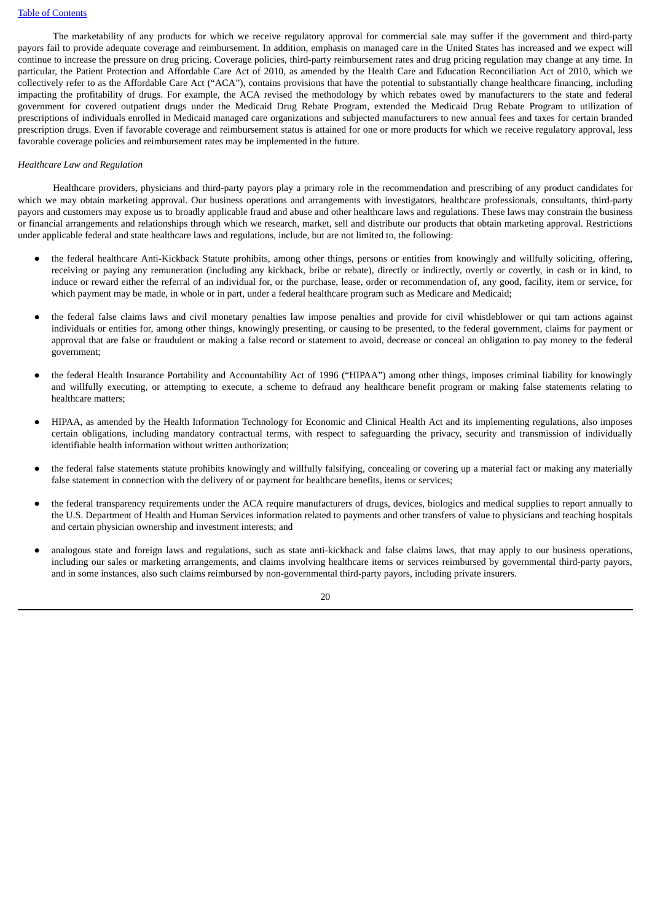The marketability of any products for which we receive regulatory approval for commercial sale may suffer if the government and third-party payors fail to provide adequate coverage and reimbursement. In addition, emphasis on managed care in the United States has increased and we expect will continue to increase the pressure on drug pricing. Coverage policies, third-party reimbursement rates and drug pricing regulation may change at any time. In particular, the Patient Protection and Affordable Care Act of 2010, as amended by the Health Care and Education Reconciliation Act of 2010, which we collectively refer to as the Affordable Care Act ("ACA"), contains provisions that have the potential to substantially change healthcare financing, including impacting the profitability of drugs. For example, the ACA revised the methodology by which rebates owed by manufacturers to the state and federal government for covered outpatient drugs under the Medicaid Drug Rebate Program, extended the Medicaid Drug Rebate Program to utilization of prescriptions of individuals enrolled in Medicaid managed care organizations and subjected manufacturers to new annual fees and taxes for certain branded prescription drugs. Even if favorable coverage and reimbursement status is attained for one or more products for which we receive regulatory approval, less favorable coverage policies and reimbursement rates may be implemented in the future.

### *Healthcare Law and Regulation*

Healthcare providers, physicians and third-party payors play a primary role in the recommendation and prescribing of any product candidates for which we may obtain marketing approval. Our business operations and arrangements with investigators, healthcare professionals, consultants, third-party payors and customers may expose us to broadly applicable fraud and abuse and other healthcare laws and regulations. These laws may constrain the business or financial arrangements and relationships through which we research, market, sell and distribute our products that obtain marketing approval. Restrictions under applicable federal and state healthcare laws and regulations, include, but are not limited to, the following:

- the federal healthcare Anti-Kickback Statute prohibits, among other things, persons or entities from knowingly and willfully soliciting, offering, receiving or paying any remuneration (including any kickback, bribe or rebate), directly or indirectly, overtly or covertly, in cash or in kind, to induce or reward either the referral of an individual for, or the purchase, lease, order or recommendation of, any good, facility, item or service, for which payment may be made, in whole or in part, under a federal healthcare program such as Medicare and Medicaid;
- the federal false claims laws and civil monetary penalties law impose penalties and provide for civil whistleblower or qui tam actions against individuals or entities for, among other things, knowingly presenting, or causing to be presented, to the federal government, claims for payment or approval that are false or fraudulent or making a false record or statement to avoid, decrease or conceal an obligation to pay money to the federal government;
- the federal Health Insurance Portability and Accountability Act of 1996 ("HIPAA") among other things, imposes criminal liability for knowingly and willfully executing, or attempting to execute, a scheme to defraud any healthcare benefit program or making false statements relating to healthcare matters;
- HIPAA, as amended by the Health Information Technology for Economic and Clinical Health Act and its implementing regulations, also imposes certain obligations, including mandatory contractual terms, with respect to safeguarding the privacy, security and transmission of individually identifiable health information without written authorization;
- the federal false statements statute prohibits knowingly and willfully falsifying, concealing or covering up a material fact or making any materially false statement in connection with the delivery of or payment for healthcare benefits, items or services;
- the federal transparency requirements under the ACA require manufacturers of drugs, devices, biologics and medical supplies to report annually to the U.S. Department of Health and Human Services information related to payments and other transfers of value to physicians and teaching hospitals and certain physician ownership and investment interests; and
- analogous state and foreign laws and regulations, such as state anti-kickback and false claims laws, that may apply to our business operations, including our sales or marketing arrangements, and claims involving healthcare items or services reimbursed by governmental third-party payors, and in some instances, also such claims reimbursed by non-governmental third-party payors, including private insurers.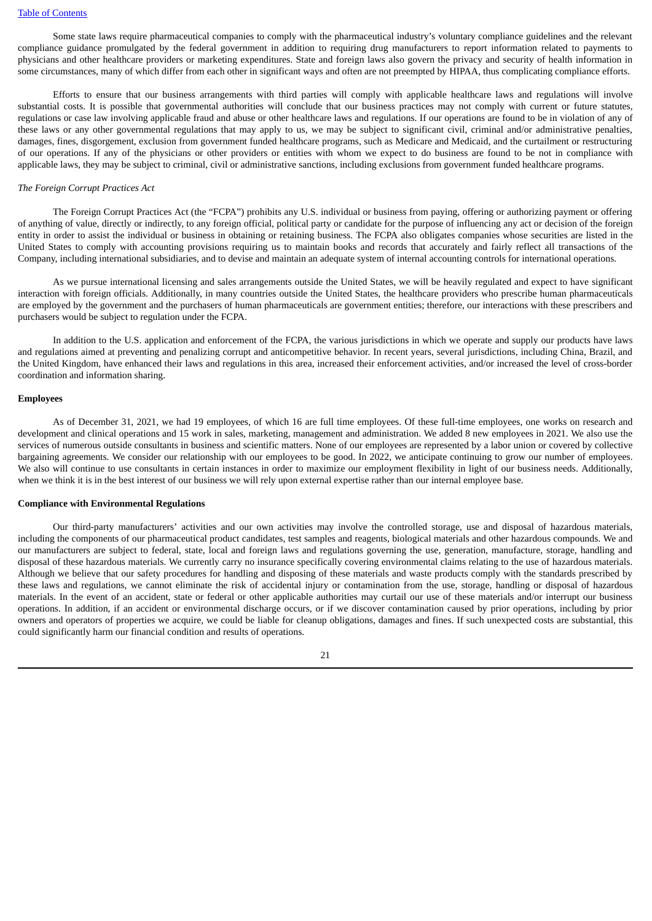Some state laws require pharmaceutical companies to comply with the pharmaceutical industry's voluntary compliance guidelines and the relevant compliance guidance promulgated by the federal government in addition to requiring drug manufacturers to report information related to payments to physicians and other healthcare providers or marketing expenditures. State and foreign laws also govern the privacy and security of health information in some circumstances, many of which differ from each other in significant ways and often are not preempted by HIPAA, thus complicating compliance efforts.

Efforts to ensure that our business arrangements with third parties will comply with applicable healthcare laws and regulations will involve substantial costs. It is possible that governmental authorities will conclude that our business practices may not comply with current or future statutes, regulations or case law involving applicable fraud and abuse or other healthcare laws and regulations. If our operations are found to be in violation of any of these laws or any other governmental regulations that may apply to us, we may be subject to significant civil, criminal and/or administrative penalties, damages, fines, disgorgement, exclusion from government funded healthcare programs, such as Medicare and Medicaid, and the curtailment or restructuring of our operations. If any of the physicians or other providers or entities with whom we expect to do business are found to be not in compliance with applicable laws, they may be subject to criminal, civil or administrative sanctions, including exclusions from government funded healthcare programs.

#### *The Foreign Corrupt Practices Act*

The Foreign Corrupt Practices Act (the "FCPA") prohibits any U.S. individual or business from paying, offering or authorizing payment or offering of anything of value, directly or indirectly, to any foreign official, political party or candidate for the purpose of influencing any act or decision of the foreign entity in order to assist the individual or business in obtaining or retaining business. The FCPA also obligates companies whose securities are listed in the United States to comply with accounting provisions requiring us to maintain books and records that accurately and fairly reflect all transactions of the Company, including international subsidiaries, and to devise and maintain an adequate system of internal accounting controls for international operations.

As we pursue international licensing and sales arrangements outside the United States, we will be heavily regulated and expect to have significant interaction with foreign officials. Additionally, in many countries outside the United States, the healthcare providers who prescribe human pharmaceuticals are employed by the government and the purchasers of human pharmaceuticals are government entities; therefore, our interactions with these prescribers and purchasers would be subject to regulation under the FCPA.

In addition to the U.S. application and enforcement of the FCPA, the various jurisdictions in which we operate and supply our products have laws and regulations aimed at preventing and penalizing corrupt and anticompetitive behavior. In recent years, several jurisdictions, including China, Brazil, and the United Kingdom, have enhanced their laws and regulations in this area, increased their enforcement activities, and/or increased the level of cross-border coordination and information sharing.

#### **Employees**

As of December 31, 2021, we had 19 employees, of which 16 are full time employees. Of these full-time employees, one works on research and development and clinical operations and 15 work in sales, marketing, management and administration. We added 8 new employees in 2021. We also use the services of numerous outside consultants in business and scientific matters. None of our employees are represented by a labor union or covered by collective bargaining agreements. We consider our relationship with our employees to be good. In 2022, we anticipate continuing to grow our number of employees. We also will continue to use consultants in certain instances in order to maximize our employment flexibility in light of our business needs. Additionally, when we think it is in the best interest of our business we will rely upon external expertise rather than our internal employee base.

#### **Compliance with Environmental Regulations**

Our third-party manufacturers' activities and our own activities may involve the controlled storage, use and disposal of hazardous materials, including the components of our pharmaceutical product candidates, test samples and reagents, biological materials and other hazardous compounds. We and our manufacturers are subject to federal, state, local and foreign laws and regulations governing the use, generation, manufacture, storage, handling and disposal of these hazardous materials. We currently carry no insurance specifically covering environmental claims relating to the use of hazardous materials. Although we believe that our safety procedures for handling and disposing of these materials and waste products comply with the standards prescribed by these laws and regulations, we cannot eliminate the risk of accidental injury or contamination from the use, storage, handling or disposal of hazardous materials. In the event of an accident, state or federal or other applicable authorities may curtail our use of these materials and/or interrupt our business operations. In addition, if an accident or environmental discharge occurs, or if we discover contamination caused by prior operations, including by prior owners and operators of properties we acquire, we could be liable for cleanup obligations, damages and fines. If such unexpected costs are substantial, this could significantly harm our financial condition and results of operations.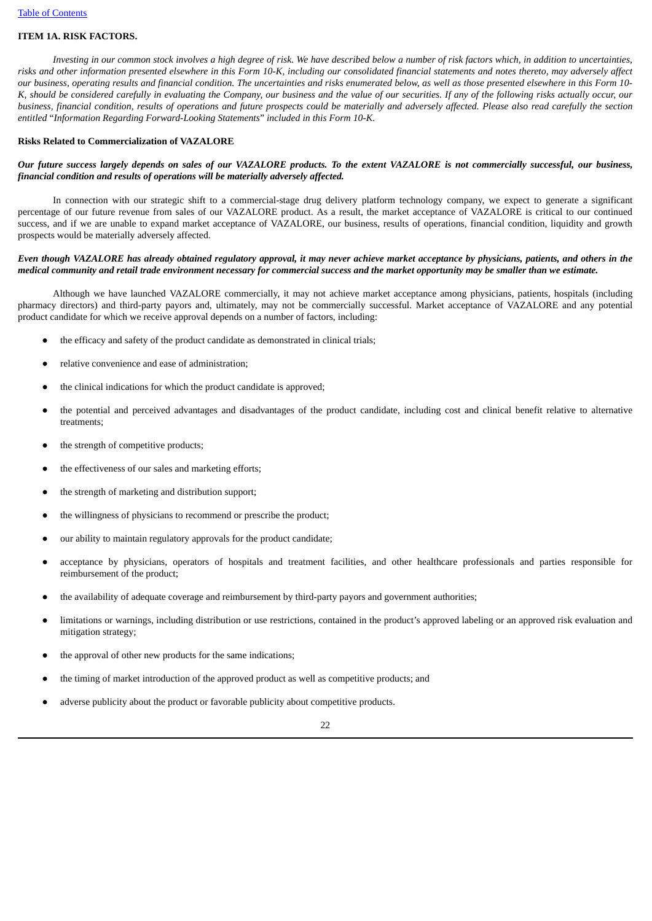# <span id="page-21-0"></span>**ITEM 1A. RISK FACTORS.**

Investing in our common stock involves a high degree of risk. We have described below a number of risk factors which, in addition to uncertainties, risks and other information presented elsewhere in this Form 10-K, including our consolidated financial statements and notes thereto, may adversely affect our business, operating results and financial condition. The uncertainties and risks enumerated below, as well as those presented elsewhere in this Form 10-K, should be considered carefully in evaluating the Company, our business and the value of our securities. If any of the following risks actually occur, our business, financial condition, results of operations and future prospects could be materially and adversely affected. Please also read carefully the section *entitled* "*Information Regarding Forward-Looking Statements*" *included in this Form 10-K.*

# **Risks Related to Commercialization of VAZALORE**

# Our future success largely depends on sales of our VAZALORE products. To the extent VAZALORE is not commercially successful, our business, *financial condition and results of operations will be materially adversely affected.*

In connection with our strategic shift to a commercial-stage drug delivery platform technology company, we expect to generate a significant percentage of our future revenue from sales of our VAZALORE product. As a result, the market acceptance of VAZALORE is critical to our continued success, and if we are unable to expand market acceptance of VAZALORE, our business, results of operations, financial condition, liquidity and growth prospects would be materially adversely affected.

# Even though VAZALORE has already obtained regulatory approval, it may never achieve market acceptance by physicians, patients, and others in the medical community and retail trade environment necessary for commercial success and the market opportunity may be smaller than we estimate.

Although we have launched VAZALORE commercially, it may not achieve market acceptance among physicians, patients, hospitals (including pharmacy directors) and third-party payors and, ultimately, may not be commercially successful. Market acceptance of VAZALORE and any potential product candidate for which we receive approval depends on a number of factors, including:

- the efficacy and safety of the product candidate as demonstrated in clinical trials;
- relative convenience and ease of administration;
- the clinical indications for which the product candidate is approved;
- the potential and perceived advantages and disadvantages of the product candidate, including cost and clinical benefit relative to alternative treatments;
- the strength of competitive products;
- the effectiveness of our sales and marketing efforts;
- the strength of marketing and distribution support;
- the willingness of physicians to recommend or prescribe the product;
- our ability to maintain regulatory approvals for the product candidate;
- acceptance by physicians, operators of hospitals and treatment facilities, and other healthcare professionals and parties responsible for reimbursement of the product;
- the availability of adequate coverage and reimbursement by third-party payors and government authorities;
- limitations or warnings, including distribution or use restrictions, contained in the product's approved labeling or an approved risk evaluation and mitigation strategy;
- the approval of other new products for the same indications;
- the timing of market introduction of the approved product as well as competitive products; and
- adverse publicity about the product or favorable publicity about competitive products.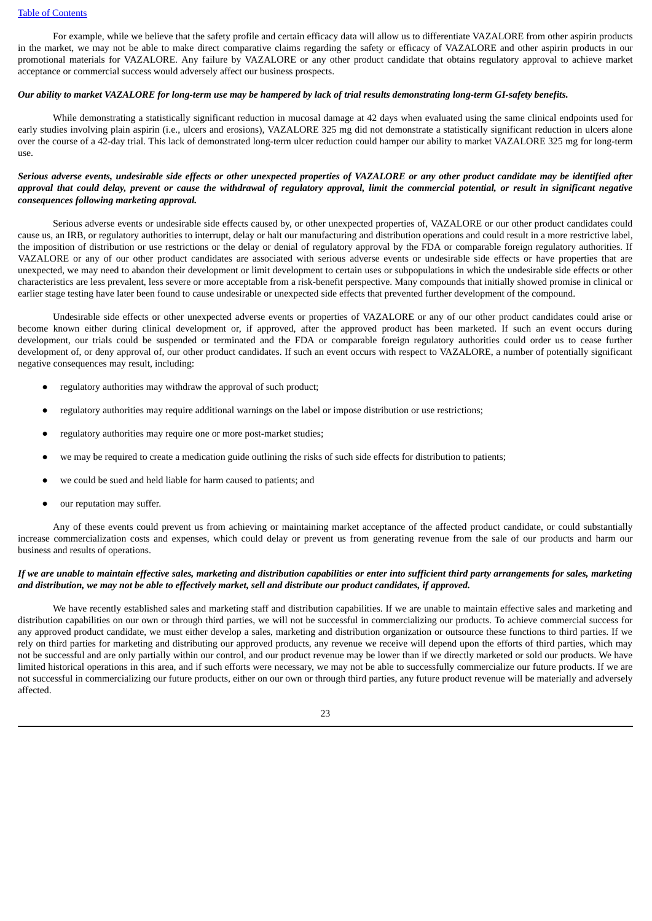For example, while we believe that the safety profile and certain efficacy data will allow us to differentiate VAZALORE from other aspirin products in the market, we may not be able to make direct comparative claims regarding the safety or efficacy of VAZALORE and other aspirin products in our promotional materials for VAZALORE. Any failure by VAZALORE or any other product candidate that obtains regulatory approval to achieve market acceptance or commercial success would adversely affect our business prospects.

#### Our ability to market VAZALORE for long-term use may be hampered by lack of trial results demonstrating long-term GI-safety benefits.

While demonstrating a statistically significant reduction in mucosal damage at 42 days when evaluated using the same clinical endpoints used for early studies involving plain aspirin (i.e., ulcers and erosions), VAZALORE 325 mg did not demonstrate a statistically significant reduction in ulcers alone over the course of a 42-day trial. This lack of demonstrated long-term ulcer reduction could hamper our ability to market VAZALORE 325 mg for long-term use.

# Serious adverse events, undesirable side effects or other unexpected properties of VAZALORE or any other product candidate may be identified after approval that could delay, prevent or cause the withdrawal of regulatory approval, limit the commercial potential, or result in significant negative *consequences following marketing approval.*

Serious adverse events or undesirable side effects caused by, or other unexpected properties of, VAZALORE or our other product candidates could cause us, an IRB, or regulatory authorities to interrupt, delay or halt our manufacturing and distribution operations and could result in a more restrictive label, the imposition of distribution or use restrictions or the delay or denial of regulatory approval by the FDA or comparable foreign regulatory authorities. If VAZALORE or any of our other product candidates are associated with serious adverse events or undesirable side effects or have properties that are unexpected, we may need to abandon their development or limit development to certain uses or subpopulations in which the undesirable side effects or other characteristics are less prevalent, less severe or more acceptable from a risk-benefit perspective. Many compounds that initially showed promise in clinical or earlier stage testing have later been found to cause undesirable or unexpected side effects that prevented further development of the compound.

Undesirable side effects or other unexpected adverse events or properties of VAZALORE or any of our other product candidates could arise or become known either during clinical development or, if approved, after the approved product has been marketed. If such an event occurs during development, our trials could be suspended or terminated and the FDA or comparable foreign regulatory authorities could order us to cease further development of, or deny approval of, our other product candidates. If such an event occurs with respect to VAZALORE, a number of potentially significant negative consequences may result, including:

- regulatory authorities may withdraw the approval of such product;
- regulatory authorities may require additional warnings on the label or impose distribution or use restrictions;
- regulatory authorities may require one or more post-market studies;
- we may be required to create a medication guide outlining the risks of such side effects for distribution to patients;
- we could be sued and held liable for harm caused to patients; and
- our reputation may suffer.

Any of these events could prevent us from achieving or maintaining market acceptance of the affected product candidate, or could substantially increase commercialization costs and expenses, which could delay or prevent us from generating revenue from the sale of our products and harm our business and results of operations.

# If we are unable to maintain effective sales, marketing and distribution capabilities or enter into sufficient third party arrangements for sales, marketing and distribution, we may not be able to effectively market, sell and distribute our product candidates, if approved.

We have recently established sales and marketing staff and distribution capabilities. If we are unable to maintain effective sales and marketing and distribution capabilities on our own or through third parties, we will not be successful in commercializing our products. To achieve commercial success for any approved product candidate, we must either develop a sales, marketing and distribution organization or outsource these functions to third parties. If we rely on third parties for marketing and distributing our approved products, any revenue we receive will depend upon the efforts of third parties, which may not be successful and are only partially within our control, and our product revenue may be lower than if we directly marketed or sold our products. We have limited historical operations in this area, and if such efforts were necessary, we may not be able to successfully commercialize our future products. If we are not successful in commercializing our future products, either on our own or through third parties, any future product revenue will be materially and adversely affected.

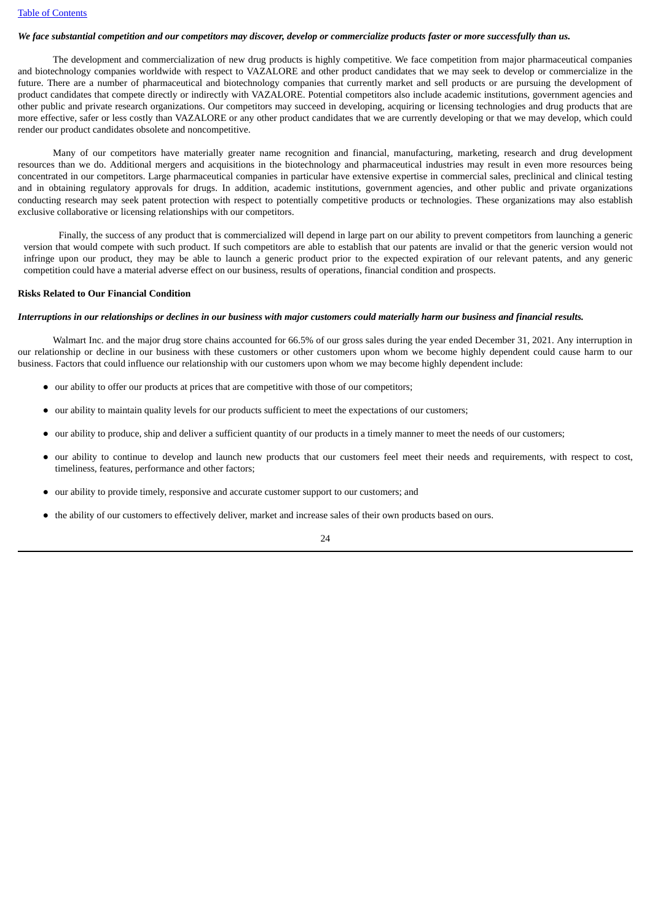#### We face substantial competition and our competitors may discover, develop or commercialize products faster or more successfully than us.

The development and commercialization of new drug products is highly competitive. We face competition from major pharmaceutical companies and biotechnology companies worldwide with respect to VAZALORE and other product candidates that we may seek to develop or commercialize in the future. There are a number of pharmaceutical and biotechnology companies that currently market and sell products or are pursuing the development of product candidates that compete directly or indirectly with VAZALORE. Potential competitors also include academic institutions, government agencies and other public and private research organizations. Our competitors may succeed in developing, acquiring or licensing technologies and drug products that are more effective, safer or less costly than VAZALORE or any other product candidates that we are currently developing or that we may develop, which could render our product candidates obsolete and noncompetitive.

Many of our competitors have materially greater name recognition and financial, manufacturing, marketing, research and drug development resources than we do. Additional mergers and acquisitions in the biotechnology and pharmaceutical industries may result in even more resources being concentrated in our competitors. Large pharmaceutical companies in particular have extensive expertise in commercial sales, preclinical and clinical testing and in obtaining regulatory approvals for drugs. In addition, academic institutions, government agencies, and other public and private organizations conducting research may seek patent protection with respect to potentially competitive products or technologies. These organizations may also establish exclusive collaborative or licensing relationships with our competitors.

Finally, the success of any product that is commercialized will depend in large part on our ability to prevent competitors from launching a generic version that would compete with such product. If such competitors are able to establish that our patents are invalid or that the generic version would not infringe upon our product, they may be able to launch a generic product prior to the expected expiration of our relevant patents, and any generic competition could have a material adverse effect on our business, results of operations, financial condition and prospects.

#### **Risks Related to Our Financial Condition**

#### Interruptions in our relationships or declines in our business with major customers could materially harm our business and financial results.

Walmart Inc. and the major drug store chains accounted for 66.5% of our gross sales during the year ended December 31, 2021. Any interruption in our relationship or decline in our business with these customers or other customers upon whom we become highly dependent could cause harm to our business. Factors that could influence our relationship with our customers upon whom we may become highly dependent include:

- our ability to offer our products at prices that are competitive with those of our competitors;
- our ability to maintain quality levels for our products sufficient to meet the expectations of our customers;
- our ability to produce, ship and deliver a sufficient quantity of our products in a timely manner to meet the needs of our customers;
- our ability to continue to develop and launch new products that our customers feel meet their needs and requirements, with respect to cost, timeliness, features, performance and other factors;
- our ability to provide timely, responsive and accurate customer support to our customers; and
- the ability of our customers to effectively deliver, market and increase sales of their own products based on ours.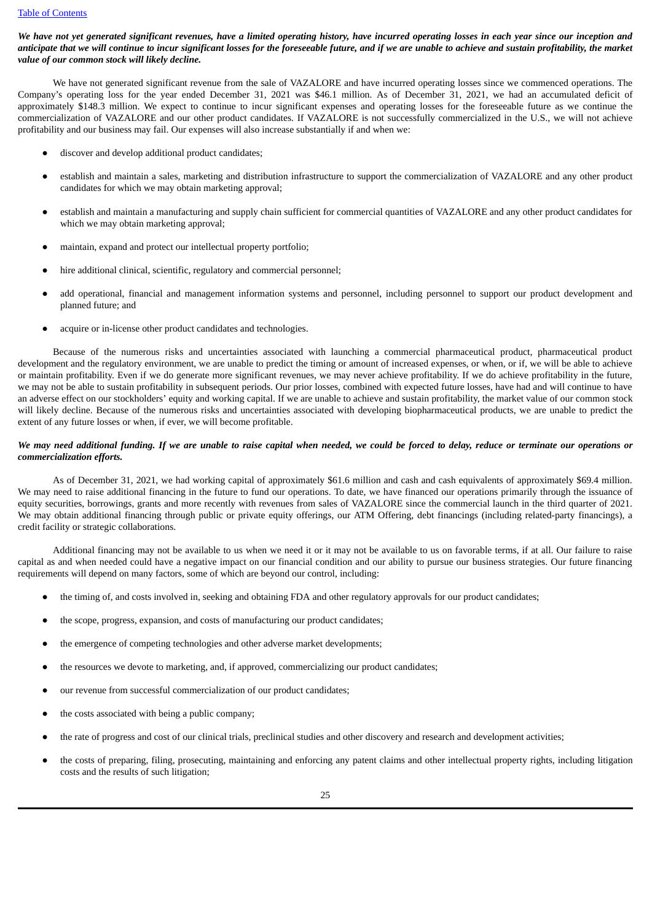We have not yet generated significant revenues, have a limited operating history, have incurred operating losses in each year since our inception and anticipate that we will continue to incur significant losses for the foreseeable future, and if we are unable to achieve and sustain profitability, the market *value of our common stock will likely decline.*

We have not generated significant revenue from the sale of VAZALORE and have incurred operating losses since we commenced operations. The Company's operating loss for the year ended December 31, 2021 was \$46.1 million. As of December 31, 2021, we had an accumulated deficit of approximately \$148.3 million. We expect to continue to incur significant expenses and operating losses for the foreseeable future as we continue the commercialization of VAZALORE and our other product candidates. If VAZALORE is not successfully commercialized in the U.S., we will not achieve profitability and our business may fail. Our expenses will also increase substantially if and when we:

- discover and develop additional product candidates;
- establish and maintain a sales, marketing and distribution infrastructure to support the commercialization of VAZALORE and any other product candidates for which we may obtain marketing approval;
- establish and maintain a manufacturing and supply chain sufficient for commercial quantities of VAZALORE and any other product candidates for which we may obtain marketing approval;
- maintain, expand and protect our intellectual property portfolio;
- hire additional clinical, scientific, regulatory and commercial personnel;
- add operational, financial and management information systems and personnel, including personnel to support our product development and planned future; and
- acquire or in-license other product candidates and technologies.

Because of the numerous risks and uncertainties associated with launching a commercial pharmaceutical product, pharmaceutical product development and the regulatory environment, we are unable to predict the timing or amount of increased expenses, or when, or if, we will be able to achieve or maintain profitability. Even if we do generate more significant revenues, we may never achieve profitability. If we do achieve profitability in the future, we may not be able to sustain profitability in subsequent periods. Our prior losses, combined with expected future losses, have had and will continue to have an adverse effect on our stockholders' equity and working capital. If we are unable to achieve and sustain profitability, the market value of our common stock will likely decline. Because of the numerous risks and uncertainties associated with developing biopharmaceutical products, we are unable to predict the extent of any future losses or when, if ever, we will become profitable.

# We may need additional funding. If we are unable to raise capital when needed, we could be forced to delay, reduce or terminate our operations or *commercialization efforts.*

As of December 31, 2021, we had working capital of approximately \$61.6 million and cash and cash equivalents of approximately \$69.4 million. We may need to raise additional financing in the future to fund our operations. To date, we have financed our operations primarily through the issuance of equity securities, borrowings, grants and more recently with revenues from sales of VAZALORE since the commercial launch in the third quarter of 2021. We may obtain additional financing through public or private equity offerings, our ATM Offering, debt financings (including related-party financings), a credit facility or strategic collaborations.

Additional financing may not be available to us when we need it or it may not be available to us on favorable terms, if at all. Our failure to raise capital as and when needed could have a negative impact on our financial condition and our ability to pursue our business strategies. Our future financing requirements will depend on many factors, some of which are beyond our control, including:

- the timing of, and costs involved in, seeking and obtaining FDA and other regulatory approvals for our product candidates;
- the scope, progress, expansion, and costs of manufacturing our product candidates;
- the emergence of competing technologies and other adverse market developments;
- the resources we devote to marketing, and, if approved, commercializing our product candidates;
- our revenue from successful commercialization of our product candidates;
- the costs associated with being a public company;
- the rate of progress and cost of our clinical trials, preclinical studies and other discovery and research and development activities;
- the costs of preparing, filing, prosecuting, maintaining and enforcing any patent claims and other intellectual property rights, including litigation costs and the results of such litigation;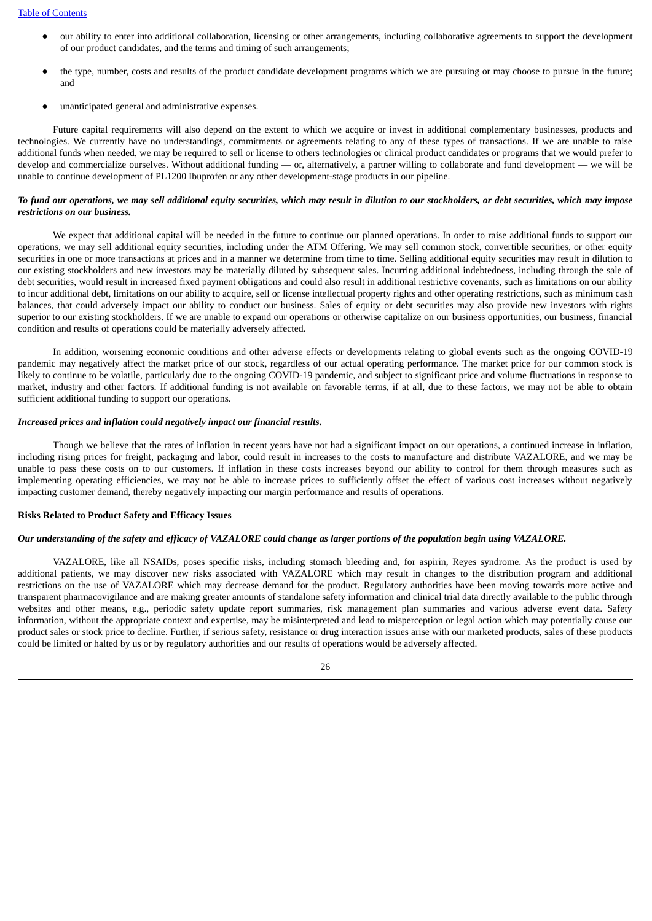- our ability to enter into additional collaboration, licensing or other arrangements, including collaborative agreements to support the development of our product candidates, and the terms and timing of such arrangements;
- the type, number, costs and results of the product candidate development programs which we are pursuing or may choose to pursue in the future; and
- unanticipated general and administrative expenses.

Future capital requirements will also depend on the extent to which we acquire or invest in additional complementary businesses, products and technologies. We currently have no understandings, commitments or agreements relating to any of these types of transactions. If we are unable to raise additional funds when needed, we may be required to sell or license to others technologies or clinical product candidates or programs that we would prefer to develop and commercialize ourselves. Without additional funding — or, alternatively, a partner willing to collaborate and fund development — we will be unable to continue development of PL1200 Ibuprofen or any other development-stage products in our pipeline.

# To fund our operations, we may sell additional equity securities, which may result in dilution to our stockholders, or debt securities, which may impose *restrictions on our business.*

We expect that additional capital will be needed in the future to continue our planned operations. In order to raise additional funds to support our operations, we may sell additional equity securities, including under the ATM Offering. We may sell common stock, convertible securities, or other equity securities in one or more transactions at prices and in a manner we determine from time to time. Selling additional equity securities may result in dilution to our existing stockholders and new investors may be materially diluted by subsequent sales. Incurring additional indebtedness, including through the sale of debt securities, would result in increased fixed payment obligations and could also result in additional restrictive covenants, such as limitations on our ability to incur additional debt, limitations on our ability to acquire, sell or license intellectual property rights and other operating restrictions, such as minimum cash balances, that could adversely impact our ability to conduct our business. Sales of equity or debt securities may also provide new investors with rights superior to our existing stockholders. If we are unable to expand our operations or otherwise capitalize on our business opportunities, our business, financial condition and results of operations could be materially adversely affected.

In addition, worsening economic conditions and other adverse effects or developments relating to global events such as the ongoing COVID-19 pandemic may negatively affect the market price of our stock, regardless of our actual operating performance. The market price for our common stock is likely to continue to be volatile, particularly due to the ongoing COVID-19 pandemic, and subject to significant price and volume fluctuations in response to market, industry and other factors. If additional funding is not available on favorable terms, if at all, due to these factors, we may not be able to obtain sufficient additional funding to support our operations.

### *Increased prices and inflation could negatively impact our financial results.*

Though we believe that the rates of inflation in recent years have not had a significant impact on our operations, a continued increase in inflation, including rising prices for freight, packaging and labor, could result in increases to the costs to manufacture and distribute VAZALORE, and we may be unable to pass these costs on to our customers. If inflation in these costs increases beyond our ability to control for them through measures such as implementing operating efficiencies, we may not be able to increase prices to sufficiently offset the effect of various cost increases without negatively impacting customer demand, thereby negatively impacting our margin performance and results of operations.

### **Risks Related to Product Safety and Efficacy Issues**

### Our understanding of the safety and efficacy of VAZALORE could change as larger portions of the population begin using VAZALORE.

VAZALORE, like all NSAIDs, poses specific risks, including stomach bleeding and, for aspirin, Reyes syndrome. As the product is used by additional patients, we may discover new risks associated with VAZALORE which may result in changes to the distribution program and additional restrictions on the use of VAZALORE which may decrease demand for the product. Regulatory authorities have been moving towards more active and transparent pharmacovigilance and are making greater amounts of standalone safety information and clinical trial data directly available to the public through websites and other means, e.g., periodic safety update report summaries, risk management plan summaries and various adverse event data. Safety information, without the appropriate context and expertise, may be misinterpreted and lead to misperception or legal action which may potentially cause our product sales or stock price to decline. Further, if serious safety, resistance or drug interaction issues arise with our marketed products, sales of these products could be limited or halted by us or by regulatory authorities and our results of operations would be adversely affected.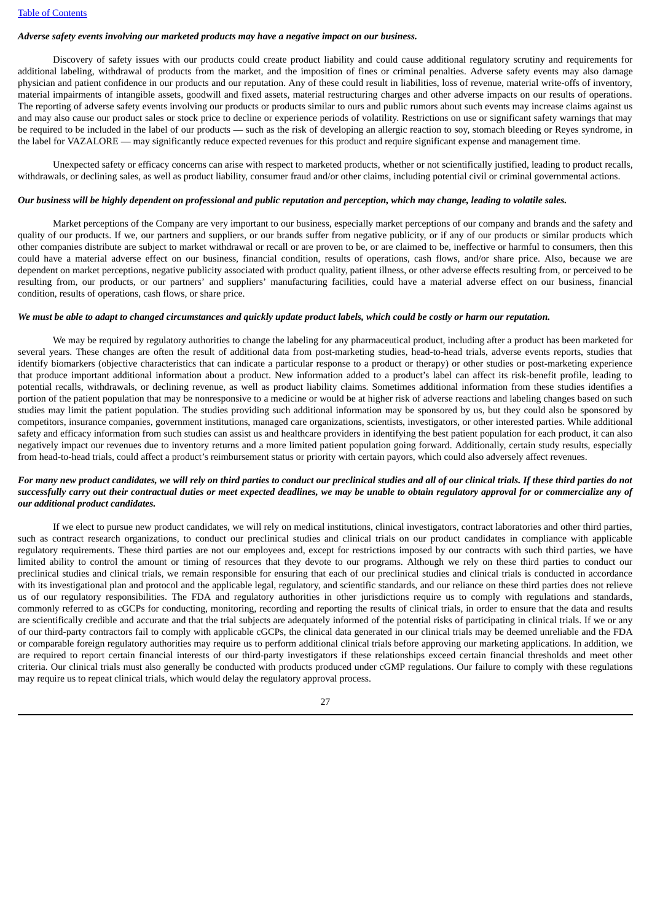# *Adverse safety events involving our marketed products may have a negative impact on our business.*

Discovery of safety issues with our products could create product liability and could cause additional regulatory scrutiny and requirements for additional labeling, withdrawal of products from the market, and the imposition of fines or criminal penalties. Adverse safety events may also damage physician and patient confidence in our products and our reputation. Any of these could result in liabilities, loss of revenue, material write-offs of inventory, material impairments of intangible assets, goodwill and fixed assets, material restructuring charges and other adverse impacts on our results of operations. The reporting of adverse safety events involving our products or products similar to ours and public rumors about such events may increase claims against us and may also cause our product sales or stock price to decline or experience periods of volatility. Restrictions on use or significant safety warnings that may be required to be included in the label of our products — such as the risk of developing an allergic reaction to soy, stomach bleeding or Reyes syndrome, in the label for VAZALORE — may significantly reduce expected revenues for this product and require significant expense and management time.

Unexpected safety or efficacy concerns can arise with respect to marketed products, whether or not scientifically justified, leading to product recalls, withdrawals, or declining sales, as well as product liability, consumer fraud and/or other claims, including potential civil or criminal governmental actions.

# Our business will be highly dependent on professional and public reputation and perception, which may change, leading to volatile sales.

Market perceptions of the Company are very important to our business, especially market perceptions of our company and brands and the safety and quality of our products. If we, our partners and suppliers, or our brands suffer from negative publicity, or if any of our products or similar products which other companies distribute are subject to market withdrawal or recall or are proven to be, or are claimed to be, ineffective or harmful to consumers, then this could have a material adverse effect on our business, financial condition, results of operations, cash flows, and/or share price. Also, because we are dependent on market perceptions, negative publicity associated with product quality, patient illness, or other adverse effects resulting from, or perceived to be resulting from, our products, or our partners' and suppliers' manufacturing facilities, could have a material adverse effect on our business, financial condition, results of operations, cash flows, or share price.

# We must be able to adapt to changed circumstances and quickly update product labels, which could be costly or harm our reputation.

We may be required by regulatory authorities to change the labeling for any pharmaceutical product, including after a product has been marketed for several years. These changes are often the result of additional data from post-marketing studies, head-to-head trials, adverse events reports, studies that identify biomarkers (objective characteristics that can indicate a particular response to a product or therapy) or other studies or post-marketing experience that produce important additional information about a product. New information added to a product's label can affect its risk-benefit profile, leading to potential recalls, withdrawals, or declining revenue, as well as product liability claims. Sometimes additional information from these studies identifies a portion of the patient population that may be nonresponsive to a medicine or would be at higher risk of adverse reactions and labeling changes based on such studies may limit the patient population. The studies providing such additional information may be sponsored by us, but they could also be sponsored by competitors, insurance companies, government institutions, managed care organizations, scientists, investigators, or other interested parties. While additional safety and efficacy information from such studies can assist us and healthcare providers in identifying the best patient population for each product, it can also negatively impact our revenues due to inventory returns and a more limited patient population going forward. Additionally, certain study results, especially from head-to-head trials, could affect a product's reimbursement status or priority with certain payors, which could also adversely affect revenues.

# For many new product candidates, we will rely on third parties to conduct our preclinical studies and all of our clinical trials. If these third parties do not successfully carry out their contractual duties or meet expected deadlines, we may be unable to obtain regulatory approval for or commercialize any of *our additional product candidates.*

If we elect to pursue new product candidates, we will rely on medical institutions, clinical investigators, contract laboratories and other third parties, such as contract research organizations, to conduct our preclinical studies and clinical trials on our product candidates in compliance with applicable regulatory requirements. These third parties are not our employees and, except for restrictions imposed by our contracts with such third parties, we have limited ability to control the amount or timing of resources that they devote to our programs. Although we rely on these third parties to conduct our preclinical studies and clinical trials, we remain responsible for ensuring that each of our preclinical studies and clinical trials is conducted in accordance with its investigational plan and protocol and the applicable legal, regulatory, and scientific standards, and our reliance on these third parties does not relieve us of our regulatory responsibilities. The FDA and regulatory authorities in other jurisdictions require us to comply with regulations and standards, commonly referred to as cGCPs for conducting, monitoring, recording and reporting the results of clinical trials, in order to ensure that the data and results are scientifically credible and accurate and that the trial subjects are adequately informed of the potential risks of participating in clinical trials. If we or any of our third-party contractors fail to comply with applicable cGCPs, the clinical data generated in our clinical trials may be deemed unreliable and the FDA or comparable foreign regulatory authorities may require us to perform additional clinical trials before approving our marketing applications. In addition, we are required to report certain financial interests of our third-party investigators if these relationships exceed certain financial thresholds and meet other criteria. Our clinical trials must also generally be conducted with products produced under cGMP regulations. Our failure to comply with these regulations may require us to repeat clinical trials, which would delay the regulatory approval process.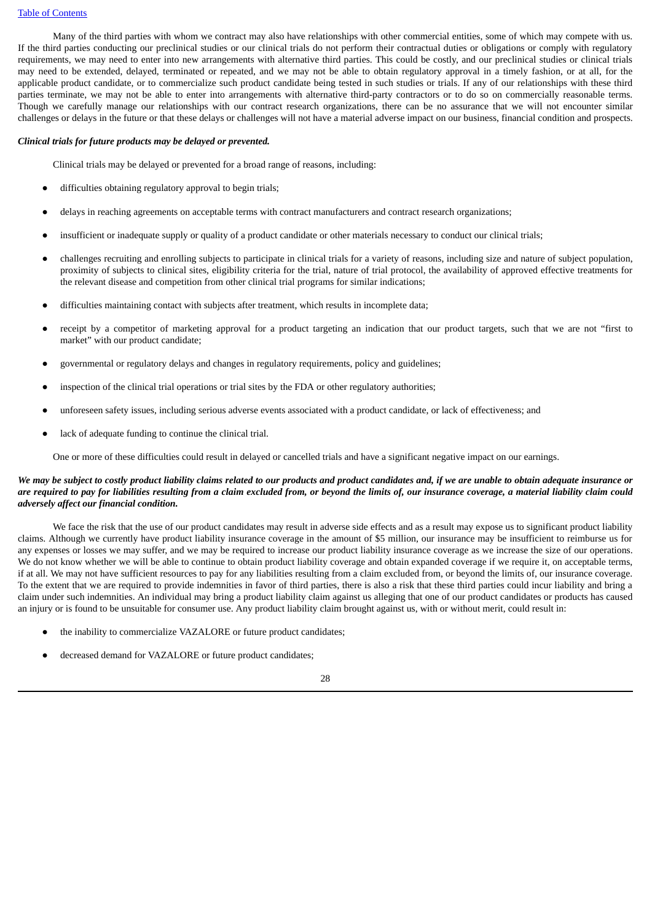#### Table of [Contents](#page-2-0)

Many of the third parties with whom we contract may also have relationships with other commercial entities, some of which may compete with us. If the third parties conducting our preclinical studies or our clinical trials do not perform their contractual duties or obligations or comply with regulatory requirements, we may need to enter into new arrangements with alternative third parties. This could be costly, and our preclinical studies or clinical trials may need to be extended, delayed, terminated or repeated, and we may not be able to obtain regulatory approval in a timely fashion, or at all, for the applicable product candidate, or to commercialize such product candidate being tested in such studies or trials. If any of our relationships with these third parties terminate, we may not be able to enter into arrangements with alternative third-party contractors or to do so on commercially reasonable terms. Though we carefully manage our relationships with our contract research organizations, there can be no assurance that we will not encounter similar challenges or delays in the future or that these delays or challenges will not have a material adverse impact on our business, financial condition and prospects.

### *Clinical trials for future products may be delayed or prevented.*

Clinical trials may be delayed or prevented for a broad range of reasons, including:

- difficulties obtaining regulatory approval to begin trials;
- delays in reaching agreements on acceptable terms with contract manufacturers and contract research organizations;
- insufficient or inadequate supply or quality of a product candidate or other materials necessary to conduct our clinical trials;
- challenges recruiting and enrolling subjects to participate in clinical trials for a variety of reasons, including size and nature of subject population, proximity of subjects to clinical sites, eligibility criteria for the trial, nature of trial protocol, the availability of approved effective treatments for the relevant disease and competition from other clinical trial programs for similar indications;
- difficulties maintaining contact with subjects after treatment, which results in incomplete data;
- receipt by a competitor of marketing approval for a product targeting an indication that our product targets, such that we are not "first to market" with our product candidate;
- governmental or regulatory delays and changes in regulatory requirements, policy and guidelines;
- inspection of the clinical trial operations or trial sites by the FDA or other regulatory authorities;
- unforeseen safety issues, including serious adverse events associated with a product candidate, or lack of effectiveness; and
- lack of adequate funding to continue the clinical trial.

One or more of these difficulties could result in delayed or cancelled trials and have a significant negative impact on our earnings.

# We may be subject to costly product liability claims related to our products and product candidates and, if we are unable to obtain adequate insurance or are required to pay for liabilities resulting from a claim excluded from, or beyond the limits of, our insurance coverage, a material liability claim could *adversely affect our financial condition.*

We face the risk that the use of our product candidates may result in adverse side effects and as a result may expose us to significant product liability claims. Although we currently have product liability insurance coverage in the amount of \$5 million, our insurance may be insufficient to reimburse us for any expenses or losses we may suffer, and we may be required to increase our product liability insurance coverage as we increase the size of our operations. We do not know whether we will be able to continue to obtain product liability coverage and obtain expanded coverage if we require it, on acceptable terms, if at all. We may not have sufficient resources to pay for any liabilities resulting from a claim excluded from, or beyond the limits of, our insurance coverage. To the extent that we are required to provide indemnities in favor of third parties, there is also a risk that these third parties could incur liability and bring a claim under such indemnities. An individual may bring a product liability claim against us alleging that one of our product candidates or products has caused an injury or is found to be unsuitable for consumer use. Any product liability claim brought against us, with or without merit, could result in:

- the inability to commercialize VAZALORE or future product candidates;
- decreased demand for VAZALORE or future product candidates;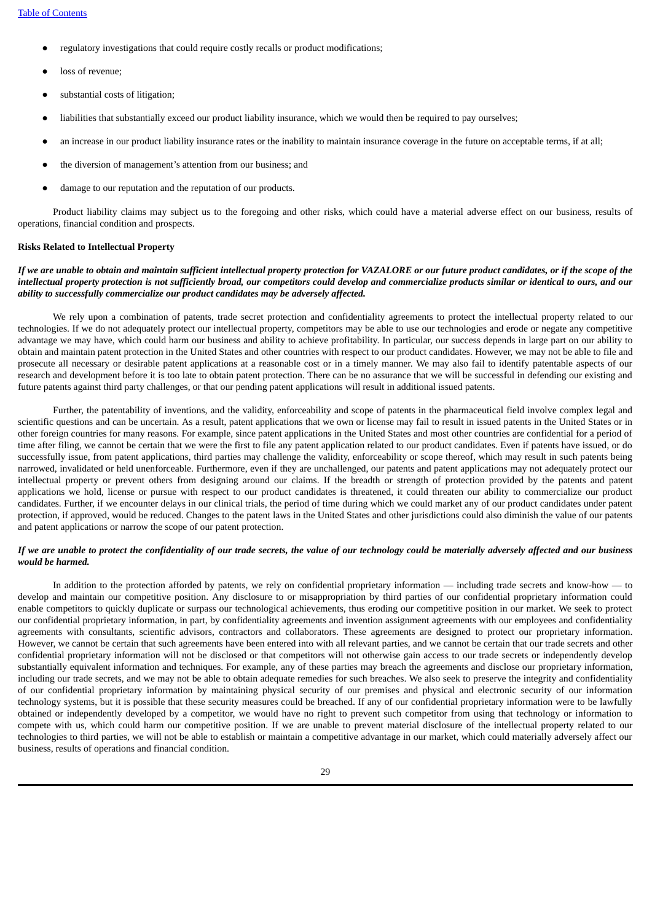- regulatory investigations that could require costly recalls or product modifications;
- loss of revenue;
- substantial costs of litigation;
- liabilities that substantially exceed our product liability insurance, which we would then be required to pay ourselves;
- an increase in our product liability insurance rates or the inability to maintain insurance coverage in the future on acceptable terms, if at all;
- the diversion of management's attention from our business; and
- damage to our reputation and the reputation of our products.

Product liability claims may subject us to the foregoing and other risks, which could have a material adverse effect on our business, results of operations, financial condition and prospects.

#### **Risks Related to Intellectual Property**

If we are unable to obtain and maintain sufficient intellectual property protection for VAZALORE or our future product candidates, or if the scope of the intellectual property protection is not sufficiently broad, our competitors could develop and commercialize products similar or identical to ours, and our *ability to successfully commercialize our product candidates may be adversely affected.*

We rely upon a combination of patents, trade secret protection and confidentiality agreements to protect the intellectual property related to our technologies. If we do not adequately protect our intellectual property, competitors may be able to use our technologies and erode or negate any competitive advantage we may have, which could harm our business and ability to achieve profitability. In particular, our success depends in large part on our ability to obtain and maintain patent protection in the United States and other countries with respect to our product candidates. However, we may not be able to file and prosecute all necessary or desirable patent applications at a reasonable cost or in a timely manner. We may also fail to identify patentable aspects of our research and development before it is too late to obtain patent protection. There can be no assurance that we will be successful in defending our existing and future patents against third party challenges, or that our pending patent applications will result in additional issued patents.

Further, the patentability of inventions, and the validity, enforceability and scope of patents in the pharmaceutical field involve complex legal and scientific questions and can be uncertain. As a result, patent applications that we own or license may fail to result in issued patents in the United States or in other foreign countries for many reasons. For example, since patent applications in the United States and most other countries are confidential for a period of time after filing, we cannot be certain that we were the first to file any patent application related to our product candidates. Even if patents have issued, or do successfully issue, from patent applications, third parties may challenge the validity, enforceability or scope thereof, which may result in such patents being narrowed, invalidated or held unenforceable. Furthermore, even if they are unchallenged, our patents and patent applications may not adequately protect our intellectual property or prevent others from designing around our claims. If the breadth or strength of protection provided by the patents and patent applications we hold, license or pursue with respect to our product candidates is threatened, it could threaten our ability to commercialize our product candidates. Further, if we encounter delays in our clinical trials, the period of time during which we could market any of our product candidates under patent protection, if approved, would be reduced. Changes to the patent laws in the United States and other jurisdictions could also diminish the value of our patents and patent applications or narrow the scope of our patent protection.

# If we are unable to protect the confidentiality of our trade secrets, the value of our technology could be materially adversely affected and our business *would be harmed.*

In addition to the protection afforded by patents, we rely on confidential proprietary information — including trade secrets and know-how — to develop and maintain our competitive position. Any disclosure to or misappropriation by third parties of our confidential proprietary information could enable competitors to quickly duplicate or surpass our technological achievements, thus eroding our competitive position in our market. We seek to protect our confidential proprietary information, in part, by confidentiality agreements and invention assignment agreements with our employees and confidentiality agreements with consultants, scientific advisors, contractors and collaborators. These agreements are designed to protect our proprietary information. However, we cannot be certain that such agreements have been entered into with all relevant parties, and we cannot be certain that our trade secrets and other confidential proprietary information will not be disclosed or that competitors will not otherwise gain access to our trade secrets or independently develop substantially equivalent information and techniques. For example, any of these parties may breach the agreements and disclose our proprietary information, including our trade secrets, and we may not be able to obtain adequate remedies for such breaches. We also seek to preserve the integrity and confidentiality of our confidential proprietary information by maintaining physical security of our premises and physical and electronic security of our information technology systems, but it is possible that these security measures could be breached. If any of our confidential proprietary information were to be lawfully obtained or independently developed by a competitor, we would have no right to prevent such competitor from using that technology or information to compete with us, which could harm our competitive position. If we are unable to prevent material disclosure of the intellectual property related to our technologies to third parties, we will not be able to establish or maintain a competitive advantage in our market, which could materially adversely affect our business, results of operations and financial condition.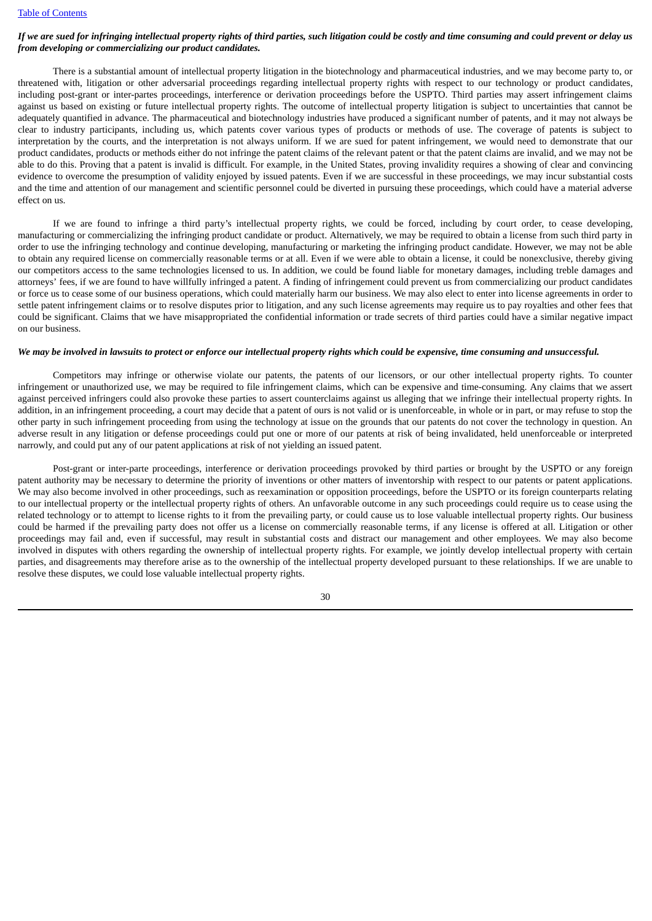# If we are sued for infringing intellectual property rights of third parties, such litigation could be costly and time consuming and could prevent or delay us *from developing or commercializing our product candidates.*

There is a substantial amount of intellectual property litigation in the biotechnology and pharmaceutical industries, and we may become party to, or threatened with, litigation or other adversarial proceedings regarding intellectual property rights with respect to our technology or product candidates, including post-grant or inter-partes proceedings, interference or derivation proceedings before the USPTO. Third parties may assert infringement claims against us based on existing or future intellectual property rights. The outcome of intellectual property litigation is subject to uncertainties that cannot be adequately quantified in advance. The pharmaceutical and biotechnology industries have produced a significant number of patents, and it may not always be clear to industry participants, including us, which patents cover various types of products or methods of use. The coverage of patents is subject to interpretation by the courts, and the interpretation is not always uniform. If we are sued for patent infringement, we would need to demonstrate that our product candidates, products or methods either do not infringe the patent claims of the relevant patent or that the patent claims are invalid, and we may not be able to do this. Proving that a patent is invalid is difficult. For example, in the United States, proving invalidity requires a showing of clear and convincing evidence to overcome the presumption of validity enjoyed by issued patents. Even if we are successful in these proceedings, we may incur substantial costs and the time and attention of our management and scientific personnel could be diverted in pursuing these proceedings, which could have a material adverse effect on us.

If we are found to infringe a third party's intellectual property rights, we could be forced, including by court order, to cease developing, manufacturing or commercializing the infringing product candidate or product. Alternatively, we may be required to obtain a license from such third party in order to use the infringing technology and continue developing, manufacturing or marketing the infringing product candidate. However, we may not be able to obtain any required license on commercially reasonable terms or at all. Even if we were able to obtain a license, it could be nonexclusive, thereby giving our competitors access to the same technologies licensed to us. In addition, we could be found liable for monetary damages, including treble damages and attorneys' fees, if we are found to have willfully infringed a patent. A finding of infringement could prevent us from commercializing our product candidates or force us to cease some of our business operations, which could materially harm our business. We may also elect to enter into license agreements in order to settle patent infringement claims or to resolve disputes prior to litigation, and any such license agreements may require us to pay royalties and other fees that could be significant. Claims that we have misappropriated the confidential information or trade secrets of third parties could have a similar negative impact on our business.

#### We may be involved in lawsuits to protect or enforce our intellectual property rights which could be expensive, time consuming and unsuccessful.

Competitors may infringe or otherwise violate our patents, the patents of our licensors, or our other intellectual property rights. To counter infringement or unauthorized use, we may be required to file infringement claims, which can be expensive and time-consuming. Any claims that we assert against perceived infringers could also provoke these parties to assert counterclaims against us alleging that we infringe their intellectual property rights. In addition, in an infringement proceeding, a court may decide that a patent of ours is not valid or is unenforceable, in whole or in part, or may refuse to stop the other party in such infringement proceeding from using the technology at issue on the grounds that our patents do not cover the technology in question. An adverse result in any litigation or defense proceedings could put one or more of our patents at risk of being invalidated, held unenforceable or interpreted narrowly, and could put any of our patent applications at risk of not yielding an issued patent.

Post-grant or inter-parte proceedings, interference or derivation proceedings provoked by third parties or brought by the USPTO or any foreign patent authority may be necessary to determine the priority of inventions or other matters of inventorship with respect to our patents or patent applications. We may also become involved in other proceedings, such as reexamination or opposition proceedings, before the USPTO or its foreign counterparts relating to our intellectual property or the intellectual property rights of others. An unfavorable outcome in any such proceedings could require us to cease using the related technology or to attempt to license rights to it from the prevailing party, or could cause us to lose valuable intellectual property rights. Our business could be harmed if the prevailing party does not offer us a license on commercially reasonable terms, if any license is offered at all. Litigation or other proceedings may fail and, even if successful, may result in substantial costs and distract our management and other employees. We may also become involved in disputes with others regarding the ownership of intellectual property rights. For example, we jointly develop intellectual property with certain parties, and disagreements may therefore arise as to the ownership of the intellectual property developed pursuant to these relationships. If we are unable to resolve these disputes, we could lose valuable intellectual property rights.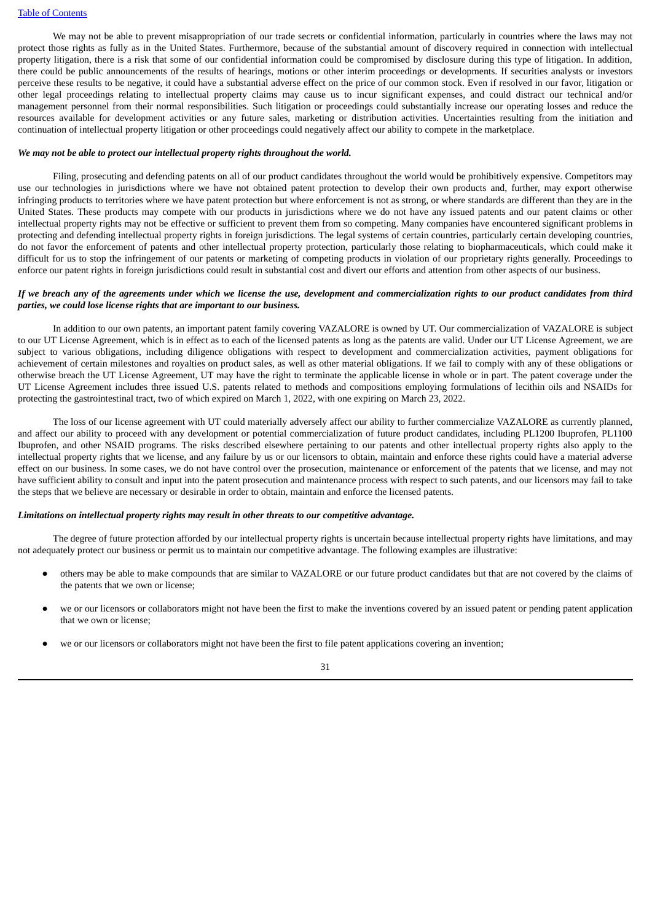We may not be able to prevent misappropriation of our trade secrets or confidential information, particularly in countries where the laws may not protect those rights as fully as in the United States. Furthermore, because of the substantial amount of discovery required in connection with intellectual property litigation, there is a risk that some of our confidential information could be compromised by disclosure during this type of litigation. In addition, there could be public announcements of the results of hearings, motions or other interim proceedings or developments. If securities analysts or investors perceive these results to be negative, it could have a substantial adverse effect on the price of our common stock. Even if resolved in our favor, litigation or other legal proceedings relating to intellectual property claims may cause us to incur significant expenses, and could distract our technical and/or management personnel from their normal responsibilities. Such litigation or proceedings could substantially increase our operating losses and reduce the resources available for development activities or any future sales, marketing or distribution activities. Uncertainties resulting from the initiation and continuation of intellectual property litigation or other proceedings could negatively affect our ability to compete in the marketplace.

### *We may not be able to protect our intellectual property rights throughout the world.*

Filing, prosecuting and defending patents on all of our product candidates throughout the world would be prohibitively expensive. Competitors may use our technologies in jurisdictions where we have not obtained patent protection to develop their own products and, further, may export otherwise infringing products to territories where we have patent protection but where enforcement is not as strong, or where standards are different than they are in the United States. These products may compete with our products in jurisdictions where we do not have any issued patents and our patent claims or other intellectual property rights may not be effective or sufficient to prevent them from so competing. Many companies have encountered significant problems in protecting and defending intellectual property rights in foreign jurisdictions. The legal systems of certain countries, particularly certain developing countries, do not favor the enforcement of patents and other intellectual property protection, particularly those relating to biopharmaceuticals, which could make it difficult for us to stop the infringement of our patents or marketing of competing products in violation of our proprietary rights generally. Proceedings to enforce our patent rights in foreign jurisdictions could result in substantial cost and divert our efforts and attention from other aspects of our business.

#### If we breach any of the agreements under which we license the use, development and commercialization rights to our product candidates from third *parties, we could lose license rights that are important to our business.*

In addition to our own patents, an important patent family covering VAZALORE is owned by UT. Our commercialization of VAZALORE is subject to our UT License Agreement, which is in effect as to each of the licensed patents as long as the patents are valid. Under our UT License Agreement, we are subject to various obligations, including diligence obligations with respect to development and commercialization activities, payment obligations for achievement of certain milestones and royalties on product sales, as well as other material obligations. If we fail to comply with any of these obligations or otherwise breach the UT License Agreement, UT may have the right to terminate the applicable license in whole or in part. The patent coverage under the UT License Agreement includes three issued U.S. patents related to methods and compositions employing formulations of lecithin oils and NSAIDs for protecting the gastrointestinal tract, two of which expired on March 1, 2022, with one expiring on March 23, 2022.

The loss of our license agreement with UT could materially adversely affect our ability to further commercialize VAZALORE as currently planned, and affect our ability to proceed with any development or potential commercialization of future product candidates, including PL1200 Ibuprofen, PL1100 Ibuprofen, and other NSAID programs. The risks described elsewhere pertaining to our patents and other intellectual property rights also apply to the intellectual property rights that we license, and any failure by us or our licensors to obtain, maintain and enforce these rights could have a material adverse effect on our business. In some cases, we do not have control over the prosecution, maintenance or enforcement of the patents that we license, and may not have sufficient ability to consult and input into the patent prosecution and maintenance process with respect to such patents, and our licensors may fail to take the steps that we believe are necessary or desirable in order to obtain, maintain and enforce the licensed patents.

#### *Limitations on intellectual property rights may result in other threats to our competitive advantage.*

The degree of future protection afforded by our intellectual property rights is uncertain because intellectual property rights have limitations, and may not adequately protect our business or permit us to maintain our competitive advantage. The following examples are illustrative:

- others may be able to make compounds that are similar to VAZALORE or our future product candidates but that are not covered by the claims of the patents that we own or license;
- we or our licensors or collaborators might not have been the first to make the inventions covered by an issued patent or pending patent application that we own or license;
- we or our licensors or collaborators might not have been the first to file patent applications covering an invention;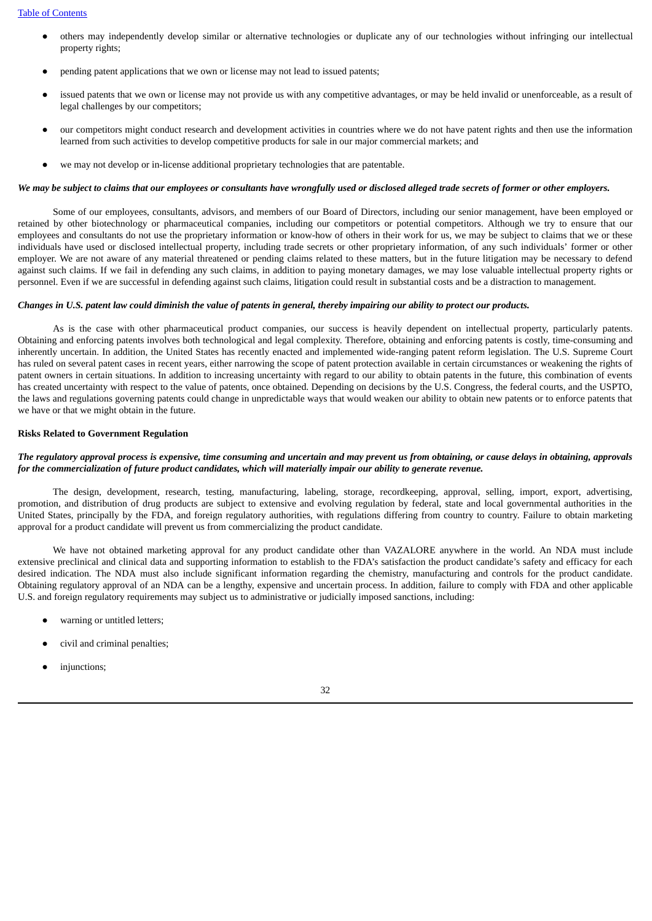- others may independently develop similar or alternative technologies or duplicate any of our technologies without infringing our intellectual property rights;
- pending patent applications that we own or license may not lead to issued patents;
- issued patents that we own or license may not provide us with any competitive advantages, or may be held invalid or unenforceable, as a result of legal challenges by our competitors;
- our competitors might conduct research and development activities in countries where we do not have patent rights and then use the information learned from such activities to develop competitive products for sale in our major commercial markets; and
- we may not develop or in-license additional proprietary technologies that are patentable.

#### We may be subject to claims that our employees or consultants have wrongfully used or disclosed alleged trade secrets of former or other employers.

Some of our employees, consultants, advisors, and members of our Board of Directors, including our senior management, have been employed or retained by other biotechnology or pharmaceutical companies, including our competitors or potential competitors. Although we try to ensure that our employees and consultants do not use the proprietary information or know-how of others in their work for us, we may be subject to claims that we or these individuals have used or disclosed intellectual property, including trade secrets or other proprietary information, of any such individuals' former or other employer. We are not aware of any material threatened or pending claims related to these matters, but in the future litigation may be necessary to defend against such claims. If we fail in defending any such claims, in addition to paying monetary damages, we may lose valuable intellectual property rights or personnel. Even if we are successful in defending against such claims, litigation could result in substantial costs and be a distraction to management.

# Changes in U.S. patent law could diminish the value of patents in general, thereby impairing our ability to protect our products.

As is the case with other pharmaceutical product companies, our success is heavily dependent on intellectual property, particularly patents. Obtaining and enforcing patents involves both technological and legal complexity. Therefore, obtaining and enforcing patents is costly, time-consuming and inherently uncertain. In addition, the United States has recently enacted and implemented wide-ranging patent reform legislation. The U.S. Supreme Court has ruled on several patent cases in recent years, either narrowing the scope of patent protection available in certain circumstances or weakening the rights of patent owners in certain situations. In addition to increasing uncertainty with regard to our ability to obtain patents in the future, this combination of events has created uncertainty with respect to the value of patents, once obtained. Depending on decisions by the U.S. Congress, the federal courts, and the USPTO, the laws and regulations governing patents could change in unpredictable ways that would weaken our ability to obtain new patents or to enforce patents that we have or that we might obtain in the future.

#### **Risks Related to Government Regulation**

### The regulatory approval process is expensive, time consuming and uncertain and may prevent us from obtaining, or cause delays in obtaining, approvals for the commercialization of future product candidates, which will materially impair our ability to generate revenue.

The design, development, research, testing, manufacturing, labeling, storage, recordkeeping, approval, selling, import, export, advertising, promotion, and distribution of drug products are subject to extensive and evolving regulation by federal, state and local governmental authorities in the United States, principally by the FDA, and foreign regulatory authorities, with regulations differing from country to country. Failure to obtain marketing approval for a product candidate will prevent us from commercializing the product candidate.

We have not obtained marketing approval for any product candidate other than VAZALORE anywhere in the world. An NDA must include extensive preclinical and clinical data and supporting information to establish to the FDA's satisfaction the product candidate's safety and efficacy for each desired indication. The NDA must also include significant information regarding the chemistry, manufacturing and controls for the product candidate. Obtaining regulatory approval of an NDA can be a lengthy, expensive and uncertain process. In addition, failure to comply with FDA and other applicable U.S. and foreign regulatory requirements may subject us to administrative or judicially imposed sanctions, including:

- warning or untitled letters:
- civil and criminal penalties;
- injunctions: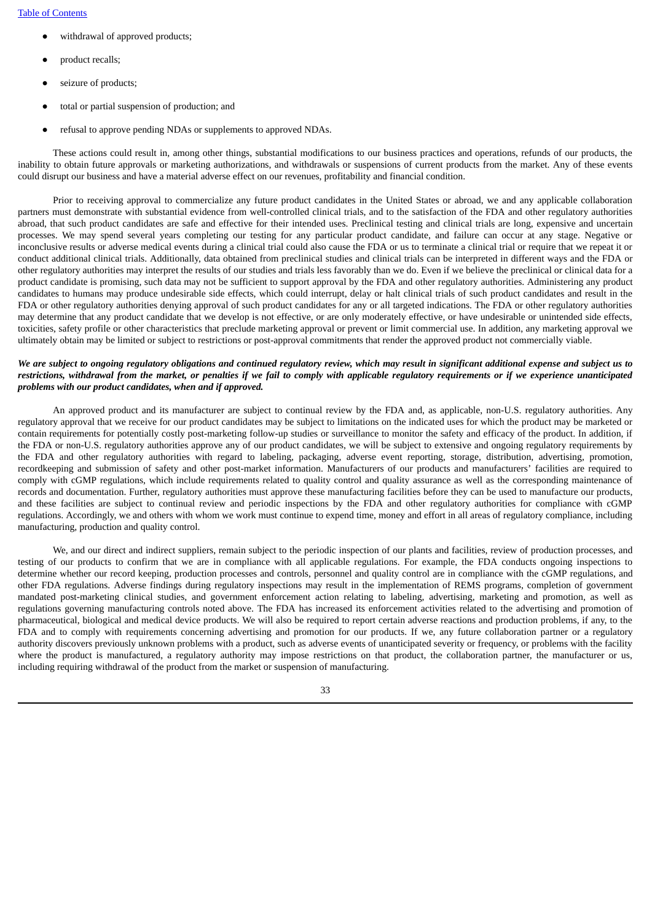- withdrawal of approved products;
- product recalls;
- seizure of products:
- total or partial suspension of production; and
- refusal to approve pending NDAs or supplements to approved NDAs.

These actions could result in, among other things, substantial modifications to our business practices and operations, refunds of our products, the inability to obtain future approvals or marketing authorizations, and withdrawals or suspensions of current products from the market. Any of these events could disrupt our business and have a material adverse effect on our revenues, profitability and financial condition.

Prior to receiving approval to commercialize any future product candidates in the United States or abroad, we and any applicable collaboration partners must demonstrate with substantial evidence from well-controlled clinical trials, and to the satisfaction of the FDA and other regulatory authorities abroad, that such product candidates are safe and effective for their intended uses. Preclinical testing and clinical trials are long, expensive and uncertain processes. We may spend several years completing our testing for any particular product candidate, and failure can occur at any stage. Negative or inconclusive results or adverse medical events during a clinical trial could also cause the FDA or us to terminate a clinical trial or require that we repeat it or conduct additional clinical trials. Additionally, data obtained from preclinical studies and clinical trials can be interpreted in different ways and the FDA or other regulatory authorities may interpret the results of our studies and trials less favorably than we do. Even if we believe the preclinical or clinical data for a product candidate is promising, such data may not be sufficient to support approval by the FDA and other regulatory authorities. Administering any product candidates to humans may produce undesirable side effects, which could interrupt, delay or halt clinical trials of such product candidates and result in the FDA or other regulatory authorities denying approval of such product candidates for any or all targeted indications. The FDA or other regulatory authorities may determine that any product candidate that we develop is not effective, or are only moderately effective, or have undesirable or unintended side effects, toxicities, safety profile or other characteristics that preclude marketing approval or prevent or limit commercial use. In addition, any marketing approval we ultimately obtain may be limited or subject to restrictions or post-approval commitments that render the approved product not commercially viable.

# We are subject to ongoing regulatory obligations and continued regulatory review, which may result in significant additional expense and subject us to restrictions, withdrawal from the market, or penalties if we fail to comply with applicable regulatory requirements or if we experience unanticipated *problems with our product candidates, when and if approved.*

An approved product and its manufacturer are subject to continual review by the FDA and, as applicable, non-U.S. regulatory authorities. Any regulatory approval that we receive for our product candidates may be subject to limitations on the indicated uses for which the product may be marketed or contain requirements for potentially costly post-marketing follow-up studies or surveillance to monitor the safety and efficacy of the product. In addition, if the FDA or non-U.S. regulatory authorities approve any of our product candidates, we will be subject to extensive and ongoing regulatory requirements by the FDA and other regulatory authorities with regard to labeling, packaging, adverse event reporting, storage, distribution, advertising, promotion, recordkeeping and submission of safety and other post-market information. Manufacturers of our products and manufacturers' facilities are required to comply with cGMP regulations, which include requirements related to quality control and quality assurance as well as the corresponding maintenance of records and documentation. Further, regulatory authorities must approve these manufacturing facilities before they can be used to manufacture our products, and these facilities are subject to continual review and periodic inspections by the FDA and other regulatory authorities for compliance with cGMP regulations. Accordingly, we and others with whom we work must continue to expend time, money and effort in all areas of regulatory compliance, including manufacturing, production and quality control.

We, and our direct and indirect suppliers, remain subject to the periodic inspection of our plants and facilities, review of production processes, and testing of our products to confirm that we are in compliance with all applicable regulations. For example, the FDA conducts ongoing inspections to determine whether our record keeping, production processes and controls, personnel and quality control are in compliance with the cGMP regulations, and other FDA regulations. Adverse findings during regulatory inspections may result in the implementation of REMS programs, completion of government mandated post-marketing clinical studies, and government enforcement action relating to labeling, advertising, marketing and promotion, as well as regulations governing manufacturing controls noted above. The FDA has increased its enforcement activities related to the advertising and promotion of pharmaceutical, biological and medical device products. We will also be required to report certain adverse reactions and production problems, if any, to the FDA and to comply with requirements concerning advertising and promotion for our products. If we, any future collaboration partner or a regulatory authority discovers previously unknown problems with a product, such as adverse events of unanticipated severity or frequency, or problems with the facility where the product is manufactured, a regulatory authority may impose restrictions on that product, the collaboration partner, the manufacturer or us, including requiring withdrawal of the product from the market or suspension of manufacturing.

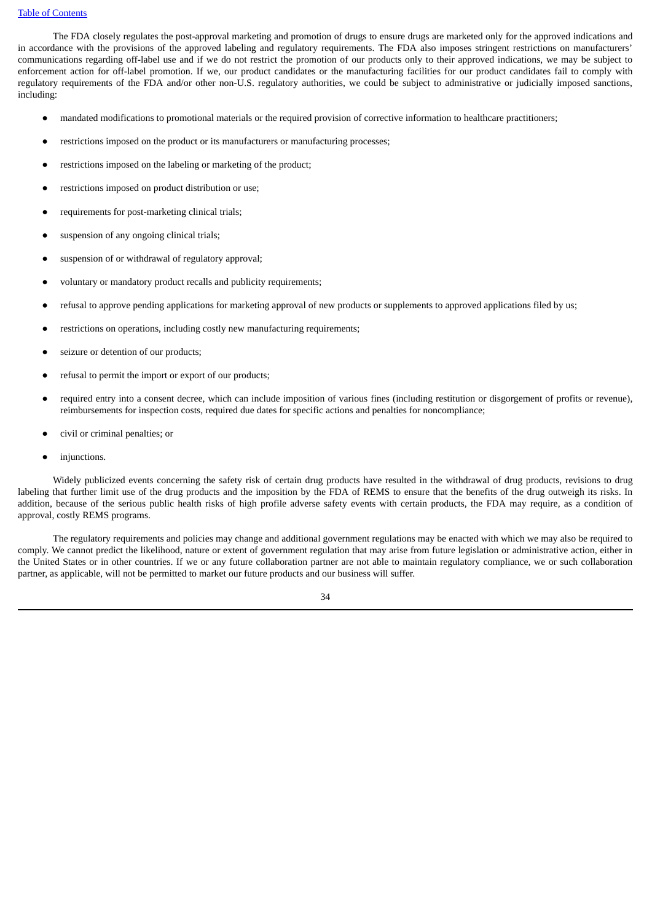#### Table of [Contents](#page-2-0)

The FDA closely regulates the post-approval marketing and promotion of drugs to ensure drugs are marketed only for the approved indications and in accordance with the provisions of the approved labeling and regulatory requirements. The FDA also imposes stringent restrictions on manufacturers' communications regarding off-label use and if we do not restrict the promotion of our products only to their approved indications, we may be subject to enforcement action for off-label promotion. If we, our product candidates or the manufacturing facilities for our product candidates fail to comply with regulatory requirements of the FDA and/or other non-U.S. regulatory authorities, we could be subject to administrative or judicially imposed sanctions, including:

- mandated modifications to promotional materials or the required provision of corrective information to healthcare practitioners;
- restrictions imposed on the product or its manufacturers or manufacturing processes;
- restrictions imposed on the labeling or marketing of the product;
- restrictions imposed on product distribution or use;
- requirements for post-marketing clinical trials;
- suspension of any ongoing clinical trials;
- suspension of or withdrawal of regulatory approval;
- voluntary or mandatory product recalls and publicity requirements;
- refusal to approve pending applications for marketing approval of new products or supplements to approved applications filed by us;
- restrictions on operations, including costly new manufacturing requirements;
- seizure or detention of our products;
- refusal to permit the import or export of our products;
- required entry into a consent decree, which can include imposition of various fines (including restitution or disgorgement of profits or revenue), reimbursements for inspection costs, required due dates for specific actions and penalties for noncompliance;
- civil or criminal penalties; or
- injunctions.

Widely publicized events concerning the safety risk of certain drug products have resulted in the withdrawal of drug products, revisions to drug labeling that further limit use of the drug products and the imposition by the FDA of REMS to ensure that the benefits of the drug outweigh its risks. In addition, because of the serious public health risks of high profile adverse safety events with certain products, the FDA may require, as a condition of approval, costly REMS programs.

The regulatory requirements and policies may change and additional government regulations may be enacted with which we may also be required to comply. We cannot predict the likelihood, nature or extent of government regulation that may arise from future legislation or administrative action, either in the United States or in other countries. If we or any future collaboration partner are not able to maintain regulatory compliance, we or such collaboration partner, as applicable, will not be permitted to market our future products and our business will suffer.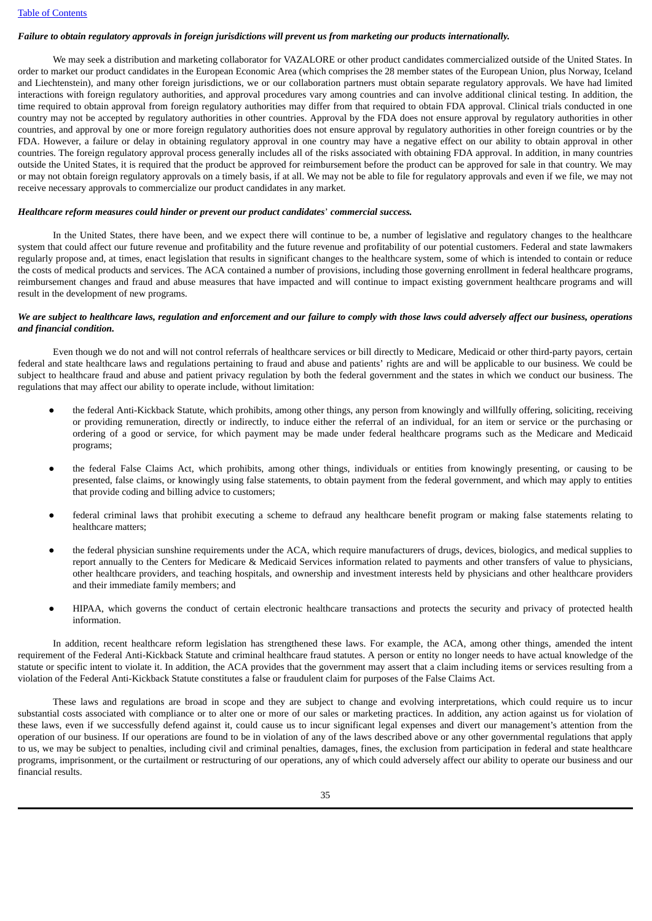# Failure to obtain regulatory approvals in foreign jurisdictions will prevent us from marketing our products internationally.

We may seek a distribution and marketing collaborator for VAZALORE or other product candidates commercialized outside of the United States. In order to market our product candidates in the European Economic Area (which comprises the 28 member states of the European Union, plus Norway, Iceland and Liechtenstein), and many other foreign jurisdictions, we or our collaboration partners must obtain separate regulatory approvals. We have had limited interactions with foreign regulatory authorities, and approval procedures vary among countries and can involve additional clinical testing. In addition, the time required to obtain approval from foreign regulatory authorities may differ from that required to obtain FDA approval. Clinical trials conducted in one country may not be accepted by regulatory authorities in other countries. Approval by the FDA does not ensure approval by regulatory authorities in other countries, and approval by one or more foreign regulatory authorities does not ensure approval by regulatory authorities in other foreign countries or by the FDA. However, a failure or delay in obtaining regulatory approval in one country may have a negative effect on our ability to obtain approval in other countries. The foreign regulatory approval process generally includes all of the risks associated with obtaining FDA approval. In addition, in many countries outside the United States, it is required that the product be approved for reimbursement before the product can be approved for sale in that country. We may or may not obtain foreign regulatory approvals on a timely basis, if at all. We may not be able to file for regulatory approvals and even if we file, we may not receive necessary approvals to commercialize our product candidates in any market.

#### *Healthcare reform measures could hinder or prevent our product candidates*' *commercial success.*

In the United States, there have been, and we expect there will continue to be, a number of legislative and regulatory changes to the healthcare system that could affect our future revenue and profitability and the future revenue and profitability of our potential customers. Federal and state lawmakers regularly propose and, at times, enact legislation that results in significant changes to the healthcare system, some of which is intended to contain or reduce the costs of medical products and services. The ACA contained a number of provisions, including those governing enrollment in federal healthcare programs, reimbursement changes and fraud and abuse measures that have impacted and will continue to impact existing government healthcare programs and will result in the development of new programs.

# We are subject to healthcare laws, regulation and enforcement and our failure to comply with those laws could adversely affect our business, operations *and financial condition.*

Even though we do not and will not control referrals of healthcare services or bill directly to Medicare, Medicaid or other third-party payors, certain federal and state healthcare laws and regulations pertaining to fraud and abuse and patients' rights are and will be applicable to our business. We could be subject to healthcare fraud and abuse and patient privacy regulation by both the federal government and the states in which we conduct our business. The regulations that may affect our ability to operate include, without limitation:

- the federal Anti-Kickback Statute, which prohibits, among other things, any person from knowingly and willfully offering, soliciting, receiving or providing remuneration, directly or indirectly, to induce either the referral of an individual, for an item or service or the purchasing or ordering of a good or service, for which payment may be made under federal healthcare programs such as the Medicare and Medicaid programs;
- the federal False Claims Act, which prohibits, among other things, individuals or entities from knowingly presenting, or causing to be presented, false claims, or knowingly using false statements, to obtain payment from the federal government, and which may apply to entities that provide coding and billing advice to customers;
- federal criminal laws that prohibit executing a scheme to defraud any healthcare benefit program or making false statements relating to healthcare matters;
- the federal physician sunshine requirements under the ACA, which require manufacturers of drugs, devices, biologics, and medical supplies to report annually to the Centers for Medicare & Medicaid Services information related to payments and other transfers of value to physicians, other healthcare providers, and teaching hospitals, and ownership and investment interests held by physicians and other healthcare providers and their immediate family members; and
- HIPAA, which governs the conduct of certain electronic healthcare transactions and protects the security and privacy of protected health information.

In addition, recent healthcare reform legislation has strengthened these laws. For example, the ACA, among other things, amended the intent requirement of the Federal Anti-Kickback Statute and criminal healthcare fraud statutes. A person or entity no longer needs to have actual knowledge of the statute or specific intent to violate it. In addition, the ACA provides that the government may assert that a claim including items or services resulting from a violation of the Federal Anti-Kickback Statute constitutes a false or fraudulent claim for purposes of the False Claims Act.

These laws and regulations are broad in scope and they are subject to change and evolving interpretations, which could require us to incur substantial costs associated with compliance or to alter one or more of our sales or marketing practices. In addition, any action against us for violation of these laws, even if we successfully defend against it, could cause us to incur significant legal expenses and divert our management's attention from the operation of our business. If our operations are found to be in violation of any of the laws described above or any other governmental regulations that apply to us, we may be subject to penalties, including civil and criminal penalties, damages, fines, the exclusion from participation in federal and state healthcare programs, imprisonment, or the curtailment or restructuring of our operations, any of which could adversely affect our ability to operate our business and our financial results.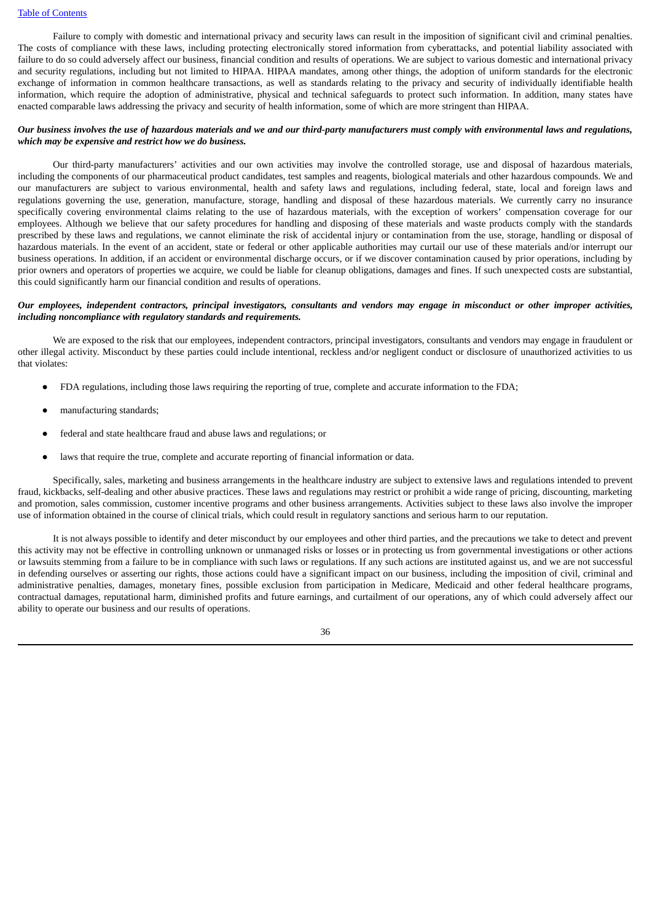Failure to comply with domestic and international privacy and security laws can result in the imposition of significant civil and criminal penalties. The costs of compliance with these laws, including protecting electronically stored information from cyberattacks, and potential liability associated with failure to do so could adversely affect our business, financial condition and results of operations. We are subject to various domestic and international privacy and security regulations, including but not limited to HIPAA. HIPAA mandates, among other things, the adoption of uniform standards for the electronic exchange of information in common healthcare transactions, as well as standards relating to the privacy and security of individually identifiable health information, which require the adoption of administrative, physical and technical safeguards to protect such information. In addition, many states have enacted comparable laws addressing the privacy and security of health information, some of which are more stringent than HIPAA.

# Our business involves the use of hazardous materials and we and our third-party manufacturers must comply with environmental laws and regulations, *which may be expensive and restrict how we do business.*

Our third-party manufacturers' activities and our own activities may involve the controlled storage, use and disposal of hazardous materials, including the components of our pharmaceutical product candidates, test samples and reagents, biological materials and other hazardous compounds. We and our manufacturers are subject to various environmental, health and safety laws and regulations, including federal, state, local and foreign laws and regulations governing the use, generation, manufacture, storage, handling and disposal of these hazardous materials. We currently carry no insurance specifically covering environmental claims relating to the use of hazardous materials, with the exception of workers' compensation coverage for our employees. Although we believe that our safety procedures for handling and disposing of these materials and waste products comply with the standards prescribed by these laws and regulations, we cannot eliminate the risk of accidental injury or contamination from the use, storage, handling or disposal of hazardous materials. In the event of an accident, state or federal or other applicable authorities may curtail our use of these materials and/or interrupt our business operations. In addition, if an accident or environmental discharge occurs, or if we discover contamination caused by prior operations, including by prior owners and operators of properties we acquire, we could be liable for cleanup obligations, damages and fines. If such unexpected costs are substantial, this could significantly harm our financial condition and results of operations.

## Our employees, independent contractors, principal investigators, consultants and vendors may engage in misconduct or other improper activities, *including noncompliance with regulatory standards and requirements.*

We are exposed to the risk that our employees, independent contractors, principal investigators, consultants and vendors may engage in fraudulent or other illegal activity. Misconduct by these parties could include intentional, reckless and/or negligent conduct or disclosure of unauthorized activities to us that violates:

- FDA regulations, including those laws requiring the reporting of true, complete and accurate information to the FDA;
- manufacturing standards;
- federal and state healthcare fraud and abuse laws and regulations; or
- laws that require the true, complete and accurate reporting of financial information or data.

Specifically, sales, marketing and business arrangements in the healthcare industry are subject to extensive laws and regulations intended to prevent fraud, kickbacks, self-dealing and other abusive practices. These laws and regulations may restrict or prohibit a wide range of pricing, discounting, marketing and promotion, sales commission, customer incentive programs and other business arrangements. Activities subject to these laws also involve the improper use of information obtained in the course of clinical trials, which could result in regulatory sanctions and serious harm to our reputation.

It is not always possible to identify and deter misconduct by our employees and other third parties, and the precautions we take to detect and prevent this activity may not be effective in controlling unknown or unmanaged risks or losses or in protecting us from governmental investigations or other actions or lawsuits stemming from a failure to be in compliance with such laws or regulations. If any such actions are instituted against us, and we are not successful in defending ourselves or asserting our rights, those actions could have a significant impact on our business, including the imposition of civil, criminal and administrative penalties, damages, monetary fines, possible exclusion from participation in Medicare, Medicaid and other federal healthcare programs, contractual damages, reputational harm, diminished profits and future earnings, and curtailment of our operations, any of which could adversely affect our ability to operate our business and our results of operations.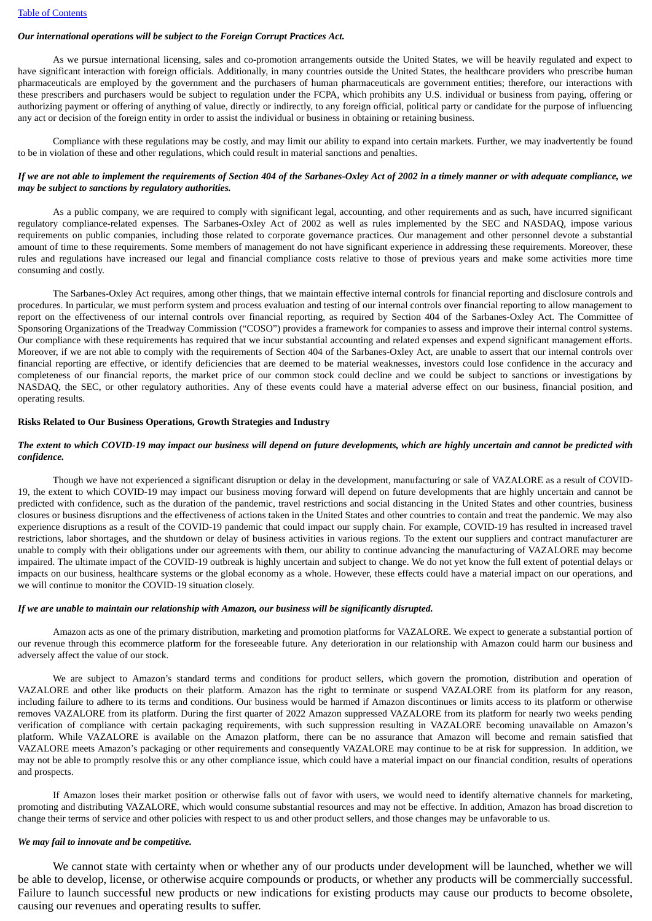# *Our international operations will be subject to the Foreign Corrupt Practices Act.*

As we pursue international licensing, sales and co-promotion arrangements outside the United States, we will be heavily regulated and expect to have significant interaction with foreign officials. Additionally, in many countries outside the United States, the healthcare providers who prescribe human pharmaceuticals are employed by the government and the purchasers of human pharmaceuticals are government entities; therefore, our interactions with these prescribers and purchasers would be subject to regulation under the FCPA, which prohibits any U.S. individual or business from paying, offering or authorizing payment or offering of anything of value, directly or indirectly, to any foreign official, political party or candidate for the purpose of influencing any act or decision of the foreign entity in order to assist the individual or business in obtaining or retaining business.

Compliance with these regulations may be costly, and may limit our ability to expand into certain markets. Further, we may inadvertently be found to be in violation of these and other regulations, which could result in material sanctions and penalties.

# If we are not able to implement the requirements of Section 404 of the Sarbanes-Oxley Act of 2002 in a timely manner or with adequate compliance, we *may be subject to sanctions by regulatory authorities.*

As a public company, we are required to comply with significant legal, accounting, and other requirements and as such, have incurred significant regulatory compliance-related expenses. The Sarbanes-Oxley Act of 2002 as well as rules implemented by the SEC and NASDAQ, impose various requirements on public companies, including those related to corporate governance practices. Our management and other personnel devote a substantial amount of time to these requirements. Some members of management do not have significant experience in addressing these requirements. Moreover, these rules and regulations have increased our legal and financial compliance costs relative to those of previous years and make some activities more time consuming and costly.

The Sarbanes-Oxley Act requires, among other things, that we maintain effective internal controls for financial reporting and disclosure controls and procedures. In particular, we must perform system and process evaluation and testing of our internal controls over financial reporting to allow management to report on the effectiveness of our internal controls over financial reporting, as required by Section 404 of the Sarbanes-Oxley Act. The Committee of Sponsoring Organizations of the Treadway Commission ("COSO") provides a framework for companies to assess and improve their internal control systems. Our compliance with these requirements has required that we incur substantial accounting and related expenses and expend significant management efforts. Moreover, if we are not able to comply with the requirements of Section 404 of the Sarbanes-Oxley Act, are unable to assert that our internal controls over financial reporting are effective, or identify deficiencies that are deemed to be material weaknesses, investors could lose confidence in the accuracy and completeness of our financial reports, the market price of our common stock could decline and we could be subject to sanctions or investigations by NASDAQ, the SEC, or other regulatory authorities. Any of these events could have a material adverse effect on our business, financial position, and operating results.

### **Risks Related to Our Business Operations, Growth Strategies and Industry**

## The extent to which COVID-19 may impact our business will depend on future developments, which are highly uncertain and cannot be predicted with *confidence.*

Though we have not experienced a significant disruption or delay in the development, manufacturing or sale of VAZALORE as a result of COVID-19, the extent to which COVID-19 may impact our business moving forward will depend on future developments that are highly uncertain and cannot be predicted with confidence, such as the duration of the pandemic, travel restrictions and social distancing in the United States and other countries, business closures or business disruptions and the effectiveness of actions taken in the United States and other countries to contain and treat the pandemic. We may also experience disruptions as a result of the COVID-19 pandemic that could impact our supply chain. For example, COVID-19 has resulted in increased travel restrictions, labor shortages, and the shutdown or delay of business activities in various regions. To the extent our suppliers and contract manufacturer are unable to comply with their obligations under our agreements with them, our ability to continue advancing the manufacturing of VAZALORE may become impaired. The ultimate impact of the COVID-19 outbreak is highly uncertain and subject to change. We do not yet know the full extent of potential delays or impacts on our business, healthcare systems or the global economy as a whole. However, these effects could have a material impact on our operations, and we will continue to monitor the COVID-19 situation closely.

#### *If we are unable to maintain our relationship with Amazon, our business will be significantly disrupted.*

Amazon acts as one of the primary distribution, marketing and promotion platforms for VAZALORE. We expect to generate a substantial portion of our revenue through this ecommerce platform for the foreseeable future. Any deterioration in our relationship with Amazon could harm our business and adversely affect the value of our stock.

We are subject to Amazon's standard terms and conditions for product sellers, which govern the promotion, distribution and operation of VAZALORE and other like products on their platform. Amazon has the right to terminate or suspend VAZALORE from its platform for any reason, including failure to adhere to its terms and conditions. Our business would be harmed if Amazon discontinues or limits access to its platform or otherwise removes VAZALORE from its platform. During the first quarter of 2022 Amazon suppressed VAZALORE from its platform for nearly two weeks pending verification of compliance with certain packaging requirements, with such suppression resulting in VAZALORE becoming unavailable on Amazon's platform. While VAZALORE is available on the Amazon platform, there can be no assurance that Amazon will become and remain satisfied that VAZALORE meets Amazon's packaging or other requirements and consequently VAZALORE may continue to be at risk for suppression. In addition, we may not be able to promptly resolve this or any other compliance issue, which could have a material impact on our financial condition, results of operations and prospects.

If Amazon loses their market position or otherwise falls out of favor with users, we would need to identify alternative channels for marketing, promoting and distributing VAZALORE, which would consume substantial resources and may not be effective. In addition, Amazon has broad discretion to change their terms of service and other policies with respect to us and other product sellers, and those changes may be unfavorable to us.

# *We may fail to innovate and be competitive.*

We cannot state with certainty when or whether any of our products under development will be launched, whether we will be able to develop, license, or otherwise acquire compounds or products, or whether any products will be commercially successful. Failure to launch successful new products or new indications for existing products may cause our products to become obsolete, causing our revenues and operating results to suffer.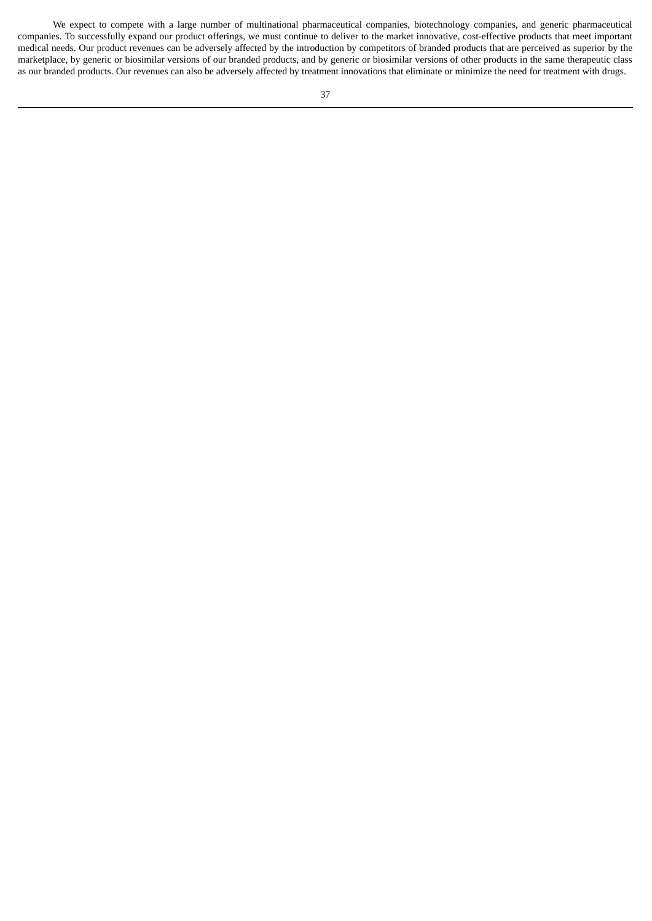We expect to compete with a large number of multinational pharmaceutical companies, biotechnology companies, and generic pharmaceutical companies. To successfully expand our product offerings, we must continue to deliver to the market innovative, cost-effective products that meet important medical needs. Our product revenues can be adversely affected by the introduction by competitors of branded products that are perceived as superior by the marketplace, by generic or biosimilar versions of our branded products, and by generic or biosimilar versions of other products in the same therapeutic class as our branded products. Our revenues can also be adversely affected by treatment innovations that eliminate or minimize the need for treatment with drugs.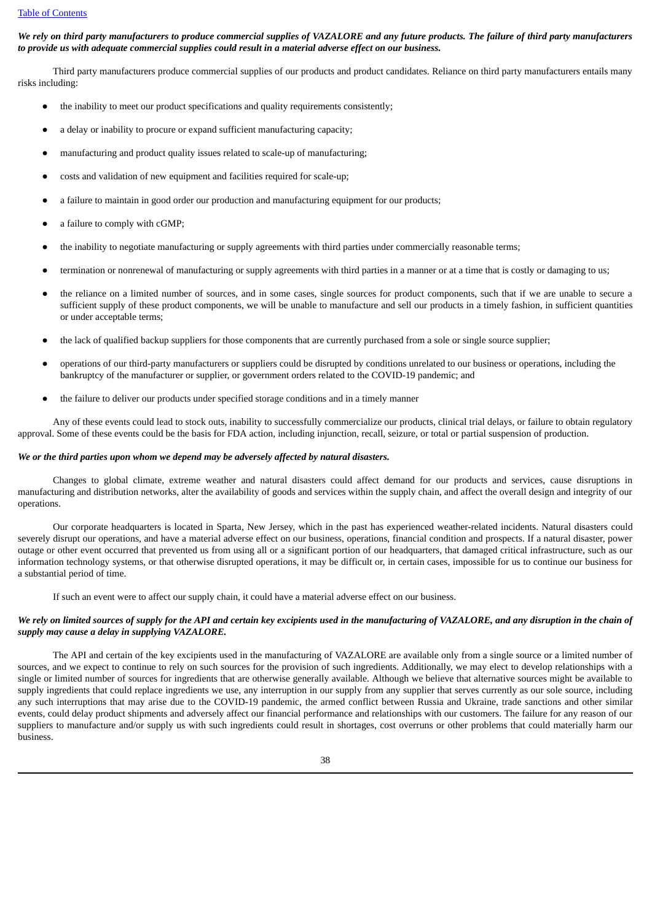We rely on third party manufacturers to produce commercial supplies of VAZALORE and any future products. The failure of third party manufacturers to provide us with adequate commercial supplies could result in a material adverse effect on our business.

Third party manufacturers produce commercial supplies of our products and product candidates. Reliance on third party manufacturers entails many risks including:

- the inability to meet our product specifications and quality requirements consistently;
- a delay or inability to procure or expand sufficient manufacturing capacity;
- manufacturing and product quality issues related to scale-up of manufacturing;
- costs and validation of new equipment and facilities required for scale-up;
- a failure to maintain in good order our production and manufacturing equipment for our products;
- a failure to comply with cGMP:
- the inability to negotiate manufacturing or supply agreements with third parties under commercially reasonable terms;
- termination or nonrenewal of manufacturing or supply agreements with third parties in a manner or at a time that is costly or damaging to us;
- the reliance on a limited number of sources, and in some cases, single sources for product components, such that if we are unable to secure a sufficient supply of these product components, we will be unable to manufacture and sell our products in a timely fashion, in sufficient quantities or under acceptable terms;
- the lack of qualified backup suppliers for those components that are currently purchased from a sole or single source supplier;
- operations of our third-party manufacturers or suppliers could be disrupted by conditions unrelated to our business or operations, including the bankruptcy of the manufacturer or supplier, or government orders related to the COVID-19 pandemic; and
- the failure to deliver our products under specified storage conditions and in a timely manner

Any of these events could lead to stock outs, inability to successfully commercialize our products, clinical trial delays, or failure to obtain regulatory approval. Some of these events could be the basis for FDA action, including injunction, recall, seizure, or total or partial suspension of production.

#### *We or the third parties upon whom we depend may be adversely affected by natural disasters.*

Changes to global climate, extreme weather and natural disasters could affect demand for our products and services, cause disruptions in manufacturing and distribution networks, alter the availability of goods and services within the supply chain, and affect the overall design and integrity of our operations.

Our corporate headquarters is located in Sparta, New Jersey, which in the past has experienced weather-related incidents. Natural disasters could severely disrupt our operations, and have a material adverse effect on our business, operations, financial condition and prospects. If a natural disaster, power outage or other event occurred that prevented us from using all or a significant portion of our headquarters, that damaged critical infrastructure, such as our information technology systems, or that otherwise disrupted operations, it may be difficult or, in certain cases, impossible for us to continue our business for a substantial period of time.

If such an event were to affect our supply chain, it could have a material adverse effect on our business.

# We rely on limited sources of supply for the API and certain key excipients used in the manufacturing of VAZALORE, and any disruption in the chain of *supply may cause a delay in supplying VAZALORE.*

The API and certain of the key excipients used in the manufacturing of VAZALORE are available only from a single source or a limited number of sources, and we expect to continue to rely on such sources for the provision of such ingredients. Additionally, we may elect to develop relationships with a single or limited number of sources for ingredients that are otherwise generally available. Although we believe that alternative sources might be available to supply ingredients that could replace ingredients we use, any interruption in our supply from any supplier that serves currently as our sole source, including any such interruptions that may arise due to the COVID-19 pandemic, the armed conflict between Russia and Ukraine, trade sanctions and other similar events, could delay product shipments and adversely affect our financial performance and relationships with our customers. The failure for any reason of our suppliers to manufacture and/or supply us with such ingredients could result in shortages, cost overruns or other problems that could materially harm our business.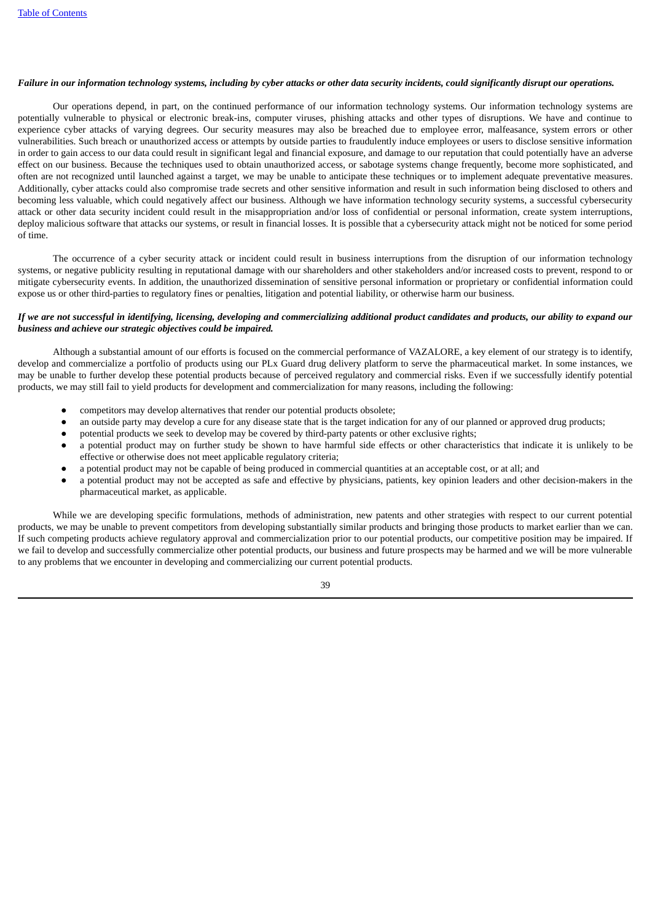## Failure in our information technology systems, including by cyber attacks or other data security incidents, could significantly disrupt our operations,

Our operations depend, in part, on the continued performance of our information technology systems. Our information technology systems are potentially vulnerable to physical or electronic break-ins, computer viruses, phishing attacks and other types of disruptions. We have and continue to experience cyber attacks of varying degrees. Our security measures may also be breached due to employee error, malfeasance, system errors or other vulnerabilities. Such breach or unauthorized access or attempts by outside parties to fraudulently induce employees or users to disclose sensitive information in order to gain access to our data could result in significant legal and financial exposure, and damage to our reputation that could potentially have an adverse effect on our business. Because the techniques used to obtain unauthorized access, or sabotage systems change frequently, become more sophisticated, and often are not recognized until launched against a target, we may be unable to anticipate these techniques or to implement adequate preventative measures. Additionally, cyber attacks could also compromise trade secrets and other sensitive information and result in such information being disclosed to others and becoming less valuable, which could negatively affect our business. Although we have information technology security systems, a successful cybersecurity attack or other data security incident could result in the misappropriation and/or loss of confidential or personal information, create system interruptions, deploy malicious software that attacks our systems, or result in financial losses. It is possible that a cybersecurity attack might not be noticed for some period of time.

The occurrence of a cyber security attack or incident could result in business interruptions from the disruption of our information technology systems, or negative publicity resulting in reputational damage with our shareholders and other stakeholders and/or increased costs to prevent, respond to or mitigate cybersecurity events. In addition, the unauthorized dissemination of sensitive personal information or proprietary or confidential information could expose us or other third-parties to regulatory fines or penalties, litigation and potential liability, or otherwise harm our business.

# If we are not successful in identifying, licensing, developing and commercializing additional product candidates and products, our ability to expand our *business and achieve our strategic objectives could be impaired.*

Although a substantial amount of our efforts is focused on the commercial performance of VAZALORE, a key element of our strategy is to identify, develop and commercialize a portfolio of products using our PLx Guard drug delivery platform to serve the pharmaceutical market. In some instances, we may be unable to further develop these potential products because of perceived regulatory and commercial risks. Even if we successfully identify potential products, we may still fail to yield products for development and commercialization for many reasons, including the following:

- competitors may develop alternatives that render our potential products obsolete;
- an outside party may develop a cure for any disease state that is the target indication for any of our planned or approved drug products;
- potential products we seek to develop may be covered by third-party patents or other exclusive rights;
- a potential product may on further study be shown to have harmful side effects or other characteristics that indicate it is unlikely to be effective or otherwise does not meet applicable regulatory criteria;
- a potential product may not be capable of being produced in commercial quantities at an acceptable cost, or at all; and
- a potential product may not be accepted as safe and effective by physicians, patients, key opinion leaders and other decision-makers in the pharmaceutical market, as applicable.

While we are developing specific formulations, methods of administration, new patents and other strategies with respect to our current potential products, we may be unable to prevent competitors from developing substantially similar products and bringing those products to market earlier than we can. If such competing products achieve regulatory approval and commercialization prior to our potential products, our competitive position may be impaired. If we fail to develop and successfully commercialize other potential products, our business and future prospects may be harmed and we will be more vulnerable to any problems that we encounter in developing and commercializing our current potential products.

39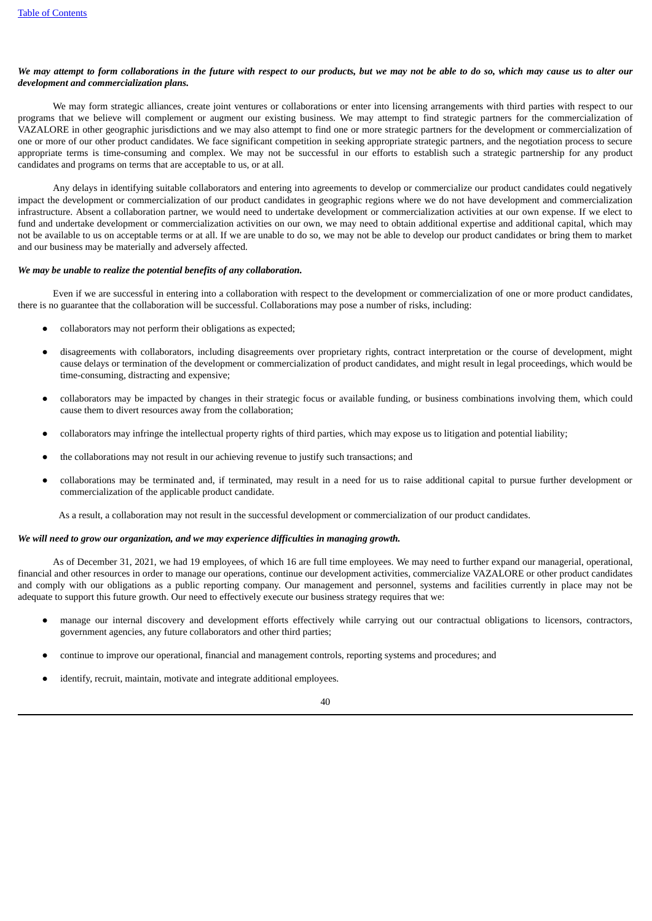## We may attempt to form collaborations in the future with respect to our products, but we may not be able to do so, which may cause us to alter our *development and commercialization plans.*

We may form strategic alliances, create joint ventures or collaborations or enter into licensing arrangements with third parties with respect to our programs that we believe will complement or augment our existing business. We may attempt to find strategic partners for the commercialization of VAZALORE in other geographic jurisdictions and we may also attempt to find one or more strategic partners for the development or commercialization of one or more of our other product candidates. We face significant competition in seeking appropriate strategic partners, and the negotiation process to secure appropriate terms is time-consuming and complex. We may not be successful in our efforts to establish such a strategic partnership for any product candidates and programs on terms that are acceptable to us, or at all.

Any delays in identifying suitable collaborators and entering into agreements to develop or commercialize our product candidates could negatively impact the development or commercialization of our product candidates in geographic regions where we do not have development and commercialization infrastructure. Absent a collaboration partner, we would need to undertake development or commercialization activities at our own expense. If we elect to fund and undertake development or commercialization activities on our own, we may need to obtain additional expertise and additional capital, which may not be available to us on acceptable terms or at all. If we are unable to do so, we may not be able to develop our product candidates or bring them to market and our business may be materially and adversely affected.

### *We may be unable to realize the potential benefits of any collaboration.*

Even if we are successful in entering into a collaboration with respect to the development or commercialization of one or more product candidates, there is no guarantee that the collaboration will be successful. Collaborations may pose a number of risks, including:

- collaborators may not perform their obligations as expected;
- disagreements with collaborators, including disagreements over proprietary rights, contract interpretation or the course of development, might cause delays or termination of the development or commercialization of product candidates, and might result in legal proceedings, which would be time-consuming, distracting and expensive;
- collaborators may be impacted by changes in their strategic focus or available funding, or business combinations involving them, which could cause them to divert resources away from the collaboration;
- collaborators may infringe the intellectual property rights of third parties, which may expose us to litigation and potential liability;
- the collaborations may not result in our achieving revenue to justify such transactions; and
- collaborations may be terminated and, if terminated, may result in a need for us to raise additional capital to pursue further development or commercialization of the applicable product candidate.

As a result, a collaboration may not result in the successful development or commercialization of our product candidates.

#### *We will need to grow our organization, and we may experience difficulties in managing growth.*

As of December 31, 2021, we had 19 employees, of which 16 are full time employees. We may need to further expand our managerial, operational, financial and other resources in order to manage our operations, continue our development activities, commercialize VAZALORE or other product candidates and comply with our obligations as a public reporting company. Our management and personnel, systems and facilities currently in place may not be adequate to support this future growth. Our need to effectively execute our business strategy requires that we:

- manage our internal discovery and development efforts effectively while carrying out our contractual obligations to licensors, contractors, government agencies, any future collaborators and other third parties;
- continue to improve our operational, financial and management controls, reporting systems and procedures; and
- identify, recruit, maintain, motivate and integrate additional employees.

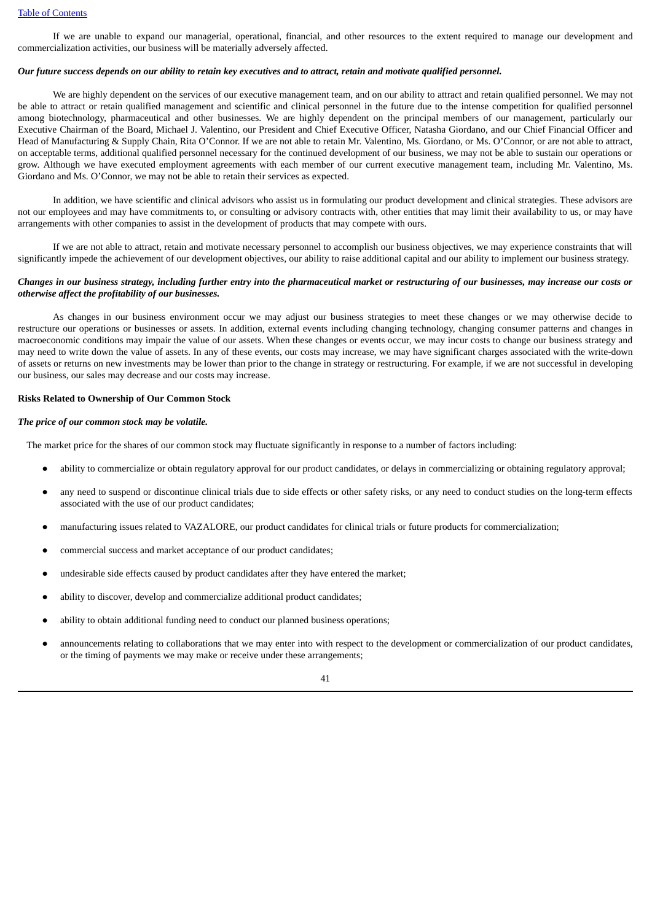If we are unable to expand our managerial, operational, financial, and other resources to the extent required to manage our development and commercialization activities, our business will be materially adversely affected.

#### Our future success depends on our ability to retain key executives and to attract, retain and motivate qualified personnel.

We are highly dependent on the services of our executive management team, and on our ability to attract and retain qualified personnel. We may not be able to attract or retain qualified management and scientific and clinical personnel in the future due to the intense competition for qualified personnel among biotechnology, pharmaceutical and other businesses. We are highly dependent on the principal members of our management, particularly our Executive Chairman of the Board, Michael J. Valentino, our President and Chief Executive Officer, Natasha Giordano, and our Chief Financial Officer and Head of Manufacturing & Supply Chain, Rita O'Connor. If we are not able to retain Mr. Valentino, Ms. Giordano, or Ms. O'Connor, or are not able to attract, on acceptable terms, additional qualified personnel necessary for the continued development of our business, we may not be able to sustain our operations or grow. Although we have executed employment agreements with each member of our current executive management team, including Mr. Valentino, Ms. Giordano and Ms. O'Connor, we may not be able to retain their services as expected.

In addition, we have scientific and clinical advisors who assist us in formulating our product development and clinical strategies. These advisors are not our employees and may have commitments to, or consulting or advisory contracts with, other entities that may limit their availability to us, or may have arrangements with other companies to assist in the development of products that may compete with ours.

If we are not able to attract, retain and motivate necessary personnel to accomplish our business objectives, we may experience constraints that will significantly impede the achievement of our development objectives, our ability to raise additional capital and our ability to implement our business strategy.

### Changes in our business strategy, including further entry into the pharmaceutical market or restructuring of our businesses, may increase our costs or *otherwise affect the profitability of our businesses.*

As changes in our business environment occur we may adjust our business strategies to meet these changes or we may otherwise decide to restructure our operations or businesses or assets. In addition, external events including changing technology, changing consumer patterns and changes in macroeconomic conditions may impair the value of our assets. When these changes or events occur, we may incur costs to change our business strategy and may need to write down the value of assets. In any of these events, our costs may increase, we may have significant charges associated with the write-down of assets or returns on new investments may be lower than prior to the change in strategy or restructuring. For example, if we are not successful in developing our business, our sales may decrease and our costs may increase.

#### **Risks Related to Ownership of Our Common Stock**

#### *The price of our common stock may be volatile.*

The market price for the shares of our common stock may fluctuate significantly in response to a number of factors including:

- ability to commercialize or obtain regulatory approval for our product candidates, or delays in commercializing or obtaining regulatory approval;
- any need to suspend or discontinue clinical trials due to side effects or other safety risks, or any need to conduct studies on the long-term effects associated with the use of our product candidates;
- manufacturing issues related to VAZALORE, our product candidates for clinical trials or future products for commercialization;
- commercial success and market acceptance of our product candidates;
- undesirable side effects caused by product candidates after they have entered the market;
- ability to discover, develop and commercialize additional product candidates;
- ability to obtain additional funding need to conduct our planned business operations;
- announcements relating to collaborations that we may enter into with respect to the development or commercialization of our product candidates, or the timing of payments we may make or receive under these arrangements;

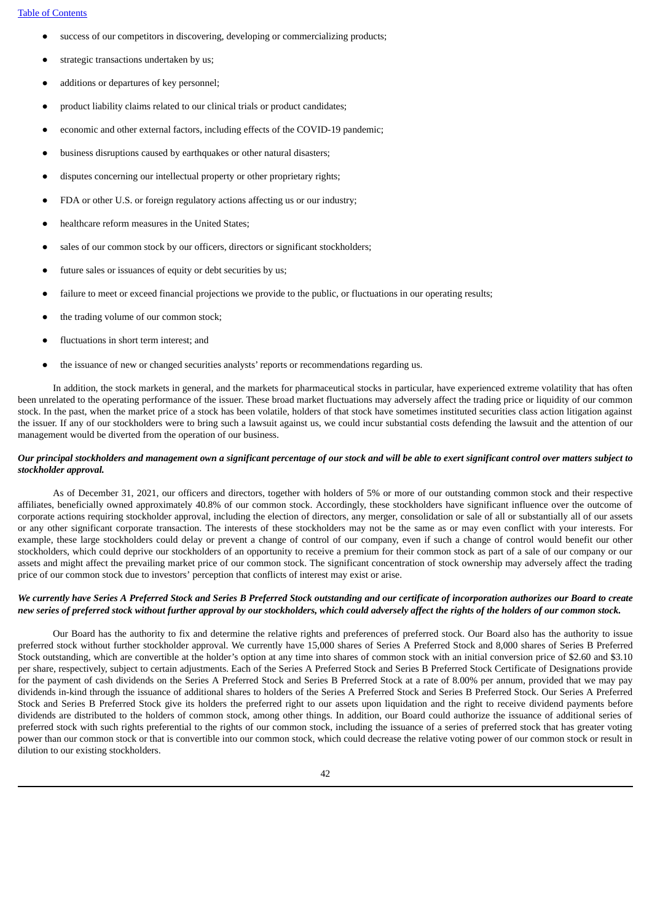- success of our competitors in discovering, developing or commercializing products;
- strategic transactions undertaken by us;
- additions or departures of key personnel:
- product liability claims related to our clinical trials or product candidates;
- economic and other external factors, including effects of the COVID-19 pandemic;
- business disruptions caused by earthquakes or other natural disasters;
- disputes concerning our intellectual property or other proprietary rights;
- FDA or other U.S. or foreign regulatory actions affecting us or our industry;
- healthcare reform measures in the United States:
- sales of our common stock by our officers, directors or significant stockholders;
- future sales or issuances of equity or debt securities by us;
- failure to meet or exceed financial projections we provide to the public, or fluctuations in our operating results;
- the trading volume of our common stock;
- fluctuations in short term interest; and
- the issuance of new or changed securities analysts' reports or recommendations regarding us.

In addition, the stock markets in general, and the markets for pharmaceutical stocks in particular, have experienced extreme volatility that has often been unrelated to the operating performance of the issuer. These broad market fluctuations may adversely affect the trading price or liquidity of our common stock. In the past, when the market price of a stock has been volatile, holders of that stock have sometimes instituted securities class action litigation against the issuer. If any of our stockholders were to bring such a lawsuit against us, we could incur substantial costs defending the lawsuit and the attention of our management would be diverted from the operation of our business.

### Our principal stockholders and management own a significant percentage of our stock and will be able to exert significant control over matters subject to *stockholder approval.*

As of December 31, 2021, our officers and directors, together with holders of 5% or more of our outstanding common stock and their respective affiliates, beneficially owned approximately 40.8% of our common stock. Accordingly, these stockholders have significant influence over the outcome of corporate actions requiring stockholder approval, including the election of directors, any merger, consolidation or sale of all or substantially all of our assets or any other significant corporate transaction. The interests of these stockholders may not be the same as or may even conflict with your interests. For example, these large stockholders could delay or prevent a change of control of our company, even if such a change of control would benefit our other stockholders, which could deprive our stockholders of an opportunity to receive a premium for their common stock as part of a sale of our company or our assets and might affect the prevailing market price of our common stock. The significant concentration of stock ownership may adversely affect the trading price of our common stock due to investors' perception that conflicts of interest may exist or arise.

## We currently have Series A Preferred Stock and Series B Preferred Stock outstanding and our certificate of incorporation authorizes our Board to create new series of preferred stock without further approval by our stockholders, which could adversely affect the rights of the holders of our common stock.

Our Board has the authority to fix and determine the relative rights and preferences of preferred stock. Our Board also has the authority to issue preferred stock without further stockholder approval. We currently have 15,000 shares of Series A Preferred Stock and 8,000 shares of Series B Preferred Stock outstanding, which are convertible at the holder's option at any time into shares of common stock with an initial conversion price of \$2.60 and \$3.10 per share, respectively, subject to certain adjustments. Each of the Series A Preferred Stock and Series B Preferred Stock Certificate of Designations provide for the payment of cash dividends on the Series A Preferred Stock and Series B Preferred Stock at a rate of 8.00% per annum, provided that we may pay dividends in-kind through the issuance of additional shares to holders of the Series A Preferred Stock and Series B Preferred Stock. Our Series A Preferred Stock and Series B Preferred Stock give its holders the preferred right to our assets upon liquidation and the right to receive dividend payments before dividends are distributed to the holders of common stock, among other things. In addition, our Board could authorize the issuance of additional series of preferred stock with such rights preferential to the rights of our common stock, including the issuance of a series of preferred stock that has greater voting power than our common stock or that is convertible into our common stock, which could decrease the relative voting power of our common stock or result in dilution to our existing stockholders.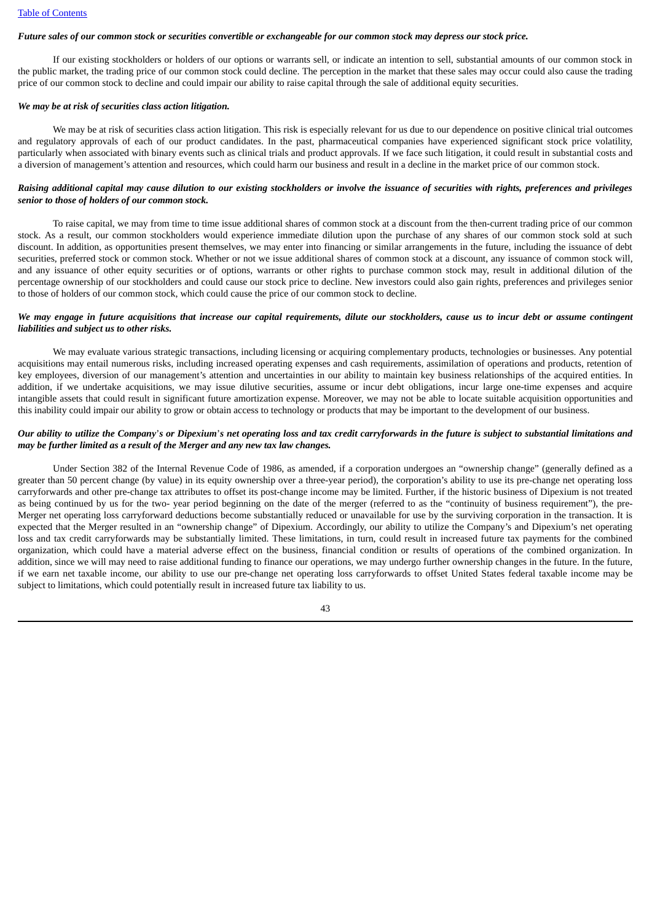### Future sales of our common stock or securities convertible or exchangeable for our common stock may depress our stock price.

If our existing stockholders or holders of our options or warrants sell, or indicate an intention to sell, substantial amounts of our common stock in the public market, the trading price of our common stock could decline. The perception in the market that these sales may occur could also cause the trading price of our common stock to decline and could impair our ability to raise capital through the sale of additional equity securities.

#### *We may be at risk of securities class action litigation.*

We may be at risk of securities class action litigation. This risk is especially relevant for us due to our dependence on positive clinical trial outcomes and regulatory approvals of each of our product candidates. In the past, pharmaceutical companies have experienced significant stock price volatility, particularly when associated with binary events such as clinical trials and product approvals. If we face such litigation, it could result in substantial costs and a diversion of management's attention and resources, which could harm our business and result in a decline in the market price of our common stock.

## Raising additional capital may cause dilution to our existing stockholders or involve the issuance of securities with rights, preferences and privileges *senior to those of holders of our common stock.*

To raise capital, we may from time to time issue additional shares of common stock at a discount from the then-current trading price of our common stock. As a result, our common stockholders would experience immediate dilution upon the purchase of any shares of our common stock sold at such discount. In addition, as opportunities present themselves, we may enter into financing or similar arrangements in the future, including the issuance of debt securities, preferred stock or common stock. Whether or not we issue additional shares of common stock at a discount, any issuance of common stock will, and any issuance of other equity securities or of options, warrants or other rights to purchase common stock may, result in additional dilution of the percentage ownership of our stockholders and could cause our stock price to decline. New investors could also gain rights, preferences and privileges senior to those of holders of our common stock, which could cause the price of our common stock to decline.

## We may engage in future acquisitions that increase our capital requirements, dilute our stockholders, cause us to incur debt or assume contingent *liabilities and subject us to other risks.*

We may evaluate various strategic transactions, including licensing or acquiring complementary products, technologies or businesses. Any potential acquisitions may entail numerous risks, including increased operating expenses and cash requirements, assimilation of operations and products, retention of key employees, diversion of our management's attention and uncertainties in our ability to maintain key business relationships of the acquired entities. In addition, if we undertake acquisitions, we may issue dilutive securities, assume or incur debt obligations, incur large one-time expenses and acquire intangible assets that could result in significant future amortization expense. Moreover, we may not be able to locate suitable acquisition opportunities and this inability could impair our ability to grow or obtain access to technology or products that may be important to the development of our business.

### Our ability to utilize the Company's or Dipexium's net operating loss and tax credit carryforwards in the future is subject to substantial limitations and *may be further limited as a result of the Merger and any new tax law changes.*

Under Section 382 of the Internal Revenue Code of 1986, as amended, if a corporation undergoes an "ownership change" (generally defined as a greater than 50 percent change (by value) in its equity ownership over a three-year period), the corporation's ability to use its pre-change net operating loss carryforwards and other pre-change tax attributes to offset its post-change income may be limited. Further, if the historic business of Dipexium is not treated as being continued by us for the two- year period beginning on the date of the merger (referred to as the "continuity of business requirement"), the pre-Merger net operating loss carryforward deductions become substantially reduced or unavailable for use by the surviving corporation in the transaction. It is expected that the Merger resulted in an "ownership change" of Dipexium. Accordingly, our ability to utilize the Company's and Dipexium's net operating loss and tax credit carryforwards may be substantially limited. These limitations, in turn, could result in increased future tax payments for the combined organization, which could have a material adverse effect on the business, financial condition or results of operations of the combined organization. In addition, since we will may need to raise additional funding to finance our operations, we may undergo further ownership changes in the future. In the future, if we earn net taxable income, our ability to use our pre-change net operating loss carryforwards to offset United States federal taxable income may be subject to limitations, which could potentially result in increased future tax liability to us.

43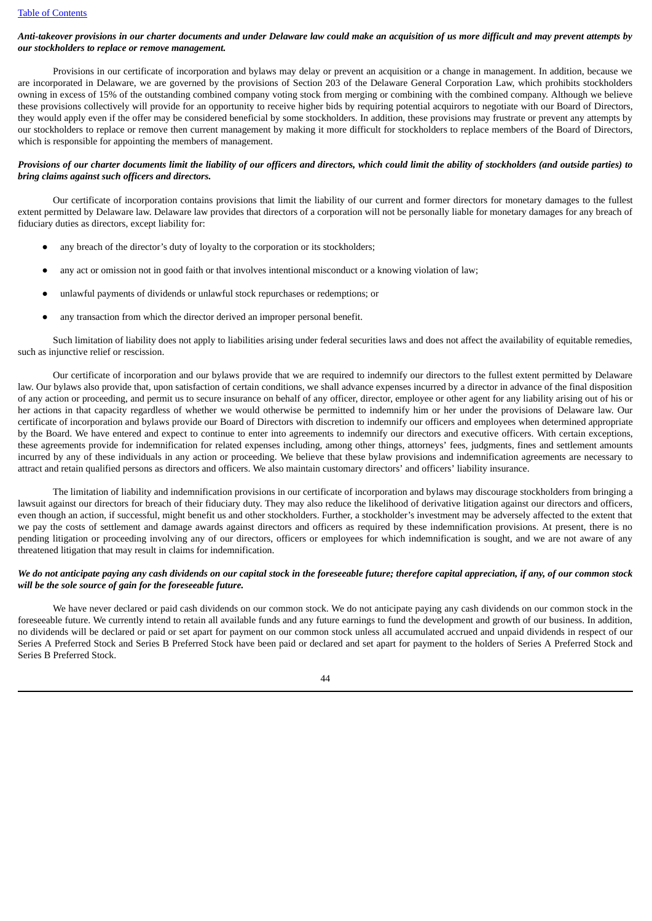## Anti-takeover provisions in our charter documents and under Delaware law could make an acquisition of us more difficult and may prevent attempts by *our stockholders to replace or remove management.*

Provisions in our certificate of incorporation and bylaws may delay or prevent an acquisition or a change in management. In addition, because we are incorporated in Delaware, we are governed by the provisions of Section 203 of the Delaware General Corporation Law, which prohibits stockholders owning in excess of 15% of the outstanding combined company voting stock from merging or combining with the combined company. Although we believe these provisions collectively will provide for an opportunity to receive higher bids by requiring potential acquirors to negotiate with our Board of Directors, they would apply even if the offer may be considered beneficial by some stockholders. In addition, these provisions may frustrate or prevent any attempts by our stockholders to replace or remove then current management by making it more difficult for stockholders to replace members of the Board of Directors, which is responsible for appointing the members of management.

## Provisions of our charter documents limit the liability of our officers and directors, which could limit the ability of stockholders (and outside parties) to *bring claims against such officers and directors.*

Our certificate of incorporation contains provisions that limit the liability of our current and former directors for monetary damages to the fullest extent permitted by Delaware law. Delaware law provides that directors of a corporation will not be personally liable for monetary damages for any breach of fiduciary duties as directors, except liability for:

- any breach of the director's duty of loyalty to the corporation or its stockholders;
- any act or omission not in good faith or that involves intentional misconduct or a knowing violation of law;
- unlawful payments of dividends or unlawful stock repurchases or redemptions; or
- any transaction from which the director derived an improper personal benefit.

Such limitation of liability does not apply to liabilities arising under federal securities laws and does not affect the availability of equitable remedies, such as injunctive relief or rescission.

Our certificate of incorporation and our bylaws provide that we are required to indemnify our directors to the fullest extent permitted by Delaware law. Our bylaws also provide that, upon satisfaction of certain conditions, we shall advance expenses incurred by a director in advance of the final disposition of any action or proceeding, and permit us to secure insurance on behalf of any officer, director, employee or other agent for any liability arising out of his or her actions in that capacity regardless of whether we would otherwise be permitted to indemnify him or her under the provisions of Delaware law. Our certificate of incorporation and bylaws provide our Board of Directors with discretion to indemnify our officers and employees when determined appropriate by the Board. We have entered and expect to continue to enter into agreements to indemnify our directors and executive officers. With certain exceptions, these agreements provide for indemnification for related expenses including, among other things, attorneys' fees, judgments, fines and settlement amounts incurred by any of these individuals in any action or proceeding. We believe that these bylaw provisions and indemnification agreements are necessary to attract and retain qualified persons as directors and officers. We also maintain customary directors' and officers' liability insurance.

The limitation of liability and indemnification provisions in our certificate of incorporation and bylaws may discourage stockholders from bringing a lawsuit against our directors for breach of their fiduciary duty. They may also reduce the likelihood of derivative litigation against our directors and officers, even though an action, if successful, might benefit us and other stockholders. Further, a stockholder's investment may be adversely affected to the extent that we pay the costs of settlement and damage awards against directors and officers as required by these indemnification provisions. At present, there is no pending litigation or proceeding involving any of our directors, officers or employees for which indemnification is sought, and we are not aware of any threatened litigation that may result in claims for indemnification.

# We do not anticipate paying any cash dividends on our capital stock in the foreseeable future; therefore capital appreciation, if any, of our common stock *will be the sole source of gain for the foreseeable future.*

We have never declared or paid cash dividends on our common stock. We do not anticipate paying any cash dividends on our common stock in the foreseeable future. We currently intend to retain all available funds and any future earnings to fund the development and growth of our business. In addition, no dividends will be declared or paid or set apart for payment on our common stock unless all accumulated accrued and unpaid dividends in respect of our Series A Preferred Stock and Series B Preferred Stock have been paid or declared and set apart for payment to the holders of Series A Preferred Stock and Series B Preferred Stock.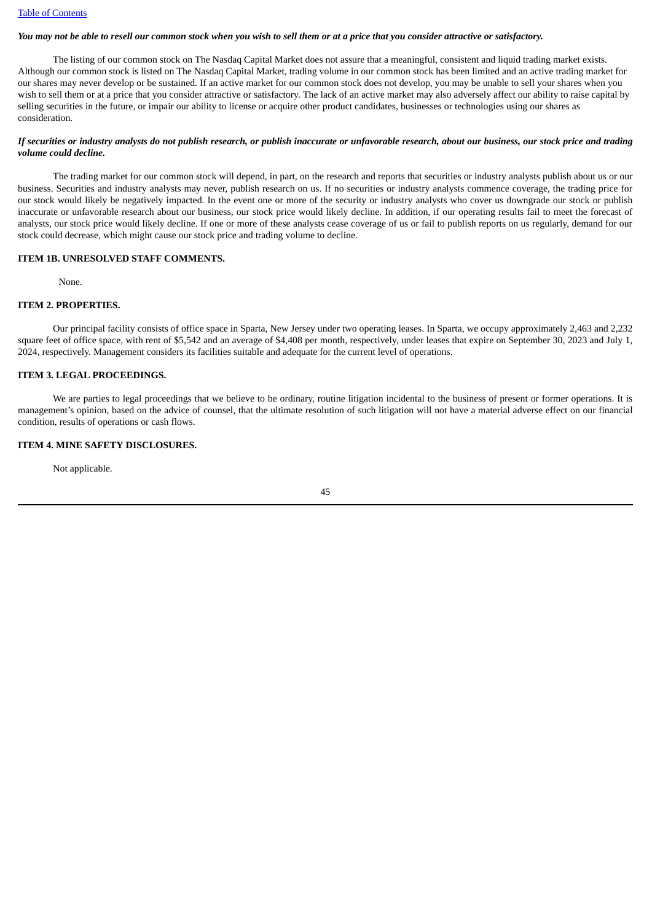#### You may not be able to resell our common stock when you wish to sell them or at a price that you consider attractive or satisfactory.

The listing of our common stock on The Nasdaq Capital Market does not assure that a meaningful, consistent and liquid trading market exists. Although our common stock is listed on The Nasdaq Capital Market, trading volume in our common stock has been limited and an active trading market for our shares may never develop or be sustained. If an active market for our common stock does not develop, you may be unable to sell your shares when you wish to sell them or at a price that you consider attractive or satisfactory. The lack of an active market may also adversely affect our ability to raise capital by selling securities in the future, or impair our ability to license or acquire other product candidates, businesses or technologies using our shares as consideration.

#### If securities or industry analysts do not publish research, or publish inaccurate or unfavorable research, about our business, our stock price and trading *volume could decline.*

The trading market for our common stock will depend, in part, on the research and reports that securities or industry analysts publish about us or our business. Securities and industry analysts may never, publish research on us. If no securities or industry analysts commence coverage, the trading price for our stock would likely be negatively impacted. In the event one or more of the security or industry analysts who cover us downgrade our stock or publish inaccurate or unfavorable research about our business, our stock price would likely decline. In addition, if our operating results fail to meet the forecast of analysts, our stock price would likely decline. If one or more of these analysts cease coverage of us or fail to publish reports on us regularly, demand for our stock could decrease, which might cause our stock price and trading volume to decline.

# **ITEM 1B. UNRESOLVED STAFF COMMENTS.**

None.

# **ITEM 2. PROPERTIES.**

Our principal facility consists of office space in Sparta, New Jersey under two operating leases. In Sparta, we occupy approximately 2,463 and 2,232 square feet of office space, with rent of \$5,542 and an average of \$4,408 per month, respectively, under leases that expire on September 30, 2023 and July 1, 2024, respectively. Management considers its facilities suitable and adequate for the current level of operations.

### **ITEM 3. LEGAL PROCEEDINGS.**

We are parties to legal proceedings that we believe to be ordinary, routine litigation incidental to the business of present or former operations. It is management's opinion, based on the advice of counsel, that the ultimate resolution of such litigation will not have a material adverse effect on our financial condition, results of operations or cash flows.

### **ITEM 4. MINE SAFETY DISCLOSURES.**

Not applicable.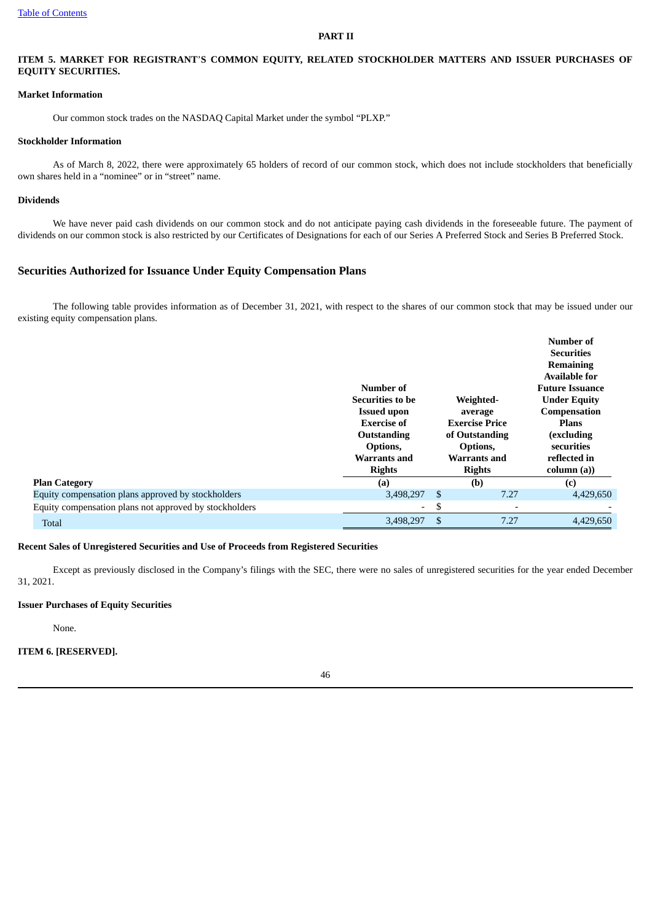#### **PART II**

# **ITEM 5. MARKET FOR REGISTRANT**'**S COMMON EQUITY, RELATED STOCKHOLDER MATTERS AND ISSUER PURCHASES OF EQUITY SECURITIES.**

### **Market Information**

Our common stock trades on the NASDAQ Capital Market under the symbol "PLXP."

#### **Stockholder Information**

As of March 8, 2022, there were approximately 65 holders of record of our common stock, which does not include stockholders that beneficially own shares held in a "nominee" or in "street" name.

## **Dividends**

We have never paid cash dividends on our common stock and do not anticipate paying cash dividends in the foreseeable future. The payment of dividends on our common stock is also restricted by our Certificates of Designations for each of our Series A Preferred Stock and Series B Preferred Stock.

# **Securities Authorized for Issuance Under Equity Compensation Plans**

The following table provides information as of December 31, 2021, with respect to the shares of our common stock that may be issued under our existing equity compensation plans.

|                                                        |                         |                                | Number of              |  |  |
|--------------------------------------------------------|-------------------------|--------------------------------|------------------------|--|--|
|                                                        |                         |                                | <b>Securities</b>      |  |  |
|                                                        |                         |                                | <b>Remaining</b>       |  |  |
|                                                        |                         |                                | <b>Available for</b>   |  |  |
|                                                        | Number of               |                                | <b>Future Issuance</b> |  |  |
|                                                        | <b>Securities to be</b> | Weighted-                      | <b>Under Equity</b>    |  |  |
|                                                        | <b>Issued upon</b>      | average                        | Compensation           |  |  |
|                                                        | <b>Exercise of</b>      | <b>Exercise Price</b>          | <b>Plans</b>           |  |  |
|                                                        | Outstanding             | of Outstanding                 | (excluding             |  |  |
|                                                        | Options,                | Options,                       | securities             |  |  |
|                                                        | Warrants and            | <b>Warrants and</b>            | reflected in           |  |  |
|                                                        | <b>Rights</b>           | <b>Rights</b>                  | column (a))            |  |  |
| <b>Plan Category</b>                                   | (a)                     | (b)                            | (c)                    |  |  |
| Equity compensation plans approved by stockholders     | 3,498,297               | \$<br>7.27                     | 4,429,650              |  |  |
| Equity compensation plans not approved by stockholders | Ξ.                      | \$<br>$\overline{\phantom{a}}$ |                        |  |  |
| Total                                                  | 3,498,297               | \$<br>7.27                     | 4,429,650              |  |  |

#### **Recent Sales of Unregistered Securities and Use of Proceeds from Registered Securities**

Except as previously disclosed in the Company's filings with the SEC, there were no sales of unregistered securities for the year ended December 31, 2021.

# **Issuer Purchases of Equity Securities**

None.

# **ITEM 6. [RESERVED].**

46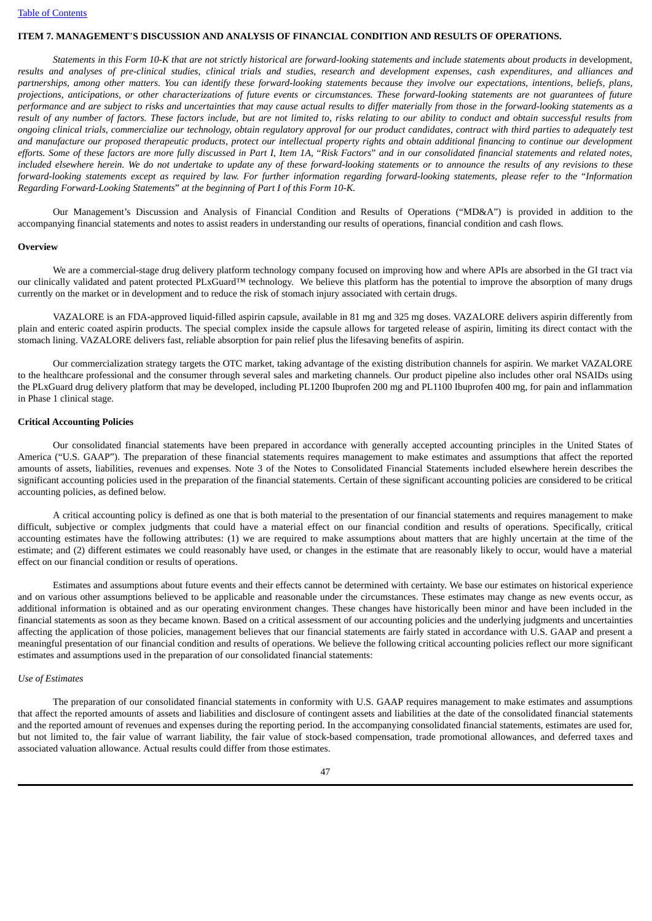# **ITEM 7. MANAGEMENT**'**S DISCUSSION AND ANALYSIS OF FINANCIAL CONDITION AND RESULTS OF OPERATIONS.**

Statements in this Form 10-K that are not strictly historical are forward-looking statements and include statements about products in development, results and analyses of pre-clinical studies, clinical trials and studies, research and development expenses, cash expenditures, and alliances and partnerships, amona other matters. You can identify these forward-lookina statements because they involve our expectations, intentions, beliefs, plans, projections, anticipations, or other characterizations of future events or circumstances. These forward-looking statements are not quarantees of future performance and are subject to risks and uncertainties that may cause actual results to differ materially from those in the forward-looking statements as a result of any number of factors. These factors include, but are not limited to, risks relating to our ability to conduct and obtain successful results from ongoing clinical trials, commercialize our technology, obtain regulatory approval for our product candidates, contract with third parties to adequately test and manufacture our proposed therapeutic products, protect our intellectual property rights and obtain additional financing to continue our development efforts. Some of these factors are more fully discussed in Part I, Item 1A, "Risk Factors" and in our consolidated financial statements and related notes, included elsewhere herein. We do not undertake to update any of these forward-looking statements or to announce the results of any revisions to these forward-looking statements except as required by law. For further information regarding forward-looking statements, please refer to the "Information *Regarding Forward-Looking Statements*" *at the beginning of Part I of this Form 10-K.*

Our Management's Discussion and Analysis of Financial Condition and Results of Operations ("MD&A") is provided in addition to the accompanying financial statements and notes to assist readers in understanding our results of operations, financial condition and cash flows.

#### **Overview**

We are a commercial-stage drug delivery platform technology company focused on improving how and where APIs are absorbed in the GI tract via our clinically validated and patent protected PLxGuard™ technology. We believe this platform has the potential to improve the absorption of many drugs currently on the market or in development and to reduce the risk of stomach injury associated with certain drugs.

VAZALORE is an FDA-approved liquid-filled aspirin capsule, available in 81 mg and 325 mg doses. VAZALORE delivers aspirin differently from plain and enteric coated aspirin products. The special complex inside the capsule allows for targeted release of aspirin, limiting its direct contact with the stomach lining. VAZALORE delivers fast, reliable absorption for pain relief plus the lifesaving benefits of aspirin.

Our commercialization strategy targets the OTC market, taking advantage of the existing distribution channels for aspirin. We market VAZALORE to the healthcare professional and the consumer through several sales and marketing channels. Our product pipeline also includes other oral NSAIDs using the PLxGuard drug delivery platform that may be developed, including PL1200 Ibuprofen 200 mg and PL1100 Ibuprofen 400 mg, for pain and inflammation in Phase 1 clinical stage.

#### **Critical Accounting Policies**

Our consolidated financial statements have been prepared in accordance with generally accepted accounting principles in the United States of America ("U.S. GAAP"). The preparation of these financial statements requires management to make estimates and assumptions that affect the reported amounts of assets, liabilities, revenues and expenses. Note 3 of the Notes to Consolidated Financial Statements included elsewhere herein describes the significant accounting policies used in the preparation of the financial statements. Certain of these significant accounting policies are considered to be critical accounting policies, as defined below.

A critical accounting policy is defined as one that is both material to the presentation of our financial statements and requires management to make difficult, subjective or complex judgments that could have a material effect on our financial condition and results of operations. Specifically, critical accounting estimates have the following attributes: (1) we are required to make assumptions about matters that are highly uncertain at the time of the estimate; and (2) different estimates we could reasonably have used, or changes in the estimate that are reasonably likely to occur, would have a material effect on our financial condition or results of operations.

Estimates and assumptions about future events and their effects cannot be determined with certainty. We base our estimates on historical experience and on various other assumptions believed to be applicable and reasonable under the circumstances. These estimates may change as new events occur, as additional information is obtained and as our operating environment changes. These changes have historically been minor and have been included in the financial statements as soon as they became known. Based on a critical assessment of our accounting policies and the underlying judgments and uncertainties affecting the application of those policies, management believes that our financial statements are fairly stated in accordance with U.S. GAAP and present a meaningful presentation of our financial condition and results of operations. We believe the following critical accounting policies reflect our more significant estimates and assumptions used in the preparation of our consolidated financial statements:

### *Use of Estimates*

The preparation of our consolidated financial statements in conformity with U.S. GAAP requires management to make estimates and assumptions that affect the reported amounts of assets and liabilities and disclosure of contingent assets and liabilities at the date of the consolidated financial statements and the reported amount of revenues and expenses during the reporting period. In the accompanying consolidated financial statements, estimates are used for, but not limited to, the fair value of warrant liability, the fair value of stock-based compensation, trade promotional allowances, and deferred taxes and associated valuation allowance. Actual results could differ from those estimates.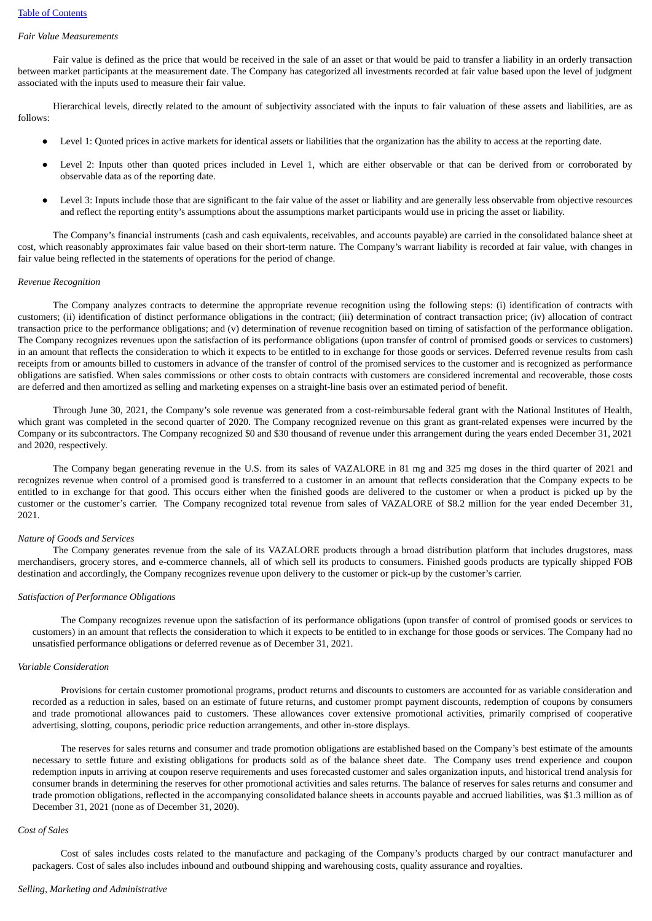### *Fair Value Measurements*

Fair value is defined as the price that would be received in the sale of an asset or that would be paid to transfer a liability in an orderly transaction between market participants at the measurement date. The Company has categorized all investments recorded at fair value based upon the level of judgment associated with the inputs used to measure their fair value.

Hierarchical levels, directly related to the amount of subjectivity associated with the inputs to fair valuation of these assets and liabilities, are as follows:

- Level 1: Quoted prices in active markets for identical assets or liabilities that the organization has the ability to access at the reporting date.
- Level 2: Inputs other than quoted prices included in Level 1, which are either observable or that can be derived from or corroborated by observable data as of the reporting date.
- Level 3: Inputs include those that are significant to the fair value of the asset or liability and are generally less observable from objective resources and reflect the reporting entity's assumptions about the assumptions market participants would use in pricing the asset or liability.

The Company's financial instruments (cash and cash equivalents, receivables, and accounts payable) are carried in the consolidated balance sheet at cost, which reasonably approximates fair value based on their short-term nature. The Company's warrant liability is recorded at fair value, with changes in fair value being reflected in the statements of operations for the period of change.

#### *Revenue Recognition*

The Company analyzes contracts to determine the appropriate revenue recognition using the following steps: (i) identification of contracts with customers; (ii) identification of distinct performance obligations in the contract; (iii) determination of contract transaction price; (iv) allocation of contract transaction price to the performance obligations; and (v) determination of revenue recognition based on timing of satisfaction of the performance obligation. The Company recognizes revenues upon the satisfaction of its performance obligations (upon transfer of control of promised goods or services to customers) in an amount that reflects the consideration to which it expects to be entitled to in exchange for those goods or services. Deferred revenue results from cash receipts from or amounts billed to customers in advance of the transfer of control of the promised services to the customer and is recognized as performance obligations are satisfied. When sales commissions or other costs to obtain contracts with customers are considered incremental and recoverable, those costs are deferred and then amortized as selling and marketing expenses on a straight-line basis over an estimated period of benefit.

Through June 30, 2021, the Company's sole revenue was generated from a cost-reimbursable federal grant with the National Institutes of Health, which grant was completed in the second quarter of 2020. The Company recognized revenue on this grant as grant-related expenses were incurred by the Company or its subcontractors. The Company recognized \$0 and \$30 thousand of revenue under this arrangement during the years ended December 31, 2021 and 2020, respectively.

The Company began generating revenue in the U.S. from its sales of VAZALORE in 81 mg and 325 mg doses in the third quarter of 2021 and recognizes revenue when control of a promised good is transferred to a customer in an amount that reflects consideration that the Company expects to be entitled to in exchange for that good. This occurs either when the finished goods are delivered to the customer or when a product is picked up by the customer or the customer's carrier. The Company recognized total revenue from sales of VAZALORE of \$8.2 million for the year ended December 31, 2021.

#### *Nature of Goods and Services*

The Company generates revenue from the sale of its VAZALORE products through a broad distribution platform that includes drugstores, mass merchandisers, grocery stores, and e-commerce channels, all of which sell its products to consumers. Finished goods products are typically shipped FOB destination and accordingly, the Company recognizes revenue upon delivery to the customer or pick-up by the customer's carrier.

#### *Satisfaction of Performance Obligations*

The Company recognizes revenue upon the satisfaction of its performance obligations (upon transfer of control of promised goods or services to customers) in an amount that reflects the consideration to which it expects to be entitled to in exchange for those goods or services. The Company had no unsatisfied performance obligations or deferred revenue as of December 31, 2021.

#### *Variable Consideration*

Provisions for certain customer promotional programs, product returns and discounts to customers are accounted for as variable consideration and recorded as a reduction in sales, based on an estimate of future returns, and customer prompt payment discounts, redemption of coupons by consumers and trade promotional allowances paid to customers. These allowances cover extensive promotional activities, primarily comprised of cooperative advertising, slotting, coupons, periodic price reduction arrangements, and other in-store displays.

The reserves for sales returns and consumer and trade promotion obligations are established based on the Company's best estimate of the amounts necessary to settle future and existing obligations for products sold as of the balance sheet date. The Company uses trend experience and coupon redemption inputs in arriving at coupon reserve requirements and uses forecasted customer and sales organization inputs, and historical trend analysis for consumer brands in determining the reserves for other promotional activities and sales returns. The balance of reserves for sales returns and consumer and trade promotion obligations, reflected in the accompanying consolidated balance sheets in accounts payable and accrued liabilities, was \$1.3 million as of December 31, 2021 (none as of December 31, 2020).

#### *Cost of Sales*

Cost of sales includes costs related to the manufacture and packaging of the Company's products charged by our contract manufacturer and packagers. Cost of sales also includes inbound and outbound shipping and warehousing costs, quality assurance and royalties.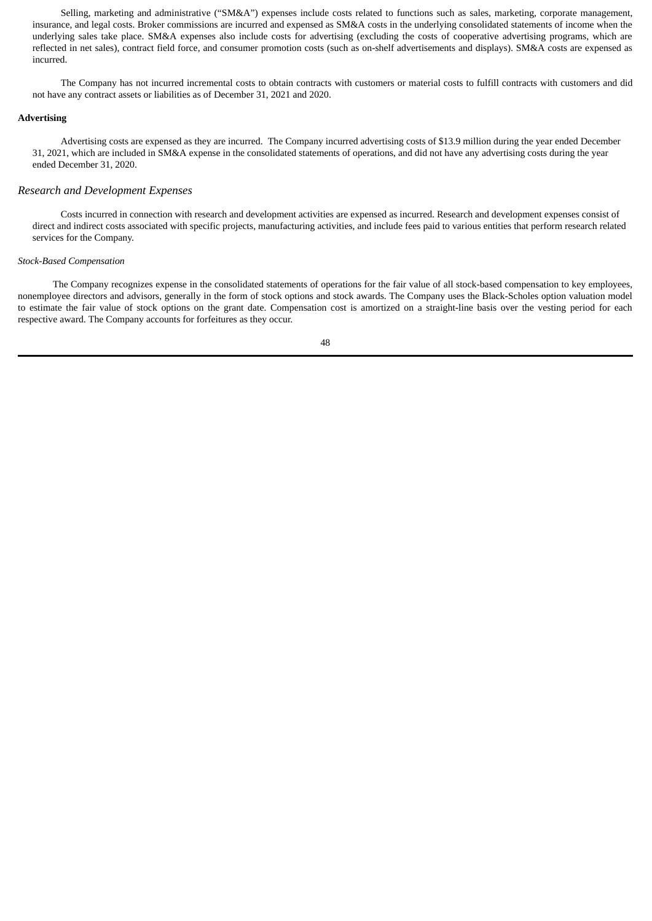Selling, marketing and administrative ("SM&A") expenses include costs related to functions such as sales, marketing, corporate management, insurance, and legal costs. Broker commissions are incurred and expensed as SM&A costs in the underlying consolidated statements of income when the underlying sales take place. SM&A expenses also include costs for advertising (excluding the costs of cooperative advertising programs, which are reflected in net sales), contract field force, and consumer promotion costs (such as on-shelf advertisements and displays). SM&A costs are expensed as incurred.

The Company has not incurred incremental costs to obtain contracts with customers or material costs to fulfill contracts with customers and did not have any contract assets or liabilities as of December 31, 2021 and 2020.

#### **Advertising**

Advertising costs are expensed as they are incurred. The Company incurred advertising costs of \$13.9 million during the year ended December 31, 2021, which are included in SM&A expense in the consolidated statements of operations, and did not have any advertising costs during the year ended December 31, 2020.

# *Research and Development Expenses*

Costs incurred in connection with research and development activities are expensed as incurred. Research and development expenses consist of direct and indirect costs associated with specific projects, manufacturing activities, and include fees paid to various entities that perform research related services for the Company.

#### *Stock-Based Compensation*

The Company recognizes expense in the consolidated statements of operations for the fair value of all stock-based compensation to key employees, nonemployee directors and advisors, generally in the form of stock options and stock awards. The Company uses the Black-Scholes option valuation model to estimate the fair value of stock options on the grant date. Compensation cost is amortized on a straight-line basis over the vesting period for each respective award. The Company accounts for forfeitures as they occur.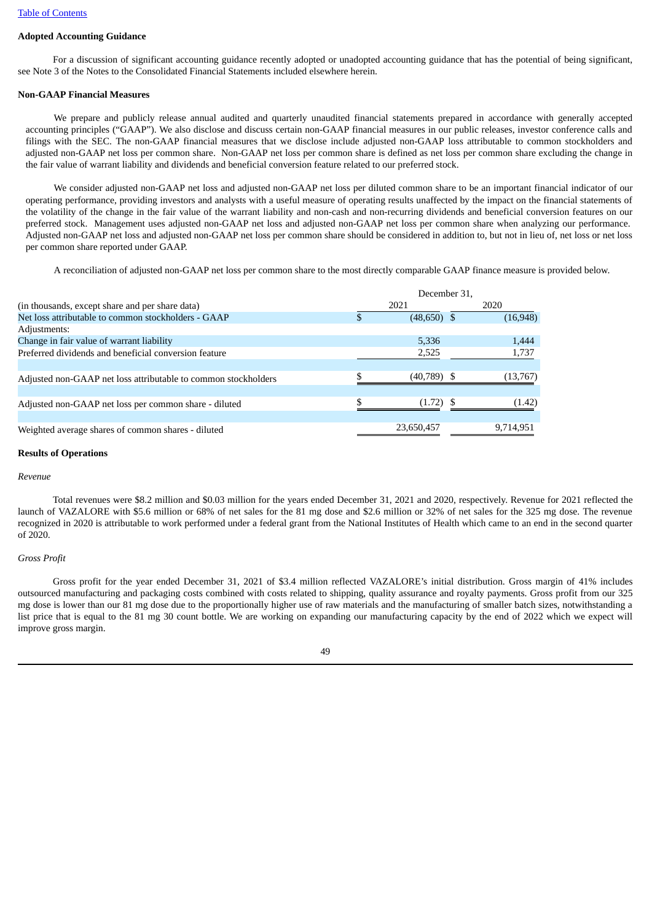## **Adopted Accounting Guidance**

For a discussion of significant accounting guidance recently adopted or unadopted accounting guidance that has the potential of being significant, see Note 3 of the Notes to the Consolidated Financial Statements included elsewhere herein.

#### **Non-GAAP Financial Measures**

We prepare and publicly release annual audited and quarterly unaudited financial statements prepared in accordance with generally accepted accounting principles ("GAAP"). We also disclose and discuss certain non-GAAP financial measures in our public releases, investor conference calls and filings with the SEC. The non-GAAP financial measures that we disclose include adjusted non-GAAP loss attributable to common stockholders and adjusted non-GAAP net loss per common share. Non-GAAP net loss per common share is defined as net loss per common share excluding the change in the fair value of warrant liability and dividends and beneficial conversion feature related to our preferred stock.

We consider adjusted non-GAAP net loss and adjusted non-GAAP net loss per diluted common share to be an important financial indicator of our operating performance, providing investors and analysts with a useful measure of operating results unaffected by the impact on the financial statements of the volatility of the change in the fair value of the warrant liability and non-cash and non-recurring dividends and beneficial conversion features on our preferred stock. Management uses adjusted non-GAAP net loss and adjusted non-GAAP net loss per common share when analyzing our performance. Adjusted non-GAAP net loss and adjusted non-GAAP net loss per common share should be considered in addition to, but not in lieu of, net loss or net loss per common share reported under GAAP.

A reconciliation of adjusted non-GAAP net loss per common share to the most directly comparable GAAP finance measure is provided below.

|                                                                |  | December 31,  |  |           |
|----------------------------------------------------------------|--|---------------|--|-----------|
| (in thousands, except share and per share data)                |  | 2021          |  | 2020      |
| Net loss attributable to common stockholders - GAAP            |  | $(48,650)$ \$ |  | (16, 948) |
| Adjustments:                                                   |  |               |  |           |
| Change in fair value of warrant liability                      |  | 5,336         |  | 1,444     |
| Preferred dividends and beneficial conversion feature          |  | 2,525         |  | 1,737     |
|                                                                |  |               |  |           |
| Adjusted non-GAAP net loss attributable to common stockholders |  | (40, 789)     |  | (13,767)  |
|                                                                |  |               |  |           |
| Adjusted non-GAAP net loss per common share - diluted          |  | (1.72)        |  | (1.42)    |
|                                                                |  |               |  |           |
| Weighted average shares of common shares - diluted             |  | 23,650,457    |  | 9.714.951 |

#### **Results of Operations**

#### *Revenue*

Total revenues were \$8.2 million and \$0.03 million for the years ended December 31, 2021 and 2020, respectively. Revenue for 2021 reflected the launch of VAZALORE with \$5.6 million or 68% of net sales for the 81 mg dose and \$2.6 million or 32% of net sales for the 325 mg dose. The revenue recognized in 2020 is attributable to work performed under a federal grant from the National Institutes of Health which came to an end in the second quarter of 2020.

### *Gross Profit*

Gross profit for the year ended December 31, 2021 of \$3.4 million reflected VAZALORE's initial distribution. Gross margin of 41% includes outsourced manufacturing and packaging costs combined with costs related to shipping, quality assurance and royalty payments. Gross profit from our 325 mg dose is lower than our 81 mg dose due to the proportionally higher use of raw materials and the manufacturing of smaller batch sizes, notwithstanding a list price that is equal to the 81 mg 30 count bottle. We are working on expanding our manufacturing capacity by the end of 2022 which we expect will improve gross margin.

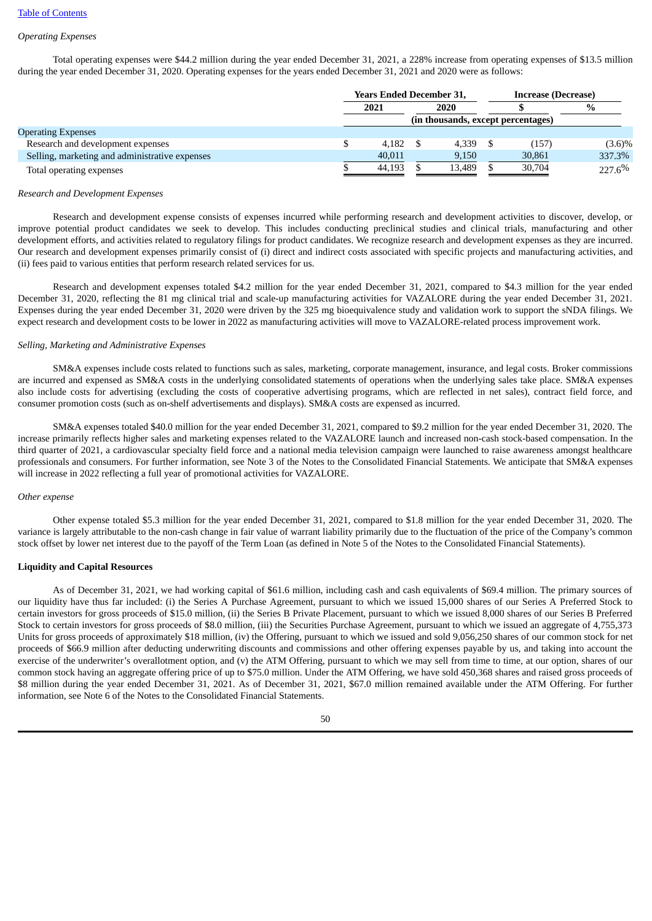## *Operating Expenses*

Total operating expenses were \$44.2 million during the year ended December 31, 2021, a 228% increase from operating expenses of \$13.5 million during the year ended December 31, 2020. Operating expenses for the years ended December 31, 2021 and 2020 were as follows:

|                                                |  | <b>Years Ended December 31,</b>    |  |        |  | <b>Increase (Decrease)</b> |           |  |      |
|------------------------------------------------|--|------------------------------------|--|--------|--|----------------------------|-----------|--|------|
|                                                |  | 2021                               |  | 2020   |  |                            |           |  | $\%$ |
|                                                |  | (in thousands, except percentages) |  |        |  |                            |           |  |      |
| <b>Operating Expenses</b>                      |  |                                    |  |        |  |                            |           |  |      |
| Research and development expenses              |  | 4.182                              |  | 4.339  |  | (157)                      | $(3.6)\%$ |  |      |
| Selling, marketing and administrative expenses |  | 40.011                             |  | 9.150  |  | 30,861                     | 337.3%    |  |      |
| Total operating expenses                       |  | 44.193                             |  | 13.489 |  | 30,704                     | 227.6%    |  |      |

#### *Research and Development Expenses*

Research and development expense consists of expenses incurred while performing research and development activities to discover, develop, or improve potential product candidates we seek to develop. This includes conducting preclinical studies and clinical trials, manufacturing and other development efforts, and activities related to regulatory filings for product candidates. We recognize research and development expenses as they are incurred. Our research and development expenses primarily consist of (i) direct and indirect costs associated with specific projects and manufacturing activities, and (ii) fees paid to various entities that perform research related services for us.

Research and development expenses totaled \$4.2 million for the year ended December 31, 2021, compared to \$4.3 million for the year ended December 31, 2020, reflecting the 81 mg clinical trial and scale-up manufacturing activities for VAZALORE during the year ended December 31, 2021. Expenses during the year ended December 31, 2020 were driven by the 325 mg bioequivalence study and validation work to support the sNDA filings. We expect research and development costs to be lower in 2022 as manufacturing activities will move to VAZALORE-related process improvement work.

#### *Selling, Marketing and Administrative Expenses*

SM&A expenses include costs related to functions such as sales, marketing, corporate management, insurance, and legal costs. Broker commissions are incurred and expensed as SM&A costs in the underlying consolidated statements of operations when the underlying sales take place. SM&A expenses also include costs for advertising (excluding the costs of cooperative advertising programs, which are reflected in net sales), contract field force, and consumer promotion costs (such as on-shelf advertisements and displays). SM&A costs are expensed as incurred.

SM&A expenses totaled \$40.0 million for the year ended December 31, 2021, compared to \$9.2 million for the year ended December 31, 2020. The increase primarily reflects higher sales and marketing expenses related to the VAZALORE launch and increased non-cash stock-based compensation. In the third quarter of 2021, a cardiovascular specialty field force and a national media television campaign were launched to raise awareness amongst healthcare professionals and consumers. For further information, see Note 3 of the Notes to the Consolidated Financial Statements. We anticipate that SM&A expenses will increase in 2022 reflecting a full year of promotional activities for VAZALORE.

## *Other expense*

Other expense totaled \$5.3 million for the year ended December 31, 2021, compared to \$1.8 million for the year ended December 31, 2020. The variance is largely attributable to the non-cash change in fair value of warrant liability primarily due to the fluctuation of the price of the Company's common stock offset by lower net interest due to the payoff of the Term Loan (as defined in Note 5 of the Notes to the Consolidated Financial Statements).

### **Liquidity and Capital Resources**

As of December 31, 2021, we had working capital of \$61.6 million, including cash and cash equivalents of \$69.4 million. The primary sources of our liquidity have thus far included: (i) the Series A Purchase Agreement, pursuant to which we issued 15,000 shares of our Series A Preferred Stock to certain investors for gross proceeds of \$15.0 million, (ii) the Series B Private Placement, pursuant to which we issued 8,000 shares of our Series B Preferred Stock to certain investors for gross proceeds of \$8.0 million, (iii) the Securities Purchase Agreement, pursuant to which we issued an aggregate of 4,755,373 Units for gross proceeds of approximately \$18 million, (iv) the Offering, pursuant to which we issued and sold 9,056,250 shares of our common stock for net proceeds of \$66.9 million after deducting underwriting discounts and commissions and other offering expenses payable by us, and taking into account the exercise of the underwriter's overallotment option, and (v) the ATM Offering, pursuant to which we may sell from time to time, at our option, shares of our common stock having an aggregate offering price of up to \$75.0 million. Under the ATM Offering, we have sold 450,368 shares and raised gross proceeds of \$8 million during the year ended December 31, 2021. As of December 31, 2021, \$67.0 million remained available under the ATM Offering. For further information, see Note 6 of the Notes to the Consolidated Financial Statements.

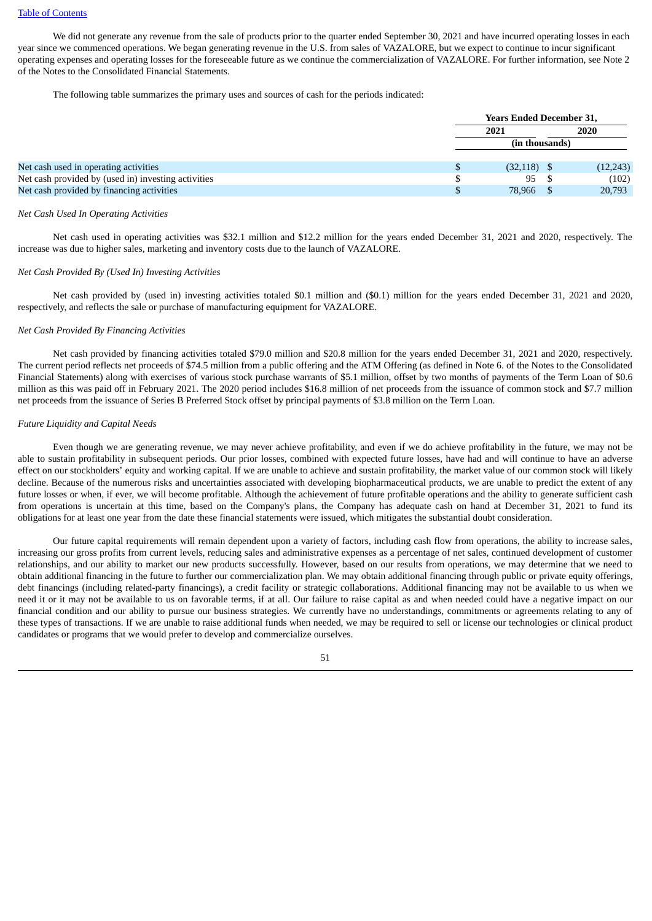We did not generate any revenue from the sale of products prior to the quarter ended September 30, 2021 and have incurred operating losses in each year since we commenced operations. We began generating revenue in the U.S. from sales of VAZALORE, but we expect to continue to incur significant operating expenses and operating losses for the foreseeable future as we continue the commercialization of VAZALORE. For further information, see Note 2 of the Notes to the Consolidated Financial Statements.

The following table summarizes the primary uses and sources of cash for the periods indicated:

|                                                     |      | <b>Years Ended December 31,</b> |  |           |  |  |  |
|-----------------------------------------------------|------|---------------------------------|--|-----------|--|--|--|
|                                                     | 2021 |                                 |  | 2020      |  |  |  |
|                                                     |      | (in thousands)                  |  |           |  |  |  |
| Net cash used in operating activities               |      | $(32, 118)$ \$                  |  | (12, 243) |  |  |  |
| Net cash provided by (used in) investing activities |      | 95                              |  | (102)     |  |  |  |
| Net cash provided by financing activities           |      | 78,966                          |  | 20,793    |  |  |  |

#### *Net Cash Used In Operating Activities*

Net cash used in operating activities was \$32.1 million and \$12.2 million for the years ended December 31, 2021 and 2020, respectively. The increase was due to higher sales, marketing and inventory costs due to the launch of VAZALORE.

#### *Net Cash Provided By (Used In) Investing Activities*

Net cash provided by (used in) investing activities totaled \$0.1 million and (\$0.1) million for the years ended December 31, 2021 and 2020, respectively, and reflects the sale or purchase of manufacturing equipment for VAZALORE.

#### *Net Cash Provided By Financing Activities*

Net cash provided by financing activities totaled \$79.0 million and \$20.8 million for the years ended December 31, 2021 and 2020, respectively. The current period reflects net proceeds of \$74.5 million from a public offering and the ATM Offering (as defined in Note 6. of the Notes to the Consolidated Financial Statements) along with exercises of various stock purchase warrants of \$5.1 million, offset by two months of payments of the Term Loan of \$0.6 million as this was paid off in February 2021. The 2020 period includes \$16.8 million of net proceeds from the issuance of common stock and \$7.7 million net proceeds from the issuance of Series B Preferred Stock offset by principal payments of \$3.8 million on the Term Loan.

#### *Future Liquidity and Capital Needs*

Even though we are generating revenue, we may never achieve profitability, and even if we do achieve profitability in the future, we may not be able to sustain profitability in subsequent periods. Our prior losses, combined with expected future losses, have had and will continue to have an adverse effect on our stockholders' equity and working capital. If we are unable to achieve and sustain profitability, the market value of our common stock will likely decline. Because of the numerous risks and uncertainties associated with developing biopharmaceutical products, we are unable to predict the extent of any future losses or when, if ever, we will become profitable. Although the achievement of future profitable operations and the ability to generate sufficient cash from operations is uncertain at this time, based on the Company's plans, the Company has adequate cash on hand at December 31, 2021 to fund its obligations for at least one year from the date these financial statements were issued, which mitigates the substantial doubt consideration.

Our future capital requirements will remain dependent upon a variety of factors, including cash flow from operations, the ability to increase sales, increasing our gross profits from current levels, reducing sales and administrative expenses as a percentage of net sales, continued development of customer relationships, and our ability to market our new products successfully. However, based on our results from operations, we may determine that we need to obtain additional financing in the future to further our commercialization plan. We may obtain additional financing through public or private equity offerings, debt financings (including related-party financings), a credit facility or strategic collaborations. Additional financing may not be available to us when we need it or it may not be available to us on favorable terms, if at all. Our failure to raise capital as and when needed could have a negative impact on our financial condition and our ability to pursue our business strategies. We currently have no understandings, commitments or agreements relating to any of these types of transactions. If we are unable to raise additional funds when needed, we may be required to sell or license our technologies or clinical product candidates or programs that we would prefer to develop and commercialize ourselves.

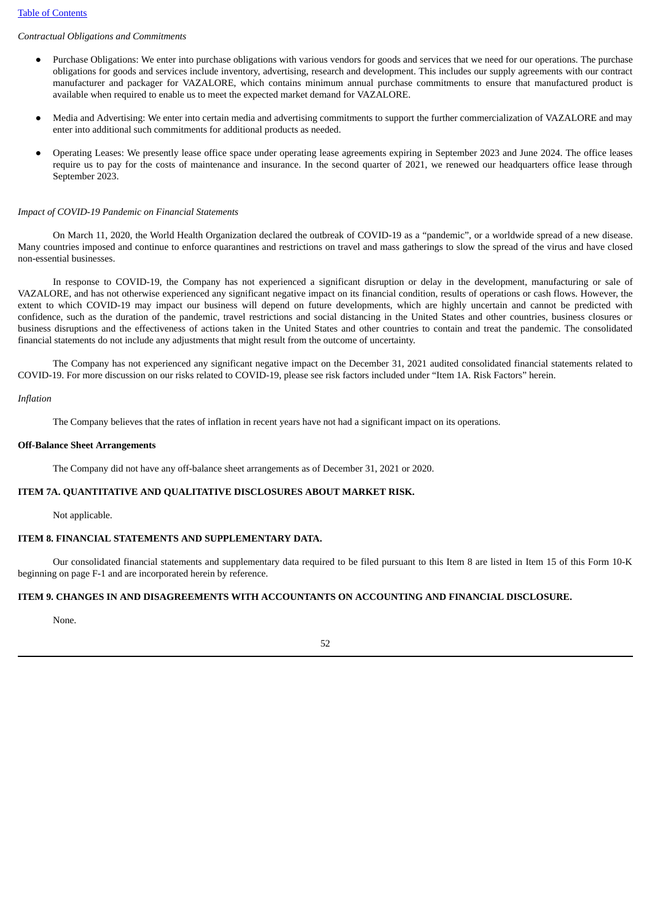# *Contractual Obligations and Commitments*

- Purchase Obligations: We enter into purchase obligations with various vendors for goods and services that we need for our operations. The purchase obligations for goods and services include inventory, advertising, research and development. This includes our supply agreements with our contract manufacturer and packager for VAZALORE, which contains minimum annual purchase commitments to ensure that manufactured product is available when required to enable us to meet the expected market demand for VAZALORE.
- Media and Advertising: We enter into certain media and advertising commitments to support the further commercialization of VAZALORE and may enter into additional such commitments for additional products as needed.
- Operating Leases: We presently lease office space under operating lease agreements expiring in September 2023 and June 2024. The office leases require us to pay for the costs of maintenance and insurance. In the second quarter of 2021, we renewed our headquarters office lease through September 2023.

#### *Impact of COVID-19 Pandemic on Financial Statements*

On March 11, 2020, the World Health Organization declared the outbreak of COVID-19 as a "pandemic", or a worldwide spread of a new disease. Many countries imposed and continue to enforce quarantines and restrictions on travel and mass gatherings to slow the spread of the virus and have closed non-essential businesses.

In response to COVID-19, the Company has not experienced a significant disruption or delay in the development, manufacturing or sale of VAZALORE, and has not otherwise experienced any significant negative impact on its financial condition, results of operations or cash flows. However, the extent to which COVID-19 may impact our business will depend on future developments, which are highly uncertain and cannot be predicted with confidence, such as the duration of the pandemic, travel restrictions and social distancing in the United States and other countries, business closures or business disruptions and the effectiveness of actions taken in the United States and other countries to contain and treat the pandemic. The consolidated financial statements do not include any adjustments that might result from the outcome of uncertainty.

The Company has not experienced any significant negative impact on the December 31, 2021 audited consolidated financial statements related to COVID-19. For more discussion on our risks related to COVID-19, please see risk factors included under "Item 1A. Risk Factors" herein.

### *Inflation*

The Company believes that the rates of inflation in recent years have not had a significant impact on its operations.

#### **Off-Balance Sheet Arrangements**

The Company did not have any off-balance sheet arrangements as of December 31, 2021 or 2020.

#### **ITEM 7A. QUANTITATIVE AND QUALITATIVE DISCLOSURES ABOUT MARKET RISK.**

Not applicable.

## **ITEM 8. FINANCIAL STATEMENTS AND SUPPLEMENTARY DATA.**

Our consolidated financial statements and supplementary data required to be filed pursuant to this Item 8 are listed in Item 15 of this Form 10-K beginning on page F-1 and are incorporated herein by reference.

# **ITEM 9. CHANGES IN AND DISAGREEMENTS WITH ACCOUNTANTS ON ACCOUNTING AND FINANCIAL DISCLOSURE.**

None.

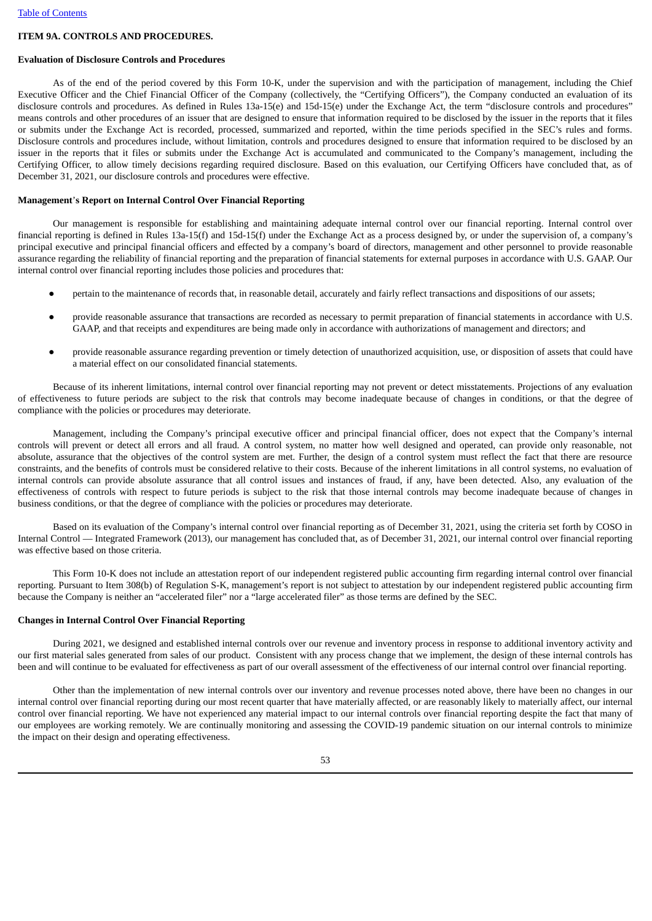### **ITEM 9A. CONTROLS AND PROCEDURES.**

#### **Evaluation of Disclosure Controls and Procedures**

As of the end of the period covered by this Form 10-K, under the supervision and with the participation of management, including the Chief Executive Officer and the Chief Financial Officer of the Company (collectively, the "Certifying Officers"), the Company conducted an evaluation of its disclosure controls and procedures. As defined in Rules 13a-15(e) and 15d-15(e) under the Exchange Act, the term "disclosure controls and procedures" means controls and other procedures of an issuer that are designed to ensure that information required to be disclosed by the issuer in the reports that it files or submits under the Exchange Act is recorded, processed, summarized and reported, within the time periods specified in the SEC's rules and forms. Disclosure controls and procedures include, without limitation, controls and procedures designed to ensure that information required to be disclosed by an issuer in the reports that it files or submits under the Exchange Act is accumulated and communicated to the Company's management, including the Certifying Officer, to allow timely decisions regarding required disclosure. Based on this evaluation, our Certifying Officers have concluded that, as of December 31, 2021, our disclosure controls and procedures were effective.

### **Management**'**s Report on Internal Control Over Financial Reporting**

Our management is responsible for establishing and maintaining adequate internal control over our financial reporting. Internal control over financial reporting is defined in Rules 13a-15(f) and 15d-15(f) under the Exchange Act as a process designed by, or under the supervision of, a company's principal executive and principal financial officers and effected by a company's board of directors, management and other personnel to provide reasonable assurance regarding the reliability of financial reporting and the preparation of financial statements for external purposes in accordance with U.S. GAAP. Our internal control over financial reporting includes those policies and procedures that:

- pertain to the maintenance of records that, in reasonable detail, accurately and fairly reflect transactions and dispositions of our assets;
- provide reasonable assurance that transactions are recorded as necessary to permit preparation of financial statements in accordance with U.S. GAAP, and that receipts and expenditures are being made only in accordance with authorizations of management and directors; and
- provide reasonable assurance regarding prevention or timely detection of unauthorized acquisition, use, or disposition of assets that could have a material effect on our consolidated financial statements.

Because of its inherent limitations, internal control over financial reporting may not prevent or detect misstatements. Projections of any evaluation of effectiveness to future periods are subject to the risk that controls may become inadequate because of changes in conditions, or that the degree of compliance with the policies or procedures may deteriorate.

Management, including the Company's principal executive officer and principal financial officer, does not expect that the Company's internal controls will prevent or detect all errors and all fraud. A control system, no matter how well designed and operated, can provide only reasonable, not absolute, assurance that the objectives of the control system are met. Further, the design of a control system must reflect the fact that there are resource constraints, and the benefits of controls must be considered relative to their costs. Because of the inherent limitations in all control systems, no evaluation of internal controls can provide absolute assurance that all control issues and instances of fraud, if any, have been detected. Also, any evaluation of the effectiveness of controls with respect to future periods is subject to the risk that those internal controls may become inadequate because of changes in business conditions, or that the degree of compliance with the policies or procedures may deteriorate.

Based on its evaluation of the Company's internal control over financial reporting as of December 31, 2021, using the criteria set forth by COSO in Internal Control — Integrated Framework (2013), our management has concluded that, as of December 31, 2021, our internal control over financial reporting was effective based on those criteria.

This Form 10-K does not include an attestation report of our independent registered public accounting firm regarding internal control over financial reporting. Pursuant to Item 308(b) of Regulation S-K, management's report is not subject to attestation by our independent registered public accounting firm because the Company is neither an "accelerated filer" nor a "large accelerated filer" as those terms are defined by the SEC.

## **Changes in Internal Control Over Financial Reporting**

During 2021, we designed and established internal controls over our revenue and inventory process in response to additional inventory activity and our first material sales generated from sales of our product. Consistent with any process change that we implement, the design of these internal controls has been and will continue to be evaluated for effectiveness as part of our overall assessment of the effectiveness of our internal control over financial reporting.

Other than the implementation of new internal controls over our inventory and revenue processes noted above, there have been no changes in our internal control over financial reporting during our most recent quarter that have materially affected, or are reasonably likely to materially affect, our internal control over financial reporting. We have not experienced any material impact to our internal controls over financial reporting despite the fact that many of our employees are working remotely. We are continually monitoring and assessing the COVID-19 pandemic situation on our internal controls to minimize the impact on their design and operating effectiveness.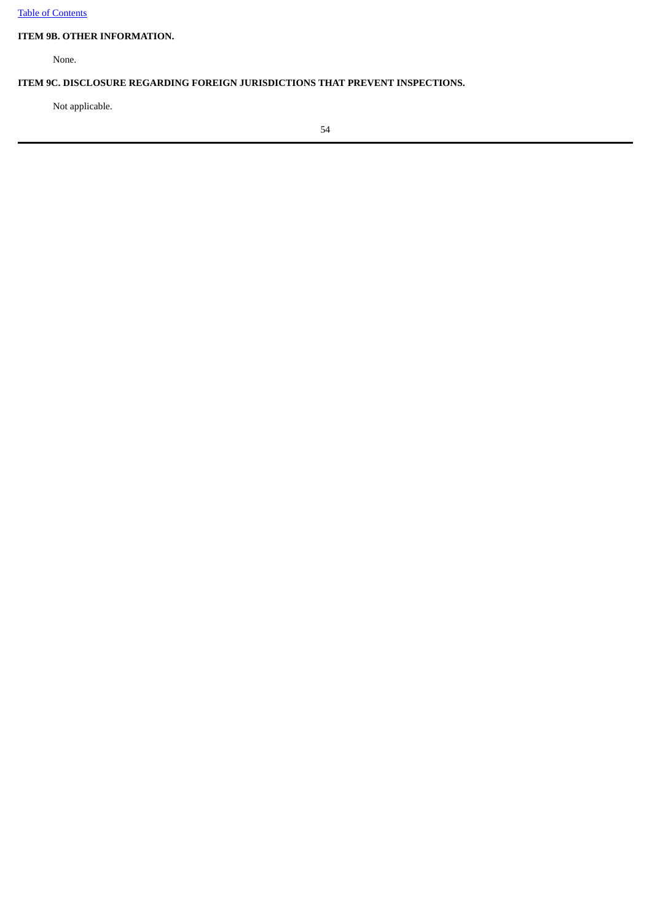# **ITEM 9B. OTHER INFORMATION.**

None.

# **ITEM 9C. DISCLOSURE REGARDING FOREIGN JURISDICTIONS THAT PREVENT INSPECTIONS.**

Not applicable.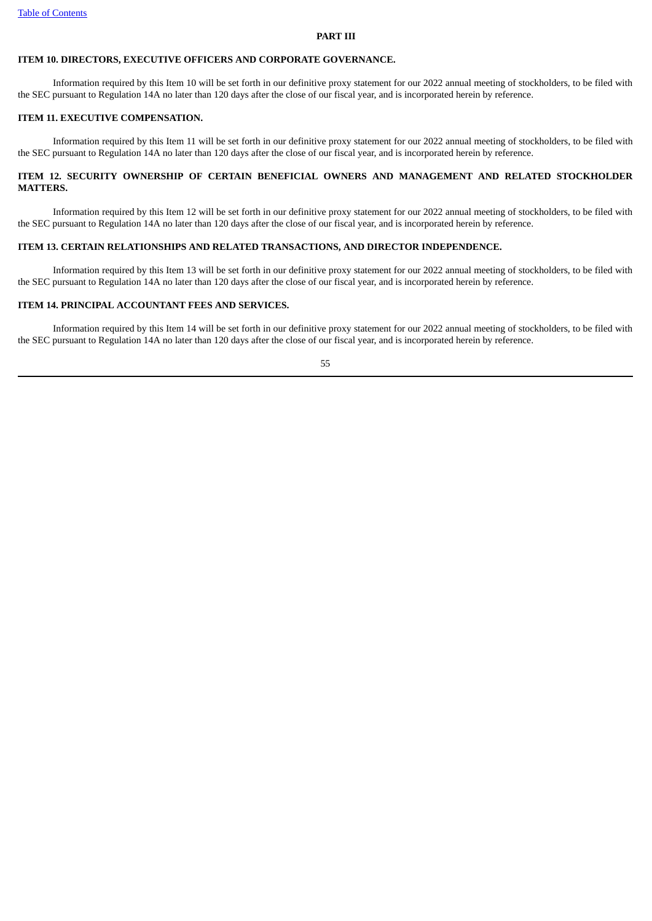#### **PART III**

# **ITEM 10. DIRECTORS, EXECUTIVE OFFICERS AND CORPORATE GOVERNANCE.**

Information required by this Item 10 will be set forth in our definitive proxy statement for our 2022 annual meeting of stockholders, to be filed with the SEC pursuant to Regulation 14A no later than 120 days after the close of our fiscal year, and is incorporated herein by reference.

# **ITEM 11. EXECUTIVE COMPENSATION.**

Information required by this Item 11 will be set forth in our definitive proxy statement for our 2022 annual meeting of stockholders, to be filed with the SEC pursuant to Regulation 14A no later than 120 days after the close of our fiscal year, and is incorporated herein by reference.

# **ITEM 12. SECURITY OWNERSHIP OF CERTAIN BENEFICIAL OWNERS AND MANAGEMENT AND RELATED STOCKHOLDER MATTERS.**

Information required by this Item 12 will be set forth in our definitive proxy statement for our 2022 annual meeting of stockholders, to be filed with the SEC pursuant to Regulation 14A no later than 120 days after the close of our fiscal year, and is incorporated herein by reference.

# **ITEM 13. CERTAIN RELATIONSHIPS AND RELATED TRANSACTIONS, AND DIRECTOR INDEPENDENCE.**

Information required by this Item 13 will be set forth in our definitive proxy statement for our 2022 annual meeting of stockholders, to be filed with the SEC pursuant to Regulation 14A no later than 120 days after the close of our fiscal year, and is incorporated herein by reference.

# **ITEM 14. PRINCIPAL ACCOUNTANT FEES AND SERVICES.**

Information required by this Item 14 will be set forth in our definitive proxy statement for our 2022 annual meeting of stockholders, to be filed with the SEC pursuant to Regulation 14A no later than 120 days after the close of our fiscal year, and is incorporated herein by reference.

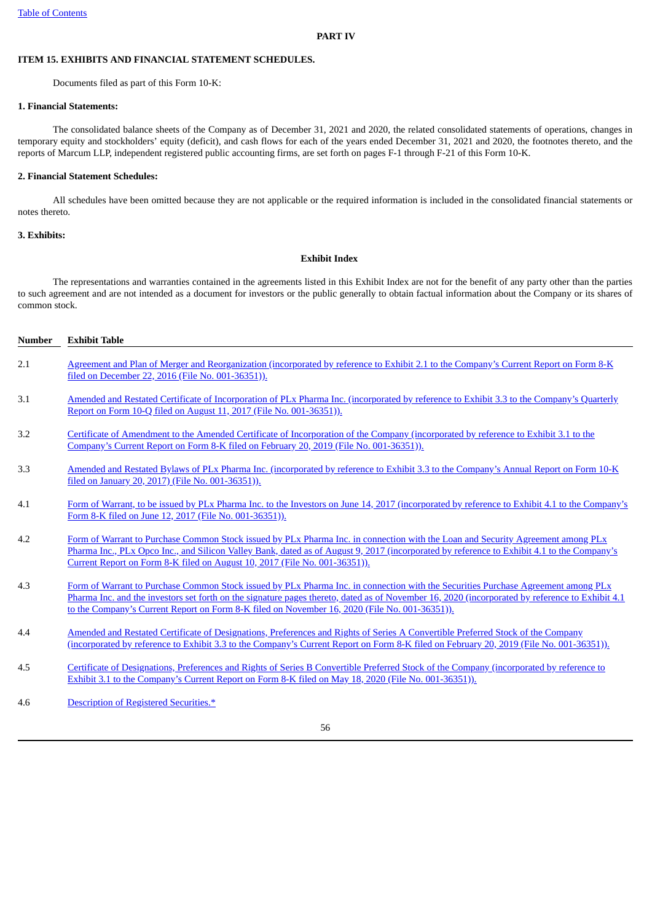#### **PART IV**

# **ITEM 15. EXHIBITS AND FINANCIAL STATEMENT SCHEDULES.**

Documents filed as part of this Form 10-K:

### **1. Financial Statements:**

The consolidated balance sheets of the Company as of December 31, 2021 and 2020, the related consolidated statements of operations, changes in temporary equity and stockholders' equity (deficit), and cash flows for each of the years ended December 31, 2021 and 2020, the footnotes thereto, and the reports of Marcum LLP, independent registered public accounting firms, are set forth on pages F-1 through F-21 of this Form 10-K.

# **2. Financial Statement Schedules:**

All schedules have been omitted because they are not applicable or the required information is included in the consolidated financial statements or notes thereto.

# **3. Exhibits:**

# **Exhibit Index**

The representations and warranties contained in the agreements listed in this Exhibit Index are not for the benefit of any party other than the parties to such agreement and are not intended as a document for investors or the public generally to obtain factual information about the Company or its shares of common stock.

| <b>Number</b> | <b>Exhibit Table</b>                                                                                                                                                                                                                                                                                                                                                                   |
|---------------|----------------------------------------------------------------------------------------------------------------------------------------------------------------------------------------------------------------------------------------------------------------------------------------------------------------------------------------------------------------------------------------|
| 2.1           | Agreement and Plan of Merger and Reorganization (incorporated by reference to Exhibit 2.1 to the Company's Current Report on Form 8-K<br>filed on December 22, 2016 (File No. 001-36351)).                                                                                                                                                                                             |
| 3.1           | Amended and Restated Certificate of Incorporation of PLx Pharma Inc. (incorporated by reference to Exhibit 3.3 to the Company's Quarterly<br>Report on Form 10-Q filed on August 11, 2017 (File No. 001-36351)).                                                                                                                                                                       |
| 3.2           | Certificate of Amendment to the Amended Certificate of Incorporation of the Company (incorporated by reference to Exhibit 3.1 to the<br>Company's Current Report on Form 8-K filed on February 20, 2019 (File No. 001-36351)).                                                                                                                                                         |
| 3.3           | Amended and Restated Bylaws of PLx Pharma Inc. (incorporated by reference to Exhibit 3.3 to the Company's Annual Report on Form 10-K<br>filed on January 20, 2017) (File No. 001-36351)).                                                                                                                                                                                              |
| 4.1           | Form of Warrant, to be issued by PLx Pharma Inc. to the Investors on June 14, 2017 (incorporated by reference to Exhibit 4.1 to the Company's<br>Form 8-K filed on June 12, 2017 (File No. 001-36351)).                                                                                                                                                                                |
| 4.2           | Form of Warrant to Purchase Common Stock issued by PLx Pharma Inc. in connection with the Loan and Security Agreement among PLx<br>Pharma Inc., PLx Opco Inc., and Silicon Valley Bank, dated as of August 9, 2017 (incorporated by reference to Exhibit 4.1 to the Company's<br>Current Report on Form 8-K filed on August 10, 2017 (File No. 001-36351)).                            |
| 4.3           | Form of Warrant to Purchase Common Stock issued by PLx Pharma Inc. in connection with the Securities Purchase Agreement among PLx<br>Pharma Inc. and the investors set forth on the signature pages thereto, dated as of November 16, 2020 (incorporated by reference to Exhibit 4.1)<br>to the Company's Current Report on Form 8-K filed on November 16, 2020 (File No. 001-36351)). |
| 4.4           | Amended and Restated Certificate of Designations, Preferences and Rights of Series A Convertible Preferred Stock of the Company<br>(incorporated by reference to Exhibit 3.3 to the Company's Current Report on Form 8-K filed on February 20, 2019 (File No. 001-36351)).                                                                                                             |
| 4.5           | Certificate of Designations, Preferences and Rights of Series B Convertible Preferred Stock of the Company (incorporated by reference to<br>Exhibit 3.1 to the Company's Current Report on Form 8-K filed on May 18, 2020 (File No. 001-36351)).                                                                                                                                       |
| 4.6           | Description of Registered Securities.*                                                                                                                                                                                                                                                                                                                                                 |

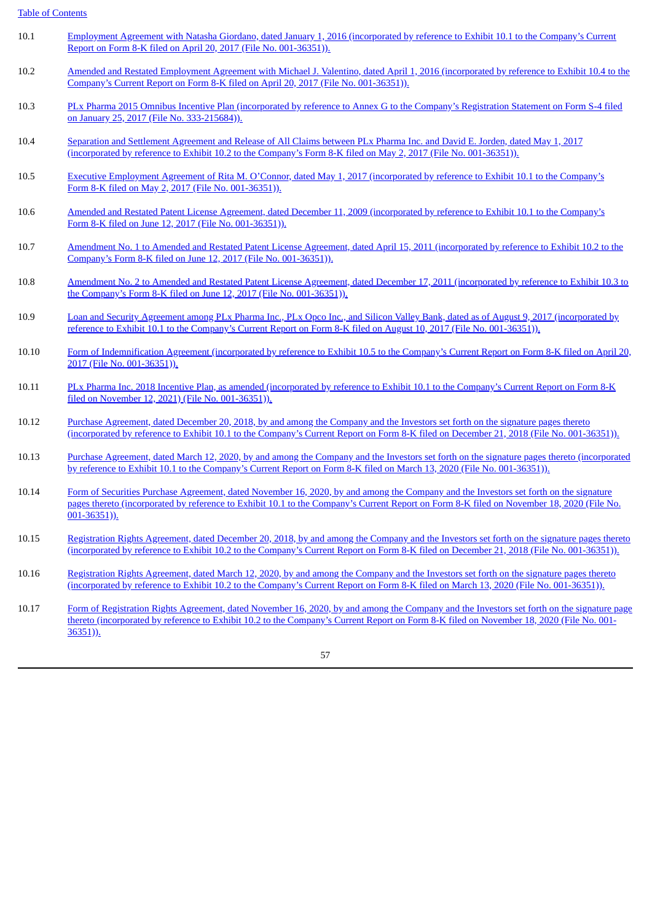Table of [Contents](#page-2-0)

| 10.1 | Employment Agreement with Natasha Giordano, dated January 1, 2016 (incorporated by reference to Exhibit 10.1 to the Company's Current |
|------|---------------------------------------------------------------------------------------------------------------------------------------|
|      | Report on Form 8-K filed on April 20, 2017 (File No. 001-36351)).                                                                     |

- 10.2 Amended and Restated Employment Agreement with Michael J. Valentino, dated April 1, 2016 [\(incorporated](http://www.sec.gov/Archives/edgar/data/1497504/000114420417021105/v464526_ex10-4.htm) by reference to Exhibit 10.4 to the Company's Current Report on Form 8-K filed on April 20, 2017 (File No. 001-36351)).
- 10.3 PLx Pharma 2015 Omnibus Incentive Plan (incorporated by reference to Annex G to the Company's Registration Statement on Form S-4 filed on January 25, 2017 (File No. [333-215684\)\).](http://www.sec.gov/Archives/edgar/data/1497504/000114420417003660/v457129_s4.htm)
- 10.4 Separation and Settlement Agreement and Release of All Claims between PLx Pharma Inc. and David E. Jorden, dated May 1, 2017 [\(incorporated](http://www.sec.gov/Archives/edgar/data/1497504/000143774917007708/ex10-2.htm) by reference to Exhibit 10.2 to the Company's Form 8-K filed on May 2, 2017 (File No. 001-36351)).
- 10.5 Executive Employment Agreement of Rita M. O'Connor, dated May 1, 2017 [\(incorporated](http://www.sec.gov/Archives/edgar/data/1497504/000143774917007708/ex10-1.htm) by reference to Exhibit 10.1 to the Company's Form 8-K filed on May 2, 2017 (File No. 001-36351)).
- 10.6 Amended and Restated Patent License Agreement, dated December 11, 2009 [\(incorporated](http://www.sec.gov/Archives/edgar/data/1497504/000143774917011116/ex10-1.htm) by reference to Exhibit 10.1 to the Company's Form 8-K filed on June 12, 2017 (File No. 001-36351)).
- 10.7 Amendment No. 1 to Amended and Restated Patent License Agreement, dated April 15, 2011 [\(incorporated](http://www.sec.gov/Archives/edgar/data/1497504/000143774917011116/ex10-2.htm) by reference to Exhibit 10.2 to the Company's Form 8-K filed on June 12, 2017 (File No. 001-36351)).
- 10.8 Amendment No. 2 to Amended and Restated Patent License Agreement, dated December 17, 2011 [\(incorporated](http://www.sec.gov/Archives/edgar/data/1497504/000143774917011116/ex10-3.htm) by reference to Exhibit 10.3 to the Company's Form 8-K filed on June 12, 2017 (File No. 001-36351)).
- 10.9 Loan and Security Agreement among PLx Pharma Inc., PLx Opco Inc., and Silicon Valley Bank, dated as of August 9, 2017 [\(incorporated](http://www.sec.gov/Archives/edgar/data/1497504/000143774917014342/ex10-1.htm) by reference to Exhibit 10.1 to the Company's Current Report on Form 8-K filed on August 10, 2017 (File No. 001-36351)).
- 10.10 Form of [Indemnification](http://www.sec.gov/Archives/edgar/data/1497504/000114420417021105/v464526_ex10-5.htm) Agreement (incorporated by reference to Exhibit 10.5 to the Company's Current Report on Form 8-K filed on April 20, 2017 (File No. 001-36351)).
- 10.11 PLx Pharma Inc. 2018 Incentive Plan, as amended [\(incorporated](http://www.sec.gov/Archives/edgar/data/1497504/000092189520002477/def14a11577002_09252020.htm#AnnualReport) by reference to Exhibit 10.1 to the Company's Current Report on Form 8-K filed on November 12, 2021) (File No. 001-36351)).
- 10.12 Purchase Agreement, dated December 20, 2018, by and among the Company and the Investors set forth on the signature pages thereto [\(incorporated](http://www.sec.gov/Archives/edgar/data/1497504/000092189518003367/ex101to8k11577001_122118.htm) by reference to Exhibit 10.1 to the Company's Current Report on Form 8-K filed on December 21, 2018 (File No. 001-36351)).
- 10.13 Purchase Agreement, dated March 12, 2020, by and among the Company and the Investors set forth on the signature pages thereto [\(incorporated](http://www.sec.gov/Archives/edgar/data/1497504/000092189518003367/ex101to8k11577001_122118.htm) by reference to Exhibit 10.1 to the Company's Current Report on Form 8-K filed on March 13, 2020 (File No. 001-36351)).
- 10.14 Form of Securities Purchase Agreement, dated November 16, 2020, by and among the Company and the Investors set forth on the signature pages thereto [\(incorporated](http://www.sec.gov/Archives/edgar/data/1497504/000119380520001439/e620083_ex10-1.htm) by reference to Exhibit 10.1 to the Company's Current Report on Form 8-K filed on November 18, 2020 (File No. 001-36351)).
- 10.15 Registration Rights Agreement, dated December 20, 2018, by and among the Company and the Investors set forth on the signature pages thereto [\(incorporated](http://www.sec.gov/Archives/edgar/data/1497504/000092189518003367/ex102to8k11577001_122118.htm) by reference to Exhibit 10.2 to the Company's Current Report on Form 8-K filed on December 21, 2018 (File No. 001-36351)).
- 10.16 Registration Rights Agreement, dated March 12, 2020, by and among the Company and the Investors set forth on the signature pages thereto [\(incorporated](http://www.sec.gov/Archives/edgar/data/1497504/000092189518003367/ex102to8k11577001_122118.htm) by reference to Exhibit 10.2 to the Company's Current Report on Form 8-K filed on March 13, 2020 (File No. 001-36351)).
- 10.17 Form of Registration Rights Agreement, dated November 16, 2020, by and among the Company and the Investors set forth on the signature page thereto [\(incorporated](http://www.sec.gov/Archives/edgar/data/1497504/000119380520001439/e620083_ex10-2.htm) by reference to Exhibit 10.2 to the Company's Current Report on Form 8-K filed on November 18, 2020 (File No. 001- 36351)).

57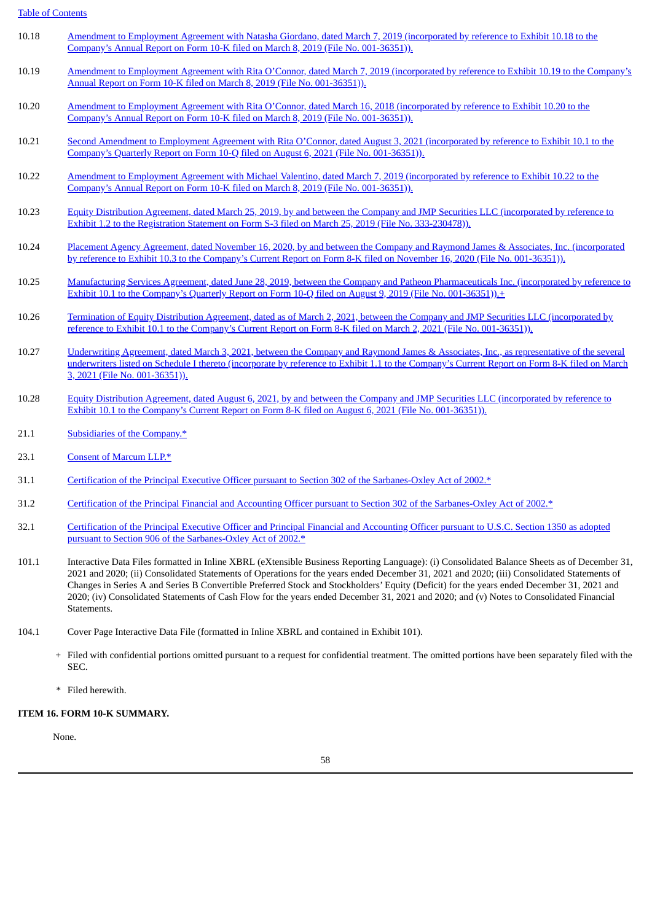Table of [Contents](#page-2-0)

- 10.18 Amendment to Employment Agreement with Natasha Giordano, dated March 7, 2019 [\(incorporated](http://www.sec.gov/Archives/edgar/data/1497504/000143774919004386/ex_136977.htm) by reference to Exhibit 10.18 to the Company's Annual Report on Form 10-K filed on March 8, 2019 (File No. 001-36351)).
- 10.19 Amendment to Employment Agreement with Rita O'Connor, dated March 7, 2019 [\(incorporated](http://www.sec.gov/Archives/edgar/data/1497504/000143774919004386/ex_136978.htm) by reference to Exhibit 10.19 to the Company's Annual Report on Form 10-K filed on March 8, 2019 (File No. 001-36351)).
- 10.20 Amendment to Employment Agreement with Rita O'Connor, dated March 16, 2018 [\(incorporated](http://www.sec.gov/Archives/edgar/data/1497504/000143774919004386/ex_136979.htm) by reference to Exhibit 10.20 to the Company's Annual Report on Form 10-K filed on March 8, 2019 (File No. 001-36351)).
- 10.21 Second Amendment to Employment Agreement with Rita O'Connor, dated August 3, 2021 [\(incorporated](http://www.sec.gov/Archives/edgar/data/1497504/000143774919004386/ex_136979.htm) by reference to Exhibit 10.1 to the Company's Quarterly Report on Form 10-Q filed on August 6, 2021 (File No. 001-36351)).
- 10.22 Amendment to Employment Agreement with Michael Valentino, dated March 7, 2019 [\(incorporated](http://www.sec.gov/Archives/edgar/data/1497504/000143774919004386/ex_136981.htm) by reference to Exhibit 10.22 to the Company's Annual Report on Form 10-K filed on March 8, 2019 (File No. 001-36351)).
- 10.23 Equity Distribution Agreement, dated March 25, 2019, by and between the Company and JMP Securities LLC (incorporated by reference to Exhibit 1.2 to the Registration Statement on Form S-3 filed on March 25, 2019 (File No. [333-230478\)\).](http://www.sec.gov/Archives/edgar/data/1497504/000092189519000876/ex12tos311577007_03222019.htm)
- 10.24 Placement Agency Agreement, dated November 16, 2020, by and between the Company and Raymond James & Associates, Inc. [\(incorporated](http://www.sec.gov/Archives/edgar/data/1497504/000119380520001439/e620083_ex10-3.htm) by reference to Exhibit 10.3 to the Company's Current Report on Form 8-K filed on November 16, 2020 (File No. 001-36351)).
- 10.25 Manufacturing Services Agreement, dated June 28, 2019, between the Company and Patheon [Pharmaceuticals](http://www.sec.gov/Archives/edgar/data/1497504/000143774919016122/ex_153734.htm) Inc. (incorporated by reference to Exhibit 10.1 to the Company's Quarterly Report on Form 10-Q filed on August 9, 2019 (File No. 001-36351)).<sup>+</sup>
- 10.26 Termination of Equity Distribution Agreement, dated as of March 2, 2021, between the Company and JMP Securities LLC [\(incorporated](http://www.sec.gov/Archives/edgar/data/1497504/000092189521000596/ex101to8k11577015alt_030221.htm) by reference to Exhibit 10.1 to the Company's Current Report on Form 8-K filed on March 2, 2021 (File No. 001-36351)).
- 10.27 Underwriting Agreement, dated March 3, 2021, between the Company and Raymond James & Associates, Inc., as [representative](http://www.sec.gov/Archives/edgar/data/1497504/000119380521000322/ex11to8k11577015und_03032021.htm) of the several underwriters listed on Schedule I thereto (incorporate by reference to Exhibit 1.1 to the Company's Current Report on Form 8-K filed on March 3, 2021 (File No. 001-36351)).
- 10.28 Equity Distribution Agreement, dated August 6, 2021, by and between the Company and JMP Securities LLC [\(incorporated](http://www.sec.gov/Archives/edgar/data/1497504/000119380521000322/ex11to8k11577015und_03032021.htm) by reference to Exhibit 10.1 to the Company's Current Report on Form 8-K filed on August 6, 2021 (File No. 001-36351)).
- 21.1 [Subsidiaries](#page-84-0) of the Company.\*
- 23.1 Consent of [Marcum](#page-85-0) LLP.\*
- 31.1 Certification of the Principal Executive Officer pursuant to Section 302 of the [Sarbanes-Oxley](#page-86-0) Act of 2002.\*
- 31.2 Certification of the Principal Financial and Accounting Officer pursuant to Section 302 of the [Sarbanes-Oxley](#page-87-0) Act of 2002.\*
- 32.1 Certification of the Principal Executive Officer and Principal Financial and Accounting Officer pursuant to U.S.C. Section 1350 as adopted pursuant to Section 906 of the [Sarbanes-Oxley](#page-88-0) Act of 2002.\*
- 101.1 Interactive Data Files formatted in Inline XBRL (eXtensible Business Reporting Language): (i) Consolidated Balance Sheets as of December 31, 2021 and 2020; (ii) Consolidated Statements of Operations for the years ended December 31, 2021 and 2020; (iii) Consolidated Statements of Changes in Series A and Series B Convertible Preferred Stock and Stockholders' Equity (Deficit) for the years ended December 31, 2021 and 2020; (iv) Consolidated Statements of Cash Flow for the years ended December 31, 2021 and 2020; and (v) Notes to Consolidated Financial Statements.
- 104.1 Cover Page Interactive Data File (formatted in Inline XBRL and contained in Exhibit 101).
	- + Filed with confidential portions omitted pursuant to a request for confidential treatment. The omitted portions have been separately filed with the SEC.
	- \* Filed herewith.

# **ITEM 16. FORM 10-K SUMMARY.**

None.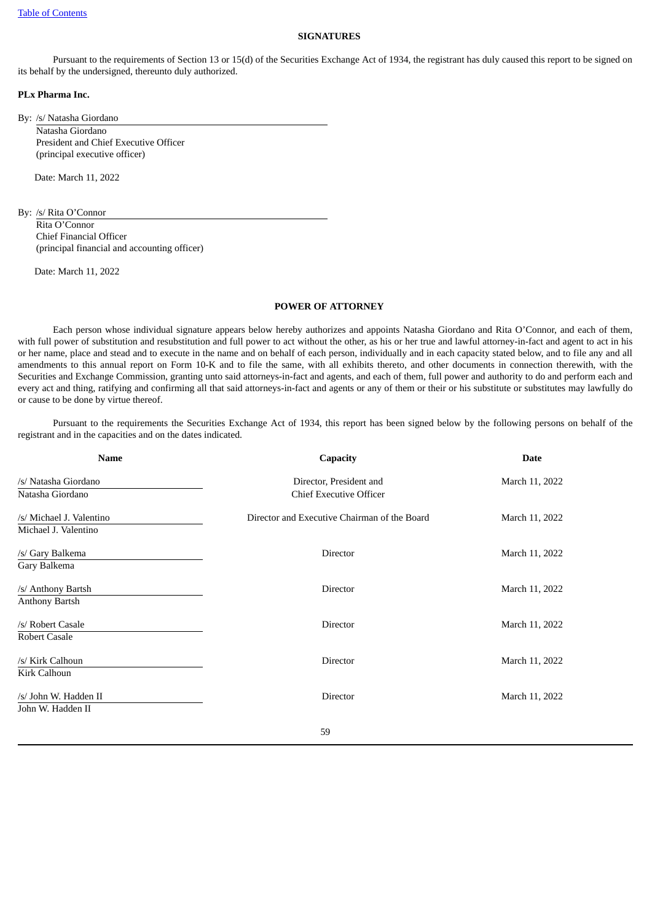# **SIGNATURES**

Pursuant to the requirements of Section 13 or 15(d) of the Securities Exchange Act of 1934, the registrant has duly caused this report to be signed on its behalf by the undersigned, thereunto duly authorized.

#### **PLx Pharma Inc.**

By: /s/ Natasha Giordano

Natasha Giordano President and Chief Executive Officer (principal executive officer)

Date: March 11, 2022

By: /s/ Rita O'Connor

Rita O'Connor Chief Financial Officer (principal financial and accounting officer)

Date: March 11, 2022

#### **POWER OF ATTORNEY**

Each person whose individual signature appears below hereby authorizes and appoints Natasha Giordano and Rita O'Connor, and each of them, with full power of substitution and resubstitution and full power to act without the other, as his or her true and lawful attorney-in-fact and agent to act in his or her name, place and stead and to execute in the name and on behalf of each person, individually and in each capacity stated below, and to file any and all amendments to this annual report on Form 10-K and to file the same, with all exhibits thereto, and other documents in connection therewith, with the Securities and Exchange Commission, granting unto said attorneys-in-fact and agents, and each of them, full power and authority to do and perform each and every act and thing, ratifying and confirming all that said attorneys-in-fact and agents or any of them or their or his substitute or substitutes may lawfully do or cause to be done by virtue thereof.

Pursuant to the requirements the Securities Exchange Act of 1934, this report has been signed below by the following persons on behalf of the registrant and in the capacities and on the dates indicated.

| <b>Name</b>              | <b>Capacity</b>                              | <b>Date</b>    |  |
|--------------------------|----------------------------------------------|----------------|--|
| /s/ Natasha Giordano     | Director, President and                      | March 11, 2022 |  |
| Natasha Giordano         | <b>Chief Executive Officer</b>               |                |  |
| /s/ Michael J. Valentino | Director and Executive Chairman of the Board | March 11, 2022 |  |
| Michael J. Valentino     |                                              |                |  |
| /s/ Gary Balkema         | Director                                     | March 11, 2022 |  |
| Gary Balkema             |                                              |                |  |
| /s/ Anthony Bartsh       | Director                                     | March 11, 2022 |  |
| <b>Anthony Bartsh</b>    |                                              |                |  |
| /s/ Robert Casale        | Director                                     | March 11, 2022 |  |
| Robert Casale            |                                              |                |  |
| /s/ Kirk Calhoun         | Director                                     | March 11, 2022 |  |
| Kirk Calhoun             |                                              |                |  |
| /s/ John W. Hadden II    | Director                                     | March 11, 2022 |  |
| John W. Hadden II        |                                              |                |  |
|                          | 59                                           |                |  |
|                          |                                              |                |  |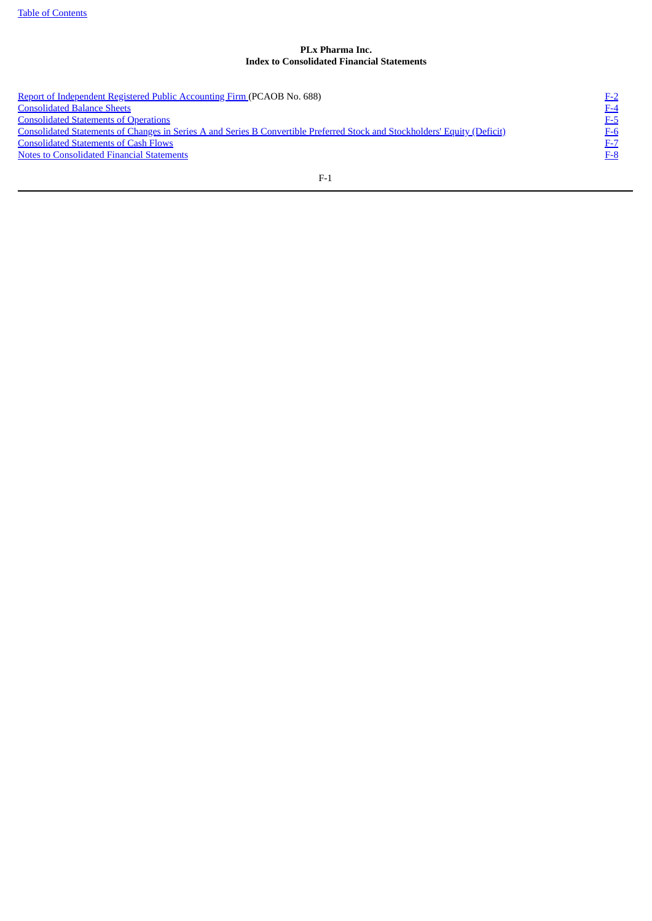# **PLx Pharma Inc. Index to Consolidated Financial Statements**

Report of [Independent](#page-62-0) Registered Public Accounting Firm (PCAOB No. 688)<br>
<u>Consolidated Balance Sheets</u><br>
<u>Consolidated Statements of Operations</u><br>
Consolidated Statements of Changes in Series A and Series B Convertible Prefe  $\frac{1}{2}$ [Consolidated](#page-64-0) Balance Sheets [F-4](#page-64-0) **[Consolidated](#page-65-0) Statements of Operations** [F-5](#page-65-0) Consolidated Statements of Changes in Series A and Series B Convertible Preferred Stock and [Stockholders'](#page-66-0) Equity (Deficit) [F-6](#page-66-0) **[Consolidated](#page-67-0) Statements of Cash Flows** [F-7](#page-67-0) Notes to [Consolidated](#page-68-0) Financial Statements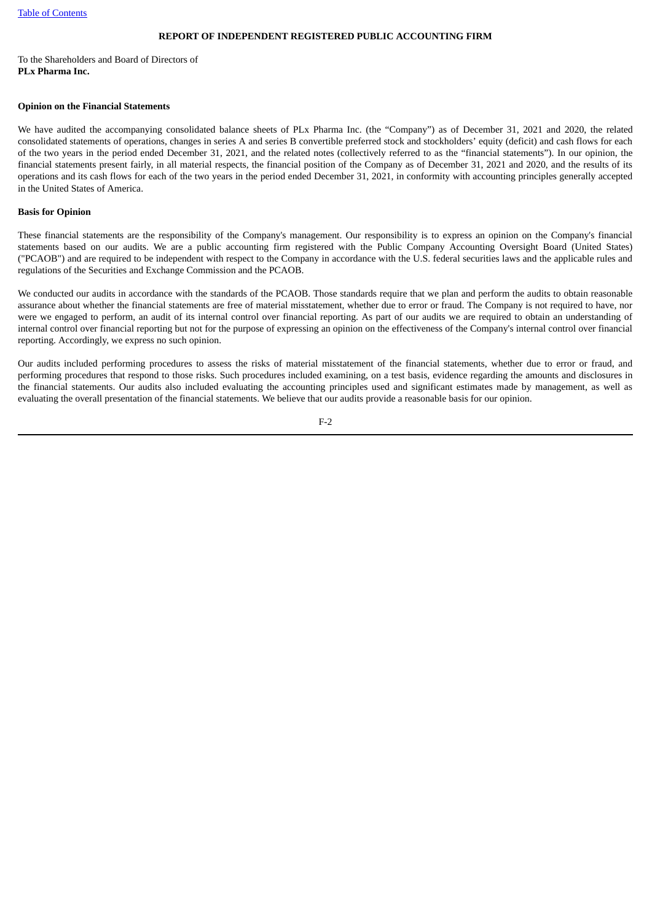# **REPORT OF INDEPENDENT REGISTERED PUBLIC ACCOUNTING FIRM**

#### <span id="page-62-0"></span>To the Shareholders and Board of Directors of **PLx Pharma Inc.**

#### **Opinion on the Financial Statements**

We have audited the accompanying consolidated balance sheets of PLx Pharma Inc. (the "Company") as of December 31, 2021 and 2020, the related consolidated statements of operations, changes in series A and series B convertible preferred stock and stockholders' equity (deficit) and cash flows for each of the two years in the period ended December 31, 2021, and the related notes (collectively referred to as the "financial statements"). In our opinion, the financial statements present fairly, in all material respects, the financial position of the Company as of December 31, 2021 and 2020, and the results of its operations and its cash flows for each of the two years in the period ended December 31, 2021, in conformity with accounting principles generally accepted in the United States of America.

### **Basis for Opinion**

These financial statements are the responsibility of the Company's management. Our responsibility is to express an opinion on the Company's financial statements based on our audits. We are a public accounting firm registered with the Public Company Accounting Oversight Board (United States) ("PCAOB") and are required to be independent with respect to the Company in accordance with the U.S. federal securities laws and the applicable rules and regulations of the Securities and Exchange Commission and the PCAOB.

We conducted our audits in accordance with the standards of the PCAOB. Those standards require that we plan and perform the audits to obtain reasonable assurance about whether the financial statements are free of material misstatement, whether due to error or fraud. The Company is not required to have, nor were we engaged to perform, an audit of its internal control over financial reporting. As part of our audits we are required to obtain an understanding of internal control over financial reporting but not for the purpose of expressing an opinion on the effectiveness of the Company's internal control over financial reporting. Accordingly, we express no such opinion.

Our audits included performing procedures to assess the risks of material misstatement of the financial statements, whether due to error or fraud, and performing procedures that respond to those risks. Such procedures included examining, on a test basis, evidence regarding the amounts and disclosures in the financial statements. Our audits also included evaluating the accounting principles used and significant estimates made by management, as well as evaluating the overall presentation of the financial statements. We believe that our audits provide a reasonable basis for our opinion.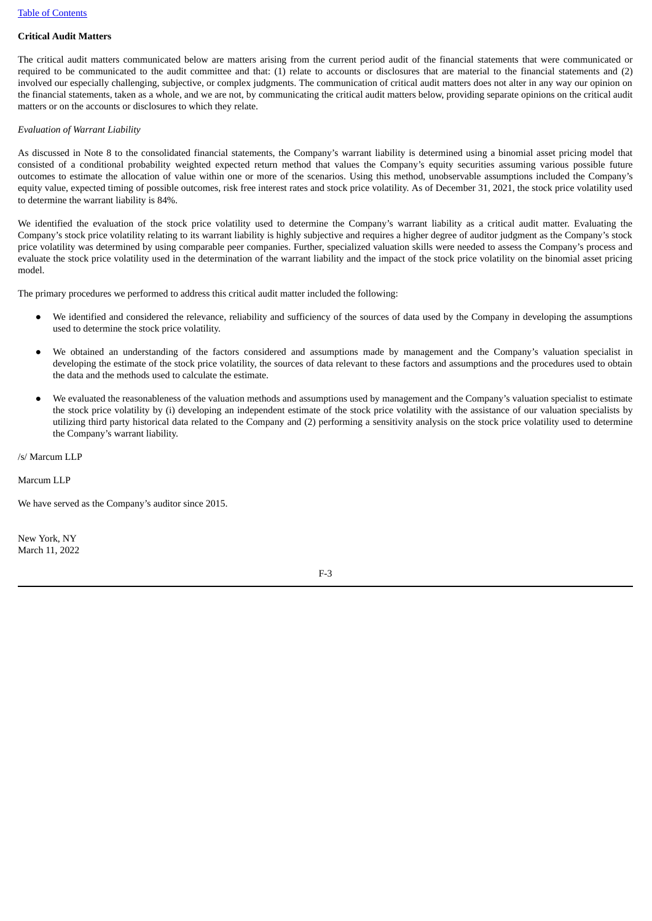# **Critical Audit Matters**

The critical audit matters communicated below are matters arising from the current period audit of the financial statements that were communicated or required to be communicated to the audit committee and that: (1) relate to accounts or disclosures that are material to the financial statements and (2) involved our especially challenging, subjective, or complex judgments. The communication of critical audit matters does not alter in any way our opinion on the financial statements, taken as a whole, and we are not, by communicating the critical audit matters below, providing separate opinions on the critical audit matters or on the accounts or disclosures to which they relate.

## *Evaluation of Warrant Liability*

As discussed in Note 8 to the consolidated financial statements, the Company's warrant liability is determined using a binomial asset pricing model that consisted of a conditional probability weighted expected return method that values the Company's equity securities assuming various possible future outcomes to estimate the allocation of value within one or more of the scenarios. Using this method, unobservable assumptions included the Company's equity value, expected timing of possible outcomes, risk free interest rates and stock price volatility. As of December 31, 2021, the stock price volatility used to determine the warrant liability is 84%.

We identified the evaluation of the stock price volatility used to determine the Company's warrant liability as a critical audit matter. Evaluating the Company's stock price volatility relating to its warrant liability is highly subjective and requires a higher degree of auditor judgment as the Company's stock price volatility was determined by using comparable peer companies. Further, specialized valuation skills were needed to assess the Company's process and evaluate the stock price volatility used in the determination of the warrant liability and the impact of the stock price volatility on the binomial asset pricing model.

The primary procedures we performed to address this critical audit matter included the following:

- We identified and considered the relevance, reliability and sufficiency of the sources of data used by the Company in developing the assumptions used to determine the stock price volatility.
- We obtained an understanding of the factors considered and assumptions made by management and the Company's valuation specialist in developing the estimate of the stock price volatility, the sources of data relevant to these factors and assumptions and the procedures used to obtain the data and the methods used to calculate the estimate.
- We evaluated the reasonableness of the valuation methods and assumptions used by management and the Company's valuation specialist to estimate the stock price volatility by (i) developing an independent estimate of the stock price volatility with the assistance of our valuation specialists by utilizing third party historical data related to the Company and (2) performing a sensitivity analysis on the stock price volatility used to determine the Company's warrant liability.

/s/ Marcum LLP

Marcum LLP

We have served as the Company's auditor since 2015.

New York, NY March 11, 2022

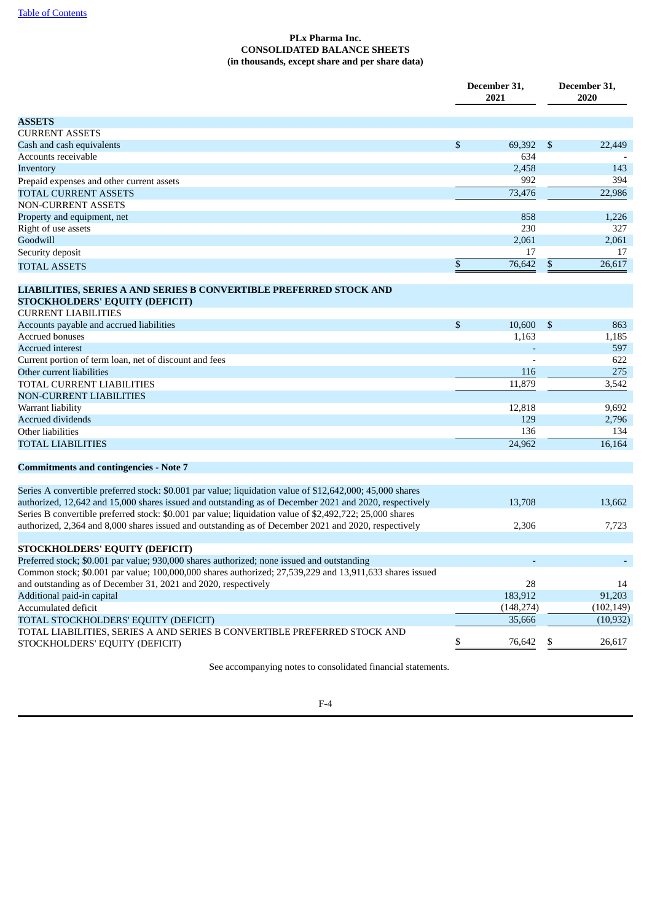# **PLx Pharma Inc. CONSOLIDATED BALANCE SHEETS (in thousands, except share and per share data)**

<span id="page-64-0"></span>

|                                                                                                                                                                                                                     |               | December 31,<br>2021 | December 31,<br>2020 |            |  |
|---------------------------------------------------------------------------------------------------------------------------------------------------------------------------------------------------------------------|---------------|----------------------|----------------------|------------|--|
| <b>ASSETS</b>                                                                                                                                                                                                       |               |                      |                      |            |  |
| <b>CURRENT ASSETS</b>                                                                                                                                                                                               |               |                      |                      |            |  |
| Cash and cash equivalents                                                                                                                                                                                           | \$            | 69,392               | \$                   | 22,449     |  |
| Accounts receivable                                                                                                                                                                                                 |               | 634                  |                      |            |  |
| Inventory                                                                                                                                                                                                           |               | 2,458                |                      | 143        |  |
| Prepaid expenses and other current assets                                                                                                                                                                           |               | 992                  |                      | 394        |  |
| TOTAL CURRENT ASSETS                                                                                                                                                                                                |               | 73,476               |                      | 22,986     |  |
| <b>NON-CURRENT ASSETS</b>                                                                                                                                                                                           |               |                      |                      |            |  |
| Property and equipment, net                                                                                                                                                                                         |               | 858                  |                      | 1,226      |  |
| Right of use assets                                                                                                                                                                                                 |               | 230                  |                      | 327        |  |
| Goodwill                                                                                                                                                                                                            |               | 2,061                |                      | 2,061      |  |
| Security deposit                                                                                                                                                                                                    |               | 17                   |                      | 17         |  |
| TOTAL ASSETS                                                                                                                                                                                                        | ${\mathbb S}$ | 76,642               | $\mathbb{S}$         | 26.617     |  |
| LIABILITIES, SERIES A AND SERIES B CONVERTIBLE PREFERRED STOCK AND<br>STOCKHOLDERS' EQUITY (DEFICIT)<br><b>CURRENT LIABILITIES</b>                                                                                  |               |                      |                      |            |  |
|                                                                                                                                                                                                                     | \$            | 10,600               | -\$                  | 863        |  |
| Accounts payable and accrued liabilities<br>Accrued bonuses                                                                                                                                                         |               | 1,163                |                      | 1,185      |  |
| <b>Accrued interest</b>                                                                                                                                                                                             |               |                      |                      | 597        |  |
| Current portion of term loan, net of discount and fees                                                                                                                                                              |               |                      |                      | 622        |  |
| Other current liabilities                                                                                                                                                                                           |               | 116                  |                      | 275        |  |
| TOTAL CURRENT LIABILITIES                                                                                                                                                                                           |               | 11,879               |                      | 3,542      |  |
| NON-CURRENT LIABILITIES                                                                                                                                                                                             |               |                      |                      |            |  |
| Warrant liability                                                                                                                                                                                                   |               | 12,818               |                      | 9,692      |  |
| <b>Accrued dividends</b>                                                                                                                                                                                            |               | 129                  |                      | 2,796      |  |
| Other liabilities                                                                                                                                                                                                   |               | 136                  |                      | 134        |  |
| TOTAL LIABILITIES                                                                                                                                                                                                   |               | 24,962               |                      | 16,164     |  |
| <b>Commitments and contingencies - Note 7</b>                                                                                                                                                                       |               |                      |                      |            |  |
| Series A convertible preferred stock: \$0.001 par value; liquidation value of \$12,642,000; 45,000 shares<br>authorized, 12,642 and 15,000 shares issued and outstanding as of December 2021 and 2020, respectively |               | 13,708               |                      | 13.662     |  |
| Series B convertible preferred stock: \$0.001 par value; liquidation value of \$2,492,722; 25,000 shares<br>authorized, 2,364 and 8,000 shares issued and outstanding as of December 2021 and 2020, respectively    |               | 2,306                |                      | 7,723      |  |
| STOCKHOLDERS' EQUITY (DEFICIT)                                                                                                                                                                                      |               |                      |                      |            |  |
| Preferred stock; \$0.001 par value; 930,000 shares authorized; none issued and outstanding                                                                                                                          |               |                      |                      |            |  |
| Common stock; \$0.001 par value; 100,000,000 shares authorized; 27,539,229 and 13,911,633 shares issued                                                                                                             |               |                      |                      |            |  |
| and outstanding as of December 31, 2021 and 2020, respectively                                                                                                                                                      |               | 28                   |                      | 14         |  |
| Additional paid-in capital                                                                                                                                                                                          |               | 183,912              |                      | 91,203     |  |
| Accumulated deficit                                                                                                                                                                                                 |               | (148, 274)           |                      | (102, 149) |  |
| TOTAL STOCKHOLDERS' EQUITY (DEFICIT)                                                                                                                                                                                |               | 35,666               |                      | (10, 932)  |  |
| TOTAL LIABILITIES, SERIES A AND SERIES B CONVERTIBLE PREFERRED STOCK AND<br>STOCKHOLDERS' EQUITY (DEFICIT)                                                                                                          | \$            | 76,642               | \$                   | 26,617     |  |

See accompanying notes to consolidated financial statements.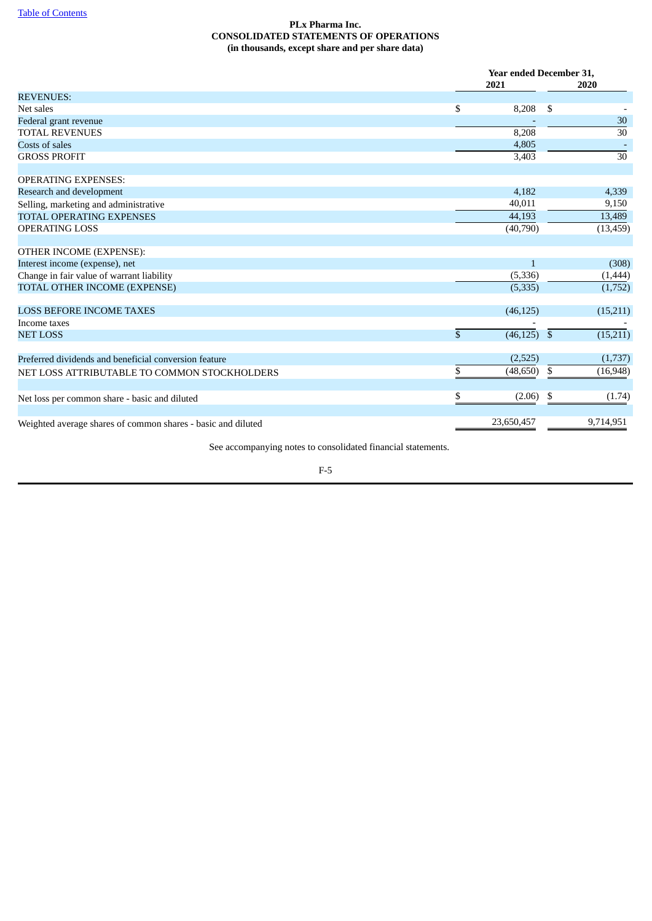# **PLx Pharma Inc. CONSOLIDATED STATEMENTS OF OPERATIONS (in thousands, except share and per share data)**

<span id="page-65-0"></span>

|                                                              |              | <b>Year ended December 31.</b> |    |                 |  |
|--------------------------------------------------------------|--------------|--------------------------------|----|-----------------|--|
|                                                              |              | 2021                           |    | 2020            |  |
| <b>REVENUES:</b>                                             |              |                                |    |                 |  |
| Net sales                                                    | \$           | 8,208                          | \$ |                 |  |
| Federal grant revenue                                        |              |                                |    | 30              |  |
| <b>TOTAL REVENUES</b>                                        |              | 8,208                          |    | $\overline{30}$ |  |
| Costs of sales                                               |              | 4,805                          |    |                 |  |
| <b>GROSS PROFIT</b>                                          |              | 3,403                          |    | $\overline{30}$ |  |
| <b>OPERATING EXPENSES:</b>                                   |              |                                |    |                 |  |
| Research and development                                     |              | 4,182                          |    | 4,339           |  |
| Selling, marketing and administrative                        |              | 40,011                         |    | 9,150           |  |
| <b>TOTAL OPERATING EXPENSES</b>                              |              | 44,193                         |    | 13,489          |  |
| <b>OPERATING LOSS</b>                                        |              | (40,790)                       |    | (13, 459)       |  |
| OTHER INCOME (EXPENSE):                                      |              |                                |    |                 |  |
| Interest income (expense), net                               |              | $\mathbf{1}$                   |    | (308)           |  |
| Change in fair value of warrant liability                    |              | (5, 336)                       |    | (1,444)         |  |
| TOTAL OTHER INCOME (EXPENSE)                                 |              | (5, 335)                       |    | (1,752)         |  |
| <b>LOSS BEFORE INCOME TAXES</b>                              |              | (46, 125)                      |    | (15,211)        |  |
| Income taxes                                                 |              |                                |    |                 |  |
| <b>NET LOSS</b>                                              | $\mathbb{S}$ | $(46, 125)$ \$                 |    | (15, 211)       |  |
| Preferred dividends and beneficial conversion feature        |              | (2,525)                        |    | (1,737)         |  |
| NET LOSS ATTRIBUTABLE TO COMMON STOCKHOLDERS                 | \$           | (48, 650)                      | \$ | (16, 948)       |  |
| Net loss per common share - basic and diluted                | \$.          | (2.06)                         | \$ | (1.74)          |  |
| Weighted average shares of common shares - basic and diluted |              | 23,650,457                     |    | 9,714,951       |  |

See accompanying notes to consolidated financial statements.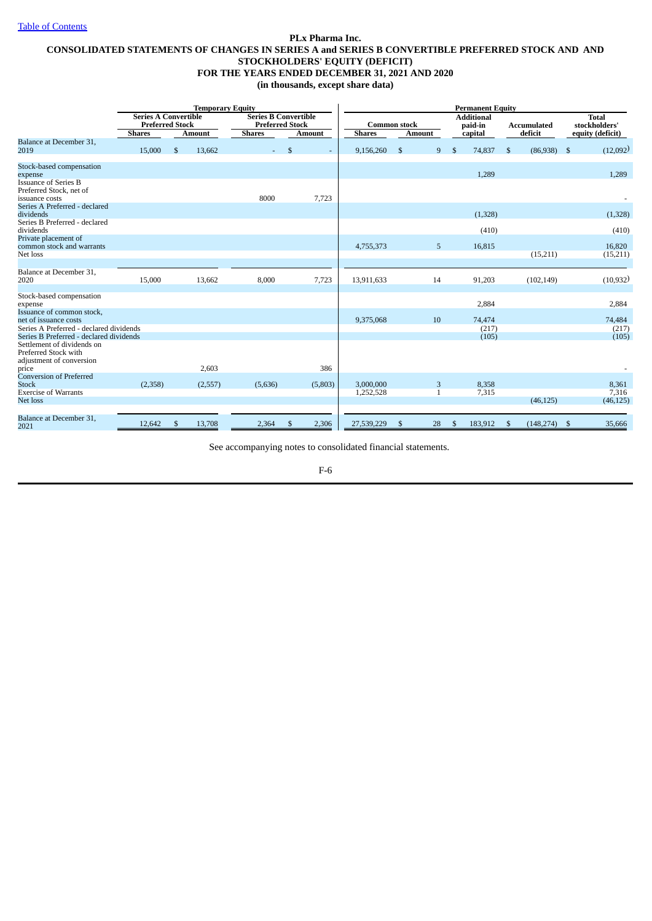# <span id="page-66-0"></span>**PLx Pharma Inc. CONSOLIDATED STATEMENTS OF CHANGES IN SERIES A and SERIES B CONVERTIBLE PREFERRED STOCK AND AND STOCKHOLDERS' EQUITY (DEFICIT) FOR THE YEARS ENDED DECEMBER 31, 2021 AND 2020 (in thousands, except share data)**

|                                                                                                                           |                                                                        | <b>Temporary Equity</b> |               |   |                                                                        |         | <b>Permanent Equity</b>              |    |               |                |                                         |              |                        |                |                                                   |
|---------------------------------------------------------------------------------------------------------------------------|------------------------------------------------------------------------|-------------------------|---------------|---|------------------------------------------------------------------------|---------|--------------------------------------|----|---------------|----------------|-----------------------------------------|--------------|------------------------|----------------|---------------------------------------------------|
|                                                                                                                           | <b>Series A Convertible</b><br><b>Preferred Stock</b><br><b>Shares</b> | <b>Amount</b>           | <b>Shares</b> |   | <b>Series B Convertible</b><br><b>Preferred Stock</b><br><b>Amount</b> |         | <b>Common stock</b><br><b>Shares</b> |    | <b>Amount</b> |                | <b>Additional</b><br>paid-in<br>capital |              | Accumulated<br>deficit |                | <b>Total</b><br>stockholders'<br>equity (deficit) |
| Balance at December 31,<br>2019                                                                                           | 15,000                                                                 | \$<br>13,662            |               | Ξ | $\mathcal{S}$                                                          |         | 9,156,260                            | \$ | 9             | $\mathfrak{s}$ | 74,837                                  | $\mathbf{s}$ | (86,938)               | $\mathfrak{S}$ | (12,092)                                          |
| Stock-based compensation<br>expense                                                                                       |                                                                        |                         |               |   |                                                                        |         |                                      |    |               |                | 1,289                                   |              |                        |                | 1,289                                             |
| <b>Issuance of Series B</b><br>Preferred Stock, net of<br>issuance costs                                                  |                                                                        |                         | 8000          |   |                                                                        | 7,723   |                                      |    |               |                |                                         |              |                        |                |                                                   |
| Series A Preferred - declared<br>dividends                                                                                |                                                                        |                         |               |   |                                                                        |         |                                      |    |               |                | (1,328)                                 |              |                        |                | (1, 328)                                          |
| Series B Preferred - declared<br>dividends                                                                                |                                                                        |                         |               |   |                                                                        |         |                                      |    |               |                | (410)                                   |              |                        |                | (410)                                             |
| Private placement of<br>common stock and warrants<br>Net loss                                                             |                                                                        |                         |               |   |                                                                        |         | 4,755,373                            |    | 5             |                | 16,815                                  |              | (15,211)               |                | 16.820<br>(15,211)                                |
| Balance at December 31,<br>2020                                                                                           | 15,000                                                                 | 13,662                  | 8,000         |   |                                                                        | 7,723   | 13,911,633                           |    | 14            |                | 91,203                                  |              | (102, 149)             |                | (10, 932)                                         |
| Stock-based compensation<br>expense                                                                                       |                                                                        |                         |               |   |                                                                        |         |                                      |    |               |                | 2,884                                   |              |                        |                | 2,884                                             |
| Issuance of common stock,<br>net of issuance costs<br>Series A Preferred - declared dividends                             |                                                                        |                         |               |   |                                                                        |         | 9,375,068                            |    | 10            |                | 74,474<br>(217)                         |              |                        |                | 74,484<br>(217)                                   |
| Series B Preferred - declared dividends<br>Settlement of dividends on<br>Preferred Stock with<br>adjustment of conversion |                                                                        |                         |               |   |                                                                        |         |                                      |    |               |                | (105)                                   |              |                        |                | (105)                                             |
| price<br><b>Conversion of Preferred</b>                                                                                   |                                                                        | 2,603                   |               |   |                                                                        | 386     |                                      |    |               |                |                                         |              |                        |                |                                                   |
| <b>Stock</b><br><b>Exercise of Warrants</b>                                                                               | (2,358)                                                                | (2,557)                 | (5,636)       |   |                                                                        | (5,803) | 3,000,000                            |    | 3             |                | 8,358                                   |              |                        |                | 8,361                                             |
| Net loss                                                                                                                  |                                                                        |                         |               |   |                                                                        |         | 1,252,528                            |    | 1             |                | 7,315                                   |              | (46, 125)              |                | 7,316<br>(46, 125)                                |
| Balance at December 31,<br>2021                                                                                           | 12,642                                                                 | \$<br>13,708            | 2,364         |   | \$                                                                     | 2,306   | 27,539,229                           | \$ | 28            | \$             | 183,912                                 | -\$          | (148, 274)             | -\$            | 35,666                                            |

See accompanying notes to consolidated financial statements.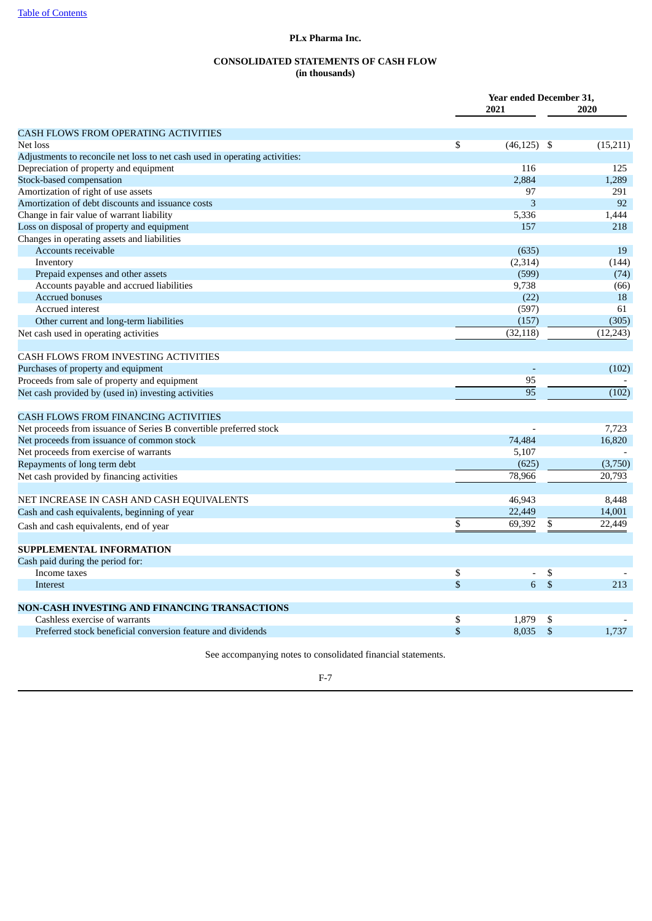## **PLx Pharma Inc.**

# **CONSOLIDATED STATEMENTS OF CASH FLOW (in thousands)**

<span id="page-67-0"></span>

|                                                                             | Year ended December 31, |              |           |  |
|-----------------------------------------------------------------------------|-------------------------|--------------|-----------|--|
|                                                                             | 2021                    |              | 2020      |  |
| <b>CASH FLOWS FROM OPERATING ACTIVITIES</b>                                 |                         |              |           |  |
| Net loss                                                                    | \$<br>$(46, 125)$ \$    |              | (15, 211) |  |
| Adjustments to reconcile net loss to net cash used in operating activities: |                         |              |           |  |
| Depreciation of property and equipment                                      | 116                     |              | 125       |  |
| Stock-based compensation                                                    | 2,884                   |              | 1,289     |  |
| Amortization of right of use assets                                         | 97                      |              | 291       |  |
| Amortization of debt discounts and issuance costs                           | 3                       |              | 92        |  |
| Change in fair value of warrant liability                                   | 5,336                   |              | 1,444     |  |
| Loss on disposal of property and equipment                                  | 157                     |              | 218       |  |
| Changes in operating assets and liabilities                                 |                         |              |           |  |
| Accounts receivable                                                         | (635)                   |              | 19        |  |
| Inventory                                                                   | (2, 314)                |              | (144)     |  |
| Prepaid expenses and other assets                                           | (599)                   |              | (74)      |  |
| Accounts payable and accrued liabilities                                    | 9,738                   |              | (66)      |  |
| <b>Accrued bonuses</b>                                                      | (22)                    |              | 18        |  |
| <b>Accrued</b> interest                                                     | (597)                   |              | 61        |  |
| Other current and long-term liabilities                                     | (157)                   |              | (305)     |  |
| Net cash used in operating activities                                       | (32, 118)               |              | (12, 243) |  |
| <b>CASH FLOWS FROM INVESTING ACTIVITIES</b>                                 |                         |              |           |  |
| Purchases of property and equipment                                         |                         |              | (102)     |  |
| Proceeds from sale of property and equipment                                | 95                      |              |           |  |
| Net cash provided by (used in) investing activities                         | 95                      |              | (102)     |  |
| <b>CASH FLOWS FROM FINANCING ACTIVITIES</b>                                 |                         |              |           |  |
| Net proceeds from issuance of Series B convertible preferred stock          |                         |              | 7,723     |  |
| Net proceeds from issuance of common stock                                  | 74,484                  |              | 16,820    |  |
| Net proceeds from exercise of warrants                                      | 5,107                   |              |           |  |
| Repayments of long term debt                                                | (625)                   |              | (3,750)   |  |
| Net cash provided by financing activities                                   | 78,966                  |              | 20,793    |  |
| NET INCREASE IN CASH AND CASH EQUIVALENTS                                   | 46,943                  |              | 8,448     |  |
| Cash and cash equivalents, beginning of year                                | 22,449                  |              | 14,001    |  |
| Cash and cash equivalents, end of year                                      | \$<br>69,392            | \$           | 22.449    |  |
| <b>SUPPLEMENTAL INFORMATION</b>                                             |                         |              |           |  |
|                                                                             |                         |              |           |  |
| Cash paid during the period for:<br>Income taxes                            | \$<br>$\blacksquare$    | \$           |           |  |
| Interest                                                                    | \$<br>6                 | $\mathbb{S}$ | 213       |  |
| NON-CASH INVESTING AND FINANCING TRANSACTIONS                               |                         |              |           |  |
| Cashless exercise of warrants                                               | \$<br>1,879             | \$           |           |  |
| Preferred stock beneficial conversion feature and dividends                 | \$<br>8,035             | \$           | 1,737     |  |
|                                                                             |                         |              |           |  |

See accompanying notes to consolidated financial statements.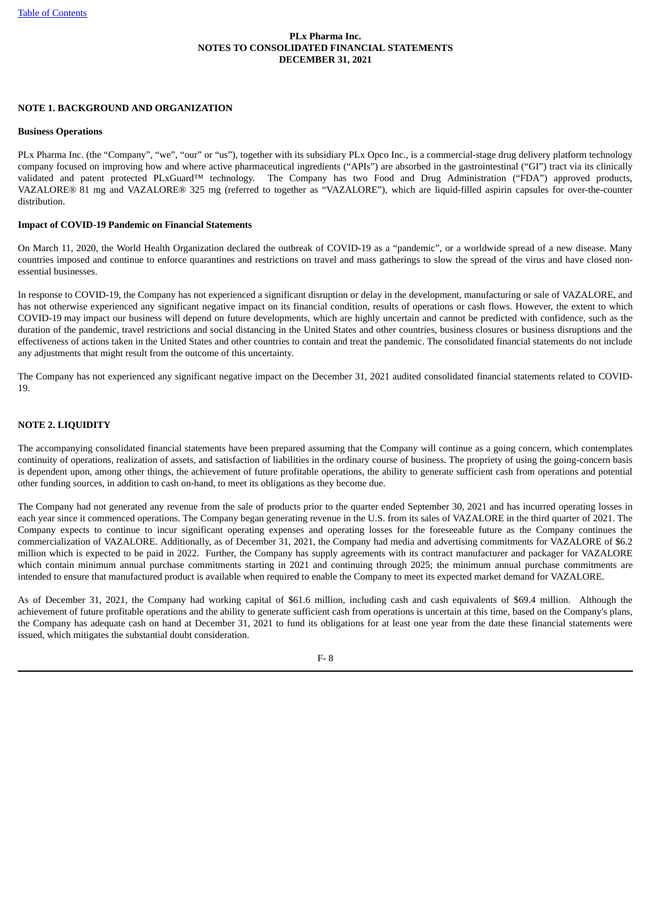# **PLx Pharma Inc. NOTES TO CONSOLIDATED FINANCIAL STATEMENTS DECEMBER 31, 2021**

# <span id="page-68-0"></span>**NOTE 1. BACKGROUND AND ORGANIZATION**

#### **Business Operations**

PLx Pharma Inc. (the "Company", "we", "our" or "us"), together with its subsidiary PLx Opco Inc., is a commercial-stage drug delivery platform technology company focused on improving how and where active pharmaceutical ingredients ("APIs") are absorbed in the gastrointestinal ("GI") tract via its clinically validated and patent protected PLxGuard™ technology. The Company has two Food and Drug Administration ("FDA") approved products, VAZALORE® 81 mg and VAZALORE® 325 mg (referred to together as "VAZALORE"), which are liquid-filled aspirin capsules for over-the-counter distribution.

## **Impact of COVID-19 Pandemic on Financial Statements**

On March 11, 2020, the World Health Organization declared the outbreak of COVID-19 as a "pandemic", or a worldwide spread of a new disease. Many countries imposed and continue to enforce quarantines and restrictions on travel and mass gatherings to slow the spread of the virus and have closed nonessential businesses.

In response to COVID-19, the Company has not experienced a significant disruption or delay in the development, manufacturing or sale of VAZALORE, and has not otherwise experienced any significant negative impact on its financial condition, results of operations or cash flows. However, the extent to which COVID-19 may impact our business will depend on future developments, which are highly uncertain and cannot be predicted with confidence, such as the duration of the pandemic, travel restrictions and social distancing in the United States and other countries, business closures or business disruptions and the effectiveness of actions taken in the United States and other countries to contain and treat the pandemic. The consolidated financial statements do not include any adjustments that might result from the outcome of this uncertainty.

The Company has not experienced any significant negative impact on the December 31, 2021 audited consolidated financial statements related to COVID-19.

# **NOTE 2. LIQUIDITY**

The accompanying consolidated financial statements have been prepared assuming that the Company will continue as a going concern, which contemplates continuity of operations, realization of assets, and satisfaction of liabilities in the ordinary course of business. The propriety of using the going-concern basis is dependent upon, among other things, the achievement of future profitable operations, the ability to generate sufficient cash from operations and potential other funding sources, in addition to cash on-hand, to meet its obligations as they become due.

The Company had not generated any revenue from the sale of products prior to the quarter ended September 30, 2021 and has incurred operating losses in each year since it commenced operations. The Company began generating revenue in the U.S. from its sales of VAZALORE in the third quarter of 2021. The Company expects to continue to incur significant operating expenses and operating losses for the foreseeable future as the Company continues the commercialization of VAZALORE. Additionally, as of December 31, 2021, the Company had media and advertising commitments for VAZALORE of \$6.2 million which is expected to be paid in 2022. Further, the Company has supply agreements with its contract manufacturer and packager for VAZALORE which contain minimum annual purchase commitments starting in 2021 and continuing through 2025; the minimum annual purchase commitments are intended to ensure that manufactured product is available when required to enable the Company to meet its expected market demand for VAZALORE.

As of December 31, 2021, the Company had working capital of \$61.6 million, including cash and cash equivalents of \$69.4 million. Although the achievement of future profitable operations and the ability to generate sufficient cash from operations is uncertain at this time, based on the Company's plans, the Company has adequate cash on hand at December 31, 2021 to fund its obligations for at least one year from the date these financial statements were issued, which mitigates the substantial doubt consideration.

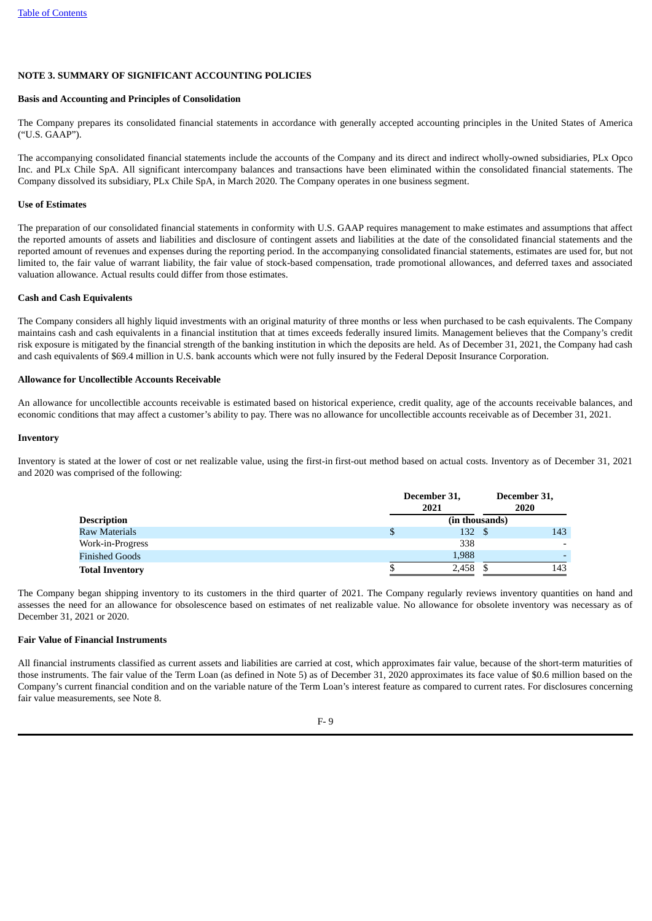## **NOTE 3. SUMMARY OF SIGNIFICANT ACCOUNTING POLICIES**

#### **Basis and Accounting and Principles of Consolidation**

The Company prepares its consolidated financial statements in accordance with generally accepted accounting principles in the United States of America ("U.S. GAAP").

The accompanying consolidated financial statements include the accounts of the Company and its direct and indirect wholly-owned subsidiaries, PLx Opco Inc. and PLx Chile SpA. All significant intercompany balances and transactions have been eliminated within the consolidated financial statements. The Company dissolved its subsidiary, PLx Chile SpA, in March 2020. The Company operates in one business segment.

### **Use of Estimates**

The preparation of our consolidated financial statements in conformity with U.S. GAAP requires management to make estimates and assumptions that affect the reported amounts of assets and liabilities and disclosure of contingent assets and liabilities at the date of the consolidated financial statements and the reported amount of revenues and expenses during the reporting period. In the accompanying consolidated financial statements, estimates are used for, but not limited to, the fair value of warrant liability, the fair value of stock-based compensation, trade promotional allowances, and deferred taxes and associated valuation allowance. Actual results could differ from those estimates.

## **Cash and Cash Equivalents**

The Company considers all highly liquid investments with an original maturity of three months or less when purchased to be cash equivalents. The Company maintains cash and cash equivalents in a financial institution that at times exceeds federally insured limits. Management believes that the Company's credit risk exposure is mitigated by the financial strength of the banking institution in which the deposits are held. As of December 31, 2021, the Company had cash and cash equivalents of \$69.4 million in U.S. bank accounts which were not fully insured by the Federal Deposit Insurance Corporation.

### **Allowance for Uncollectible Accounts Receivable**

An allowance for uncollectible accounts receivable is estimated based on historical experience, credit quality, age of the accounts receivable balances, and economic conditions that may affect a customer's ability to pay. There was no allowance for uncollectible accounts receivable as of December 31, 2021.

### **Inventory**

Inventory is stated at the lower of cost or net realizable value, using the first-in first-out method based on actual costs. Inventory as of December 31, 2021 and 2020 was comprised of the following:

|                        |                | December 31,<br>2021 |  |     |  |
|------------------------|----------------|----------------------|--|-----|--|
| <b>Description</b>     | (in thousands) |                      |  |     |  |
| <b>Raw Materials</b>   |                | 132 \$               |  | 143 |  |
| Work-in-Progress       |                | 338                  |  |     |  |
| <b>Finished Goods</b>  |                | 1,988                |  |     |  |
| <b>Total Inventory</b> |                | 2,458                |  | 143 |  |

The Company began shipping inventory to its customers in the third quarter of 2021. The Company regularly reviews inventory quantities on hand and assesses the need for an allowance for obsolescence based on estimates of net realizable value. No allowance for obsolete inventory was necessary as of December 31, 2021 or 2020.

# **Fair Value of Financial Instruments**

All financial instruments classified as current assets and liabilities are carried at cost, which approximates fair value, because of the short-term maturities of those instruments. The fair value of the Term Loan (as defined in Note 5) as of December 31, 2020 approximates its face value of \$0.6 million based on the Company's current financial condition and on the variable nature of the Term Loan's interest feature as compared to current rates. For disclosures concerning fair value measurements, see Note 8.

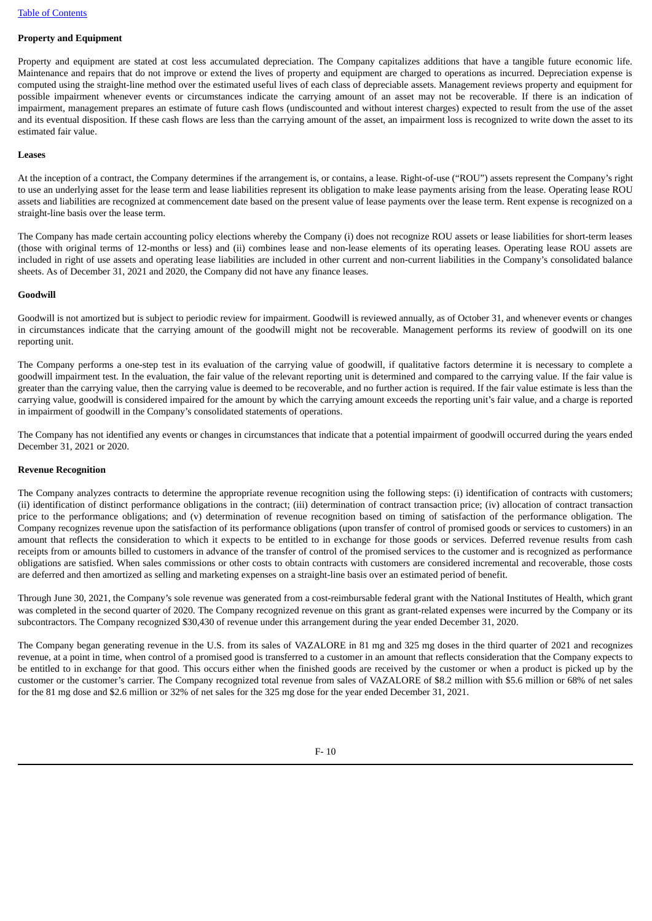### **Property and Equipment**

Property and equipment are stated at cost less accumulated depreciation. The Company capitalizes additions that have a tangible future economic life. Maintenance and repairs that do not improve or extend the lives of property and equipment are charged to operations as incurred. Depreciation expense is computed using the straight-line method over the estimated useful lives of each class of depreciable assets. Management reviews property and equipment for possible impairment whenever events or circumstances indicate the carrying amount of an asset may not be recoverable. If there is an indication of impairment, management prepares an estimate of future cash flows (undiscounted and without interest charges) expected to result from the use of the asset and its eventual disposition. If these cash flows are less than the carrying amount of the asset, an impairment loss is recognized to write down the asset to its estimated fair value.

#### **Leases**

At the inception of a contract, the Company determines if the arrangement is, or contains, a lease. Right-of-use ("ROU") assets represent the Company's right to use an underlying asset for the lease term and lease liabilities represent its obligation to make lease payments arising from the lease. Operating lease ROU assets and liabilities are recognized at commencement date based on the present value of lease payments over the lease term. Rent expense is recognized on a straight-line basis over the lease term.

The Company has made certain accounting policy elections whereby the Company (i) does not recognize ROU assets or lease liabilities for short-term leases (those with original terms of 12-months or less) and (ii) combines lease and non-lease elements of its operating leases. Operating lease ROU assets are included in right of use assets and operating lease liabilities are included in other current and non-current liabilities in the Company's consolidated balance sheets. As of December 31, 2021 and 2020, the Company did not have any finance leases.

#### **Goodwill**

Goodwill is not amortized but is subject to periodic review for impairment. Goodwill is reviewed annually, as of October 31, and whenever events or changes in circumstances indicate that the carrying amount of the goodwill might not be recoverable. Management performs its review of goodwill on its one reporting unit.

The Company performs a one-step test in its evaluation of the carrying value of goodwill, if qualitative factors determine it is necessary to complete a goodwill impairment test. In the evaluation, the fair value of the relevant reporting unit is determined and compared to the carrying value. If the fair value is greater than the carrying value, then the carrying value is deemed to be recoverable, and no further action is required. If the fair value estimate is less than the carrying value, goodwill is considered impaired for the amount by which the carrying amount exceeds the reporting unit's fair value, and a charge is reported in impairment of goodwill in the Company's consolidated statements of operations.

The Company has not identified any events or changes in circumstances that indicate that a potential impairment of goodwill occurred during the years ended December 31, 2021 or 2020.

#### **Revenue Recognition**

The Company analyzes contracts to determine the appropriate revenue recognition using the following steps: (i) identification of contracts with customers; (ii) identification of distinct performance obligations in the contract; (iii) determination of contract transaction price; (iv) allocation of contract transaction price to the performance obligations; and (v) determination of revenue recognition based on timing of satisfaction of the performance obligation. The Company recognizes revenue upon the satisfaction of its performance obligations (upon transfer of control of promised goods or services to customers) in an amount that reflects the consideration to which it expects to be entitled to in exchange for those goods or services. Deferred revenue results from cash receipts from or amounts billed to customers in advance of the transfer of control of the promised services to the customer and is recognized as performance obligations are satisfied. When sales commissions or other costs to obtain contracts with customers are considered incremental and recoverable, those costs are deferred and then amortized as selling and marketing expenses on a straight-line basis over an estimated period of benefit.

Through June 30, 2021, the Company's sole revenue was generated from a cost-reimbursable federal grant with the National Institutes of Health, which grant was completed in the second quarter of 2020. The Company recognized revenue on this grant as grant-related expenses were incurred by the Company or its subcontractors. The Company recognized \$30,430 of revenue under this arrangement during the year ended December 31, 2020.

The Company began generating revenue in the U.S. from its sales of VAZALORE in 81 mg and 325 mg doses in the third quarter of 2021 and recognizes revenue, at a point in time, when control of a promised good is transferred to a customer in an amount that reflects consideration that the Company expects to be entitled to in exchange for that good. This occurs either when the finished goods are received by the customer or when a product is picked up by the customer or the customer's carrier. The Company recognized total revenue from sales of VAZALORE of \$8.2 million with \$5.6 million or 68% of net sales for the 81 mg dose and \$2.6 million or 32% of net sales for the 325 mg dose for the year ended December 31, 2021.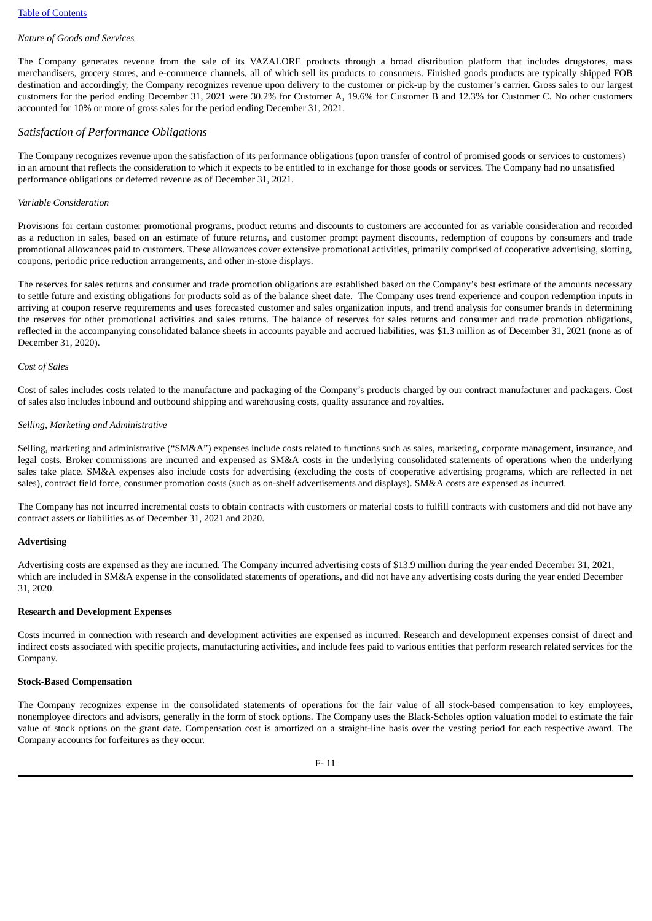#### *Nature of Goods and Services*

The Company generates revenue from the sale of its VAZALORE products through a broad distribution platform that includes drugstores, mass merchandisers, grocery stores, and e-commerce channels, all of which sell its products to consumers. Finished goods products are typically shipped FOB destination and accordingly, the Company recognizes revenue upon delivery to the customer or pick-up by the customer's carrier. Gross sales to our largest customers for the period ending December 31, 2021 were 30.2% for Customer A, 19.6% for Customer B and 12.3% for Customer C. No other customers accounted for 10% or more of gross sales for the period ending December 31, 2021.

# *Satisfaction of Performance Obligations*

The Company recognizes revenue upon the satisfaction of its performance obligations (upon transfer of control of promised goods or services to customers) in an amount that reflects the consideration to which it expects to be entitled to in exchange for those goods or services. The Company had no unsatisfied performance obligations or deferred revenue as of December 31, 2021.

### *Variable Consideration*

Provisions for certain customer promotional programs, product returns and discounts to customers are accounted for as variable consideration and recorded as a reduction in sales, based on an estimate of future returns, and customer prompt payment discounts, redemption of coupons by consumers and trade promotional allowances paid to customers. These allowances cover extensive promotional activities, primarily comprised of cooperative advertising, slotting, coupons, periodic price reduction arrangements, and other in-store displays.

The reserves for sales returns and consumer and trade promotion obligations are established based on the Company's best estimate of the amounts necessary to settle future and existing obligations for products sold as of the balance sheet date. The Company uses trend experience and coupon redemption inputs in arriving at coupon reserve requirements and uses forecasted customer and sales organization inputs, and trend analysis for consumer brands in determining the reserves for other promotional activities and sales returns. The balance of reserves for sales returns and consumer and trade promotion obligations, reflected in the accompanying consolidated balance sheets in accounts payable and accrued liabilities, was \$1.3 million as of December 31, 2021 (none as of December 31, 2020).

#### *Cost of Sales*

Cost of sales includes costs related to the manufacture and packaging of the Company's products charged by our contract manufacturer and packagers. Cost of sales also includes inbound and outbound shipping and warehousing costs, quality assurance and royalties.

### *Selling, Marketing and Administrative*

Selling, marketing and administrative ("SM&A") expenses include costs related to functions such as sales, marketing, corporate management, insurance, and legal costs. Broker commissions are incurred and expensed as SM&A costs in the underlying consolidated statements of operations when the underlying sales take place. SM&A expenses also include costs for advertising (excluding the costs of cooperative advertising programs, which are reflected in net sales), contract field force, consumer promotion costs (such as on-shelf advertisements and displays). SM&A costs are expensed as incurred.

The Company has not incurred incremental costs to obtain contracts with customers or material costs to fulfill contracts with customers and did not have any contract assets or liabilities as of December 31, 2021 and 2020.

#### **Advertising**

Advertising costs are expensed as they are incurred. The Company incurred advertising costs of \$13.9 million during the year ended December 31, 2021, which are included in SM&A expense in the consolidated statements of operations, and did not have any advertising costs during the year ended December 31, 2020.

# **Research and Development Expenses**

Costs incurred in connection with research and development activities are expensed as incurred. Research and development expenses consist of direct and indirect costs associated with specific projects, manufacturing activities, and include fees paid to various entities that perform research related services for the Company.

#### **Stock-Based Compensation**

The Company recognizes expense in the consolidated statements of operations for the fair value of all stock-based compensation to key employees, nonemployee directors and advisors, generally in the form of stock options. The Company uses the Black-Scholes option valuation model to estimate the fair value of stock options on the grant date. Compensation cost is amortized on a straight-line basis over the vesting period for each respective award. The Company accounts for forfeitures as they occur.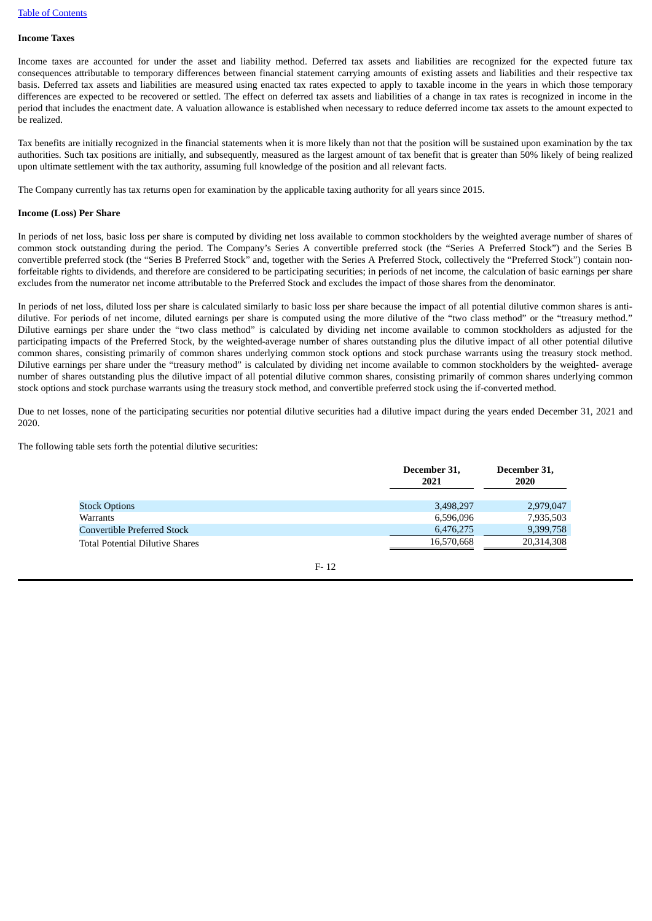### **Income Taxes**

Income taxes are accounted for under the asset and liability method. Deferred tax assets and liabilities are recognized for the expected future tax consequences attributable to temporary differences between financial statement carrying amounts of existing assets and liabilities and their respective tax basis. Deferred tax assets and liabilities are measured using enacted tax rates expected to apply to taxable income in the years in which those temporary differences are expected to be recovered or settled. The effect on deferred tax assets and liabilities of a change in tax rates is recognized in income in the period that includes the enactment date. A valuation allowance is established when necessary to reduce deferred income tax assets to the amount expected to be realized.

Tax benefits are initially recognized in the financial statements when it is more likely than not that the position will be sustained upon examination by the tax authorities. Such tax positions are initially, and subsequently, measured as the largest amount of tax benefit that is greater than 50% likely of being realized upon ultimate settlement with the tax authority, assuming full knowledge of the position and all relevant facts.

The Company currently has tax returns open for examination by the applicable taxing authority for all years since 2015.

### **Income (Loss) Per Share**

In periods of net loss, basic loss per share is computed by dividing net loss available to common stockholders by the weighted average number of shares of common stock outstanding during the period. The Company's Series A convertible preferred stock (the "Series A Preferred Stock") and the Series B convertible preferred stock (the "Series B Preferred Stock" and, together with the Series A Preferred Stock, collectively the "Preferred Stock") contain nonforfeitable rights to dividends, and therefore are considered to be participating securities; in periods of net income, the calculation of basic earnings per share excludes from the numerator net income attributable to the Preferred Stock and excludes the impact of those shares from the denominator.

In periods of net loss, diluted loss per share is calculated similarly to basic loss per share because the impact of all potential dilutive common shares is antidilutive. For periods of net income, diluted earnings per share is computed using the more dilutive of the "two class method" or the "treasury method." Dilutive earnings per share under the "two class method" is calculated by dividing net income available to common stockholders as adjusted for the participating impacts of the Preferred Stock, by the weighted-average number of shares outstanding plus the dilutive impact of all other potential dilutive common shares, consisting primarily of common shares underlying common stock options and stock purchase warrants using the treasury stock method. Dilutive earnings per share under the "treasury method" is calculated by dividing net income available to common stockholders by the weighted- average number of shares outstanding plus the dilutive impact of all potential dilutive common shares, consisting primarily of common shares underlying common stock options and stock purchase warrants using the treasury stock method, and convertible preferred stock using the if-converted method.

Due to net losses, none of the participating securities nor potential dilutive securities had a dilutive impact during the years ended December 31, 2021 and 2020.

The following table sets forth the potential dilutive securities:

|                                        | December 31,<br>2021 | December 31,<br>2020 |
|----------------------------------------|----------------------|----------------------|
| <b>Stock Options</b>                   | 3,498,297            | 2,979,047            |
| Warrants                               | 6,596,096            | 7,935,503            |
| Convertible Preferred Stock            | 6,476,275            | 9,399,758            |
| <b>Total Potential Dilutive Shares</b> | 16,570,668           | 20,314,308           |

$$
F-12
$$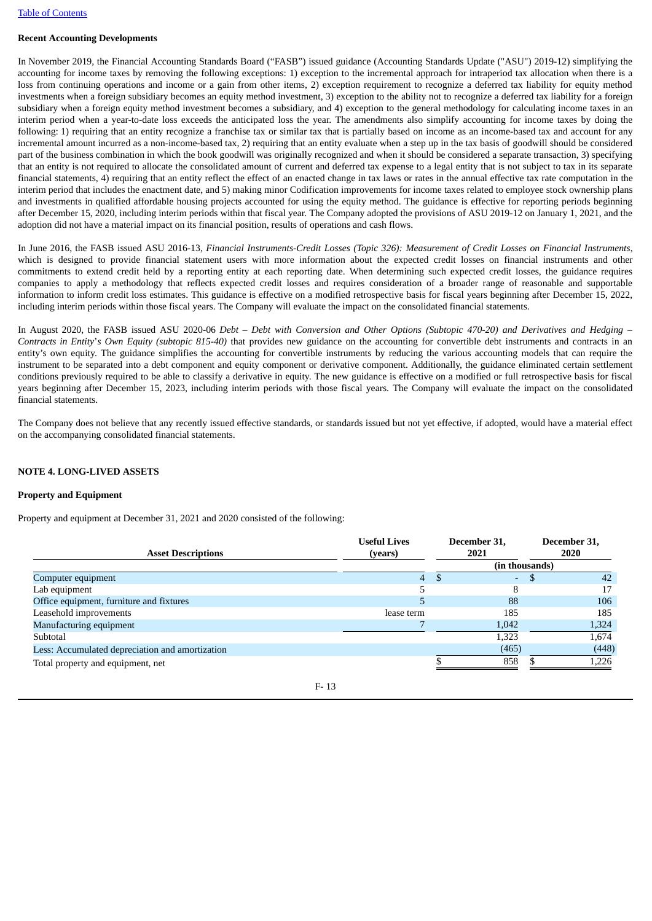### **Recent Accounting Developments**

In November 2019, the Financial Accounting Standards Board ("FASB") issued guidance (Accounting Standards Update ("ASU") 2019-12) simplifying the accounting for income taxes by removing the following exceptions: 1) exception to the incremental approach for intraperiod tax allocation when there is a loss from continuing operations and income or a gain from other items, 2) exception requirement to recognize a deferred tax liability for equity method investments when a foreign subsidiary becomes an equity method investment, 3) exception to the ability not to recognize a deferred tax liability for a foreign subsidiary when a foreign equity method investment becomes a subsidiary, and 4) exception to the general methodology for calculating income taxes in an interim period when a year-to-date loss exceeds the anticipated loss the year. The amendments also simplify accounting for income taxes by doing the following: 1) requiring that an entity recognize a franchise tax or similar tax that is partially based on income as an income-based tax and account for any incremental amount incurred as a non-income-based tax, 2) requiring that an entity evaluate when a step up in the tax basis of goodwill should be considered part of the business combination in which the book goodwill was originally recognized and when it should be considered a separate transaction, 3) specifying that an entity is not required to allocate the consolidated amount of current and deferred tax expense to a legal entity that is not subject to tax in its separate financial statements, 4) requiring that an entity reflect the effect of an enacted change in tax laws or rates in the annual effective tax rate computation in the interim period that includes the enactment date, and 5) making minor Codification improvements for income taxes related to employee stock ownership plans and investments in qualified affordable housing projects accounted for using the equity method. The guidance is effective for reporting periods beginning after December 15, 2020, including interim periods within that fiscal year. The Company adopted the provisions of ASU 2019-12 on January 1, 2021, and the adoption did not have a material impact on its financial position, results of operations and cash flows.

In June 2016, the FASB issued ASU 2016-13, Financial Instruments-Credit Losses (Topic 326): Measurement of Credit Losses on Financial Instruments, which is designed to provide financial statement users with more information about the expected credit losses on financial instruments and other commitments to extend credit held by a reporting entity at each reporting date. When determining such expected credit losses, the guidance requires companies to apply a methodology that reflects expected credit losses and requires consideration of a broader range of reasonable and supportable information to inform credit loss estimates. This guidance is effective on a modified retrospective basis for fiscal years beginning after December 15, 2022, including interim periods within those fiscal years. The Company will evaluate the impact on the consolidated financial statements.

In August 2020, the FASB issued ASU 2020-06 Debt - Debt with Conversion and Other Options (Subtopic 470-20) and Derivatives and Hedging -*Contracts in Entity*'*s Own Equity (subtopic 815-40)* that provides new guidance on the accounting for convertible debt instruments and contracts in an entity's own equity. The guidance simplifies the accounting for convertible instruments by reducing the various accounting models that can require the instrument to be separated into a debt component and equity component or derivative component. Additionally, the guidance eliminated certain settlement conditions previously required to be able to classify a derivative in equity. The new guidance is effective on a modified or full retrospective basis for fiscal years beginning after December 15, 2023, including interim periods with those fiscal years. The Company will evaluate the impact on the consolidated financial statements.

The Company does not believe that any recently issued effective standards, or standards issued but not yet effective, if adopted, would have a material effect on the accompanying consolidated financial statements.

### **NOTE 4. LONG-LIVED ASSETS**

### **Property and Equipment**

Property and equipment at December 31, 2021 and 2020 consisted of the following:

| <b>Asset Descriptions</b>                       | <b>Useful Lives</b><br>(years) | December 31,<br>2021 | December 31,<br>2020 |       |
|-------------------------------------------------|--------------------------------|----------------------|----------------------|-------|
|                                                 |                                | (in thousands)       |                      |       |
| Computer equipment                              | 4                              | ٠                    |                      | 42    |
| Lab equipment                                   |                                | 8                    |                      | 17    |
| Office equipment, furniture and fixtures        |                                | 88                   |                      | 106   |
| Leasehold improvements                          | lease term                     | 185                  |                      | 185   |
| Manufacturing equipment                         |                                | 1,042                |                      | 1,324 |
| Subtotal                                        |                                | 1,323                |                      | 1,674 |
| Less: Accumulated depreciation and amortization |                                | (465)                |                      | (448) |
| Total property and equipment, net               |                                | 858                  |                      | 1.226 |

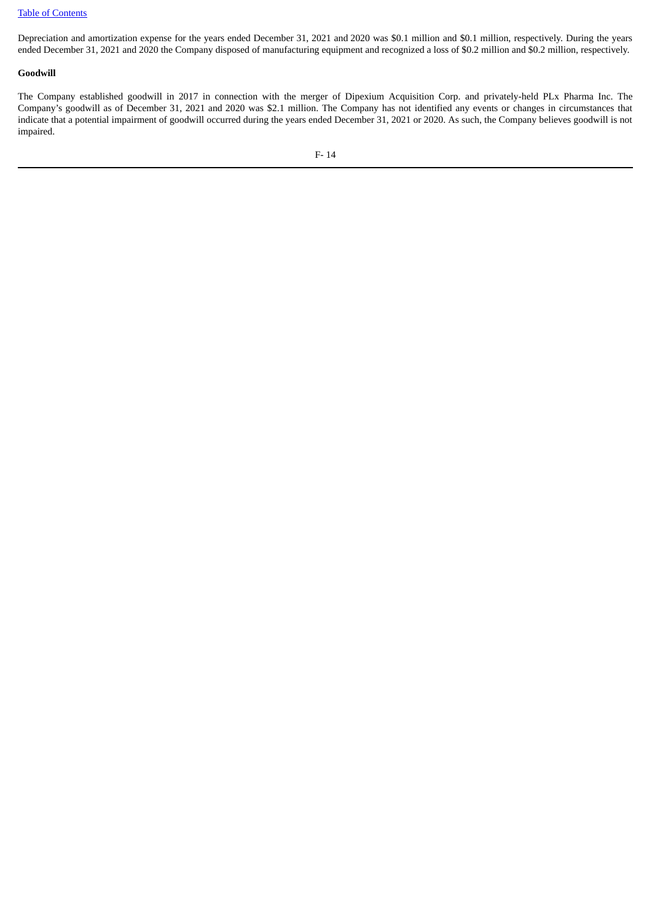Depreciation and amortization expense for the years ended December 31, 2021 and 2020 was \$0.1 million and \$0.1 million, respectively. During the years ended December 31, 2021 and 2020 the Company disposed of manufacturing equipment and recognized a loss of \$0.2 million and \$0.2 million, respectively.

### **Goodwill**

The Company established goodwill in 2017 in connection with the merger of Dipexium Acquisition Corp. and privately-held PLx Pharma Inc. The Company's goodwill as of December 31, 2021 and 2020 was \$2.1 million. The Company has not identified any events or changes in circumstances that indicate that a potential impairment of goodwill occurred during the years ended December 31, 2021 or 2020. As such, the Company believes goodwill is not impaired.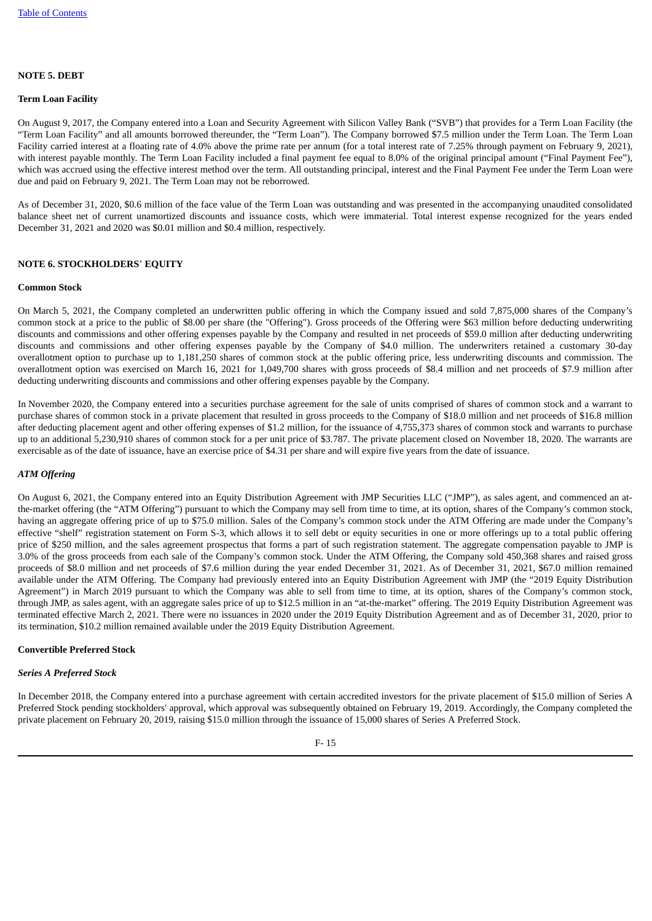### **NOTE 5. DEBT**

#### **Term Loan Facility**

On August 9, 2017, the Company entered into a Loan and Security Agreement with Silicon Valley Bank ("SVB") that provides for a Term Loan Facility (the "Term Loan Facility" and all amounts borrowed thereunder, the "Term Loan"). The Company borrowed \$7.5 million under the Term Loan. The Term Loan Facility carried interest at a floating rate of 4.0% above the prime rate per annum (for a total interest rate of 7.25% through payment on February 9, 2021), with interest payable monthly. The Term Loan Facility included a final payment fee equal to 8.0% of the original principal amount ("Final Payment Fee"), which was accrued using the effective interest method over the term. All outstanding principal, interest and the Final Payment Fee under the Term Loan were due and paid on February 9, 2021. The Term Loan may not be reborrowed.

As of December 31, 2020, \$0.6 million of the face value of the Term Loan was outstanding and was presented in the accompanying unaudited consolidated balance sheet net of current unamortized discounts and issuance costs, which were immaterial. Total interest expense recognized for the years ended December 31, 2021 and 2020 was \$0.01 million and \$0.4 million, respectively.

### **NOTE 6. STOCKHOLDERS**' **EQUITY**

#### **Common Stock**

On March 5, 2021, the Company completed an underwritten public offering in which the Company issued and sold 7,875,000 shares of the Company's common stock at a price to the public of \$8.00 per share (the "Offering"). Gross proceeds of the Offering were \$63 million before deducting underwriting discounts and commissions and other offering expenses payable by the Company and resulted in net proceeds of \$59.0 million after deducting underwriting discounts and commissions and other offering expenses payable by the Company of \$4.0 million. The underwriters retained a customary 30-day overallotment option to purchase up to 1,181,250 shares of common stock at the public offering price, less underwriting discounts and commission. The overallotment option was exercised on March 16, 2021 for 1,049,700 shares with gross proceeds of \$8.4 million and net proceeds of \$7.9 million after deducting underwriting discounts and commissions and other offering expenses payable by the Company.

In November 2020, the Company entered into a securities purchase agreement for the sale of units comprised of shares of common stock and a warrant to purchase shares of common stock in a private placement that resulted in gross proceeds to the Company of \$18.0 million and net proceeds of \$16.8 million after deducting placement agent and other offering expenses of \$1.2 million, for the issuance of 4,755,373 shares of common stock and warrants to purchase up to an additional 5,230,910 shares of common stock for a per unit price of \$3.787. The private placement closed on November 18, 2020. The warrants are exercisable as of the date of issuance, have an exercise price of \$4.31 per share and will expire five years from the date of issuance.

### *ATM Offering*

On August 6, 2021, the Company entered into an Equity Distribution Agreement with JMP Securities LLC ("JMP"), as sales agent, and commenced an atthe-market offering (the "ATM Offering") pursuant to which the Company may sell from time to time, at its option, shares of the Company's common stock, having an aggregate offering price of up to \$75.0 million. Sales of the Company's common stock under the ATM Offering are made under the Company's effective "shelf" registration statement on Form S-3, which allows it to sell debt or equity securities in one or more offerings up to a total public offering price of \$250 million, and the sales agreement prospectus that forms a part of such registration statement. The aggregate compensation payable to JMP is 3.0% of the gross proceeds from each sale of the Company's common stock. Under the ATM Offering, the Company sold 450,368 shares and raised gross proceeds of \$8.0 million and net proceeds of \$7.6 million during the year ended December 31, 2021. As of December 31, 2021, \$67.0 million remained available under the ATM Offering. The Company had previously entered into an Equity Distribution Agreement with JMP (the "2019 Equity Distribution Agreement") in March 2019 pursuant to which the Company was able to sell from time to time, at its option, shares of the Company's common stock, through JMP, as sales agent, with an aggregate sales price of up to \$12.5 million in an "at-the-market" offering. The 2019 Equity Distribution Agreement was terminated effective March 2, 2021. There were no issuances in 2020 under the 2019 Equity Distribution Agreement and as of December 31, 2020, prior to its termination, \$10.2 million remained available under the 2019 Equity Distribution Agreement.

#### **Convertible Preferred Stock**

### *Series A Preferred Stock*

In December 2018, the Company entered into a purchase agreement with certain accredited investors for the private placement of \$15.0 million of Series A Preferred Stock pending stockholders' approval, which approval was subsequently obtained on February 19, 2019. Accordingly, the Company completed the private placement on February 20, 2019, raising \$15.0 million through the issuance of 15,000 shares of Series A Preferred Stock.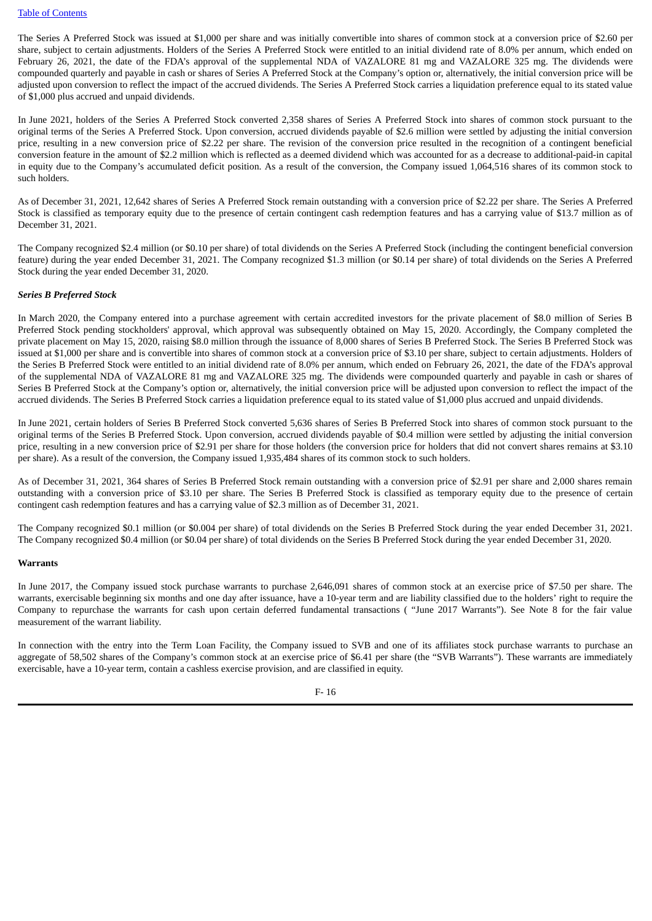The Series A Preferred Stock was issued at \$1,000 per share and was initially convertible into shares of common stock at a conversion price of \$2.60 per share, subject to certain adjustments. Holders of the Series A Preferred Stock were entitled to an initial dividend rate of 8.0% per annum, which ended on February 26, 2021, the date of the FDA's approval of the supplemental NDA of VAZALORE 81 mg and VAZALORE 325 mg. The dividends were compounded quarterly and payable in cash or shares of Series A Preferred Stock at the Company's option or, alternatively, the initial conversion price will be adjusted upon conversion to reflect the impact of the accrued dividends. The Series A Preferred Stock carries a liquidation preference equal to its stated value of \$1,000 plus accrued and unpaid dividends.

In June 2021, holders of the Series A Preferred Stock converted 2,358 shares of Series A Preferred Stock into shares of common stock pursuant to the original terms of the Series A Preferred Stock. Upon conversion, accrued dividends payable of \$2.6 million were settled by adjusting the initial conversion price, resulting in a new conversion price of \$2.22 per share. The revision of the conversion price resulted in the recognition of a contingent beneficial conversion feature in the amount of \$2.2 million which is reflected as a deemed dividend which was accounted for as a decrease to additional-paid-in capital in equity due to the Company's accumulated deficit position. As a result of the conversion, the Company issued 1,064,516 shares of its common stock to such holders.

As of December 31, 2021, 12,642 shares of Series A Preferred Stock remain outstanding with a conversion price of \$2.22 per share. The Series A Preferred Stock is classified as temporary equity due to the presence of certain contingent cash redemption features and has a carrying value of \$13.7 million as of December 31, 2021.

The Company recognized \$2.4 million (or \$0.10 per share) of total dividends on the Series A Preferred Stock (including the contingent beneficial conversion feature) during the year ended December 31, 2021. The Company recognized \$1.3 million (or \$0.14 per share) of total dividends on the Series A Preferred Stock during the year ended December 31, 2020.

### *Series B Preferred Stock*

In March 2020, the Company entered into a purchase agreement with certain accredited investors for the private placement of \$8.0 million of Series B Preferred Stock pending stockholders' approval, which approval was subsequently obtained on May 15, 2020. Accordingly, the Company completed the private placement on May 15, 2020, raising \$8.0 million through the issuance of 8,000 shares of Series B Preferred Stock. The Series B Preferred Stock was issued at \$1,000 per share and is convertible into shares of common stock at a conversion price of \$3.10 per share, subject to certain adjustments. Holders of the Series B Preferred Stock were entitled to an initial dividend rate of 8.0% per annum, which ended on February 26, 2021, the date of the FDA's approval of the supplemental NDA of VAZALORE 81 mg and VAZALORE 325 mg. The dividends were compounded quarterly and payable in cash or shares of Series B Preferred Stock at the Company's option or, alternatively, the initial conversion price will be adjusted upon conversion to reflect the impact of the accrued dividends. The Series B Preferred Stock carries a liquidation preference equal to its stated value of \$1,000 plus accrued and unpaid dividends.

In June 2021, certain holders of Series B Preferred Stock converted 5,636 shares of Series B Preferred Stock into shares of common stock pursuant to the original terms of the Series B Preferred Stock. Upon conversion, accrued dividends payable of \$0.4 million were settled by adjusting the initial conversion price, resulting in a new conversion price of \$2.91 per share for those holders (the conversion price for holders that did not convert shares remains at \$3.10 per share). As a result of the conversion, the Company issued 1,935,484 shares of its common stock to such holders.

As of December 31, 2021, 364 shares of Series B Preferred Stock remain outstanding with a conversion price of \$2.91 per share and 2,000 shares remain outstanding with a conversion price of \$3.10 per share. The Series B Preferred Stock is classified as temporary equity due to the presence of certain contingent cash redemption features and has a carrying value of \$2.3 million as of December 31, 2021.

The Company recognized \$0.1 million (or \$0.004 per share) of total dividends on the Series B Preferred Stock during the year ended December 31, 2021. The Company recognized \$0.4 million (or \$0.04 per share) of total dividends on the Series B Preferred Stock during the year ended December 31, 2020.

#### **Warrants**

In June 2017, the Company issued stock purchase warrants to purchase 2,646,091 shares of common stock at an exercise price of \$7.50 per share. The warrants, exercisable beginning six months and one day after issuance, have a 10-year term and are liability classified due to the holders' right to require the Company to repurchase the warrants for cash upon certain deferred fundamental transactions ( "June 2017 Warrants"). See Note 8 for the fair value measurement of the warrant liability.

In connection with the entry into the Term Loan Facility, the Company issued to SVB and one of its affiliates stock purchase warrants to purchase an aggregate of 58,502 shares of the Company's common stock at an exercise price of \$6.41 per share (the "SVB Warrants"). These warrants are immediately exercisable, have a 10-year term, contain a cashless exercise provision, and are classified in equity.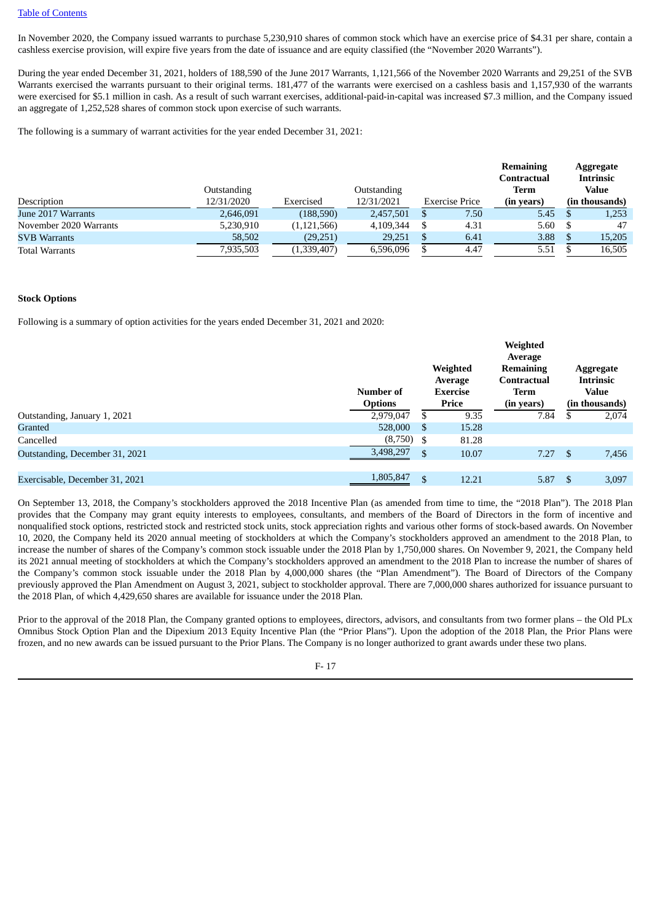In November 2020, the Company issued warrants to purchase 5,230,910 shares of common stock which have an exercise price of \$4.31 per share, contain a cashless exercise provision, will expire five years from the date of issuance and are equity classified (the "November 2020 Warrants").

During the year ended December 31, 2021, holders of 188,590 of the June 2017 Warrants, 1,121,566 of the November 2020 Warrants and 29,251 of the SVB Warrants exercised the warrants pursuant to their original terms. 181,477 of the warrants were exercised on a cashless basis and 1,157,930 of the warrants were exercised for \$5.1 million in cash. As a result of such warrant exercises, additional-paid-in-capital was increased \$7.3 million, and the Company issued an aggregate of 1,252,528 shares of common stock upon exercise of such warrants.

The following is a summary of warrant activities for the year ended December 31, 2021:

|                        |             |               |             |                | <b>Remaining</b><br><b>Contractual</b> | Aggregate<br><b>Intrinsic</b> |
|------------------------|-------------|---------------|-------------|----------------|----------------------------------------|-------------------------------|
|                        | Outstanding |               | Outstanding |                | Term                                   | Value                         |
| Description            | 12/31/2020  | Exercised     | 12/31/2021  | Exercise Price | (in years)                             | (in thousands)                |
| June 2017 Warrants     | 2,646,091   | (188, 590)    | 2,457,501   | 7.50           | 5.45                                   | 1,253                         |
| November 2020 Warrants | 5,230,910   | (1, 121, 566) | 4,109,344   | 4.31           | 5.60                                   | 47                            |
| <b>SVB Warrants</b>    | 58,502      | (29, 251)     | 29,251      | 6.41           | 3.88                                   | 15,205                        |
| <b>Total Warrants</b>  | 7,935,503   | (1,339,407)   | 6.596.096   | 4.47           | 5.51                                   | 16,505                        |

### **Stock Options**

Following is a summary of option activities for the years ended December 31, 2021 and 2020:

|                                | Number of<br><b>Options</b> |                | Weighted<br>Average<br><b>Exercise</b><br>Price | Weighted<br>Average<br><b>Remaining</b><br>Contractual<br>Term<br>(in years) |      | Aggregate<br>Intrinsic<br><b>Value</b><br>(in thousands) |
|--------------------------------|-----------------------------|----------------|-------------------------------------------------|------------------------------------------------------------------------------|------|----------------------------------------------------------|
|                                |                             |                |                                                 |                                                                              |      |                                                          |
| Outstanding, January 1, 2021   | 2,979,047                   | \$             | 9.35                                            | 7.84                                                                         |      | 2,074                                                    |
| Granted                        | 528,000                     | S              | 15.28                                           |                                                                              |      |                                                          |
| Cancelled                      | (8,750)                     | - \$           | 81.28                                           |                                                                              |      |                                                          |
| Outstanding, December 31, 2021 | 3,498,297                   | $\mathfrak{L}$ | 10.07                                           | 7.27                                                                         | - \$ | 7,456                                                    |
|                                |                             |                |                                                 |                                                                              |      |                                                          |
| Exercisable, December 31, 2021 | 1,805,847                   | \$             | 12.21                                           | 5.87                                                                         |      | 3,097                                                    |

On September 13, 2018, the Company's stockholders approved the 2018 Incentive Plan (as amended from time to time, the "2018 Plan"). The 2018 Plan provides that the Company may grant equity interests to employees, consultants, and members of the Board of Directors in the form of incentive and nonqualified stock options, restricted stock and restricted stock units, stock appreciation rights and various other forms of stock-based awards. On November 10, 2020, the Company held its 2020 annual meeting of stockholders at which the Company's stockholders approved an amendment to the 2018 Plan, to increase the number of shares of the Company's common stock issuable under the 2018 Plan by 1,750,000 shares. On November 9, 2021, the Company held its 2021 annual meeting of stockholders at which the Company's stockholders approved an amendment to the 2018 Plan to increase the number of shares of the Company's common stock issuable under the 2018 Plan by 4,000,000 shares (the "Plan Amendment"). The Board of Directors of the Company previously approved the Plan Amendment on August 3, 2021, subject to stockholder approval. There are 7,000,000 shares authorized for issuance pursuant to the 2018 Plan, of which 4,429,650 shares are available for issuance under the 2018 Plan.

Prior to the approval of the 2018 Plan, the Company granted options to employees, directors, advisors, and consultants from two former plans – the Old PLx Omnibus Stock Option Plan and the Dipexium 2013 Equity Incentive Plan (the "Prior Plans"). Upon the adoption of the 2018 Plan, the Prior Plans were frozen, and no new awards can be issued pursuant to the Prior Plans. The Company is no longer authorized to grant awards under these two plans.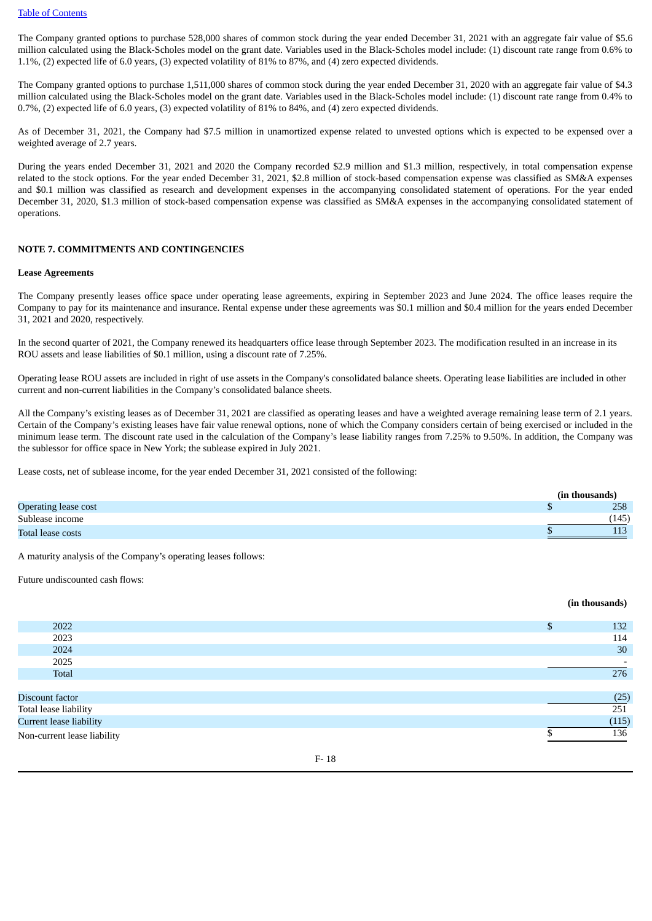The Company granted options to purchase 528,000 shares of common stock during the year ended December 31, 2021 with an aggregate fair value of \$5.6 million calculated using the Black-Scholes model on the grant date. Variables used in the Black-Scholes model include: (1) discount rate range from 0.6% to 1.1%, (2) expected life of 6.0 years, (3) expected volatility of 81% to 87%, and (4) zero expected dividends.

The Company granted options to purchase 1,511,000 shares of common stock during the year ended December 31, 2020 with an aggregate fair value of \$4.3 million calculated using the Black-Scholes model on the grant date. Variables used in the Black-Scholes model include: (1) discount rate range from 0.4% to 0.7%, (2) expected life of 6.0 years, (3) expected volatility of 81% to 84%, and (4) zero expected dividends.

As of December 31, 2021, the Company had \$7.5 million in unamortized expense related to unvested options which is expected to be expensed over a weighted average of 2.7 years.

During the years ended December 31, 2021 and 2020 the Company recorded \$2.9 million and \$1.3 million, respectively, in total compensation expense related to the stock options. For the year ended December 31, 2021, \$2.8 million of stock-based compensation expense was classified as SM&A expenses and \$0.1 million was classified as research and development expenses in the accompanying consolidated statement of operations. For the year ended December 31, 2020, \$1.3 million of stock-based compensation expense was classified as SM&A expenses in the accompanying consolidated statement of operations.

### **NOTE 7. COMMITMENTS AND CONTINGENCIES**

### **Lease Agreements**

The Company presently leases office space under operating lease agreements, expiring in September 2023 and June 2024. The office leases require the Company to pay for its maintenance and insurance. Rental expense under these agreements was \$0.1 million and \$0.4 million for the years ended December 31, 2021 and 2020, respectively.

In the second quarter of 2021, the Company renewed its headquarters office lease through September 2023. The modification resulted in an increase in its ROU assets and lease liabilities of \$0.1 million, using a discount rate of 7.25%.

Operating lease ROU assets are included in right of use assets in the Company's consolidated balance sheets. Operating lease liabilities are included in other current and non-current liabilities in the Company's consolidated balance sheets.

All the Company's existing leases as of December 31, 2021 are classified as operating leases and have a weighted average remaining lease term of 2.1 years. Certain of the Company's existing leases have fair value renewal options, none of which the Company considers certain of being exercised or included in the minimum lease term. The discount rate used in the calculation of the Company's lease liability ranges from 7.25% to 9.50%. In addition, the Company was the sublessor for office space in New York; the sublease expired in July 2021.

Lease costs, net of sublease income, for the year ended December 31, 2021 consisted of the following:

|                      | (in thousands) |       |
|----------------------|----------------|-------|
| Operating lease cost |                | 258   |
| Sublease income      |                | (145) |
| Total lease costs    |                | 113   |

A maturity analysis of the Company's operating leases follows:

Future undiscounted cash flows:

|                             | (in thousands) |
|-----------------------------|----------------|
|                             |                |
| 2022                        | \$<br>132      |
| 2023                        | 114            |
| 2024                        | 30             |
| 2025                        |                |
| Total                       | 276            |
|                             |                |
| Discount factor             | (25)           |
| Total lease liability       | 251            |
| Current lease liability     | (115)          |
| Non-current lease liability | 136            |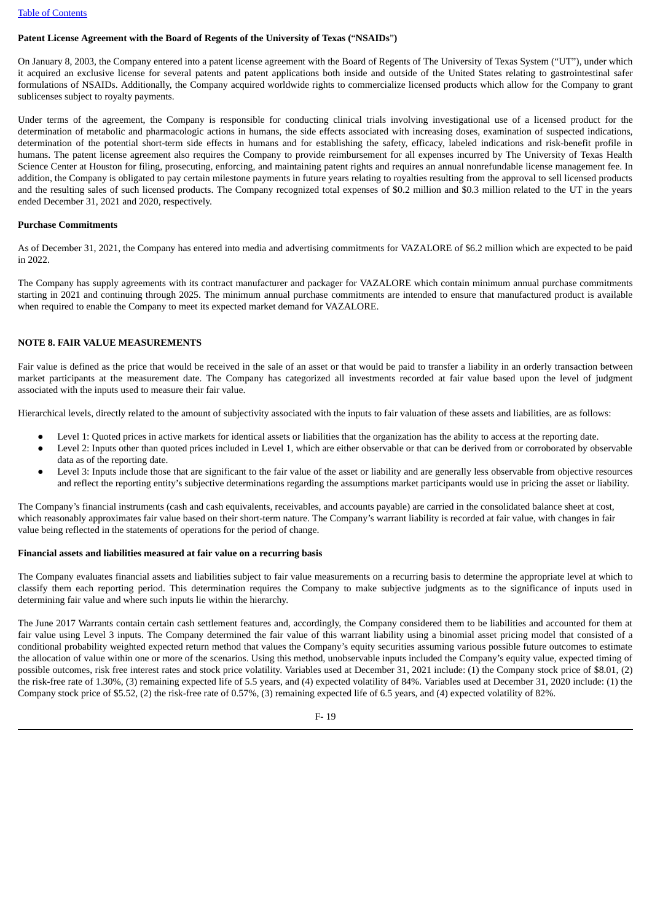### **Patent License Agreement with the Board of Regents of the University of Texas (**"**NSAIDs**"**)**

On January 8, 2003, the Company entered into a patent license agreement with the Board of Regents of The University of Texas System ("UT"), under which it acquired an exclusive license for several patents and patent applications both inside and outside of the United States relating to gastrointestinal safer formulations of NSAIDs. Additionally, the Company acquired worldwide rights to commercialize licensed products which allow for the Company to grant sublicenses subject to royalty payments.

Under terms of the agreement, the Company is responsible for conducting clinical trials involving investigational use of a licensed product for the determination of metabolic and pharmacologic actions in humans, the side effects associated with increasing doses, examination of suspected indications, determination of the potential short-term side effects in humans and for establishing the safety, efficacy, labeled indications and risk-benefit profile in humans. The patent license agreement also requires the Company to provide reimbursement for all expenses incurred by The University of Texas Health Science Center at Houston for filing, prosecuting, enforcing, and maintaining patent rights and requires an annual nonrefundable license management fee. In addition, the Company is obligated to pay certain milestone payments in future years relating to royalties resulting from the approval to sell licensed products and the resulting sales of such licensed products. The Company recognized total expenses of \$0.2 million and \$0.3 million related to the UT in the years ended December 31, 2021 and 2020, respectively.

### **Purchase Commitments**

As of December 31, 2021, the Company has entered into media and advertising commitments for VAZALORE of \$6.2 million which are expected to be paid in 2022.

The Company has supply agreements with its contract manufacturer and packager for VAZALORE which contain minimum annual purchase commitments starting in 2021 and continuing through 2025. The minimum annual purchase commitments are intended to ensure that manufactured product is available when required to enable the Company to meet its expected market demand for VAZALORE.

### **NOTE 8. FAIR VALUE MEASUREMENTS**

Fair value is defined as the price that would be received in the sale of an asset or that would be paid to transfer a liability in an orderly transaction between market participants at the measurement date. The Company has categorized all investments recorded at fair value based upon the level of judgment associated with the inputs used to measure their fair value.

Hierarchical levels, directly related to the amount of subjectivity associated with the inputs to fair valuation of these assets and liabilities, are as follows:

- Level 1: Quoted prices in active markets for identical assets or liabilities that the organization has the ability to access at the reporting date.
- Level 2: Inputs other than quoted prices included in Level 1, which are either observable or that can be derived from or corroborated by observable data as of the reporting date.
- Level 3: Inputs include those that are significant to the fair value of the asset or liability and are generally less observable from objective resources and reflect the reporting entity's subjective determinations regarding the assumptions market participants would use in pricing the asset or liability.

The Company's financial instruments (cash and cash equivalents, receivables, and accounts payable) are carried in the consolidated balance sheet at cost, which reasonably approximates fair value based on their short-term nature. The Company's warrant liability is recorded at fair value, with changes in fair value being reflected in the statements of operations for the period of change.

#### **Financial assets and liabilities measured at fair value on a recurring basis**

The Company evaluates financial assets and liabilities subject to fair value measurements on a recurring basis to determine the appropriate level at which to classify them each reporting period. This determination requires the Company to make subjective judgments as to the significance of inputs used in determining fair value and where such inputs lie within the hierarchy.

The June 2017 Warrants contain certain cash settlement features and, accordingly, the Company considered them to be liabilities and accounted for them at fair value using Level 3 inputs. The Company determined the fair value of this warrant liability using a binomial asset pricing model that consisted of a conditional probability weighted expected return method that values the Company's equity securities assuming various possible future outcomes to estimate the allocation of value within one or more of the scenarios. Using this method, unobservable inputs included the Company's equity value, expected timing of possible outcomes, risk free interest rates and stock price volatility. Variables used at December 31, 2021 include: (1) the Company stock price of \$8.01, (2) the risk-free rate of 1.30%, (3) remaining expected life of 5.5 years, and (4) expected volatility of 84%. Variables used at December 31, 2020 include: (1) the Company stock price of \$5.52, (2) the risk-free rate of 0.57%, (3) remaining expected life of 6.5 years, and (4) expected volatility of 82%.

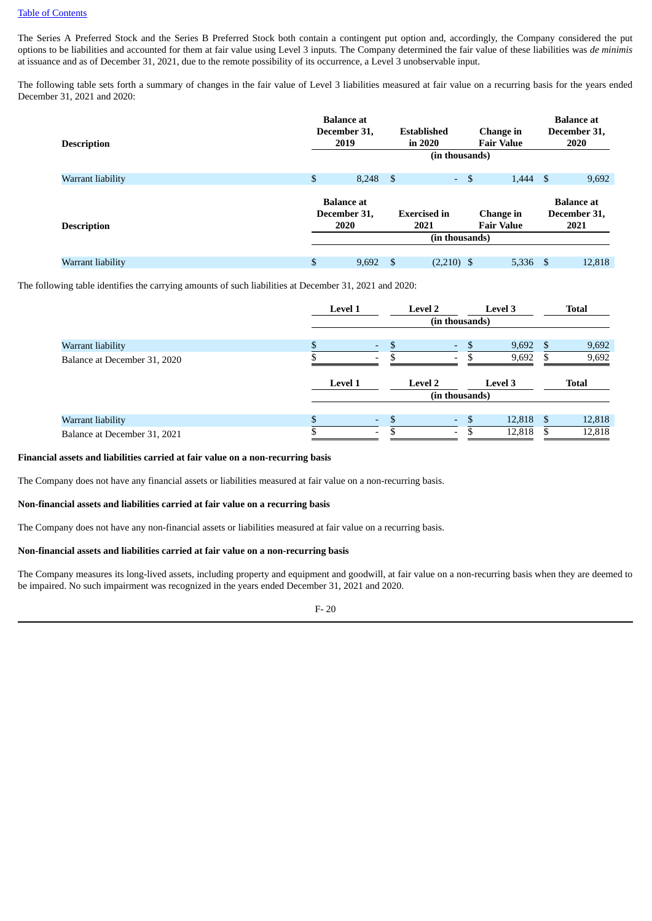The Series A Preferred Stock and the Series B Preferred Stock both contain a contingent put option and, accordingly, the Company considered the put options to be liabilities and accounted for them at fair value using Level 3 inputs. The Company determined the fair value of these liabilities was *de minimis* at issuance and as of December 31, 2021, due to the remote possibility of its occurrence, a Level 3 unobservable input.

The following table sets forth a summary of changes in the fair value of Level 3 liabilities measured at fair value on a recurring basis for the years ended December 31, 2021 and 2020:

| <b>Description</b> | <b>Balance</b> at<br>December 31,<br>2019 | <b>Established</b><br>in 2020 | (in thousands) |      | Change in<br><b>Fair Value</b> |     | <b>Balance</b> at<br>December 31,<br>2020 |
|--------------------|-------------------------------------------|-------------------------------|----------------|------|--------------------------------|-----|-------------------------------------------|
| Warrant liability  | \$<br>$8,248$ \$                          |                               | $\sim$         | - \$ | 1,444                          | -\$ | 9,692                                     |
| <b>Description</b> | <b>Balance</b> at<br>December 31.<br>2020 | <b>Exercised in</b><br>2021   |                |      | Change in<br><b>Fair Value</b> |     | <b>Balance</b> at<br>December 31,<br>2021 |
|                    |                                           |                               | (in thousands) |      |                                |     |                                           |
| Warrant liability  | \$<br>9,692                               | -S                            | $(2,210)$ \$   |      | 5,336                          | -\$ | 12,818                                    |

The following table identifies the carrying amounts of such liabilities at December 31, 2021 and 2020:

|                              | <b>Level 1</b> |    | <b>Level 2</b>           | <b>Level 3</b> |    | <b>Total</b> |
|------------------------------|----------------|----|--------------------------|----------------|----|--------------|
|                              |                |    | (in thousands)           |                |    |              |
| Warrant liability            |                | ٠  | ٠                        | 9,692          | S  | 9,692        |
| Balance at December 31, 2020 |                | ۰  | $\overline{\phantom{a}}$ | 9,692          |    | 9,692        |
|                              | <b>Level 1</b> |    | <b>Level 2</b>           | <b>Level 3</b> |    | Total        |
|                              |                |    | (in thousands)           |                |    |              |
| Warrant liability            |                | ٠. | ٠                        | 12,818         | -S | 12,818       |
| Balance at December 31, 2021 |                | ٠  | $\overline{\phantom{a}}$ | 12,818         |    | 12,818       |

### **Financial assets and liabilities carried at fair value on a non-recurring basis**

The Company does not have any financial assets or liabilities measured at fair value on a non-recurring basis.

## **Non-financial assets and liabilities carried at fair value on a recurring basis**

The Company does not have any non-financial assets or liabilities measured at fair value on a recurring basis.

### **Non-financial assets and liabilities carried at fair value on a non-recurring basis**

The Company measures its long-lived assets, including property and equipment and goodwill, at fair value on a non-recurring basis when they are deemed to be impaired. No such impairment was recognized in the years ended December 31, 2021 and 2020.

F- 20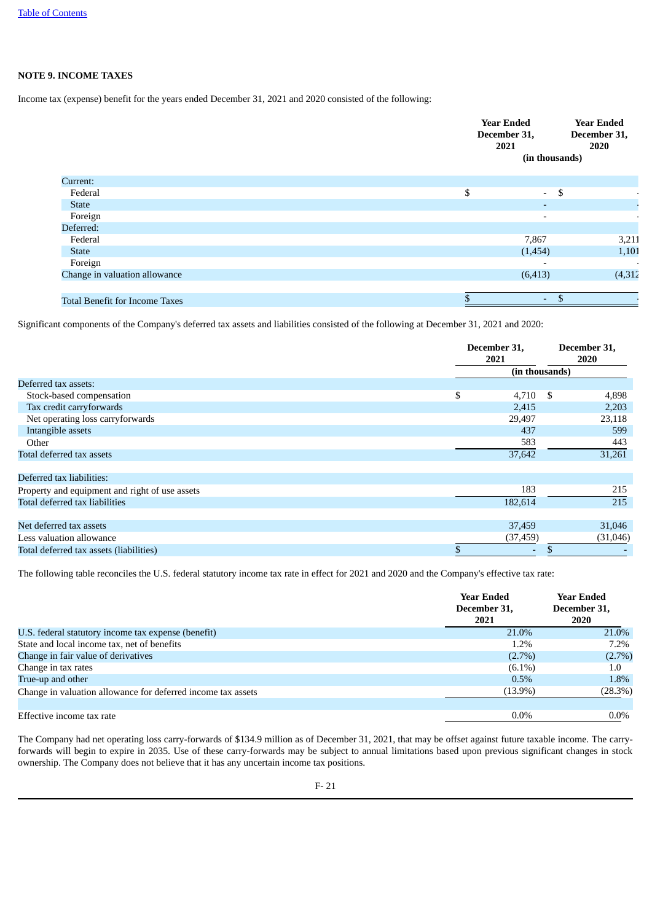# **NOTE 9. INCOME TAXES**

Income tax (expense) benefit for the years ended December 31, 2021 and 2020 consisted of the following:

|                                       | <b>Year Ended</b><br>December 31,<br>2021 | <b>Year Ended</b><br>December 31,<br>2020<br>(in thousands) |
|---------------------------------------|-------------------------------------------|-------------------------------------------------------------|
| Current:                              |                                           |                                                             |
| Federal                               | \$                                        | $-5$                                                        |
| <b>State</b>                          |                                           | $\sim$                                                      |
| Foreign                               |                                           | $\overline{\phantom{a}}$                                    |
| Deferred:                             |                                           |                                                             |
| Federal                               |                                           | 3,211<br>7,867                                              |
| <b>State</b>                          |                                           | 1,101<br>(1,454)                                            |
| Foreign                               |                                           | $\overline{\phantom{0}}$<br>$\blacksquare$                  |
| Change in valuation allowance         |                                           | (4, 312)<br>(6, 413)                                        |
|                                       |                                           |                                                             |
| <b>Total Benefit for Income Taxes</b> |                                           | $\mathfrak{L}$<br>$\sim$                                    |

Significant components of the Company's deferred tax assets and liabilities consisted of the following at December 31, 2021 and 2020:

|                                                | December 31,<br>2021 |      | December 31,<br>2020 |
|------------------------------------------------|----------------------|------|----------------------|
|                                                | (in thousands)       |      |                      |
| Deferred tax assets:                           |                      |      |                      |
| Stock-based compensation                       | \$<br>4,710          | - \$ | 4,898                |
| Tax credit carryforwards                       | 2,415                |      | 2,203                |
| Net operating loss carryforwards               | 29,497               |      | 23,118               |
| Intangible assets                              | 437                  |      | 599                  |
| Other                                          | 583                  |      | 443                  |
| Total deferred tax assets                      | 37,642               |      | 31,261               |
| Deferred tax liabilities:                      |                      |      |                      |
| Property and equipment and right of use assets | 183                  |      | 215                  |
| Total deferred tax liabilities                 | 182,614              |      | 215                  |
| Net deferred tax assets                        | 37,459               |      | 31,046               |
| Less valuation allowance                       | (37, 459)            |      | (31,046)             |
| Total deferred tax assets (liabilities)        | \$                   | \$   |                      |

The following table reconciles the U.S. federal statutory income tax rate in effect for 2021 and 2020 and the Company's effective tax rate:

|                                                              | Year Ended<br>December 31,<br>2021 | Year Ended<br>December 31,<br>2020 |
|--------------------------------------------------------------|------------------------------------|------------------------------------|
| U.S. federal statutory income tax expense (benefit)          | 21.0%                              | 21.0%                              |
| State and local income tax, net of benefits                  | 1.2%                               | 7.2%                               |
| Change in fair value of derivatives                          | $(2.7\%)$                          | $(2.7\%)$                          |
| Change in tax rates                                          | $(6.1\%)$                          | $1.0\,$                            |
| True-up and other                                            | $0.5\%$                            | 1.8%                               |
| Change in valuation allowance for deferred income tax assets | $(13.9\%)$                         | (28.3%)                            |
| Effective income tax rate                                    | $0.0\%$                            | $0.0\%$                            |

The Company had net operating loss carry-forwards of \$134.9 million as of December 31, 2021, that may be offset against future taxable income. The carryforwards will begin to expire in 2035. Use of these carry-forwards may be subject to annual limitations based upon previous significant changes in stock ownership. The Company does not believe that it has any uncertain income tax positions.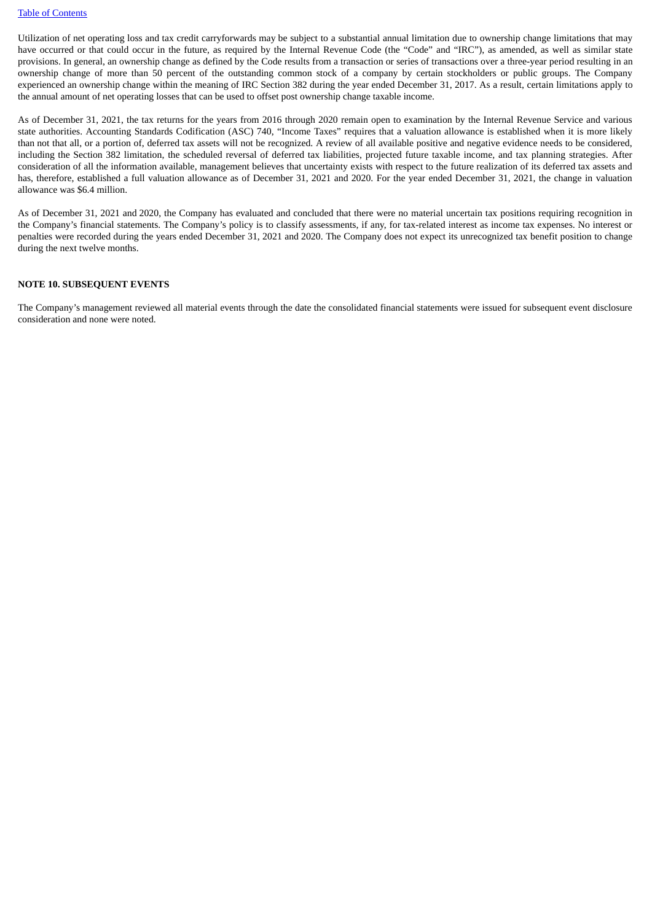Utilization of net operating loss and tax credit carryforwards may be subject to a substantial annual limitation due to ownership change limitations that may have occurred or that could occur in the future, as required by the Internal Revenue Code (the "Code" and "IRC"), as amended, as well as similar state provisions. In general, an ownership change as defined by the Code results from a transaction or series of transactions over a three-year period resulting in an ownership change of more than 50 percent of the outstanding common stock of a company by certain stockholders or public groups. The Company experienced an ownership change within the meaning of IRC Section 382 during the year ended December 31, 2017. As a result, certain limitations apply to the annual amount of net operating losses that can be used to offset post ownership change taxable income.

As of December 31, 2021, the tax returns for the years from 2016 through 2020 remain open to examination by the Internal Revenue Service and various state authorities. Accounting Standards Codification (ASC) 740, "Income Taxes" requires that a valuation allowance is established when it is more likely than not that all, or a portion of, deferred tax assets will not be recognized. A review of all available positive and negative evidence needs to be considered, including the Section 382 limitation, the scheduled reversal of deferred tax liabilities, projected future taxable income, and tax planning strategies. After consideration of all the information available, management believes that uncertainty exists with respect to the future realization of its deferred tax assets and has, therefore, established a full valuation allowance as of December 31, 2021 and 2020. For the year ended December 31, 2021, the change in valuation allowance was \$6.4 million.

As of December 31, 2021 and 2020, the Company has evaluated and concluded that there were no material uncertain tax positions requiring recognition in the Company's financial statements. The Company's policy is to classify assessments, if any, for tax-related interest as income tax expenses. No interest or penalties were recorded during the years ended December 31, 2021 and 2020. The Company does not expect its unrecognized tax benefit position to change during the next twelve months.

### **NOTE 10. SUBSEQUENT EVENTS**

The Company's management reviewed all material events through the date the consolidated financial statements were issued for subsequent event disclosure consideration and none were noted.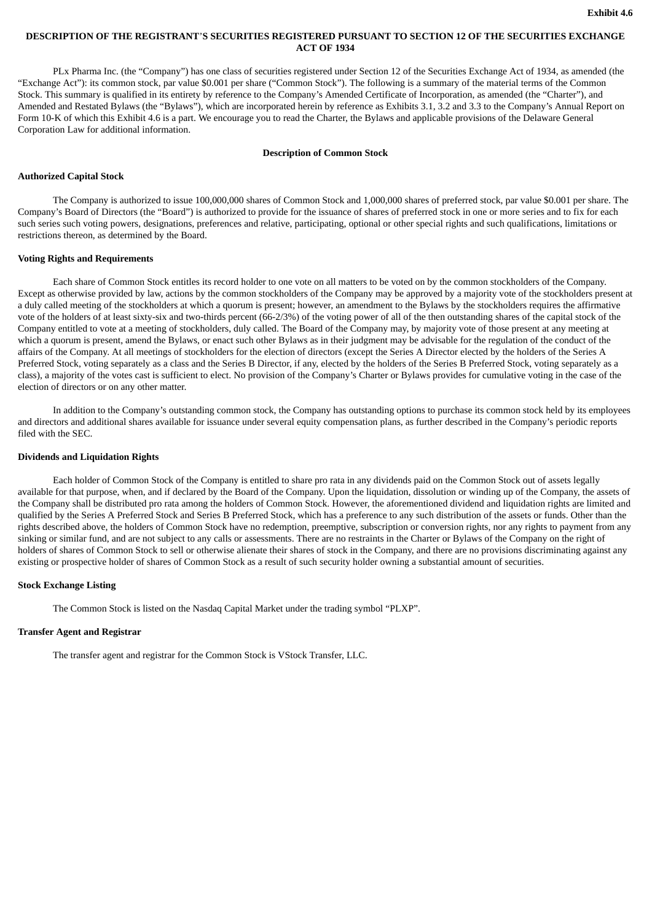# **DESCRIPTION OF THE REGISTRANT**'**S SECURITIES REGISTERED PURSUANT TO SECTION 12 OF THE SECURITIES EXCHANGE ACT OF 1934**

PLx Pharma Inc. (the "Company") has one class of securities registered under Section 12 of the Securities Exchange Act of 1934, as amended (the "Exchange Act"): its common stock, par value \$0.001 per share ("Common Stock"). The following is a summary of the material terms of the Common Stock. This summary is qualified in its entirety by reference to the Company's Amended Certificate of Incorporation, as amended (the "Charter"), and Amended and Restated Bylaws (the "Bylaws"), which are incorporated herein by reference as Exhibits 3.1, 3.2 and 3.3 to the Company's Annual Report on Form 10-K of which this Exhibit 4.6 is a part. We encourage you to read the Charter, the Bylaws and applicable provisions of the Delaware General Corporation Law for additional information.

### **Description of Common Stock**

### **Authorized Capital Stock**

The Company is authorized to issue 100,000,000 shares of Common Stock and 1,000,000 shares of preferred stock, par value \$0.001 per share. The Company's Board of Directors (the "Board") is authorized to provide for the issuance of shares of preferred stock in one or more series and to fix for each such series such voting powers, designations, preferences and relative, participating, optional or other special rights and such qualifications, limitations or restrictions thereon, as determined by the Board.

### **Voting Rights and Requirements**

Each share of Common Stock entitles its record holder to one vote on all matters to be voted on by the common stockholders of the Company. Except as otherwise provided by law, actions by the common stockholders of the Company may be approved by a majority vote of the stockholders present at a duly called meeting of the stockholders at which a quorum is present; however, an amendment to the Bylaws by the stockholders requires the affirmative vote of the holders of at least sixty-six and two-thirds percent (66-2/3%) of the voting power of all of the then outstanding shares of the capital stock of the Company entitled to vote at a meeting of stockholders, duly called. The Board of the Company may, by majority vote of those present at any meeting at which a quorum is present, amend the Bylaws, or enact such other Bylaws as in their judgment may be advisable for the regulation of the conduct of the affairs of the Company. At all meetings of stockholders for the election of directors (except the Series A Director elected by the holders of the Series A Preferred Stock, voting separately as a class and the Series B Director, if any, elected by the holders of the Series B Preferred Stock, voting separately as a class), a majority of the votes cast is sufficient to elect. No provision of the Company's Charter or Bylaws provides for cumulative voting in the case of the election of directors or on any other matter.

In addition to the Company's outstanding common stock, the Company has outstanding options to purchase its common stock held by its employees and directors and additional shares available for issuance under several equity compensation plans, as further described in the Company's periodic reports filed with the SEC.

### **Dividends and Liquidation Rights**

Each holder of Common Stock of the Company is entitled to share pro rata in any dividends paid on the Common Stock out of assets legally available for that purpose, when, and if declared by the Board of the Company. Upon the liquidation, dissolution or winding up of the Company, the assets of the Company shall be distributed pro rata among the holders of Common Stock. However, the aforementioned dividend and liquidation rights are limited and qualified by the Series A Preferred Stock and Series B Preferred Stock, which has a preference to any such distribution of the assets or funds. Other than the rights described above, the holders of Common Stock have no redemption, preemptive, subscription or conversion rights, nor any rights to payment from any sinking or similar fund, and are not subject to any calls or assessments. There are no restraints in the Charter or Bylaws of the Company on the right of holders of shares of Common Stock to sell or otherwise alienate their shares of stock in the Company, and there are no provisions discriminating against any existing or prospective holder of shares of Common Stock as a result of such security holder owning a substantial amount of securities.

#### **Stock Exchange Listing**

The Common Stock is listed on the Nasdaq Capital Market under the trading symbol "PLXP".

#### **Transfer Agent and Registrar**

The transfer agent and registrar for the Common Stock is VStock Transfer, LLC.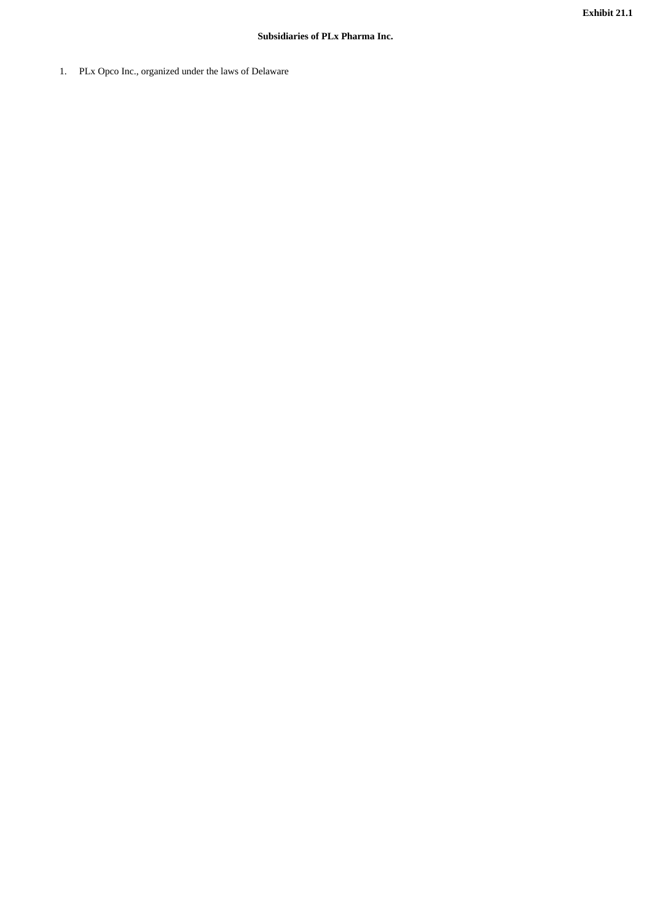1. PLx Opco Inc., organized under the laws of Delaware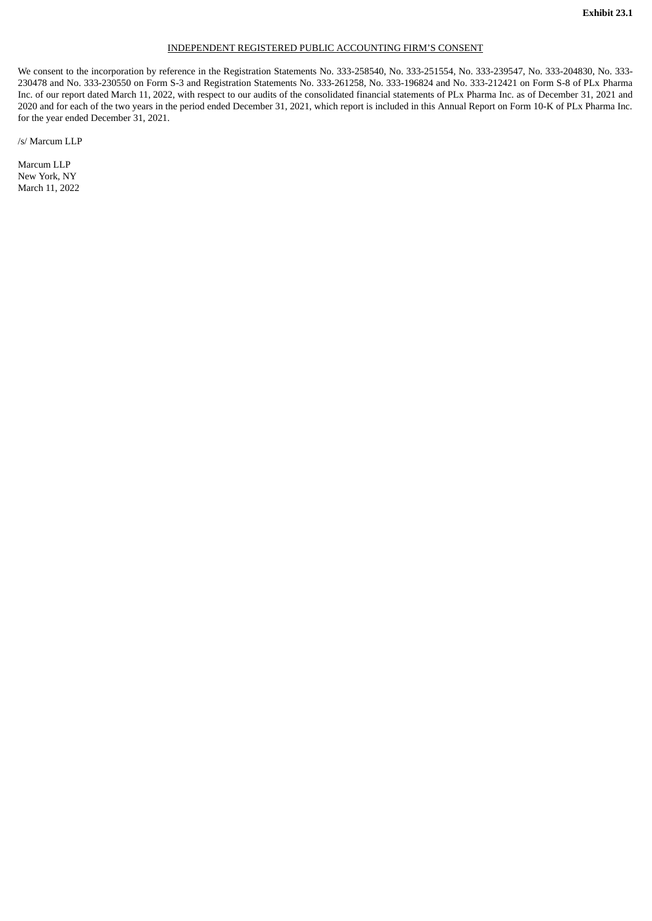### INDEPENDENT REGISTERED PUBLIC ACCOUNTING FIRM'S CONSENT

We consent to the incorporation by reference in the Registration Statements No. 333-258540, No. 333-251554, No. 333-239547, No. 333-204830, No. 333- 230478 and No. 333-230550 on Form S-3 and Registration Statements No. 333-261258, No. 333-196824 and No. 333-212421 on Form S-8 of PLx Pharma Inc. of our report dated March 11, 2022, with respect to our audits of the consolidated financial statements of PLx Pharma Inc. as of December 31, 2021 and 2020 and for each of the two years in the period ended December 31, 2021, which report is included in this Annual Report on Form 10-K of PLx Pharma Inc. for the year ended December 31, 2021.

/s/ Marcum LLP

Marcum LLP New York, NY March 11, 2022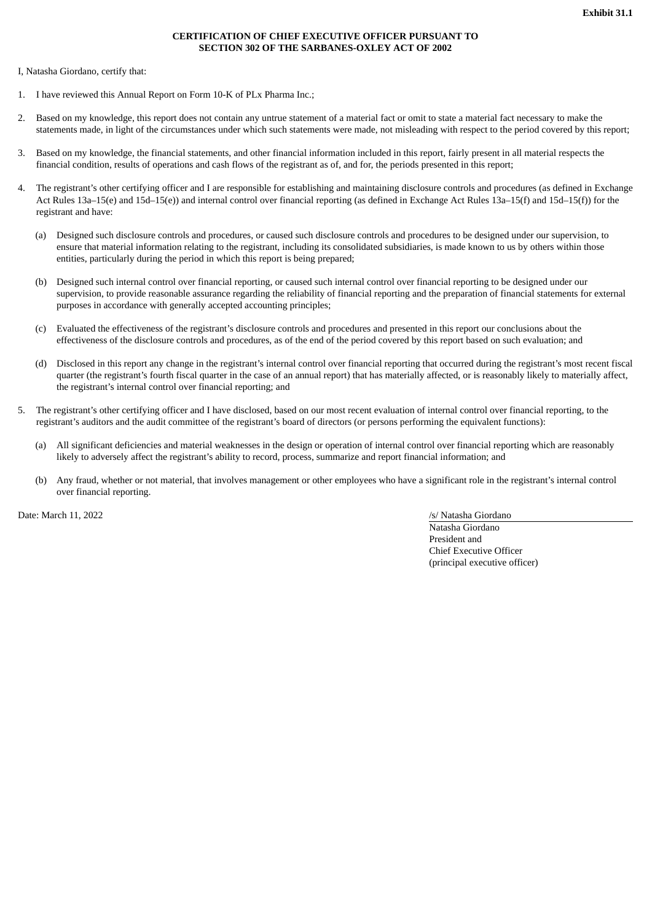## **CERTIFICATION OF CHIEF EXECUTIVE OFFICER PURSUANT TO SECTION 302 OF THE SARBANES-OXLEY ACT OF 2002**

I, Natasha Giordano, certify that:

- 1. I have reviewed this Annual Report on Form 10-K of PLx Pharma Inc.;
- 2. Based on my knowledge, this report does not contain any untrue statement of a material fact or omit to state a material fact necessary to make the statements made, in light of the circumstances under which such statements were made, not misleading with respect to the period covered by this report;
- 3. Based on my knowledge, the financial statements, and other financial information included in this report, fairly present in all material respects the financial condition, results of operations and cash flows of the registrant as of, and for, the periods presented in this report;
- 4. The registrant's other certifying officer and I are responsible for establishing and maintaining disclosure controls and procedures (as defined in Exchange Act Rules 13a–15(e) and 15d–15(e)) and internal control over financial reporting (as defined in Exchange Act Rules 13a–15(f) and 15d–15(f)) for the registrant and have:
	- (a) Designed such disclosure controls and procedures, or caused such disclosure controls and procedures to be designed under our supervision, to ensure that material information relating to the registrant, including its consolidated subsidiaries, is made known to us by others within those entities, particularly during the period in which this report is being prepared;
	- (b) Designed such internal control over financial reporting, or caused such internal control over financial reporting to be designed under our supervision, to provide reasonable assurance regarding the reliability of financial reporting and the preparation of financial statements for external purposes in accordance with generally accepted accounting principles;
	- (c) Evaluated the effectiveness of the registrant's disclosure controls and procedures and presented in this report our conclusions about the effectiveness of the disclosure controls and procedures, as of the end of the period covered by this report based on such evaluation; and
	- (d) Disclosed in this report any change in the registrant's internal control over financial reporting that occurred during the registrant's most recent fiscal quarter (the registrant's fourth fiscal quarter in the case of an annual report) that has materially affected, or is reasonably likely to materially affect, the registrant's internal control over financial reporting; and
- 5. The registrant's other certifying officer and I have disclosed, based on our most recent evaluation of internal control over financial reporting, to the registrant's auditors and the audit committee of the registrant's board of directors (or persons performing the equivalent functions):
	- (a) All significant deficiencies and material weaknesses in the design or operation of internal control over financial reporting which are reasonably likely to adversely affect the registrant's ability to record, process, summarize and report financial information; and
	- (b) Any fraud, whether or not material, that involves management or other employees who have a significant role in the registrant's internal control over financial reporting.

Date: March 11, 2022 /s/ Natasha Giordano

Natasha Giordano President and Chief Executive Officer (principal executive officer)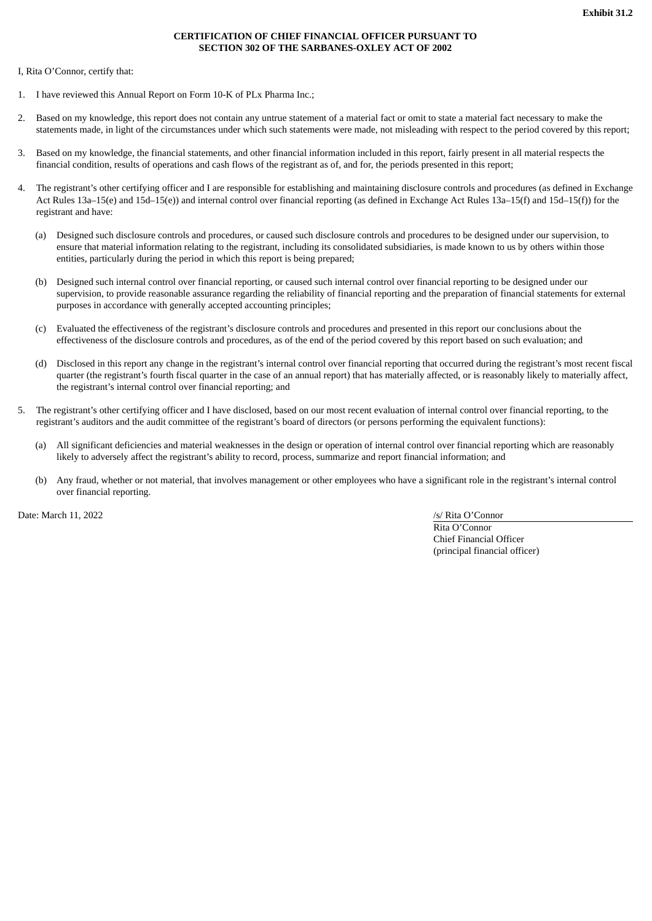## **CERTIFICATION OF CHIEF FINANCIAL OFFICER PURSUANT TO SECTION 302 OF THE SARBANES-OXLEY ACT OF 2002**

I, Rita O'Connor, certify that:

- 1. I have reviewed this Annual Report on Form 10-K of PLx Pharma Inc.;
- 2. Based on my knowledge, this report does not contain any untrue statement of a material fact or omit to state a material fact necessary to make the statements made, in light of the circumstances under which such statements were made, not misleading with respect to the period covered by this report;
- 3. Based on my knowledge, the financial statements, and other financial information included in this report, fairly present in all material respects the financial condition, results of operations and cash flows of the registrant as of, and for, the periods presented in this report;
- 4. The registrant's other certifying officer and I are responsible for establishing and maintaining disclosure controls and procedures (as defined in Exchange Act Rules 13a–15(e) and 15d–15(e)) and internal control over financial reporting (as defined in Exchange Act Rules 13a–15(f) and 15d–15(f)) for the registrant and have:
	- (a) Designed such disclosure controls and procedures, or caused such disclosure controls and procedures to be designed under our supervision, to ensure that material information relating to the registrant, including its consolidated subsidiaries, is made known to us by others within those entities, particularly during the period in which this report is being prepared;
	- (b) Designed such internal control over financial reporting, or caused such internal control over financial reporting to be designed under our supervision, to provide reasonable assurance regarding the reliability of financial reporting and the preparation of financial statements for external purposes in accordance with generally accepted accounting principles;
	- (c) Evaluated the effectiveness of the registrant's disclosure controls and procedures and presented in this report our conclusions about the effectiveness of the disclosure controls and procedures, as of the end of the period covered by this report based on such evaluation; and
	- (d) Disclosed in this report any change in the registrant's internal control over financial reporting that occurred during the registrant's most recent fiscal quarter (the registrant's fourth fiscal quarter in the case of an annual report) that has materially affected, or is reasonably likely to materially affect, the registrant's internal control over financial reporting; and
- 5. The registrant's other certifying officer and I have disclosed, based on our most recent evaluation of internal control over financial reporting, to the registrant's auditors and the audit committee of the registrant's board of directors (or persons performing the equivalent functions):
	- (a) All significant deficiencies and material weaknesses in the design or operation of internal control over financial reporting which are reasonably likely to adversely affect the registrant's ability to record, process, summarize and report financial information; and
	- (b) Any fraud, whether or not material, that involves management or other employees who have a significant role in the registrant's internal control over financial reporting.

Date: March 11, 2022 /s/ Rita O'Connor

Rita O'Connor Chief Financial Officer (principal financial officer)